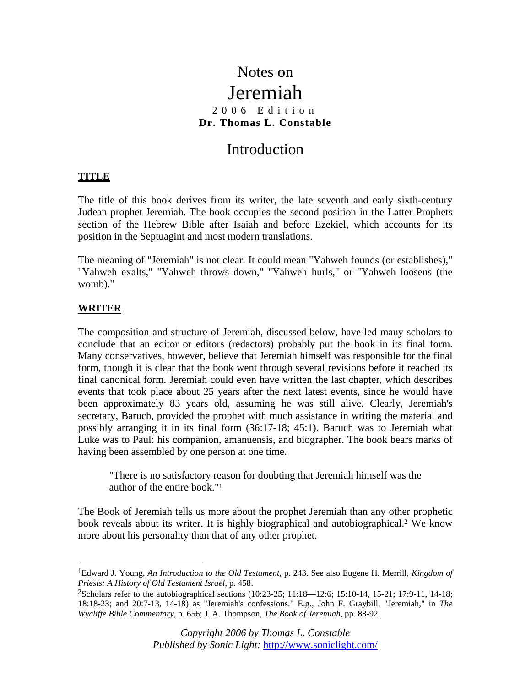# Notes on Jeremiah 2006 Edition **Dr. Thomas L. Constable**

# Introduction

# **TITLE**

The title of this book derives from its writer, the late seventh and early sixth-century Judean prophet Jeremiah. The book occupies the second position in the Latter Prophets section of the Hebrew Bible after Isaiah and before Ezekiel, which accounts for its position in the Septuagint and most modern translations.

The meaning of "Jeremiah" is not clear. It could mean "Yahweh founds (or establishes)," "Yahweh exalts," "Yahweh throws down," "Yahweh hurls," or "Yahweh loosens (the womb)."

# **WRITER**

 $\overline{a}$ 

The composition and structure of Jeremiah, discussed below, have led many scholars to conclude that an editor or editors (redactors) probably put the book in its final form. Many conservatives, however, believe that Jeremiah himself was responsible for the final form, though it is clear that the book went through several revisions before it reached its final canonical form. Jeremiah could even have written the last chapter, which describes events that took place about 25 years after the next latest events, since he would have been approximately 83 years old, assuming he was still alive. Clearly, Jeremiah's secretary, Baruch, provided the prophet with much assistance in writing the material and possibly arranging it in its final form (36:17-18; 45:1). Baruch was to Jeremiah what Luke was to Paul: his companion, amanuensis, and biographer. The book bears marks of having been assembled by one person at one time.

"There is no satisfactory reason for doubting that Jeremiah himself was the author of the entire book."1

The Book of Jeremiah tells us more about the prophet Jeremiah than any other prophetic book reveals about its writer. It is highly biographical and autobiographical.2 We know more about his personality than that of any other prophet.

<sup>1</sup>Edward J. Young, *An Introduction to the Old Testament*, p. 243. See also Eugene H. Merrill, *Kingdom of Priests: A History of Old Testament Israel*, p. 458.

<sup>2</sup>Scholars refer to the autobiographical sections (10:23-25; 11:18—12:6; 15:10-14, 15-21; 17:9-11, 14-18; 18:18-23; and 20:7-13, 14-18) as "Jeremiah's confessions." E.g., John F. Graybill, "Jeremiah," in *The Wycliffe Bible Commentary*, p. 656; J. A. Thompson, *The Book of Jeremiah*, pp. 88-92.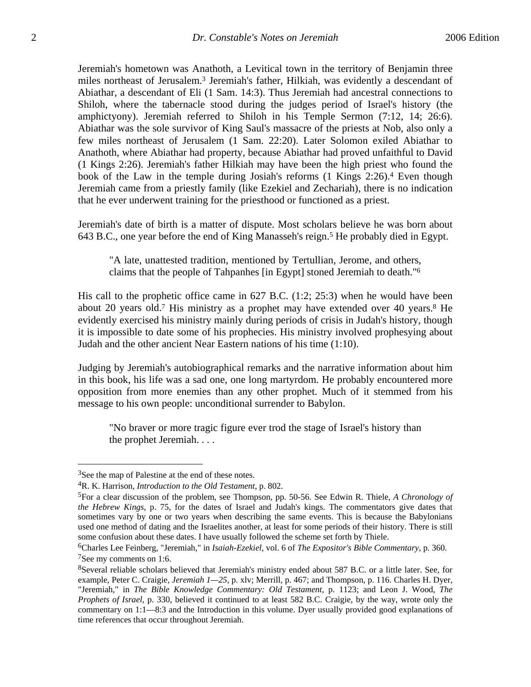Jeremiah's hometown was Anathoth, a Levitical town in the territory of Benjamin three miles northeast of Jerusalem.3 Jeremiah's father, Hilkiah, was evidently a descendant of Abiathar, a descendant of Eli (1 Sam. 14:3). Thus Jeremiah had ancestral connections to Shiloh, where the tabernacle stood during the judges period of Israel's history (the amphictyony). Jeremiah referred to Shiloh in his Temple Sermon (7:12, 14; 26:6). Abiathar was the sole survivor of King Saul's massacre of the priests at Nob, also only a few miles northeast of Jerusalem (1 Sam. 22:20). Later Solomon exiled Abiathar to Anathoth, where Abiathar had property, because Abiathar had proved unfaithful to David (1 Kings 2:26). Jeremiah's father Hilkiah may have been the high priest who found the book of the Law in the temple during Josiah's reforms (1 Kings 2:26).4 Even though Jeremiah came from a priestly family (like Ezekiel and Zechariah), there is no indication that he ever underwent training for the priesthood or functioned as a priest.

Jeremiah's date of birth is a matter of dispute. Most scholars believe he was born about 643 B.C., one year before the end of King Manasseh's reign.5 He probably died in Egypt.

"A late, unattested tradition, mentioned by Tertullian, Jerome, and others, claims that the people of Tahpanhes [in Egypt] stoned Jeremiah to death."6

His call to the prophetic office came in 627 B.C. (1:2; 25:3) when he would have been about 20 years old.7 His ministry as a prophet may have extended over 40 years.8 He evidently exercised his ministry mainly during periods of crisis in Judah's history, though it is impossible to date some of his prophecies. His ministry involved prophesying about Judah and the other ancient Near Eastern nations of his time (1:10).

Judging by Jeremiah's autobiographical remarks and the narrative information about him in this book, his life was a sad one, one long martyrdom. He probably encountered more opposition from more enemies than any other prophet. Much of it stemmed from his message to his own people: unconditional surrender to Babylon.

"No braver or more tragic figure ever trod the stage of Israel's history than the prophet Jeremiah. . . .

1

<sup>&</sup>lt;sup>3</sup>See the map of Palestine at the end of these notes.

<sup>4</sup>R. K. Harrison, *Introduction to the Old Testament*, p. 802.

<sup>5</sup>For a clear discussion of the problem, see Thompson, pp. 50-56. See Edwin R. Thiele, *A Chronology of the Hebrew Kings*, p. 75, for the dates of Israel and Judah's kings. The commentators give dates that sometimes vary by one or two years when describing the same events. This is because the Babylonians used one method of dating and the Israelites another, at least for some periods of their history. There is still some confusion about these dates. I have usually followed the scheme set forth by Thiele.

<sup>6</sup>Charles Lee Feinberg, "Jeremiah," in *Isaiah-Ezekiel*, vol. 6 of *The Expositor's Bible Commentary*, p. 360. 7See my comments on 1:6.

<sup>8</sup>Several reliable scholars believed that Jeremiah's ministry ended about 587 B.C. or a little later. See, for example, Peter C. Craigie, *Jeremiah 1—25*, p. xlv; Merrill, p. 467; and Thompson, p. 116. Charles H. Dyer, "Jeremiah," in *The Bible Knowledge Commentary: Old Testament*, p. 1123; and Leon J. Wood, *The Prophets of Israel*, p. 330, believed it continued to at least 582 B.C. Craigie, by the way, wrote only the commentary on 1:1—8:3 and the Introduction in this volume. Dyer usually provided good explanations of time references that occur throughout Jeremiah.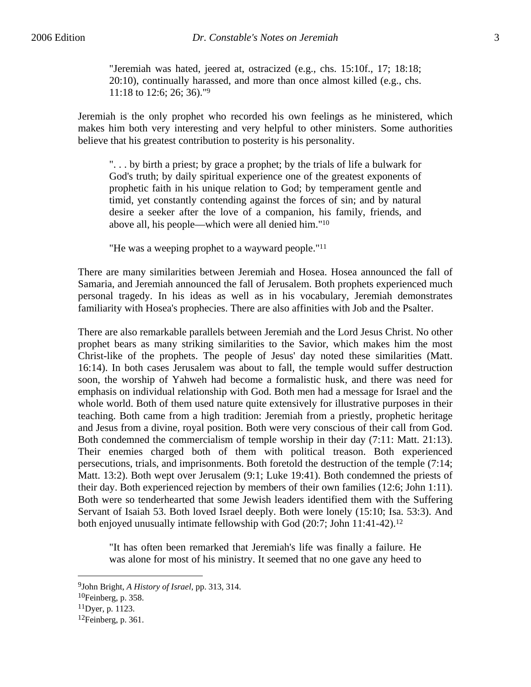"Jeremiah was hated, jeered at, ostracized (e.g., chs. 15:10f., 17; 18:18; 20:10), continually harassed, and more than once almost killed (e.g., chs. 11:18 to 12:6; 26; 36)."9

Jeremiah is the only prophet who recorded his own feelings as he ministered, which makes him both very interesting and very helpful to other ministers. Some authorities believe that his greatest contribution to posterity is his personality.

". . . by birth a priest; by grace a prophet; by the trials of life a bulwark for God's truth; by daily spiritual experience one of the greatest exponents of prophetic faith in his unique relation to God; by temperament gentle and timid, yet constantly contending against the forces of sin; and by natural desire a seeker after the love of a companion, his family, friends, and above all, his people—which were all denied him."10

"He was a weeping prophet to a wayward people."11

There are many similarities between Jeremiah and Hosea. Hosea announced the fall of Samaria, and Jeremiah announced the fall of Jerusalem. Both prophets experienced much personal tragedy. In his ideas as well as in his vocabulary, Jeremiah demonstrates familiarity with Hosea's prophecies. There are also affinities with Job and the Psalter.

There are also remarkable parallels between Jeremiah and the Lord Jesus Christ. No other prophet bears as many striking similarities to the Savior, which makes him the most Christ-like of the prophets. The people of Jesus' day noted these similarities (Matt. 16:14). In both cases Jerusalem was about to fall, the temple would suffer destruction soon, the worship of Yahweh had become a formalistic husk, and there was need for emphasis on individual relationship with God. Both men had a message for Israel and the whole world. Both of them used nature quite extensively for illustrative purposes in their teaching. Both came from a high tradition: Jeremiah from a priestly, prophetic heritage and Jesus from a divine, royal position. Both were very conscious of their call from God. Both condemned the commercialism of temple worship in their day (7:11: Matt. 21:13). Their enemies charged both of them with political treason. Both experienced persecutions, trials, and imprisonments. Both foretold the destruction of the temple (7:14; Matt. 13:2). Both wept over Jerusalem (9:1; Luke 19:41). Both condemned the priests of their day. Both experienced rejection by members of their own families (12:6; John 1:11). Both were so tenderhearted that some Jewish leaders identified them with the Suffering Servant of Isaiah 53. Both loved Israel deeply. Both were lonely (15:10; Isa. 53:3). And both enjoyed unusually intimate fellowship with God (20:7; John 11:41-42).<sup>12</sup>

"It has often been remarked that Jeremiah's life was finally a failure. He was alone for most of his ministry. It seemed that no one gave any heed to

<sup>9</sup>John Bright, *A History of Israel*, pp. 313, 314.

<sup>10</sup>Feinberg, p. 358.

<sup>11</sup>Dyer, p. 1123.

 $12$ Feinberg, p. 361.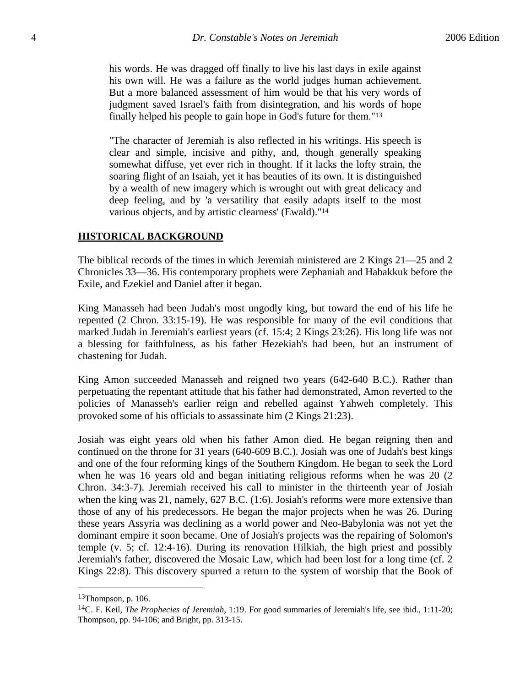his words. He was dragged off finally to live his last days in exile against his own will. He was a failure as the world judges human achievement. But a more balanced assessment of him would be that his very words of judgment saved Israel's faith from disintegration, and his words of hope finally helped his people to gain hope in God's future for them."13

"The character of Jeremiah is also reflected in his writings. His speech is clear and simple, incisive and pithy, and, though generally speaking somewhat diffuse, yet ever rich in thought. If it lacks the lofty strain, the soaring flight of an Isaiah, yet it has beauties of its own. It is distinguished by a wealth of new imagery which is wrought out with great delicacy and deep feeling, and by 'a versatility that easily adapts itself to the most various objects, and by artistic clearness' (Ewald)."14

# **HISTORICAL BACKGROUND**

The biblical records of the times in which Jeremiah ministered are 2 Kings 21—25 and 2 Chronicles 33—36. His contemporary prophets were Zephaniah and Habakkuk before the Exile, and Ezekiel and Daniel after it began.

King Manasseh had been Judah's most ungodly king, but toward the end of his life he repented (2 Chron. 33:15-19). He was responsible for many of the evil conditions that marked Judah in Jeremiah's earliest years (cf. 15:4; 2 Kings 23:26). His long life was not a blessing for faithfulness, as his father Hezekiah's had been, but an instrument of chastening for Judah.

King Amon succeeded Manasseh and reigned two years (642-640 B.C.). Rather than perpetuating the repentant attitude that his father had demonstrated, Amon reverted to the policies of Manasseh's earlier reign and rebelled against Yahweh completely. This provoked some of his officials to assassinate him (2 Kings 21:23).

Josiah was eight years old when his father Amon died. He began reigning then and continued on the throne for 31 years (640-609 B.C.). Josiah was one of Judah's best kings and one of the four reforming kings of the Southern Kingdom. He began to seek the Lord when he was 16 years old and began initiating religious reforms when he was 20 (2 Chron. 34:3-7). Jeremiah received his call to minister in the thirteenth year of Josiah when the king was 21, namely, 627 B.C. (1:6). Josiah's reforms were more extensive than those of any of his predecessors. He began the major projects when he was 26. During these years Assyria was declining as a world power and Neo-Babylonia was not yet the dominant empire it soon became. One of Josiah's projects was the repairing of Solomon's temple (v. 5; cf. 12:4-16). During its renovation Hilkiah, the high priest and possibly Jeremiah's father, discovered the Mosaic Law, which had been lost for a long time (cf. 2 Kings 22:8). This discovery spurred a return to the system of worship that the Book of

 $13$ Thompson, p. 106.

<sup>14</sup>C. F. Keil, *The Prophecies of Jeremiah*, 1:19. For good summaries of Jeremiah's life, see ibid., 1:11-20; Thompson, pp. 94-106; and Bright, pp. 313-15.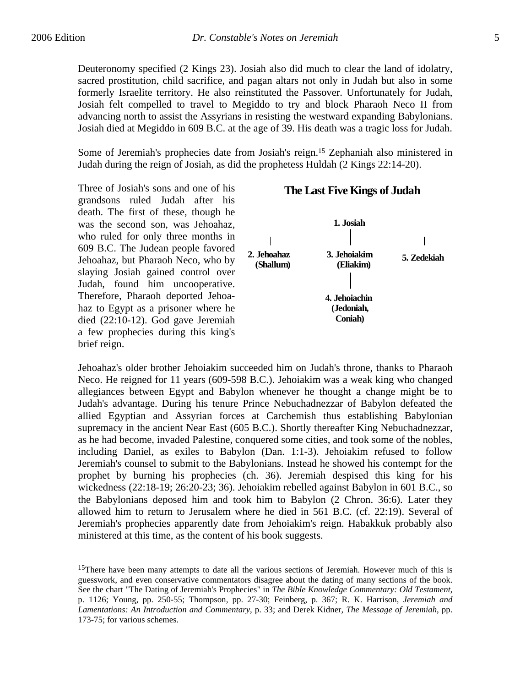$\overline{a}$ 

Deuteronomy specified (2 Kings 23). Josiah also did much to clear the land of idolatry, sacred prostitution, child sacrifice, and pagan altars not only in Judah but also in some formerly Israelite territory. He also reinstituted the Passover. Unfortunately for Judah, Josiah felt compelled to travel to Megiddo to try and block Pharaoh Neco II from advancing north to assist the Assyrians in resisting the westward expanding Babylonians. Josiah died at Megiddo in 609 B.C. at the age of 39. His death was a tragic loss for Judah.

Some of Jeremiah's prophecies date from Josiah's reign.15 Zephaniah also ministered in Judah during the reign of Josiah, as did the prophetess Huldah (2 Kings 22:14-20).

Three of Josiah's sons and one of his grandsons ruled Judah after his death. The first of these, though he was the second son, was Jehoahaz, who ruled for only three months in 609 B.C. The Judean people favored Jehoahaz, but Pharaoh Neco, who by slaying Josiah gained control over Judah, found him uncooperative. Therefore, Pharaoh deported Jehoahaz to Egypt as a prisoner where he died (22:10-12). God gave Jeremiah a few prophecies during this king's brief reign.

# **The Last Five Kings of Judah**



Jehoahaz's older brother Jehoiakim succeeded him on Judah's throne, thanks to Pharaoh Neco. He reigned for 11 years (609-598 B.C.). Jehoiakim was a weak king who changed allegiances between Egypt and Babylon whenever he thought a change might be to Judah's advantage. During his tenure Prince Nebuchadnezzar of Babylon defeated the allied Egyptian and Assyrian forces at Carchemish thus establishing Babylonian supremacy in the ancient Near East (605 B.C.). Shortly thereafter King Nebuchadnezzar, as he had become, invaded Palestine, conquered some cities, and took some of the nobles, including Daniel, as exiles to Babylon (Dan. 1:1-3). Jehoiakim refused to follow Jeremiah's counsel to submit to the Babylonians. Instead he showed his contempt for the prophet by burning his prophecies (ch. 36). Jeremiah despised this king for his wickedness (22:18-19; 26:20-23; 36). Jehoiakim rebelled against Babylon in 601 B.C., so the Babylonians deposed him and took him to Babylon (2 Chron. 36:6). Later they allowed him to return to Jerusalem where he died in 561 B.C. (cf. 22:19). Several of Jeremiah's prophecies apparently date from Jehoiakim's reign. Habakkuk probably also ministered at this time, as the content of his book suggests.

<sup>&</sup>lt;sup>15</sup>There have been many attempts to date all the various sections of Jeremiah. However much of this is guesswork, and even conservative commentators disagree about the dating of many sections of the book. See the chart "The Dating of Jeremiah's Prophecies" in *The Bible Knowledge Commentary: Old Testament*, p. 1126; Young, pp. 250-55; Thompson, pp. 27-30; Feinberg, p. 367; R. K. Harrison, *Jeremiah and Lamentations: An Introduction and Commentary*, p. 33; and Derek Kidner, *The Message of Jeremiah*, pp. 173-75; for various schemes.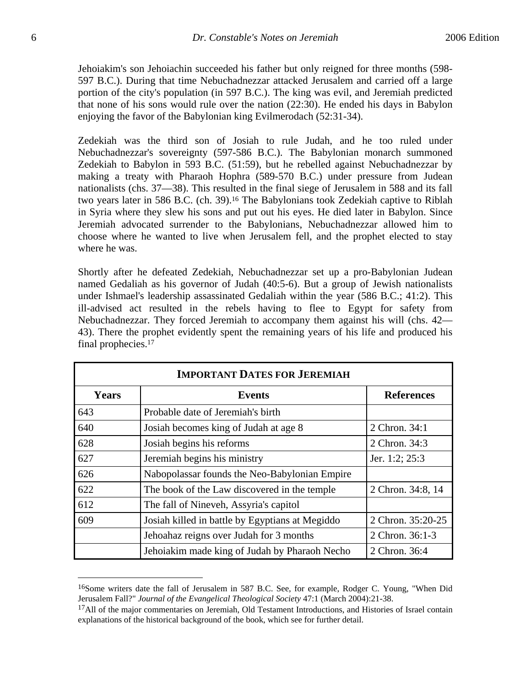Jehoiakim's son Jehoiachin succeeded his father but only reigned for three months (598- 597 B.C.). During that time Nebuchadnezzar attacked Jerusalem and carried off a large portion of the city's population (in 597 B.C.). The king was evil, and Jeremiah predicted that none of his sons would rule over the nation (22:30). He ended his days in Babylon enjoying the favor of the Babylonian king Evilmerodach (52:31-34).

Zedekiah was the third son of Josiah to rule Judah, and he too ruled under Nebuchadnezzar's sovereignty (597-586 B.C.). The Babylonian monarch summoned Zedekiah to Babylon in 593 B.C. (51:59), but he rebelled against Nebuchadnezzar by making a treaty with Pharaoh Hophra (589-570 B.C.) under pressure from Judean nationalists (chs. 37—38). This resulted in the final siege of Jerusalem in 588 and its fall two years later in 586 B.C. (ch. 39).<sup>16</sup> The Babylonians took Zedekiah captive to Riblah in Syria where they slew his sons and put out his eyes. He died later in Babylon. Since Jeremiah advocated surrender to the Babylonians, Nebuchadnezzar allowed him to choose where he wanted to live when Jerusalem fell, and the prophet elected to stay where he was.

Shortly after he defeated Zedekiah, Nebuchadnezzar set up a pro-Babylonian Judean named Gedaliah as his governor of Judah (40:5-6). But a group of Jewish nationalists under Ishmael's leadership assassinated Gedaliah within the year (586 B.C.; 41:2). This ill-advised act resulted in the rebels having to flee to Egypt for safety from Nebuchadnezzar. They forced Jeremiah to accompany them against his will (chs. 42— 43). There the prophet evidently spent the remaining years of his life and produced his final prophecies.17

| <b>IMPORTANT DATES FOR JEREMIAH</b> |                                                 |                   |  |
|-------------------------------------|-------------------------------------------------|-------------------|--|
| <b>Years</b>                        | <b>Events</b>                                   | <b>References</b> |  |
| 643                                 | Probable date of Jeremiah's birth               |                   |  |
| 640                                 | Josiah becomes king of Judah at age 8           | 2 Chron. 34:1     |  |
| 628                                 | Josiah begins his reforms                       | 2 Chron. 34:3     |  |
| 627                                 | Jeremiah begins his ministry                    | Jer. 1:2; 25:3    |  |
| 626                                 | Nabopolassar founds the Neo-Babylonian Empire   |                   |  |
| 622                                 | The book of the Law discovered in the temple    | 2 Chron. 34:8, 14 |  |
| 612                                 | The fall of Nineveh, Assyria's capitol          |                   |  |
| 609                                 | Josiah killed in battle by Egyptians at Megiddo | 2 Chron. 35:20-25 |  |
|                                     | Jehoahaz reigns over Judah for 3 months         | 2 Chron. 36:1-3   |  |
|                                     | Jehoiakim made king of Judah by Pharaoh Necho   | 2 Chron. 36:4     |  |

<sup>16</sup>Some writers date the fall of Jerusalem in 587 B.C. See, for example, Rodger C. Young, "When Did Jerusalem Fall?" *Journal of the Evangelical Theological Society* 47:1 (March 2004):21-38.

 $17$ All of the major commentaries on Jeremiah, Old Testament Introductions, and Histories of Israel contain explanations of the historical background of the book, which see for further detail.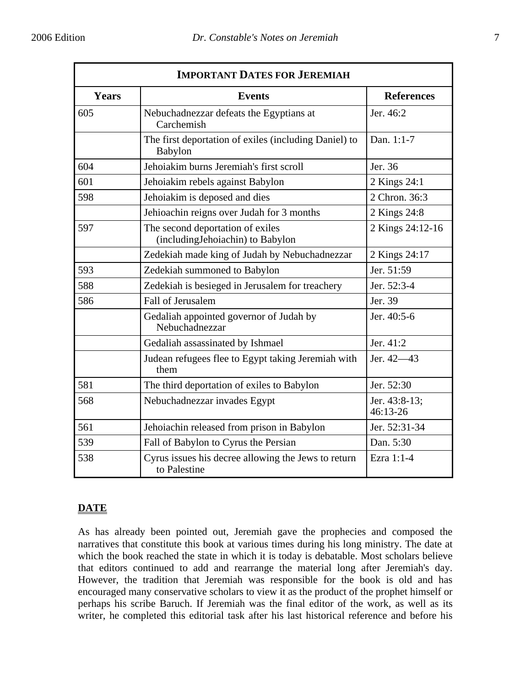| <b>IMPORTANT DATES FOR JEREMIAH</b> |                                                                         |                           |  |
|-------------------------------------|-------------------------------------------------------------------------|---------------------------|--|
| <b>Years</b>                        | <b>Events</b>                                                           | <b>References</b>         |  |
| 605                                 | Nebuchadnezzar defeats the Egyptians at<br>Carchemish                   | Jer. 46:2                 |  |
|                                     | The first deportation of exiles (including Daniel) to<br><b>Babylon</b> | Dan. 1:1-7                |  |
| 604                                 | Jehoiakim burns Jeremiah's first scroll                                 | Jer. 36                   |  |
| 601                                 | Jehoiakim rebels against Babylon                                        | 2 Kings 24:1              |  |
| 598                                 | Jehoiakim is deposed and dies                                           | 2 Chron. 36:3             |  |
|                                     | Jehioachin reigns over Judah for 3 months                               | 2 Kings 24:8              |  |
| 597                                 | The second deportation of exiles<br>(including Jehoiachin) to Babylon   | 2 Kings 24:12-16          |  |
|                                     | Zedekiah made king of Judah by Nebuchadnezzar                           | 2 Kings 24:17             |  |
| 593                                 | Zedekiah summoned to Babylon                                            | Jer. 51:59                |  |
| 588                                 | Zedekiah is besieged in Jerusalem for treachery                         | Jer. 52:3-4               |  |
| 586                                 | Fall of Jerusalem                                                       | Jer. 39                   |  |
|                                     | Gedaliah appointed governor of Judah by<br>Nebuchadnezzar               | Jer. 40:5-6               |  |
|                                     | Gedaliah assassinated by Ishmael                                        | Jer. 41:2                 |  |
|                                     | Judean refugees flee to Egypt taking Jeremiah with<br>them              | Jer. 42–43                |  |
| 581                                 | The third deportation of exiles to Babylon                              | Jer. 52:30                |  |
| 568                                 | Nebuchadnezzar invades Egypt                                            | Jer. 43:8-13;<br>46:13-26 |  |
| 561                                 | Jehoiachin released from prison in Babylon                              | Jer. 52:31-34             |  |
| 539                                 | Fall of Babylon to Cyrus the Persian                                    | Dan. 5:30                 |  |
| 538                                 | Cyrus issues his decree allowing the Jews to return<br>to Palestine     | Ezra 1:1-4                |  |

# **DATE**

As has already been pointed out, Jeremiah gave the prophecies and composed the narratives that constitute this book at various times during his long ministry. The date at which the book reached the state in which it is today is debatable. Most scholars believe that editors continued to add and rearrange the material long after Jeremiah's day. However, the tradition that Jeremiah was responsible for the book is old and has encouraged many conservative scholars to view it as the product of the prophet himself or perhaps his scribe Baruch. If Jeremiah was the final editor of the work, as well as its writer, he completed this editorial task after his last historical reference and before his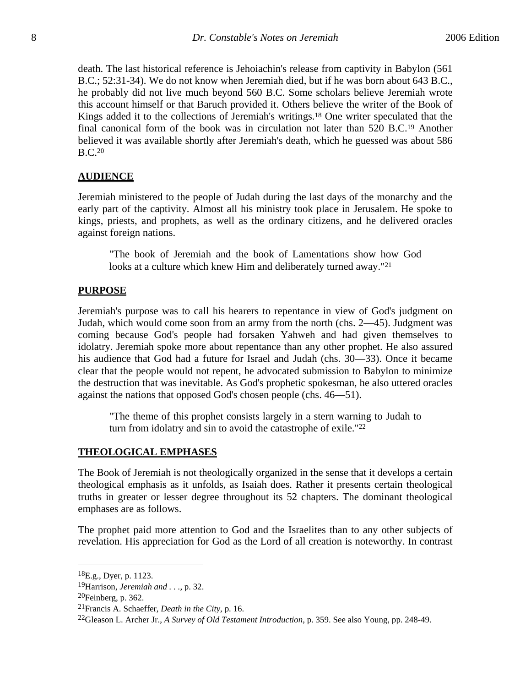death. The last historical reference is Jehoiachin's release from captivity in Babylon (561 B.C.; 52:31-34). We do not know when Jeremiah died, but if he was born about 643 B.C., he probably did not live much beyond 560 B.C. Some scholars believe Jeremiah wrote this account himself or that Baruch provided it. Others believe the writer of the Book of Kings added it to the collections of Jeremiah's writings.18 One writer speculated that the final canonical form of the book was in circulation not later than 520 B.C.19 Another believed it was available shortly after Jeremiah's death, which he guessed was about 586 B.C.20

#### **AUDIENCE**

Jeremiah ministered to the people of Judah during the last days of the monarchy and the early part of the captivity. Almost all his ministry took place in Jerusalem. He spoke to kings, priests, and prophets, as well as the ordinary citizens, and he delivered oracles against foreign nations.

"The book of Jeremiah and the book of Lamentations show how God looks at a culture which knew Him and deliberately turned away."<sup>21</sup>

#### **PURPOSE**

Jeremiah's purpose was to call his hearers to repentance in view of God's judgment on Judah, which would come soon from an army from the north (chs. 2—45). Judgment was coming because God's people had forsaken Yahweh and had given themselves to idolatry. Jeremiah spoke more about repentance than any other prophet. He also assured his audience that God had a future for Israel and Judah (chs. 30—33). Once it became clear that the people would not repent, he advocated submission to Babylon to minimize the destruction that was inevitable. As God's prophetic spokesman, he also uttered oracles against the nations that opposed God's chosen people (chs. 46—51).

"The theme of this prophet consists largely in a stern warning to Judah to turn from idolatry and sin to avoid the catastrophe of exile."22

#### **THEOLOGICAL EMPHASES**

The Book of Jeremiah is not theologically organized in the sense that it develops a certain theological emphasis as it unfolds, as Isaiah does. Rather it presents certain theological truths in greater or lesser degree throughout its 52 chapters. The dominant theological emphases are as follows.

The prophet paid more attention to God and the Israelites than to any other subjects of revelation. His appreciation for God as the Lord of all creation is noteworthy. In contrast

 ${}^{18}E.g., Dyer, p. 1123.$ 

<sup>19</sup>Harrison, *Jeremiah and . . .*, p. 32.

<sup>20</sup>Feinberg, p. 362.

<sup>21</sup>Francis A. Schaeffer, *Death in the City*, p. 16.

<sup>22</sup>Gleason L. Archer Jr., *A Survey of Old Testament Introduction*, p. 359. See also Young, pp. 248-49.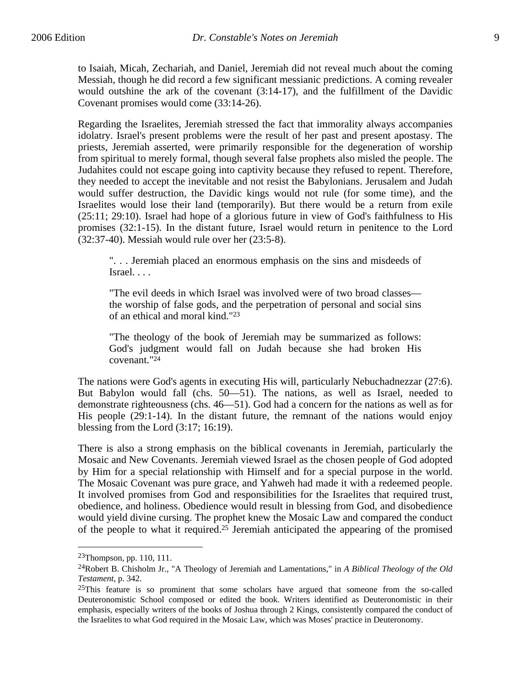to Isaiah, Micah, Zechariah, and Daniel, Jeremiah did not reveal much about the coming Messiah, though he did record a few significant messianic predictions. A coming revealer would outshine the ark of the covenant (3:14-17), and the fulfillment of the Davidic Covenant promises would come (33:14-26).

Regarding the Israelites, Jeremiah stressed the fact that immorality always accompanies idolatry. Israel's present problems were the result of her past and present apostasy. The priests, Jeremiah asserted, were primarily responsible for the degeneration of worship from spiritual to merely formal, though several false prophets also misled the people. The Judahites could not escape going into captivity because they refused to repent. Therefore, they needed to accept the inevitable and not resist the Babylonians. Jerusalem and Judah would suffer destruction, the Davidic kings would not rule (for some time), and the Israelites would lose their land (temporarily). But there would be a return from exile (25:11; 29:10). Israel had hope of a glorious future in view of God's faithfulness to His promises (32:1-15). In the distant future, Israel would return in penitence to the Lord (32:37-40). Messiah would rule over her (23:5-8).

". . . Jeremiah placed an enormous emphasis on the sins and misdeeds of Israel. . . .

"The evil deeds in which Israel was involved were of two broad classes the worship of false gods, and the perpetration of personal and social sins of an ethical and moral kind."23

"The theology of the book of Jeremiah may be summarized as follows: God's judgment would fall on Judah because she had broken His covenant."24

The nations were God's agents in executing His will, particularly Nebuchadnezzar (27:6). But Babylon would fall (chs. 50—51). The nations, as well as Israel, needed to demonstrate righteousness (chs. 46—51). God had a concern for the nations as well as for His people (29:1-14). In the distant future, the remnant of the nations would enjoy blessing from the Lord (3:17; 16:19).

There is also a strong emphasis on the biblical covenants in Jeremiah, particularly the Mosaic and New Covenants. Jeremiah viewed Israel as the chosen people of God adopted by Him for a special relationship with Himself and for a special purpose in the world. The Mosaic Covenant was pure grace, and Yahweh had made it with a redeemed people. It involved promises from God and responsibilities for the Israelites that required trust, obedience, and holiness. Obedience would result in blessing from God, and disobedience would yield divine cursing. The prophet knew the Mosaic Law and compared the conduct of the people to what it required.25 Jeremiah anticipated the appearing of the promised

<sup>23</sup>Thompson, pp. 110, 111.

<sup>24</sup>Robert B. Chisholm Jr., "A Theology of Jeremiah and Lamentations," in *A Biblical Theology of the Old Testament*, p. 342.

 $25$ This feature is so prominent that some scholars have argued that someone from the so-called Deuteronomistic School composed or edited the book. Writers identified as Deuteronomistic in their emphasis, especially writers of the books of Joshua through 2 Kings, consistently compared the conduct of the Israelites to what God required in the Mosaic Law, which was Moses' practice in Deuteronomy.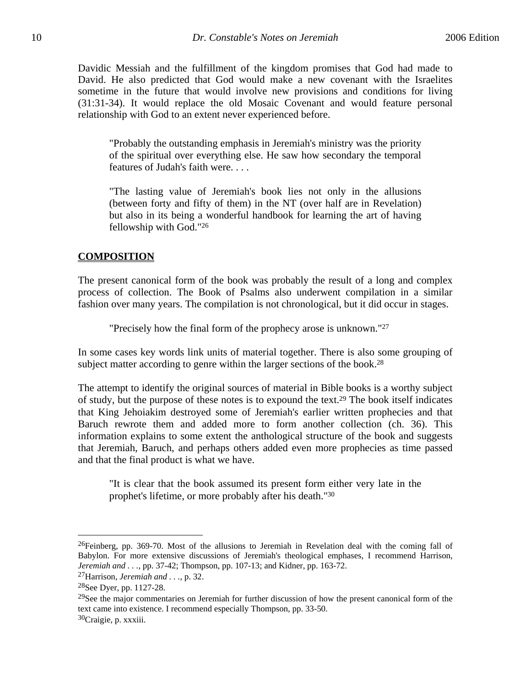Davidic Messiah and the fulfillment of the kingdom promises that God had made to David. He also predicted that God would make a new covenant with the Israelites sometime in the future that would involve new provisions and conditions for living (31:31-34). It would replace the old Mosaic Covenant and would feature personal relationship with God to an extent never experienced before.

"Probably the outstanding emphasis in Jeremiah's ministry was the priority of the spiritual over everything else. He saw how secondary the temporal features of Judah's faith were. . . .

"The lasting value of Jeremiah's book lies not only in the allusions (between forty and fifty of them) in the NT (over half are in Revelation) but also in its being a wonderful handbook for learning the art of having fellowship with God."26

#### **COMPOSITION**

The present canonical form of the book was probably the result of a long and complex process of collection. The Book of Psalms also underwent compilation in a similar fashion over many years. The compilation is not chronological, but it did occur in stages.

"Precisely how the final form of the prophecy arose is unknown."27

In some cases key words link units of material together. There is also some grouping of subject matter according to genre within the larger sections of the book.<sup>28</sup>

The attempt to identify the original sources of material in Bible books is a worthy subject of study, but the purpose of these notes is to expound the text.29 The book itself indicates that King Jehoiakim destroyed some of Jeremiah's earlier written prophecies and that Baruch rewrote them and added more to form another collection (ch. 36). This information explains to some extent the anthological structure of the book and suggests that Jeremiah, Baruch, and perhaps others added even more prophecies as time passed and that the final product is what we have.

"It is clear that the book assumed its present form either very late in the prophet's lifetime, or more probably after his death."30

<sup>&</sup>lt;sup>26</sup>Feinberg, pp. 369-70. Most of the allusions to Jeremiah in Revelation deal with the coming fall of Babylon. For more extensive discussions of Jeremiah's theological emphases, I recommend Harrison, *Jeremiah and . . .*, pp. 37-42; Thompson, pp. 107-13; and Kidner, pp. 163-72.

<sup>27</sup>Harrison, *Jeremiah and . . .*, p. 32.

<sup>28</sup>See Dyer, pp. 1127-28.

<sup>&</sup>lt;sup>29</sup>See the major commentaries on Jeremiah for further discussion of how the present canonical form of the text came into existence. I recommend especially Thompson, pp. 33-50.

<sup>30</sup>Craigie, p. xxxiii.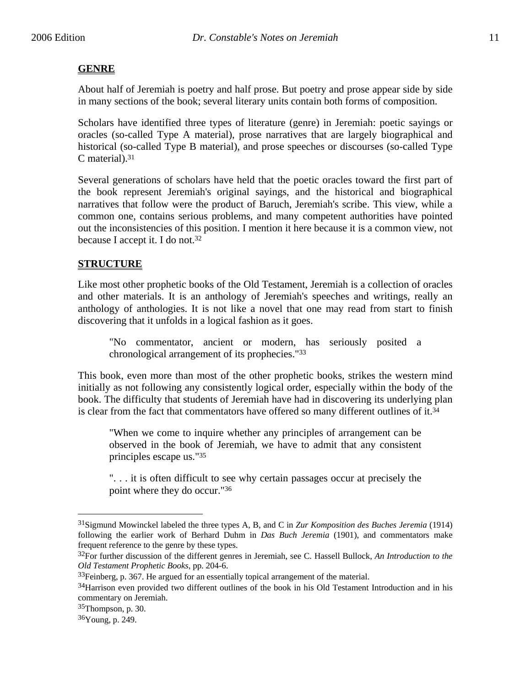# **GENRE**

About half of Jeremiah is poetry and half prose. But poetry and prose appear side by side in many sections of the book; several literary units contain both forms of composition.

Scholars have identified three types of literature (genre) in Jeremiah: poetic sayings or oracles (so-called Type A material), prose narratives that are largely biographical and historical (so-called Type B material), and prose speeches or discourses (so-called Type C material).31

Several generations of scholars have held that the poetic oracles toward the first part of the book represent Jeremiah's original sayings, and the historical and biographical narratives that follow were the product of Baruch, Jeremiah's scribe. This view, while a common one, contains serious problems, and many competent authorities have pointed out the inconsistencies of this position. I mention it here because it is a common view, not because I accept it. I do not.32

# **STRUCTURE**

Like most other prophetic books of the Old Testament, Jeremiah is a collection of oracles and other materials. It is an anthology of Jeremiah's speeches and writings, really an anthology of anthologies. It is not like a novel that one may read from start to finish discovering that it unfolds in a logical fashion as it goes.

"No commentator, ancient or modern, has seriously posited a chronological arrangement of its prophecies."33

This book, even more than most of the other prophetic books, strikes the western mind initially as not following any consistently logical order, especially within the body of the book. The difficulty that students of Jeremiah have had in discovering its underlying plan is clear from the fact that commentators have offered so many different outlines of it. $34$ 

"When we come to inquire whether any principles of arrangement can be observed in the book of Jeremiah, we have to admit that any consistent principles escape us."35

". . . it is often difficult to see why certain passages occur at precisely the point where they do occur."36

<sup>31</sup>Sigmund Mowinckel labeled the three types A, B, and C in *Zur Komposition des Buches Jeremia* (1914) following the earlier work of Berhard Duhm in *Das Buch Jeremia* (1901), and commentators make frequent reference to the genre by these types.

<sup>32</sup>For further discussion of the different genres in Jeremiah, see C. Hassell Bullock, *An Introduction to the Old Testament Prophetic Books*, pp. 204-6.

 $33$ Feinberg, p. 367. He argued for an essentially topical arrangement of the material.

<sup>&</sup>lt;sup>34</sup>Harrison even provided two different outlines of the book in his Old Testament Introduction and in his commentary on Jeremiah.

<sup>35</sup>Thompson, p. 30.

<sup>36</sup>Young, p. 249.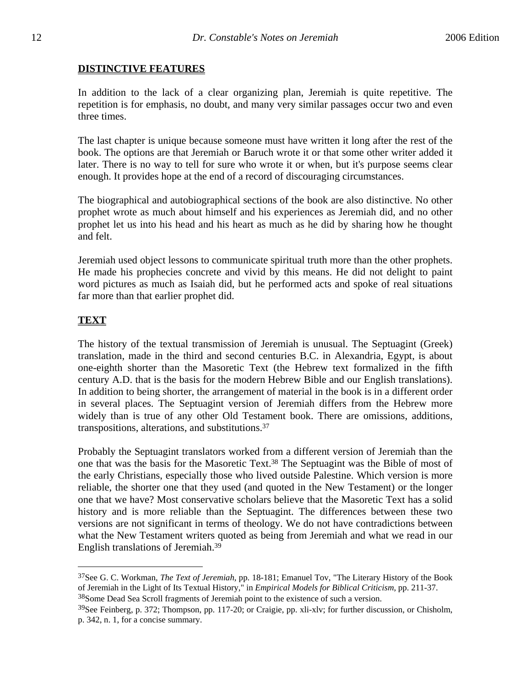# **DISTINCTIVE FEATURES**

In addition to the lack of a clear organizing plan, Jeremiah is quite repetitive. The repetition is for emphasis, no doubt, and many very similar passages occur two and even three times.

The last chapter is unique because someone must have written it long after the rest of the book. The options are that Jeremiah or Baruch wrote it or that some other writer added it later. There is no way to tell for sure who wrote it or when, but it's purpose seems clear enough. It provides hope at the end of a record of discouraging circumstances.

The biographical and autobiographical sections of the book are also distinctive. No other prophet wrote as much about himself and his experiences as Jeremiah did, and no other prophet let us into his head and his heart as much as he did by sharing how he thought and felt.

Jeremiah used object lessons to communicate spiritual truth more than the other prophets. He made his prophecies concrete and vivid by this means. He did not delight to paint word pictures as much as Isaiah did, but he performed acts and spoke of real situations far more than that earlier prophet did.

# **TEXT**

 $\overline{a}$ 

The history of the textual transmission of Jeremiah is unusual. The Septuagint (Greek) translation, made in the third and second centuries B.C. in Alexandria, Egypt, is about one-eighth shorter than the Masoretic Text (the Hebrew text formalized in the fifth century A.D. that is the basis for the modern Hebrew Bible and our English translations). In addition to being shorter, the arrangement of material in the book is in a different order in several places. The Septuagint version of Jeremiah differs from the Hebrew more widely than is true of any other Old Testament book. There are omissions, additions, transpositions, alterations, and substitutions.37

Probably the Septuagint translators worked from a different version of Jeremiah than the one that was the basis for the Masoretic Text.38 The Septuagint was the Bible of most of the early Christians, especially those who lived outside Palestine. Which version is more reliable, the shorter one that they used (and quoted in the New Testament) or the longer one that we have? Most conservative scholars believe that the Masoretic Text has a solid history and is more reliable than the Septuagint. The differences between these two versions are not significant in terms of theology. We do not have contradictions between what the New Testament writers quoted as being from Jeremiah and what we read in our English translations of Jeremiah.39

<sup>37</sup>See G. C. Workman, *The Text of Jeremiah*, pp. 18-181; Emanuel Tov, "The Literary History of the Book of Jeremiah in the Light of Its Textual History," in *Empirical Models for Biblical Criticism*, pp. 211-37. 38Some Dead Sea Scroll fragments of Jeremiah point to the existence of such a version.

<sup>&</sup>lt;sup>39</sup>See Feinberg, p. 372; Thompson, pp. 117-20; or Craigie, pp. xli-xlv; for further discussion, or Chisholm, p. 342, n. 1, for a concise summary.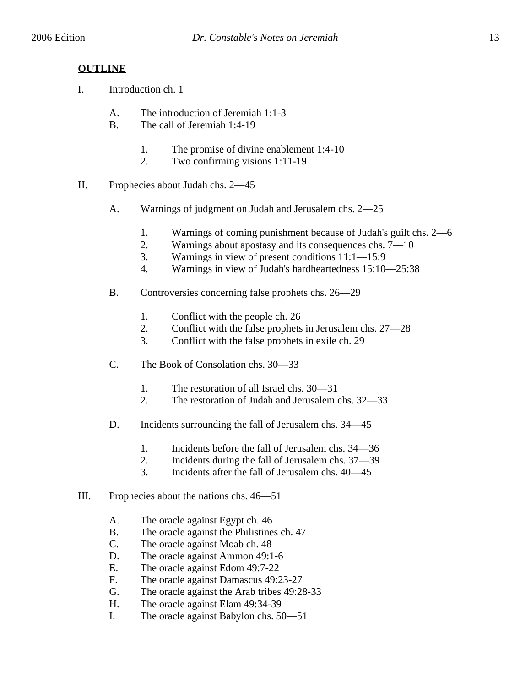# **OUTLINE**

- I. Introduction ch. 1
	- A. The introduction of Jeremiah 1:1-3
	- B. The call of Jeremiah 1:4-19
		- 1. The promise of divine enablement 1:4-10
		- 2. Two confirming visions 1:11-19
- II. Prophecies about Judah chs. 2—45
	- A. Warnings of judgment on Judah and Jerusalem chs. 2—25
		- 1. Warnings of coming punishment because of Judah's guilt chs. 2—6
		- 2. Warnings about apostasy and its consequences chs. 7—10
		- 3. Warnings in view of present conditions 11:1—15:9
		- 4. Warnings in view of Judah's hardheartedness 15:10—25:38
	- B. Controversies concerning false prophets chs. 26—29
		- 1. Conflict with the people ch. 26
		- 2. Conflict with the false prophets in Jerusalem chs. 27—28
		- 3. Conflict with the false prophets in exile ch. 29
	- C. The Book of Consolation chs. 30—33
		- 1. The restoration of all Israel chs. 30—31
		- 2. The restoration of Judah and Jerusalem chs. 32—33
	- D. Incidents surrounding the fall of Jerusalem chs. 34—45
		- 1. Incidents before the fall of Jerusalem chs. 34—36
		- 2. Incidents during the fall of Jerusalem chs. 37—39
		- 3. Incidents after the fall of Jerusalem chs. 40—45
- III. Prophecies about the nations chs. 46—51
	- A. The oracle against Egypt ch. 46
	- B. The oracle against the Philistines ch. 47
	- C. The oracle against Moab ch. 48
	- D. The oracle against Ammon 49:1-6
	- E. The oracle against Edom 49:7-22
	- F. The oracle against Damascus 49:23-27
	- G. The oracle against the Arab tribes 49:28-33
	- H. The oracle against Elam 49:34-39
	- I. The oracle against Babylon chs. 50—51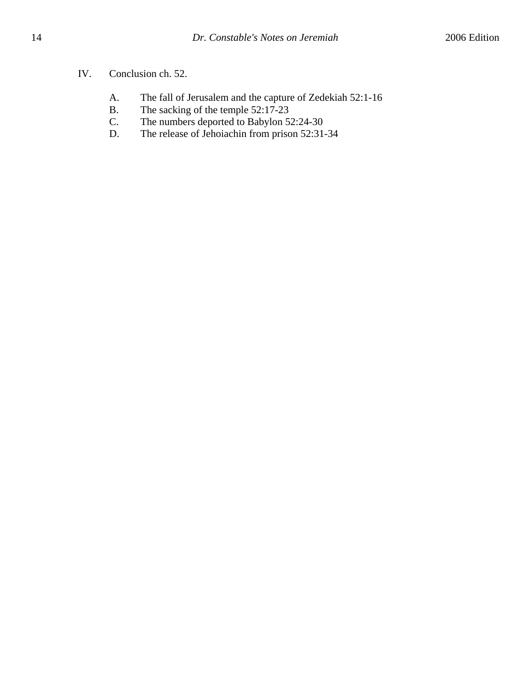- A. The fall of Jerusalem and the capture of Zedekiah 52:1-16
- B. The sacking of the temple 52:17-23<br>C. The numbers deported to Babylon 5.
- The numbers deported to Babylon 52:24-30
- D. The release of Jehoiachin from prison 52:31-34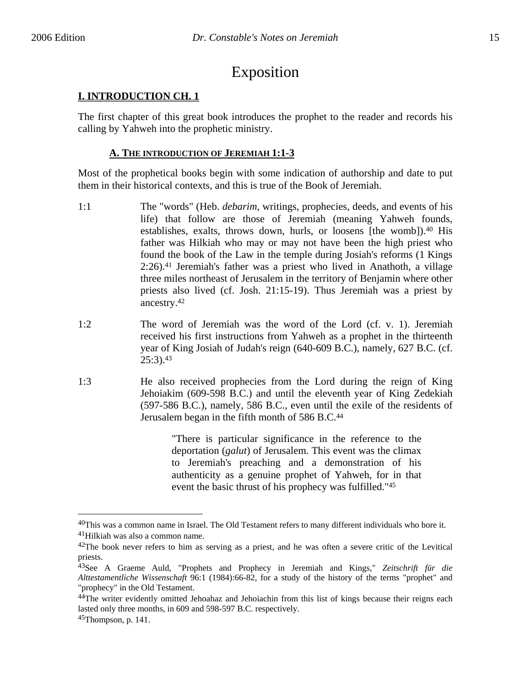# Exposition

# **I. INTRODUCTION CH. 1**

The first chapter of this great book introduces the prophet to the reader and records his calling by Yahweh into the prophetic ministry.

# **A. THE INTRODUCTION OF JEREMIAH 1:1-3**

Most of the prophetical books begin with some indication of authorship and date to put them in their historical contexts, and this is true of the Book of Jeremiah.

- 1:1 The "words" (Heb. *debarim*, writings, prophecies, deeds, and events of his life) that follow are those of Jeremiah (meaning Yahweh founds, establishes, exalts, throws down, hurls, or loosens [the womb]).40 His father was Hilkiah who may or may not have been the high priest who found the book of the Law in the temple during Josiah's reforms (1 Kings 2:26).41 Jeremiah's father was a priest who lived in Anathoth, a village three miles northeast of Jerusalem in the territory of Benjamin where other priests also lived (cf. Josh. 21:15-19). Thus Jeremiah was a priest by ancestry.42
- 1:2 The word of Jeremiah was the word of the Lord (cf. v. 1). Jeremiah received his first instructions from Yahweh as a prophet in the thirteenth year of King Josiah of Judah's reign (640-609 B.C.), namely, 627 B.C. (cf.  $25:3$ ).  $43$
- 1:3 He also received prophecies from the Lord during the reign of King Jehoiakim (609-598 B.C.) and until the eleventh year of King Zedekiah (597-586 B.C.), namely, 586 B.C., even until the exile of the residents of Jerusalem began in the fifth month of 586 B.C.44

"There is particular significance in the reference to the deportation (*galut*) of Jerusalem. This event was the climax to Jeremiah's preaching and a demonstration of his authenticity as a genuine prophet of Yahweh, for in that event the basic thrust of his prophecy was fulfilled."45

<u>.</u>

<sup>40</sup>This was a common name in Israel. The Old Testament refers to many different individuals who bore it. 41Hilkiah was also a common name.

 $42$ The book never refers to him as serving as a priest, and he was often a severe critic of the Levitical priests.

<sup>43</sup>See A Graeme Auld, "Prophets and Prophecy in Jeremiah and Kings," *Zeitschrift für die Alttestamentliche Wissenschaft* 96:1 (1984):66-82, for a study of the history of the terms "prophet" and "prophecy" in the Old Testament.

<sup>&</sup>lt;sup>44</sup>The writer evidently omitted Jehoahaz and Jehoiachin from this list of kings because their reigns each lasted only three months, in 609 and 598-597 B.C. respectively.

 $45$ Thompson, p. 141.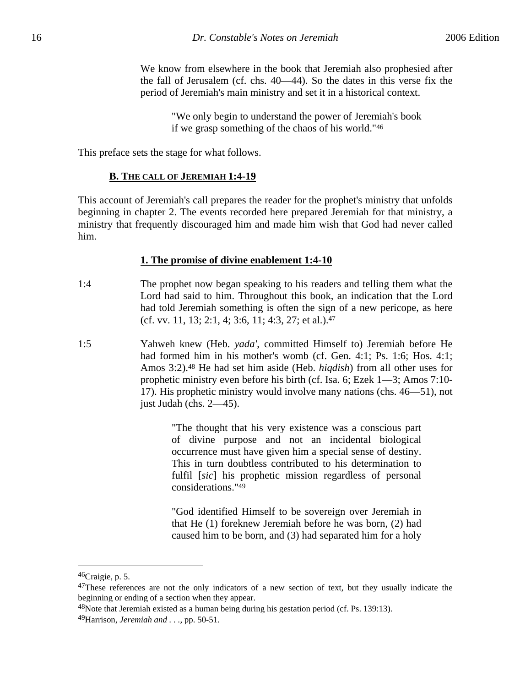We know from elsewhere in the book that Jeremiah also prophesied after the fall of Jerusalem (cf. chs. 40—44). So the dates in this verse fix the period of Jeremiah's main ministry and set it in a historical context.

> "We only begin to understand the power of Jeremiah's book if we grasp something of the chaos of his world."46

This preface sets the stage for what follows.

#### **B. THE CALL OF JEREMIAH 1:4-19**

This account of Jeremiah's call prepares the reader for the prophet's ministry that unfolds beginning in chapter 2. The events recorded here prepared Jeremiah for that ministry, a ministry that frequently discouraged him and made him wish that God had never called him.

#### **1. The promise of divine enablement 1:4-10**

- 1:4 The prophet now began speaking to his readers and telling them what the Lord had said to him. Throughout this book, an indication that the Lord had told Jeremiah something is often the sign of a new pericope, as here (cf. vv. 11, 13; 2:1, 4; 3:6, 11; 4:3, 27; et al.).47
- 1:5 Yahweh knew (Heb. *yada'*, committed Himself to) Jeremiah before He had formed him in his mother's womb (cf. Gen. 4:1; Ps. 1:6; Hos. 4:1; Amos 3:2).48 He had set him aside (Heb. *hiqdish*) from all other uses for prophetic ministry even before his birth (cf. Isa. 6; Ezek 1—3; Amos 7:10- 17). His prophetic ministry would involve many nations (chs. 46—51), not just Judah (chs. 2—45).

"The thought that his very existence was a conscious part of divine purpose and not an incidental biological occurrence must have given him a special sense of destiny. This in turn doubtless contributed to his determination to fulfil [*sic*] his prophetic mission regardless of personal considerations."49

"God identified Himself to be sovereign over Jeremiah in that He (1) foreknew Jeremiah before he was born, (2) had caused him to be born, and (3) had separated him for a holy

<sup>46</sup>Craigie, p. 5.

 $47$ These references are not the only indicators of a new section of text, but they usually indicate the beginning or ending of a section when they appear.

 $48$ Note that Jeremiah existed as a human being during his gestation period (cf. Ps. 139:13).

<sup>49</sup>Harrison, *Jeremiah and . . .*, pp. 50-51.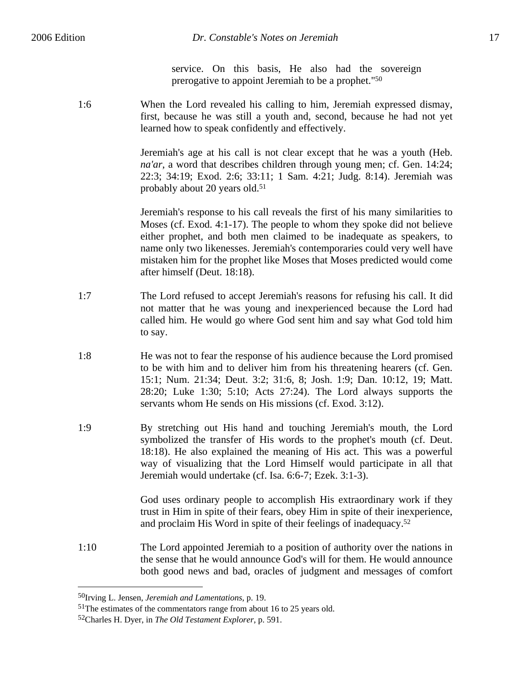service. On this basis, He also had the sovereign prerogative to appoint Jeremiah to be a prophet."50

1:6 When the Lord revealed his calling to him, Jeremiah expressed dismay, first, because he was still a youth and, second, because he had not yet learned how to speak confidently and effectively.

> Jeremiah's age at his call is not clear except that he was a youth (Heb. *na'ar*, a word that describes children through young men; cf. Gen. 14:24; 22:3; 34:19; Exod. 2:6; 33:11; 1 Sam. 4:21; Judg. 8:14). Jeremiah was probably about 20 years old.51

> Jeremiah's response to his call reveals the first of his many similarities to Moses (cf. Exod. 4:1-17). The people to whom they spoke did not believe either prophet, and both men claimed to be inadequate as speakers, to name only two likenesses. Jeremiah's contemporaries could very well have mistaken him for the prophet like Moses that Moses predicted would come after himself (Deut. 18:18).

- 1:7 The Lord refused to accept Jeremiah's reasons for refusing his call. It did not matter that he was young and inexperienced because the Lord had called him. He would go where God sent him and say what God told him to say.
- 1:8 He was not to fear the response of his audience because the Lord promised to be with him and to deliver him from his threatening hearers (cf. Gen. 15:1; Num. 21:34; Deut. 3:2; 31:6, 8; Josh. 1:9; Dan. 10:12, 19; Matt. 28:20; Luke 1:30; 5:10; Acts 27:24). The Lord always supports the servants whom He sends on His missions (cf. Exod. 3:12).
- 1:9 By stretching out His hand and touching Jeremiah's mouth, the Lord symbolized the transfer of His words to the prophet's mouth (cf. Deut. 18:18). He also explained the meaning of His act. This was a powerful way of visualizing that the Lord Himself would participate in all that Jeremiah would undertake (cf. Isa. 6:6-7; Ezek. 3:1-3).

God uses ordinary people to accomplish His extraordinary work if they trust in Him in spite of their fears, obey Him in spite of their inexperience, and proclaim His Word in spite of their feelings of inadequacy.52

1:10 The Lord appointed Jeremiah to a position of authority over the nations in the sense that he would announce God's will for them. He would announce both good news and bad, oracles of judgment and messages of comfort

<sup>50</sup>Irving L. Jensen, *Jeremiah and Lamentations*, p. 19.

<sup>&</sup>lt;sup>51</sup>The estimates of the commentators range from about 16 to 25 years old.

<sup>52</sup>Charles H. Dyer, in *The Old Testament Explorer*, p. 591.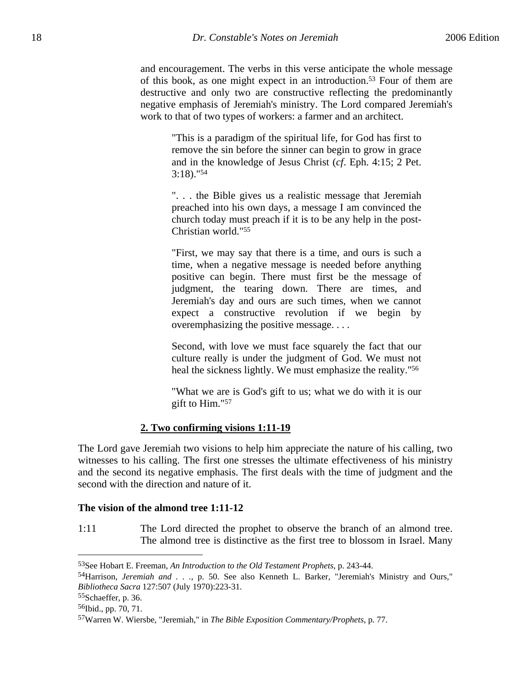and encouragement. The verbs in this verse anticipate the whole message of this book, as one might expect in an introduction.53 Four of them are destructive and only two are constructive reflecting the predominantly negative emphasis of Jeremiah's ministry. The Lord compared Jeremiah's work to that of two types of workers: a farmer and an architect.

"This is a paradigm of the spiritual life, for God has first to remove the sin before the sinner can begin to grow in grace and in the knowledge of Jesus Christ (*cf*. Eph. 4:15; 2 Pet. 3:18)."54

". . . the Bible gives us a realistic message that Jeremiah preached into his own days, a message I am convinced the church today must preach if it is to be any help in the post-Christian world."55

"First, we may say that there is a time, and ours is such a time, when a negative message is needed before anything positive can begin. There must first be the message of judgment, the tearing down. There are times, and Jeremiah's day and ours are such times, when we cannot expect a constructive revolution if we begin by overemphasizing the positive message. . . .

Second, with love we must face squarely the fact that our culture really is under the judgment of God. We must not heal the sickness lightly. We must emphasize the reality."<sup>56</sup>

"What we are is God's gift to us; what we do with it is our gift to Him."57

# **2. Two confirming visions 1:11-19**

The Lord gave Jeremiah two visions to help him appreciate the nature of his calling, two witnesses to his calling. The first one stresses the ultimate effectiveness of his ministry and the second its negative emphasis. The first deals with the time of judgment and the second with the direction and nature of it.

#### **The vision of the almond tree 1:11-12**

1:11 The Lord directed the prophet to observe the branch of an almond tree. The almond tree is distinctive as the first tree to blossom in Israel. Many

<sup>53</sup>See Hobart E. Freeman, *An Introduction to the Old Testament Prophets*, p. 243-44.

<sup>54</sup>Harrison, *Jeremiah and . . .*, p. 50. See also Kenneth L. Barker, "Jeremiah's Ministry and Ours," *Bibliotheca Sacra* 127:507 (July 1970):223-31.

<sup>55</sup>Schaeffer, p. 36.

<sup>56</sup>Ibid., pp. 70, 71.

<sup>57</sup>Warren W. Wiersbe, "Jeremiah," in *The Bible Exposition Commentary/Prophets*, p. 77.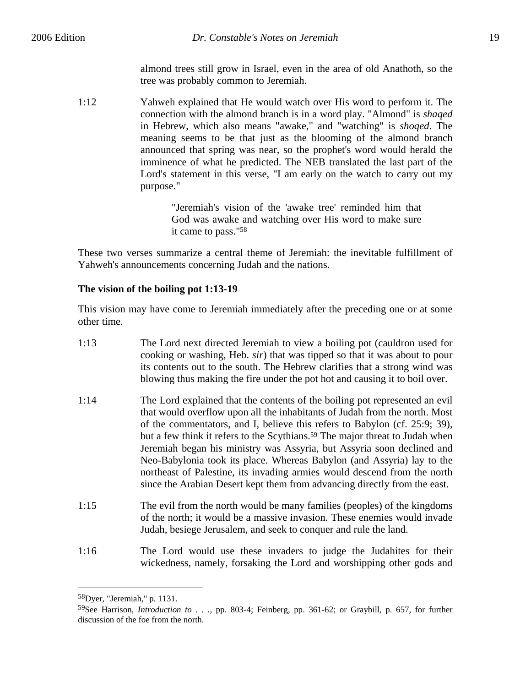almond trees still grow in Israel, even in the area of old Anathoth, so the tree was probably common to Jeremiah.

1:12 Yahweh explained that He would watch over His word to perform it. The connection with the almond branch is in a word play. "Almond" is *shaqed* in Hebrew, which also means "awake," and "watching" is *shoqed*. The meaning seems to be that just as the blooming of the almond branch announced that spring was near, so the prophet's word would herald the imminence of what he predicted. The NEB translated the last part of the Lord's statement in this verse, "I am early on the watch to carry out my purpose."

> "Jeremiah's vision of the 'awake tree' reminded him that God was awake and watching over His word to make sure it came to pass."58

These two verses summarize a central theme of Jeremiah: the inevitable fulfillment of Yahweh's announcements concerning Judah and the nations.

# **The vision of the boiling pot 1:13-19**

This vision may have come to Jeremiah immediately after the preceding one or at some other time.

- 1:13 The Lord next directed Jeremiah to view a boiling pot (cauldron used for cooking or washing, Heb. *sir*) that was tipped so that it was about to pour its contents out to the south. The Hebrew clarifies that a strong wind was blowing thus making the fire under the pot hot and causing it to boil over.
- 1:14 The Lord explained that the contents of the boiling pot represented an evil that would overflow upon all the inhabitants of Judah from the north. Most of the commentators, and I, believe this refers to Babylon (cf. 25:9; 39), but a few think it refers to the Scythians.59 The major threat to Judah when Jeremiah began his ministry was Assyria, but Assyria soon declined and Neo-Babylonia took its place. Whereas Babylon (and Assyria) lay to the northeast of Palestine, its invading armies would descend from the north since the Arabian Desert kept them from advancing directly from the east.
- 1:15 The evil from the north would be many families (peoples) of the kingdoms of the north; it would be a massive invasion. These enemies would invade Judah, besiege Jerusalem, and seek to conquer and rule the land.
- 1:16 The Lord would use these invaders to judge the Judahites for their wickedness, namely, forsaking the Lord and worshipping other gods and

<sup>58</sup>Dyer, "Jeremiah," p. 1131.

<sup>59</sup>See Harrison, *Introduction to . . .*, pp. 803-4; Feinberg, pp. 361-62; or Graybill, p. 657, for further discussion of the foe from the north.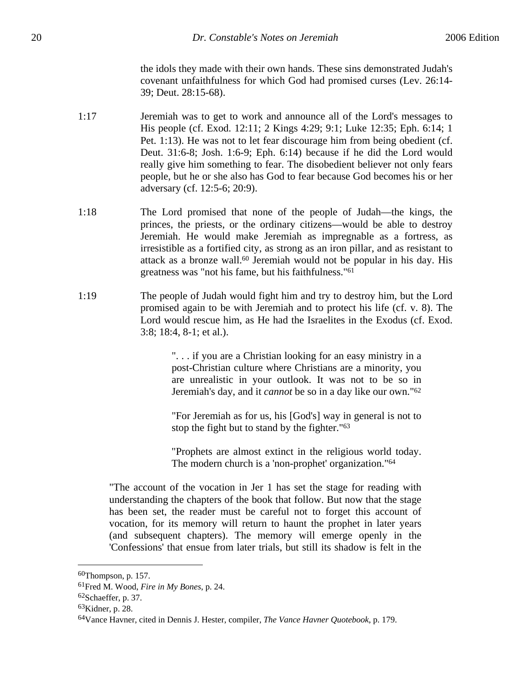the idols they made with their own hands. These sins demonstrated Judah's covenant unfaithfulness for which God had promised curses (Lev. 26:14- 39; Deut. 28:15-68).

- 1:17 Jeremiah was to get to work and announce all of the Lord's messages to His people (cf. Exod. 12:11; 2 Kings 4:29; 9:1; Luke 12:35; Eph. 6:14; 1 Pet. 1:13). He was not to let fear discourage him from being obedient (cf. Deut. 31:6-8; Josh. 1:6-9; Eph. 6:14) because if he did the Lord would really give him something to fear. The disobedient believer not only fears people, but he or she also has God to fear because God becomes his or her adversary (cf. 12:5-6; 20:9).
- 1:18 The Lord promised that none of the people of Judah—the kings, the princes, the priests, or the ordinary citizens—would be able to destroy Jeremiah. He would make Jeremiah as impregnable as a fortress, as irresistible as a fortified city, as strong as an iron pillar, and as resistant to attack as a bronze wall.60 Jeremiah would not be popular in his day. His greatness was "not his fame, but his faithfulness."61
- 1:19 The people of Judah would fight him and try to destroy him, but the Lord promised again to be with Jeremiah and to protect his life (cf. v. 8). The Lord would rescue him, as He had the Israelites in the Exodus (cf. Exod. 3:8; 18:4, 8-1; et al.).

". . . if you are a Christian looking for an easy ministry in a post-Christian culture where Christians are a minority, you are unrealistic in your outlook. It was not to be so in Jeremiah's day, and it *cannot* be so in a day like our own."62

"For Jeremiah as for us, his [God's] way in general is not to stop the fight but to stand by the fighter."63

"Prophets are almost extinct in the religious world today. The modern church is a 'non-prophet' organization."64

"The account of the vocation in Jer 1 has set the stage for reading with understanding the chapters of the book that follow. But now that the stage has been set, the reader must be careful not to forget this account of vocation, for its memory will return to haunt the prophet in later years (and subsequent chapters). The memory will emerge openly in the 'Confessions' that ensue from later trials, but still its shadow is felt in the

<sup>60</sup>Thompson, p. 157.

<sup>61</sup>Fred M. Wood, *Fire in My Bones*, p. 24.

 $62$ Schaeffer, p. 37.

<sup>63</sup>Kidner, p. 28.

<sup>64</sup>Vance Havner, cited in Dennis J. Hester, compiler, *The Vance Havner Quotebook*, p. 179.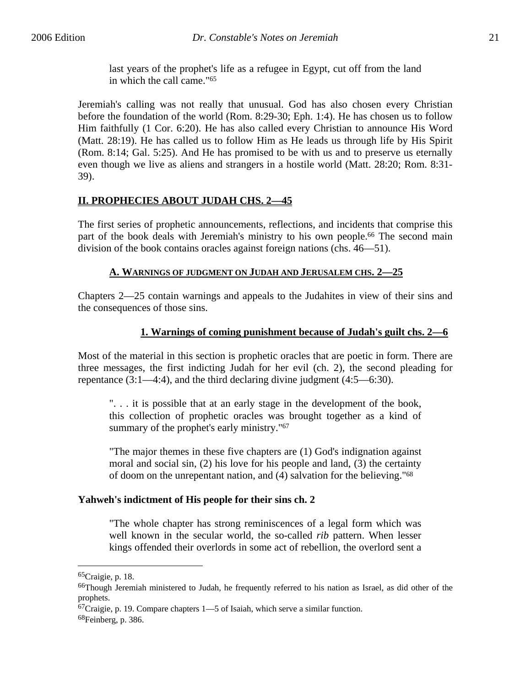last years of the prophet's life as a refugee in Egypt, cut off from the land in which the call came."65

Jeremiah's calling was not really that unusual. God has also chosen every Christian before the foundation of the world (Rom. 8:29-30; Eph. 1:4). He has chosen us to follow Him faithfully (1 Cor. 6:20). He has also called every Christian to announce His Word (Matt. 28:19). He has called us to follow Him as He leads us through life by His Spirit (Rom. 8:14; Gal. 5:25). And He has promised to be with us and to preserve us eternally even though we live as aliens and strangers in a hostile world (Matt. 28:20; Rom. 8:31- 39).

# **II. PROPHECIES ABOUT JUDAH CHS. 2—45**

The first series of prophetic announcements, reflections, and incidents that comprise this part of the book deals with Jeremiah's ministry to his own people.<sup>66</sup> The second main division of the book contains oracles against foreign nations (chs. 46—51).

# **A. WARNINGS OF JUDGMENT ON JUDAH AND JERUSALEM CHS. 2—25**

Chapters 2—25 contain warnings and appeals to the Judahites in view of their sins and the consequences of those sins.

# **1. Warnings of coming punishment because of Judah's guilt chs. 2—6**

Most of the material in this section is prophetic oracles that are poetic in form. There are three messages, the first indicting Judah for her evil (ch. 2), the second pleading for repentance (3:1—4:4), and the third declaring divine judgment (4:5—6:30).

". . . it is possible that at an early stage in the development of the book, this collection of prophetic oracles was brought together as a kind of summary of the prophet's early ministry."<sup>67</sup>

"The major themes in these five chapters are (1) God's indignation against moral and social sin, (2) his love for his people and land, (3) the certainty of doom on the unrepentant nation, and (4) salvation for the believing."68

# **Yahweh's indictment of His people for their sins ch. 2**

"The whole chapter has strong reminiscences of a legal form which was well known in the secular world, the so-called *rib* pattern. When lesser kings offended their overlords in some act of rebellion, the overlord sent a

<sup>65</sup>Craigie, p. 18.

<sup>&</sup>lt;sup>66</sup>Though Jeremiah ministered to Judah, he frequently referred to his nation as Israel, as did other of the prophets.

 $67$ Craigie, p. 19. Compare chapters 1—5 of Isaiah, which serve a similar function.

<sup>68</sup>Feinberg, p. 386.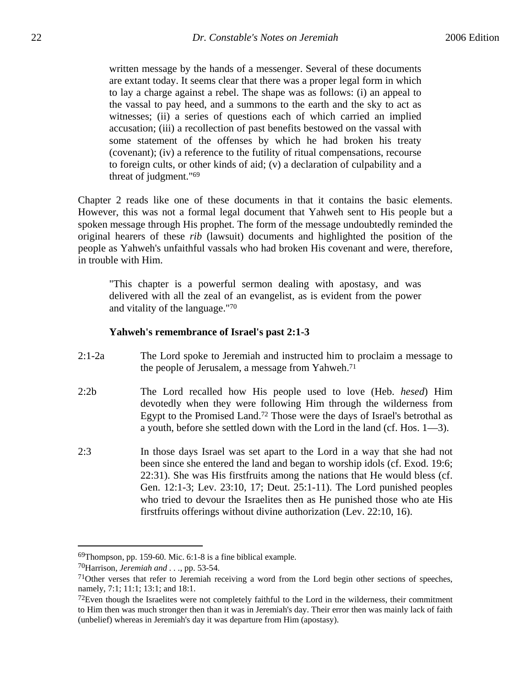written message by the hands of a messenger. Several of these documents are extant today. It seems clear that there was a proper legal form in which to lay a charge against a rebel. The shape was as follows: (i) an appeal to the vassal to pay heed, and a summons to the earth and the sky to act as witnesses; (ii) a series of questions each of which carried an implied accusation; (iii) a recollection of past benefits bestowed on the vassal with some statement of the offenses by which he had broken his treaty (covenant); (iv) a reference to the futility of ritual compensations, recourse to foreign cults, or other kinds of aid; (v) a declaration of culpability and a threat of judgment."69

Chapter 2 reads like one of these documents in that it contains the basic elements. However, this was not a formal legal document that Yahweh sent to His people but a spoken message through His prophet. The form of the message undoubtedly reminded the original hearers of these *rib* (lawsuit) documents and highlighted the position of the people as Yahweh's unfaithful vassals who had broken His covenant and were, therefore, in trouble with Him.

"This chapter is a powerful sermon dealing with apostasy, and was delivered with all the zeal of an evangelist, as is evident from the power and vitality of the language."70

#### **Yahweh's remembrance of Israel's past 2:1-3**

- 2:1-2a The Lord spoke to Jeremiah and instructed him to proclaim a message to the people of Jerusalem, a message from Yahweh.71
- 2:2b The Lord recalled how His people used to love (Heb. *hesed*) Him devotedly when they were following Him through the wilderness from Egypt to the Promised Land.72 Those were the days of Israel's betrothal as a youth, before she settled down with the Lord in the land (cf. Hos. 1—3).
- 2:3 In those days Israel was set apart to the Lord in a way that she had not been since she entered the land and began to worship idols (cf. Exod. 19:6; 22:31). She was His firstfruits among the nations that He would bless (cf. Gen. 12:1-3; Lev. 23:10, 17; Deut. 25:1-11). The Lord punished peoples who tried to devour the Israelites then as He punished those who ate His firstfruits offerings without divine authorization (Lev. 22:10, 16).

<sup>69</sup>Thompson, pp. 159-60. Mic. 6:1-8 is a fine biblical example.

<sup>70</sup>Harrison, *Jeremiah and . . .*, pp. 53-54.

<sup>71</sup>Other verses that refer to Jeremiah receiving a word from the Lord begin other sections of speeches, namely, 7:1; 11:1; 13:1; and 18:1.

 $72$ Even though the Israelites were not completely faithful to the Lord in the wilderness, their commitment to Him then was much stronger then than it was in Jeremiah's day. Their error then was mainly lack of faith (unbelief) whereas in Jeremiah's day it was departure from Him (apostasy).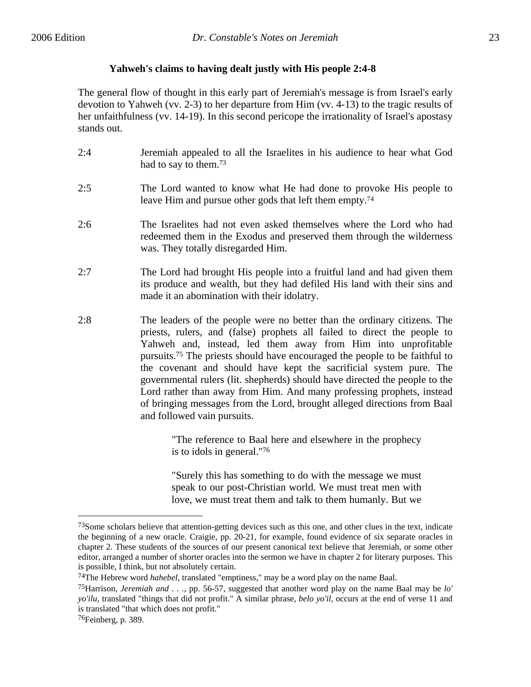# **Yahweh's claims to having dealt justly with His people 2:4-8**

The general flow of thought in this early part of Jeremiah's message is from Israel's early devotion to Yahweh (vv. 2-3) to her departure from Him (vv. 4-13) to the tragic results of her unfaithfulness (vv. 14-19). In this second pericope the irrationality of Israel's apostasy stands out.

- 2:4 Jeremiah appealed to all the Israelites in his audience to hear what God had to say to them.73
- 2:5 The Lord wanted to know what He had done to provoke His people to leave Him and pursue other gods that left them empty.74
- 2:6 The Israelites had not even asked themselves where the Lord who had redeemed them in the Exodus and preserved them through the wilderness was. They totally disregarded Him.
- 2:7 The Lord had brought His people into a fruitful land and had given them its produce and wealth, but they had defiled His land with their sins and made it an abomination with their idolatry.
- 2:8 The leaders of the people were no better than the ordinary citizens. The priests, rulers, and (false) prophets all failed to direct the people to Yahweh and, instead, led them away from Him into unprofitable pursuits.75 The priests should have encouraged the people to be faithful to the covenant and should have kept the sacrificial system pure. The governmental rulers (lit. shepherds) should have directed the people to the Lord rather than away from Him. And many professing prophets, instead of bringing messages from the Lord, brought alleged directions from Baal and followed vain pursuits.

"The reference to Baal here and elsewhere in the prophecy is to idols in general."76

"Surely this has something to do with the message we must speak to our post-Christian world. We must treat men with love, we must treat them and talk to them humanly. But we

<sup>73</sup>Some scholars believe that attention-getting devices such as this one, and other clues in the text, indicate the beginning of a new oracle. Craigie, pp. 20-21, for example, found evidence of six separate oracles in chapter 2. These students of the sources of our present canonical text believe that Jeremiah, or some other editor, arranged a number of shorter oracles into the sermon we have in chapter 2 for literary purposes. This is possible, I think, but not absolutely certain.

<sup>74</sup>The Hebrew word *hahebel*, translated "emptiness," may be a word play on the name Baal.

<sup>75</sup>Harrison, *Jeremiah and . . .*, pp. 56-57, suggested that another word play on the name Baal may be *lo' yo'ilu*, translated "things that did not profit." A similar phrase, *belo yo'il*, occurs at the end of verse 11 and is translated "that which does not profit."

<sup>76</sup>Feinberg, p. 389.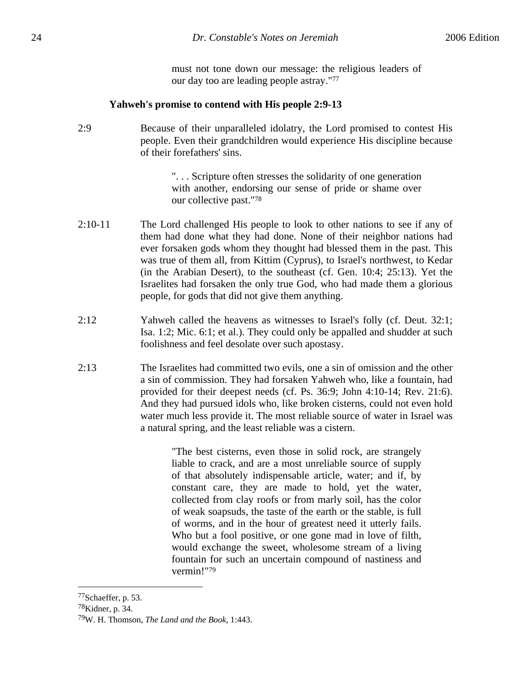must not tone down our message: the religious leaders of our day too are leading people astray."77

#### **Yahweh's promise to contend with His people 2:9-13**

2:9 Because of their unparalleled idolatry, the Lord promised to contest His people. Even their grandchildren would experience His discipline because of their forefathers' sins.

> ". . . Scripture often stresses the solidarity of one generation with another, endorsing our sense of pride or shame over our collective past."78

- 2:10-11 The Lord challenged His people to look to other nations to see if any of them had done what they had done. None of their neighbor nations had ever forsaken gods whom they thought had blessed them in the past. This was true of them all, from Kittim (Cyprus), to Israel's northwest, to Kedar (in the Arabian Desert), to the southeast (cf. Gen. 10:4; 25:13). Yet the Israelites had forsaken the only true God, who had made them a glorious people, for gods that did not give them anything.
- 2:12 Yahweh called the heavens as witnesses to Israel's folly (cf. Deut. 32:1; Isa. 1:2; Mic. 6:1; et al.). They could only be appalled and shudder at such foolishness and feel desolate over such apostasy.
- 2:13 The Israelites had committed two evils, one a sin of omission and the other a sin of commission. They had forsaken Yahweh who, like a fountain, had provided for their deepest needs (cf. Ps. 36:9; John 4:10-14; Rev. 21:6). And they had pursued idols who, like broken cisterns, could not even hold water much less provide it. The most reliable source of water in Israel was a natural spring, and the least reliable was a cistern.

"The best cisterns, even those in solid rock, are strangely liable to crack, and are a most unreliable source of supply of that absolutely indispensable article, water; and if, by constant care, they are made to hold, yet the water, collected from clay roofs or from marly soil, has the color of weak soapsuds, the taste of the earth or the stable, is full of worms, and in the hour of greatest need it utterly fails. Who but a fool positive, or one gone mad in love of filth, would exchange the sweet, wholesome stream of a living fountain for such an uncertain compound of nastiness and vermin!"79

78Kidner, p. 34.

1

<sup>77</sup>Schaeffer, p. 53.

<sup>79</sup>W. H. Thomson, *The Land and the Book*, 1:443.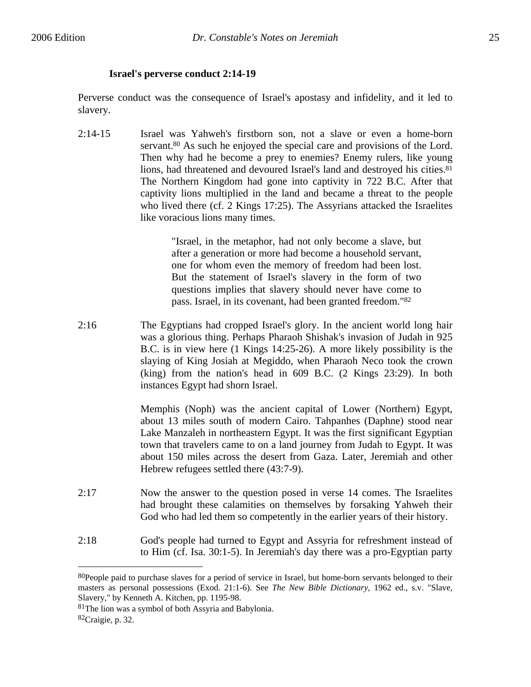# **Israel's perverse conduct 2:14-19**

Perverse conduct was the consequence of Israel's apostasy and infidelity, and it led to slavery.

2:14-15 Israel was Yahweh's firstborn son, not a slave or even a home-born servant.<sup>80</sup> As such he enjoyed the special care and provisions of the Lord. Then why had he become a prey to enemies? Enemy rulers, like young lions, had threatened and devoured Israel's land and destroyed his cities.<sup>81</sup> The Northern Kingdom had gone into captivity in 722 B.C. After that captivity lions multiplied in the land and became a threat to the people who lived there (cf. 2 Kings 17:25). The Assyrians attacked the Israelites like voracious lions many times.

> "Israel, in the metaphor, had not only become a slave, but after a generation or more had become a household servant, one for whom even the memory of freedom had been lost. But the statement of Israel's slavery in the form of two questions implies that slavery should never have come to pass. Israel, in its covenant, had been granted freedom."82

2:16 The Egyptians had cropped Israel's glory. In the ancient world long hair was a glorious thing. Perhaps Pharaoh Shishak's invasion of Judah in 925 B.C. is in view here (1 Kings 14:25-26). A more likely possibility is the slaying of King Josiah at Megiddo, when Pharaoh Neco took the crown (king) from the nation's head in 609 B.C. (2 Kings 23:29). In both instances Egypt had shorn Israel.

> Memphis (Noph) was the ancient capital of Lower (Northern) Egypt, about 13 miles south of modern Cairo. Tahpanhes (Daphne) stood near Lake Manzaleh in northeastern Egypt. It was the first significant Egyptian town that travelers came to on a land journey from Judah to Egypt. It was about 150 miles across the desert from Gaza. Later, Jeremiah and other Hebrew refugees settled there (43:7-9).

- 2:17 Now the answer to the question posed in verse 14 comes. The Israelites had brought these calamities on themselves by forsaking Yahweh their God who had led them so competently in the earlier years of their history.
- 2:18 God's people had turned to Egypt and Assyria for refreshment instead of to Him (cf. Isa. 30:1-5). In Jeremiah's day there was a pro-Egyptian party

<sup>&</sup>lt;sup>80</sup>People paid to purchase slaves for a period of service in Israel, but home-born servants belonged to their masters as personal possessions (Exod. 21:1-6). See *The New Bible Dictionary*, 1962 ed., s.v. "Slave, Slavery," by Kenneth A. Kitchen, pp. 1195-98.

<sup>81</sup>The lion was a symbol of both Assyria and Babylonia.

<sup>82</sup>Craigie, p. 32.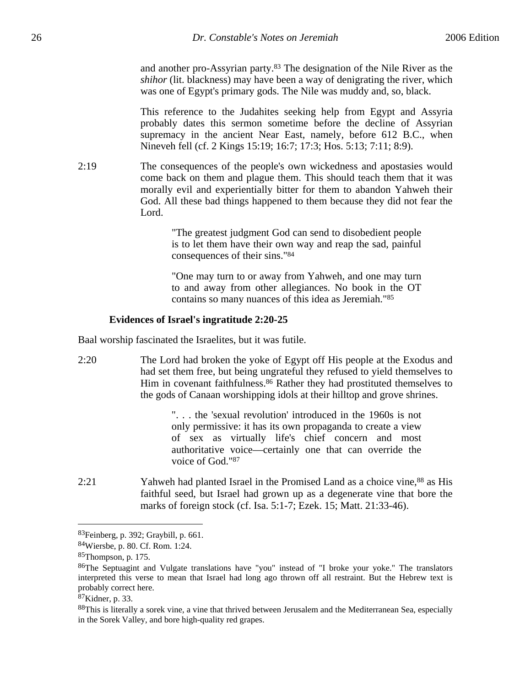and another pro-Assyrian party.83 The designation of the Nile River as the *shihor* (lit. blackness) may have been a way of denigrating the river, which was one of Egypt's primary gods. The Nile was muddy and, so, black.

This reference to the Judahites seeking help from Egypt and Assyria probably dates this sermon sometime before the decline of Assyrian supremacy in the ancient Near East, namely, before 612 B.C., when Nineveh fell (cf. 2 Kings 15:19; 16:7; 17:3; Hos. 5:13; 7:11; 8:9).

2:19 The consequences of the people's own wickedness and apostasies would come back on them and plague them. This should teach them that it was morally evil and experientially bitter for them to abandon Yahweh their God. All these bad things happened to them because they did not fear the Lord.

> "The greatest judgment God can send to disobedient people is to let them have their own way and reap the sad, painful consequences of their sins."84

> "One may turn to or away from Yahweh, and one may turn to and away from other allegiances. No book in the OT contains so many nuances of this idea as Jeremiah."85

#### **Evidences of Israel's ingratitude 2:20-25**

Baal worship fascinated the Israelites, but it was futile.

2:20 The Lord had broken the yoke of Egypt off His people at the Exodus and had set them free, but being ungrateful they refused to yield themselves to Him in covenant faithfulness.<sup>86</sup> Rather they had prostituted themselves to the gods of Canaan worshipping idols at their hilltop and grove shrines.

> ". . . the 'sexual revolution' introduced in the 1960s is not only permissive: it has its own propaganda to create a view of sex as virtually life's chief concern and most authoritative voice—certainly one that can override the voice of God."87

2:21 Yahweh had planted Israel in the Promised Land as a choice vine,<sup>88</sup> as His faithful seed, but Israel had grown up as a degenerate vine that bore the marks of foreign stock (cf. Isa. 5:1-7; Ezek. 15; Matt. 21:33-46).

<sup>83</sup>Feinberg, p. 392; Graybill, p. 661.

<sup>84</sup>Wiersbe, p. 80. Cf. Rom. 1:24.

<sup>85</sup>Thompson, p. 175.

<sup>86</sup>The Septuagint and Vulgate translations have "you" instead of "I broke your yoke." The translators interpreted this verse to mean that Israel had long ago thrown off all restraint. But the Hebrew text is probably correct here.

<sup>87</sup>Kidner, p. 33.

<sup>&</sup>lt;sup>88</sup>This is literally a sorek vine, a vine that thrived between Jerusalem and the Mediterranean Sea, especially in the Sorek Valley, and bore high-quality red grapes.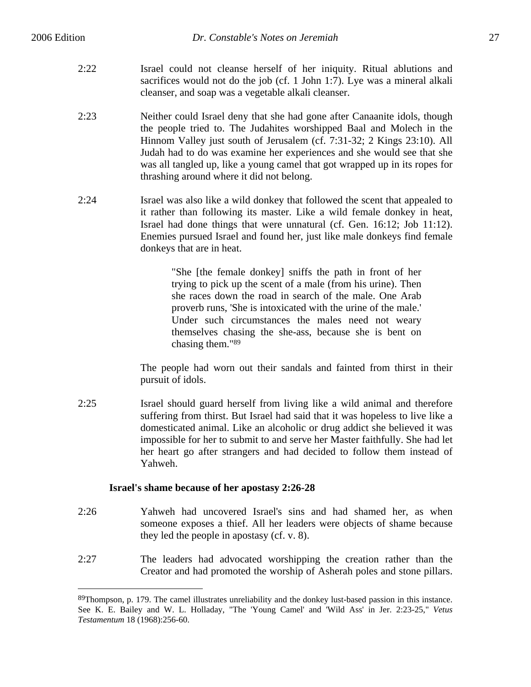$\overline{a}$ 

- 2:22 Israel could not cleanse herself of her iniquity. Ritual ablutions and sacrifices would not do the job (cf. 1 John 1:7). Lye was a mineral alkali cleanser, and soap was a vegetable alkali cleanser.
- 2:23 Neither could Israel deny that she had gone after Canaanite idols, though the people tried to. The Judahites worshipped Baal and Molech in the Hinnom Valley just south of Jerusalem (cf. 7:31-32; 2 Kings 23:10). All Judah had to do was examine her experiences and she would see that she was all tangled up, like a young camel that got wrapped up in its ropes for thrashing around where it did not belong.
- 2:24 Israel was also like a wild donkey that followed the scent that appealed to it rather than following its master. Like a wild female donkey in heat, Israel had done things that were unnatural (cf. Gen. 16:12; Job 11:12). Enemies pursued Israel and found her, just like male donkeys find female donkeys that are in heat.

"She [the female donkey] sniffs the path in front of her trying to pick up the scent of a male (from his urine). Then she races down the road in search of the male. One Arab proverb runs, 'She is intoxicated with the urine of the male.' Under such circumstances the males need not weary themselves chasing the she-ass, because she is bent on chasing them."89

The people had worn out their sandals and fainted from thirst in their pursuit of idols.

2:25 Israel should guard herself from living like a wild animal and therefore suffering from thirst. But Israel had said that it was hopeless to live like a domesticated animal. Like an alcoholic or drug addict she believed it was impossible for her to submit to and serve her Master faithfully. She had let her heart go after strangers and had decided to follow them instead of Yahweh.

#### **Israel's shame because of her apostasy 2:26-28**

- 2:26 Yahweh had uncovered Israel's sins and had shamed her, as when someone exposes a thief. All her leaders were objects of shame because they led the people in apostasy (cf. v. 8).
- 2:27 The leaders had advocated worshipping the creation rather than the Creator and had promoted the worship of Asherah poles and stone pillars.

<sup>89</sup>Thompson, p. 179. The camel illustrates unreliability and the donkey lust-based passion in this instance. See K. E. Bailey and W. L. Holladay, "The 'Young Camel' and 'Wild Ass' in Jer. 2:23-25," *Vetus Testamentum* 18 (1968):256-60.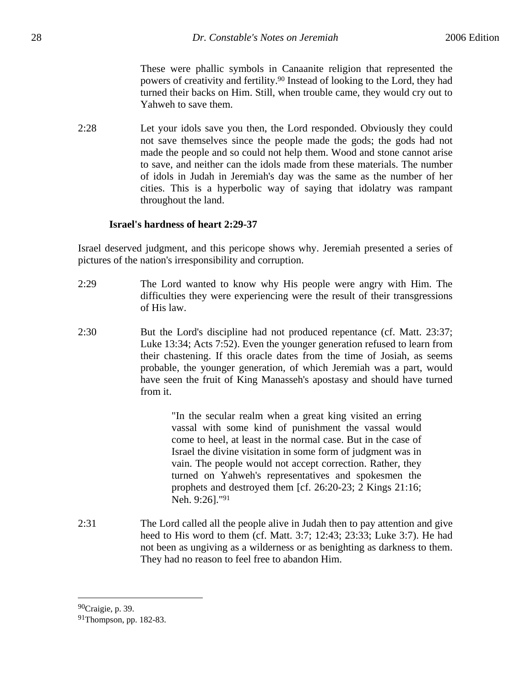These were phallic symbols in Canaanite religion that represented the powers of creativity and fertility.90 Instead of looking to the Lord, they had turned their backs on Him. Still, when trouble came, they would cry out to Yahweh to save them.

2:28 Let your idols save you then, the Lord responded. Obviously they could not save themselves since the people made the gods; the gods had not made the people and so could not help them. Wood and stone cannot arise to save, and neither can the idols made from these materials. The number of idols in Judah in Jeremiah's day was the same as the number of her cities. This is a hyperbolic way of saying that idolatry was rampant throughout the land.

# **Israel's hardness of heart 2:29-37**

Israel deserved judgment, and this pericope shows why. Jeremiah presented a series of pictures of the nation's irresponsibility and corruption.

- 2:29 The Lord wanted to know why His people were angry with Him. The difficulties they were experiencing were the result of their transgressions of His law.
- 2:30 But the Lord's discipline had not produced repentance (cf. Matt. 23:37; Luke 13:34; Acts 7:52). Even the younger generation refused to learn from their chastening. If this oracle dates from the time of Josiah, as seems probable, the younger generation, of which Jeremiah was a part, would have seen the fruit of King Manasseh's apostasy and should have turned from it.

"In the secular realm when a great king visited an erring vassal with some kind of punishment the vassal would come to heel, at least in the normal case. But in the case of Israel the divine visitation in some form of judgment was in vain. The people would not accept correction. Rather, they turned on Yahweh's representatives and spokesmen the prophets and destroyed them [cf. 26:20-23; 2 Kings 21:16; Neh. 9:26]."91

2:31 The Lord called all the people alive in Judah then to pay attention and give heed to His word to them (cf. Matt. 3:7; 12:43; 23:33; Luke 3:7). He had not been as ungiving as a wilderness or as benighting as darkness to them. They had no reason to feel free to abandon Him.

<sup>90</sup>Craigie, p. 39.

<sup>91</sup>Thompson, pp. 182-83.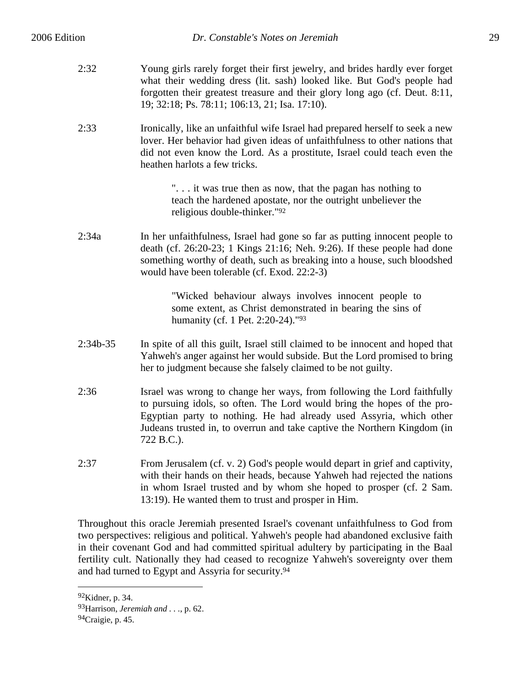| 2:32 | Young girls rarely forget their first jewelry, and brides hardly ever forget |
|------|------------------------------------------------------------------------------|
|      | what their wedding dress (lit. sash) looked like. But God's people had       |
|      | forgotten their greatest treasure and their glory long ago (cf. Deut. 8:11,  |
|      | 19; 32:18; Ps. 78:11; 106:13, 21; Isa. 17:10).                               |

2:33 Ironically, like an unfaithful wife Israel had prepared herself to seek a new lover. Her behavior had given ideas of unfaithfulness to other nations that did not even know the Lord. As a prostitute, Israel could teach even the heathen harlots a few tricks.

> ". . . it was true then as now, that the pagan has nothing to teach the hardened apostate, nor the outright unbeliever the religious double-thinker."92

2:34a In her unfaithfulness, Israel had gone so far as putting innocent people to death (cf. 26:20-23; 1 Kings 21:16; Neh. 9:26). If these people had done something worthy of death, such as breaking into a house, such bloodshed would have been tolerable (cf. Exod. 22:2-3)

> "Wicked behaviour always involves innocent people to some extent, as Christ demonstrated in bearing the sins of humanity (cf. 1 Pet. 2:20-24)."93

- 2:34b-35 In spite of all this guilt, Israel still claimed to be innocent and hoped that Yahweh's anger against her would subside. But the Lord promised to bring her to judgment because she falsely claimed to be not guilty.
- 2:36 Israel was wrong to change her ways, from following the Lord faithfully to pursuing idols, so often. The Lord would bring the hopes of the pro-Egyptian party to nothing. He had already used Assyria, which other Judeans trusted in, to overrun and take captive the Northern Kingdom (in 722 B.C.).
- 2:37 From Jerusalem (cf. v. 2) God's people would depart in grief and captivity, with their hands on their heads, because Yahweh had rejected the nations in whom Israel trusted and by whom she hoped to prosper (cf. 2 Sam. 13:19). He wanted them to trust and prosper in Him.

Throughout this oracle Jeremiah presented Israel's covenant unfaithfulness to God from two perspectives: religious and political. Yahweh's people had abandoned exclusive faith in their covenant God and had committed spiritual adultery by participating in the Baal fertility cult. Nationally they had ceased to recognize Yahweh's sovereignty over them and had turned to Egypt and Assyria for security.94

<sup>92</sup>Kidner, p. 34.

<sup>93</sup>Harrison, *Jeremiah and . . .*, p. 62.

<sup>94</sup>Craigie, p. 45.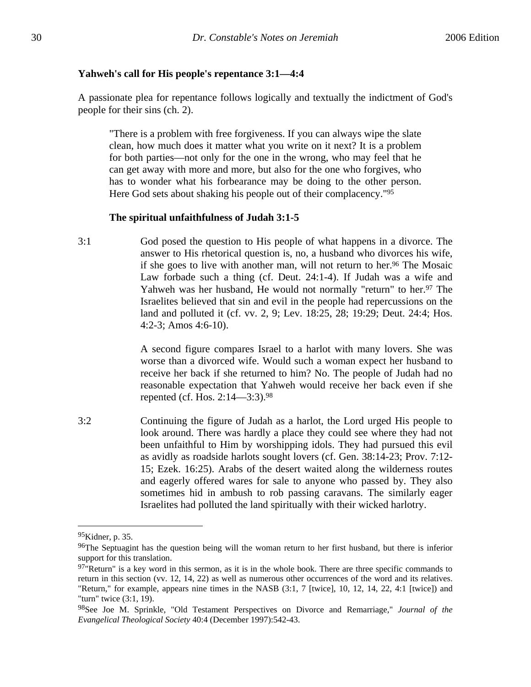#### **Yahweh's call for His people's repentance 3:1—4:4**

A passionate plea for repentance follows logically and textually the indictment of God's people for their sins (ch. 2).

"There is a problem with free forgiveness. If you can always wipe the slate clean, how much does it matter what you write on it next? It is a problem for both parties—not only for the one in the wrong, who may feel that he can get away with more and more, but also for the one who forgives, who has to wonder what his forbearance may be doing to the other person. Here God sets about shaking his people out of their complacency."95

#### **The spiritual unfaithfulness of Judah 3:1-5**

3:1 God posed the question to His people of what happens in a divorce. The answer to His rhetorical question is, no, a husband who divorces his wife, if she goes to live with another man, will not return to her.<sup>96</sup> The Mosaic Law forbade such a thing (cf. Deut. 24:1-4). If Judah was a wife and Yahweh was her husband, He would not normally "return" to her.<sup>97</sup> The Israelites believed that sin and evil in the people had repercussions on the land and polluted it (cf. vv. 2, 9; Lev. 18:25, 28; 19:29; Deut. 24:4; Hos. 4:2-3; Amos 4:6-10).

> A second figure compares Israel to a harlot with many lovers. She was worse than a divorced wife. Would such a woman expect her husband to receive her back if she returned to him? No. The people of Judah had no reasonable expectation that Yahweh would receive her back even if she repented (cf. Hos. 2:14—3:3).98

3:2 Continuing the figure of Judah as a harlot, the Lord urged His people to look around. There was hardly a place they could see where they had not been unfaithful to Him by worshipping idols. They had pursued this evil as avidly as roadside harlots sought lovers (cf. Gen. 38:14-23; Prov. 7:12- 15; Ezek. 16:25). Arabs of the desert waited along the wilderness routes and eagerly offered wares for sale to anyone who passed by. They also sometimes hid in ambush to rob passing caravans. The similarly eager Israelites had polluted the land spiritually with their wicked harlotry.

<sup>95</sup>Kidner, p. 35.

<sup>&</sup>lt;sup>96</sup>The Septuagint has the question being will the woman return to her first husband, but there is inferior support for this translation.

 $97$ "Return" is a key word in this sermon, as it is in the whole book. There are three specific commands to return in this section (vv. 12, 14, 22) as well as numerous other occurrences of the word and its relatives. "Return," for example, appears nine times in the NASB (3:1, 7 [twice], 10, 12, 14, 22, 4:1 [twice]) and "turn" twice (3:1, 19).

<sup>98</sup>See Joe M. Sprinkle, "Old Testament Perspectives on Divorce and Remarriage," *Journal of the Evangelical Theological Society* 40:4 (December 1997):542-43.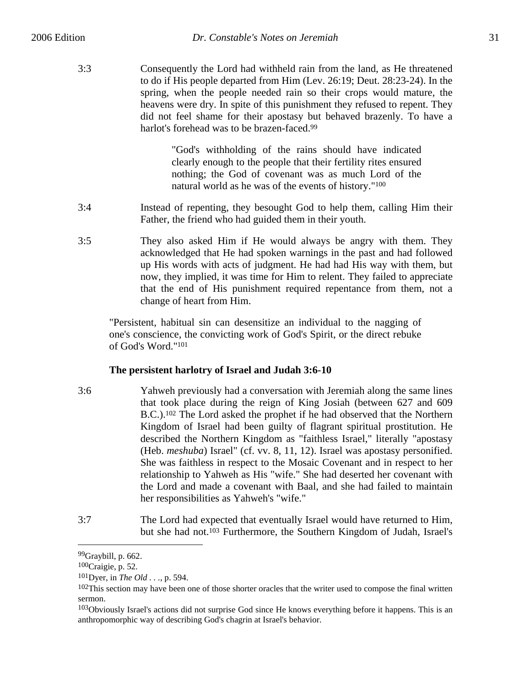3:3 Consequently the Lord had withheld rain from the land, as He threatened to do if His people departed from Him (Lev. 26:19; Deut. 28:23-24). In the spring, when the people needed rain so their crops would mature, the heavens were dry. In spite of this punishment they refused to repent. They did not feel shame for their apostasy but behaved brazenly. To have a harlot's forehead was to be brazen-faced.<sup>99</sup>

> "God's withholding of the rains should have indicated clearly enough to the people that their fertility rites ensured nothing; the God of covenant was as much Lord of the natural world as he was of the events of history."100

- 3:4 Instead of repenting, they besought God to help them, calling Him their Father, the friend who had guided them in their youth.
- 3:5 They also asked Him if He would always be angry with them. They acknowledged that He had spoken warnings in the past and had followed up His words with acts of judgment. He had had His way with them, but now, they implied, it was time for Him to relent. They failed to appreciate that the end of His punishment required repentance from them, not a change of heart from Him.

"Persistent, habitual sin can desensitize an individual to the nagging of one's conscience, the convicting work of God's Spirit, or the direct rebuke of God's Word."101

# **The persistent harlotry of Israel and Judah 3:6-10**

- 3:6 Yahweh previously had a conversation with Jeremiah along the same lines that took place during the reign of King Josiah (between 627 and 609 B.C.).102 The Lord asked the prophet if he had observed that the Northern Kingdom of Israel had been guilty of flagrant spiritual prostitution. He described the Northern Kingdom as "faithless Israel," literally "apostasy (Heb. *meshuba*) Israel" (cf. vv. 8, 11, 12). Israel was apostasy personified. She was faithless in respect to the Mosaic Covenant and in respect to her relationship to Yahweh as His "wife." She had deserted her covenant with the Lord and made a covenant with Baal, and she had failed to maintain her responsibilities as Yahweh's "wife."
- 3:7 The Lord had expected that eventually Israel would have returned to Him, but she had not.103 Furthermore, the Southern Kingdom of Judah, Israel's

 $99$ Graybill, p. 662.

<sup>100</sup>Craigie, p. 52.

<sup>101</sup>Dyer, in *The Old . . .*, p. 594.

<sup>&</sup>lt;sup>102</sup>This section may have been one of those shorter oracles that the writer used to compose the final written sermon.

<sup>&</sup>lt;sup>103</sup>Obviously Israel's actions did not surprise God since He knows everything before it happens. This is an anthropomorphic way of describing God's chagrin at Israel's behavior.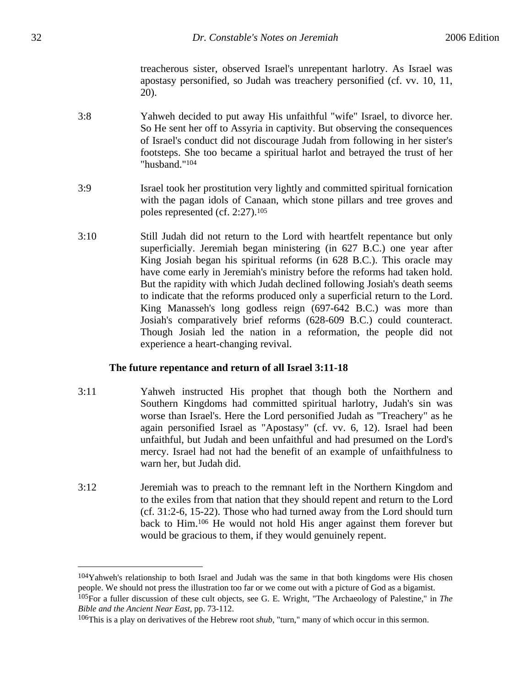treacherous sister, observed Israel's unrepentant harlotry. As Israel was apostasy personified, so Judah was treachery personified (cf. vv. 10, 11, 20).

- 3:8 Yahweh decided to put away His unfaithful "wife" Israel, to divorce her. So He sent her off to Assyria in captivity. But observing the consequences of Israel's conduct did not discourage Judah from following in her sister's footsteps. She too became a spiritual harlot and betrayed the trust of her "husband."104
- 3:9 Israel took her prostitution very lightly and committed spiritual fornication with the pagan idols of Canaan, which stone pillars and tree groves and poles represented (cf. 2:27).105
- 3:10 Still Judah did not return to the Lord with heartfelt repentance but only superficially. Jeremiah began ministering (in 627 B.C.) one year after King Josiah began his spiritual reforms (in 628 B.C.). This oracle may have come early in Jeremiah's ministry before the reforms had taken hold. But the rapidity with which Judah declined following Josiah's death seems to indicate that the reforms produced only a superficial return to the Lord. King Manasseh's long godless reign (697-642 B.C.) was more than Josiah's comparatively brief reforms (628-609 B.C.) could counteract. Though Josiah led the nation in a reformation, the people did not experience a heart-changing revival.

#### **The future repentance and return of all Israel 3:11-18**

- 3:11 Yahweh instructed His prophet that though both the Northern and Southern Kingdoms had committed spiritual harlotry, Judah's sin was worse than Israel's. Here the Lord personified Judah as "Treachery" as he again personified Israel as "Apostasy" (cf. vv. 6, 12). Israel had been unfaithful, but Judah and been unfaithful and had presumed on the Lord's mercy. Israel had not had the benefit of an example of unfaithfulness to warn her, but Judah did.
- 3:12 Jeremiah was to preach to the remnant left in the Northern Kingdom and to the exiles from that nation that they should repent and return to the Lord (cf. 31:2-6, 15-22). Those who had turned away from the Lord should turn back to Him.106 He would not hold His anger against them forever but would be gracious to them, if they would genuinely repent.

 $104$ Yahweh's relationship to both Israel and Judah was the same in that both kingdoms were His chosen people. We should not press the illustration too far or we come out with a picture of God as a bigamist. 105For a fuller discussion of these cult objects, see G. E. Wright, "The Archaeology of Palestine," in *The Bible and the Ancient Near East*, pp. 73-112.

<sup>106</sup>This is a play on derivatives of the Hebrew root *shub*, "turn," many of which occur in this sermon.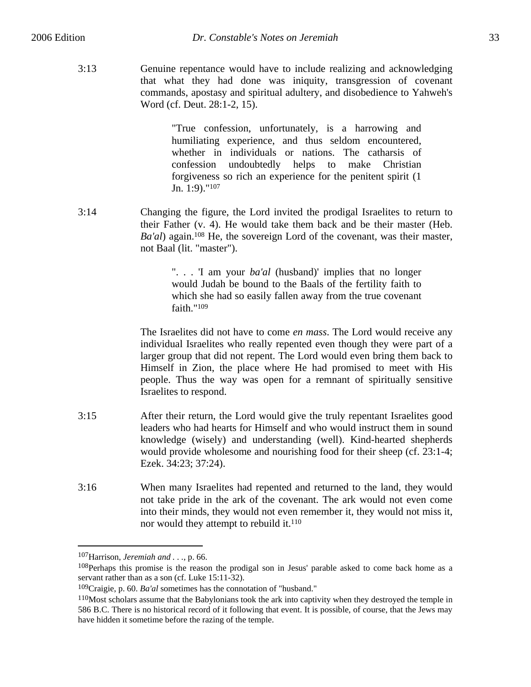3:13 Genuine repentance would have to include realizing and acknowledging that what they had done was iniquity, transgression of covenant commands, apostasy and spiritual adultery, and disobedience to Yahweh's Word (cf. Deut. 28:1-2, 15).

> "True confession, unfortunately, is a harrowing and humiliating experience, and thus seldom encountered, whether in individuals or nations. The catharsis of confession undoubtedly helps to make Christian forgiveness so rich an experience for the penitent spirit (1 Jn. 1:9)."107

3:14 Changing the figure, the Lord invited the prodigal Israelites to return to their Father (v. 4). He would take them back and be their master (Heb. *Ba'al*) again.108 He, the sovereign Lord of the covenant, was their master, not Baal (lit. "master").

> ". . . 'I am your *ba'al* (husband)' implies that no longer would Judah be bound to the Baals of the fertility faith to which she had so easily fallen away from the true covenant faith."109

The Israelites did not have to come *en mass*. The Lord would receive any individual Israelites who really repented even though they were part of a larger group that did not repent. The Lord would even bring them back to Himself in Zion, the place where He had promised to meet with His people. Thus the way was open for a remnant of spiritually sensitive Israelites to respond.

- 3:15 After their return, the Lord would give the truly repentant Israelites good leaders who had hearts for Himself and who would instruct them in sound knowledge (wisely) and understanding (well). Kind-hearted shepherds would provide wholesome and nourishing food for their sheep (cf. 23:1-4; Ezek. 34:23; 37:24).
- 3:16 When many Israelites had repented and returned to the land, they would not take pride in the ark of the covenant. The ark would not even come into their minds, they would not even remember it, they would not miss it, nor would they attempt to rebuild it.110

<sup>107</sup>Harrison, *Jeremiah and . . .*, p. 66.

<sup>108</sup>Perhaps this promise is the reason the prodigal son in Jesus' parable asked to come back home as a servant rather than as a son (cf. Luke 15:11-32).

<sup>109</sup>Craigie, p. 60. *Ba'al* sometimes has the connotation of "husband."

<sup>110</sup>Most scholars assume that the Babylonians took the ark into captivity when they destroyed the temple in 586 B.C. There is no historical record of it following that event. It is possible, of course, that the Jews may have hidden it sometime before the razing of the temple.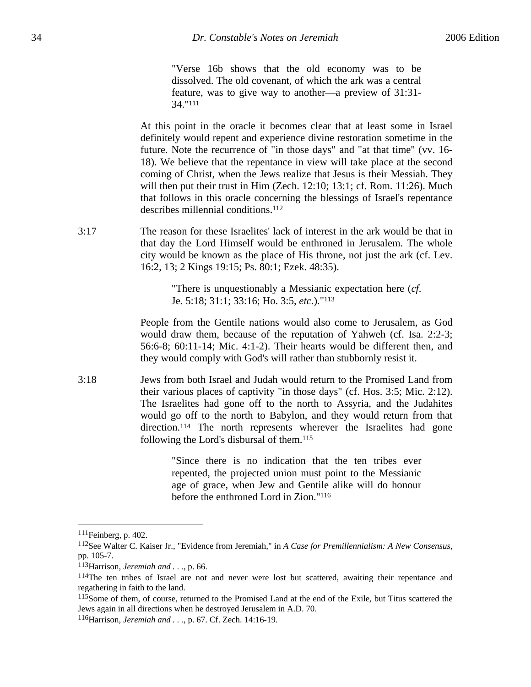"Verse 16b shows that the old economy was to be dissolved. The old covenant, of which the ark was a central feature, was to give way to another—a preview of 31:31- 34."111

At this point in the oracle it becomes clear that at least some in Israel definitely would repent and experience divine restoration sometime in the future. Note the recurrence of "in those days" and "at that time" (vv. 16- 18). We believe that the repentance in view will take place at the second coming of Christ, when the Jews realize that Jesus is their Messiah. They will then put their trust in Him (Zech. 12:10; 13:1; cf. Rom. 11:26). Much that follows in this oracle concerning the blessings of Israel's repentance describes millennial conditions.112

3:17 The reason for these Israelites' lack of interest in the ark would be that in that day the Lord Himself would be enthroned in Jerusalem. The whole city would be known as the place of His throne, not just the ark (cf. Lev. 16:2, 13; 2 Kings 19:15; Ps. 80:1; Ezek. 48:35).

> "There is unquestionably a Messianic expectation here (*cf*. Je. 5:18; 31:1; 33:16; Ho. 3:5, *etc*.)."113

People from the Gentile nations would also come to Jerusalem, as God would draw them, because of the reputation of Yahweh (cf. Isa. 2:2-3; 56:6-8; 60:11-14; Mic. 4:1-2). Their hearts would be different then, and they would comply with God's will rather than stubbornly resist it.

3:18 Jews from both Israel and Judah would return to the Promised Land from their various places of captivity "in those days" (cf. Hos. 3:5; Mic. 2:12). The Israelites had gone off to the north to Assyria, and the Judahites would go off to the north to Babylon, and they would return from that direction.114 The north represents wherever the Israelites had gone following the Lord's disbursal of them.115

> "Since there is no indication that the ten tribes ever repented, the projected union must point to the Messianic age of grace, when Jew and Gentile alike will do honour before the enthroned Lord in Zion."116

<sup>111</sup>Feinberg, p. 402.

<sup>112</sup>See Walter C. Kaiser Jr., "Evidence from Jeremiah," in *A Case for Premillennialism: A New Consensus*, pp. 105-7.

<sup>113</sup>Harrison, *Jeremiah and . . .*, p. 66.

<sup>114</sup>The ten tribes of Israel are not and never were lost but scattered, awaiting their repentance and regathering in faith to the land.

<sup>115</sup>Some of them, of course, returned to the Promised Land at the end of the Exile, but Titus scattered the Jews again in all directions when he destroyed Jerusalem in A.D. 70.

<sup>116</sup>Harrison, *Jeremiah and . . .*, p. 67. Cf. Zech. 14:16-19.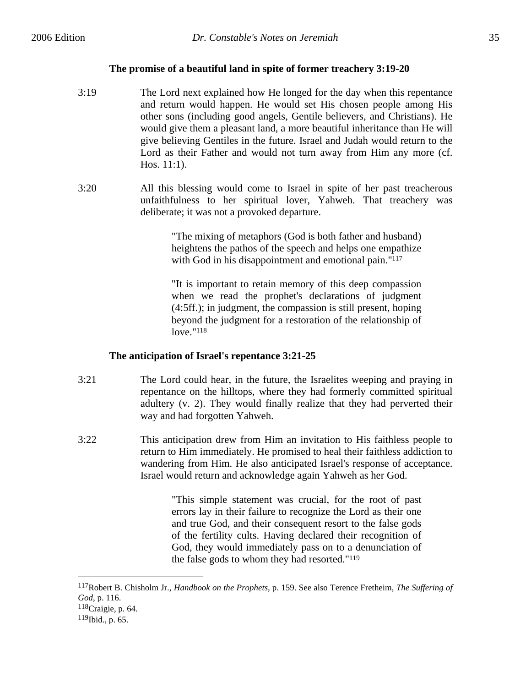$\overline{a}$ 

# **The promise of a beautiful land in spite of former treachery 3:19-20**

- 3:19 The Lord next explained how He longed for the day when this repentance and return would happen. He would set His chosen people among His other sons (including good angels, Gentile believers, and Christians). He would give them a pleasant land, a more beautiful inheritance than He will give believing Gentiles in the future. Israel and Judah would return to the Lord as their Father and would not turn away from Him any more (cf. Hos. 11:1).
- 3:20 All this blessing would come to Israel in spite of her past treacherous unfaithfulness to her spiritual lover, Yahweh. That treachery was deliberate; it was not a provoked departure.

"The mixing of metaphors (God is both father and husband) heightens the pathos of the speech and helps one empathize with God in his disappointment and emotional pain."<sup>117</sup>

"It is important to retain memory of this deep compassion when we read the prophet's declarations of judgment (4:5ff.); in judgment, the compassion is still present, hoping beyond the judgment for a restoration of the relationship of love."118

#### **The anticipation of Israel's repentance 3:21-25**

- 3:21 The Lord could hear, in the future, the Israelites weeping and praying in repentance on the hilltops, where they had formerly committed spiritual adultery (v. 2). They would finally realize that they had perverted their way and had forgotten Yahweh.
- 3:22 This anticipation drew from Him an invitation to His faithless people to return to Him immediately. He promised to heal their faithless addiction to wandering from Him. He also anticipated Israel's response of acceptance. Israel would return and acknowledge again Yahweh as her God.

"This simple statement was crucial, for the root of past errors lay in their failure to recognize the Lord as their one and true God, and their consequent resort to the false gods of the fertility cults. Having declared their recognition of God, they would immediately pass on to a denunciation of the false gods to whom they had resorted."119

<sup>117</sup>Robert B. Chisholm Jr., *Handbook on the Prophets*, p. 159. See also Terence Fretheim, *The Suffering of God*, p. 116. 118Craigie, p. 64. 119Ibid., p. 65.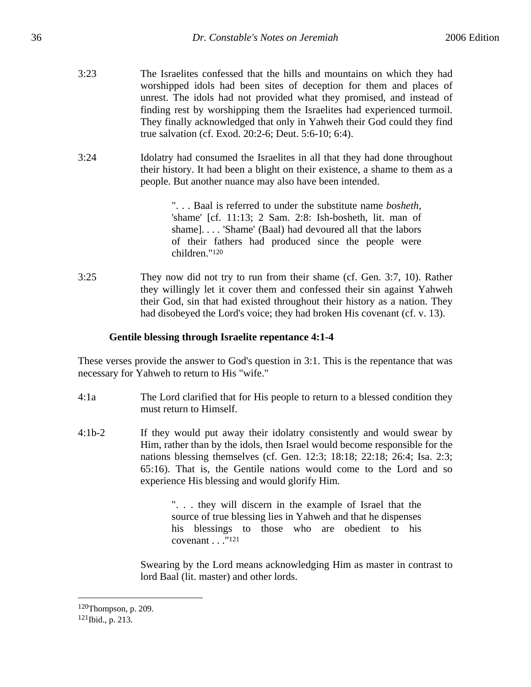- 3:23 The Israelites confessed that the hills and mountains on which they had worshipped idols had been sites of deception for them and places of unrest. The idols had not provided what they promised, and instead of finding rest by worshipping them the Israelites had experienced turmoil. They finally acknowledged that only in Yahweh their God could they find true salvation (cf. Exod. 20:2-6; Deut. 5:6-10; 6:4).
- 3:24 Idolatry had consumed the Israelites in all that they had done throughout their history. It had been a blight on their existence, a shame to them as a people. But another nuance may also have been intended.

". . . Baal is referred to under the substitute name *bosheth*, 'shame' [cf. 11:13; 2 Sam. 2:8: Ish-bosheth, lit. man of shame]. . . . 'Shame' (Baal) had devoured all that the labors of their fathers had produced since the people were children."120

3:25 They now did not try to run from their shame (cf. Gen. 3:7, 10). Rather they willingly let it cover them and confessed their sin against Yahweh their God, sin that had existed throughout their history as a nation. They had disobeyed the Lord's voice; they had broken His covenant (cf. v. 13).

# **Gentile blessing through Israelite repentance 4:1-4**

These verses provide the answer to God's question in 3:1. This is the repentance that was necessary for Yahweh to return to His "wife."

- 4:1a The Lord clarified that for His people to return to a blessed condition they must return to Himself.
- 4:1b-2 If they would put away their idolatry consistently and would swear by Him, rather than by the idols, then Israel would become responsible for the nations blessing themselves (cf. Gen. 12:3; 18:18; 22:18; 26:4; Isa. 2:3; 65:16). That is, the Gentile nations would come to the Lord and so experience His blessing and would glorify Him.

". . . they will discern in the example of Israel that the source of true blessing lies in Yahweh and that he dispenses his blessings to those who are obedient to his covenant . . ."121

Swearing by the Lord means acknowledging Him as master in contrast to lord Baal (lit. master) and other lords.

1

<sup>120</sup>Thompson, p. 209. 121Ibid., p. 213.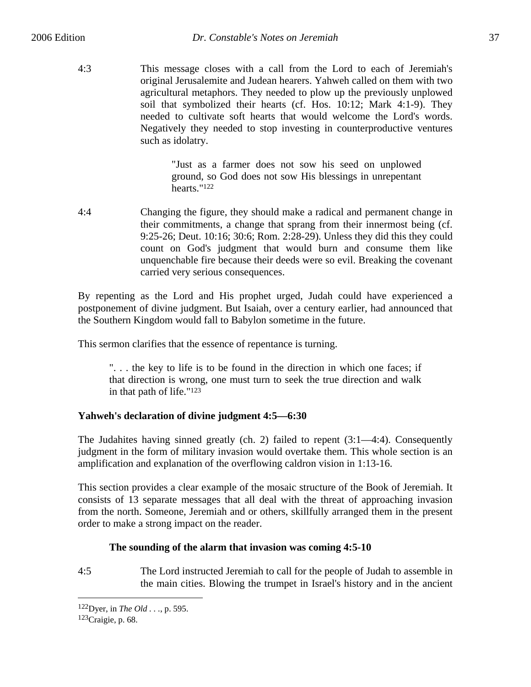4:3 This message closes with a call from the Lord to each of Jeremiah's original Jerusalemite and Judean hearers. Yahweh called on them with two agricultural metaphors. They needed to plow up the previously unplowed soil that symbolized their hearts (cf. Hos. 10:12; Mark 4:1-9). They needed to cultivate soft hearts that would welcome the Lord's words. Negatively they needed to stop investing in counterproductive ventures such as idolatry.

> "Just as a farmer does not sow his seed on unplowed ground, so God does not sow His blessings in unrepentant hearts."122

4:4 Changing the figure, they should make a radical and permanent change in their commitments, a change that sprang from their innermost being (cf. 9:25-26; Deut. 10:16; 30:6; Rom. 2:28-29). Unless they did this they could count on God's judgment that would burn and consume them like unquenchable fire because their deeds were so evil. Breaking the covenant carried very serious consequences.

By repenting as the Lord and His prophet urged, Judah could have experienced a postponement of divine judgment. But Isaiah, over a century earlier, had announced that the Southern Kingdom would fall to Babylon sometime in the future.

This sermon clarifies that the essence of repentance is turning.

". . . the key to life is to be found in the direction in which one faces; if that direction is wrong, one must turn to seek the true direction and walk in that path of life."123

# **Yahweh's declaration of divine judgment 4:5—6:30**

The Judahites having sinned greatly (ch. 2) failed to repent (3:1—4:4). Consequently judgment in the form of military invasion would overtake them. This whole section is an amplification and explanation of the overflowing caldron vision in 1:13-16.

This section provides a clear example of the mosaic structure of the Book of Jeremiah. It consists of 13 separate messages that all deal with the threat of approaching invasion from the north. Someone, Jeremiah and or others, skillfully arranged them in the present order to make a strong impact on the reader.

# **The sounding of the alarm that invasion was coming 4:5-10**

4:5 The Lord instructed Jeremiah to call for the people of Judah to assemble in the main cities. Blowing the trumpet in Israel's history and in the ancient

<sup>122</sup>Dyer, in *The Old . . .*, p. 595. 123Craigie, p. 68.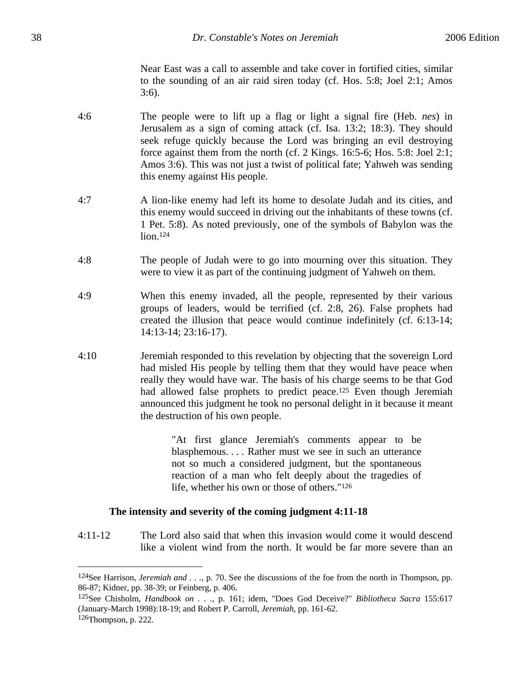Near East was a call to assemble and take cover in fortified cities, similar to the sounding of an air raid siren today (cf. Hos. 5:8; Joel 2:1; Amos 3:6).

- 4:6 The people were to lift up a flag or light a signal fire (Heb. *nes*) in Jerusalem as a sign of coming attack (cf. Isa. 13:2; 18:3). They should seek refuge quickly because the Lord was bringing an evil destroying force against them from the north (cf. 2 Kings. 16:5-6; Hos. 5:8: Joel 2:1; Amos 3:6). This was not just a twist of political fate; Yahweh was sending this enemy against His people.
- 4:7 A lion-like enemy had left its home to desolate Judah and its cities, and this enemy would succeed in driving out the inhabitants of these towns (cf. 1 Pet. 5:8). As noted previously, one of the symbols of Babylon was the lion.124
- 4:8 The people of Judah were to go into mourning over this situation. They were to view it as part of the continuing judgment of Yahweh on them.
- 4:9 When this enemy invaded, all the people, represented by their various groups of leaders, would be terrified (cf. 2:8, 26). False prophets had created the illusion that peace would continue indefinitely (cf. 6:13-14; 14:13-14; 23:16-17).
- 4:10 Jeremiah responded to this revelation by objecting that the sovereign Lord had misled His people by telling them that they would have peace when really they would have war. The basis of his charge seems to be that God had allowed false prophets to predict peace.<sup>125</sup> Even though Jeremiah announced this judgment he took no personal delight in it because it meant the destruction of his own people.

"At first glance Jeremiah's comments appear to be blasphemous. . . . Rather must we see in such an utterance not so much a considered judgment, but the spontaneous reaction of a man who felt deeply about the tragedies of life, whether his own or those of others."126

### **The intensity and severity of the coming judgment 4:11-18**

4:11-12 The Lord also said that when this invasion would come it would descend like a violent wind from the north. It would be far more severe than an

1

<sup>124</sup>See Harrison, *Jeremiah and . . .*, p. 70. See the discussions of the foe from the north in Thompson, pp. 86-87; Kidner, pp. 38-39; or Feinberg, p. 406.

<sup>125</sup>See Chisholm, *Handbook on . . .*, p. 161; idem, "Does God Deceive?" *Bibliotheca Sacra* 155:617 (January-March 1998):18-19; and Robert P. Carroll, *Jeremiah*, pp. 161-62. 126Thompson, p. 222.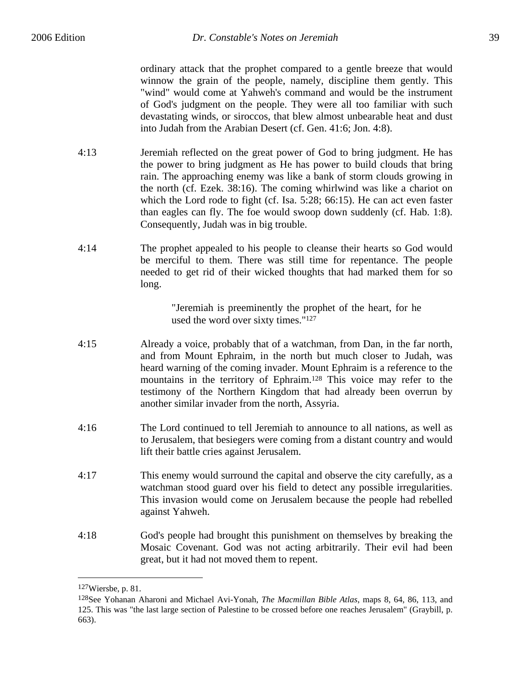ordinary attack that the prophet compared to a gentle breeze that would winnow the grain of the people, namely, discipline them gently. This "wind" would come at Yahweh's command and would be the instrument of God's judgment on the people. They were all too familiar with such devastating winds, or siroccos, that blew almost unbearable heat and dust into Judah from the Arabian Desert (cf. Gen. 41:6; Jon. 4:8).

- 4:13 Jeremiah reflected on the great power of God to bring judgment. He has the power to bring judgment as He has power to build clouds that bring rain. The approaching enemy was like a bank of storm clouds growing in the north (cf. Ezek. 38:16). The coming whirlwind was like a chariot on which the Lord rode to fight (cf. Isa. 5:28; 66:15). He can act even faster than eagles can fly. The foe would swoop down suddenly (cf. Hab. 1:8). Consequently, Judah was in big trouble.
- 4:14 The prophet appealed to his people to cleanse their hearts so God would be merciful to them. There was still time for repentance. The people needed to get rid of their wicked thoughts that had marked them for so long.

"Jeremiah is preeminently the prophet of the heart, for he used the word over sixty times."127

- 4:15 Already a voice, probably that of a watchman, from Dan, in the far north, and from Mount Ephraim, in the north but much closer to Judah, was heard warning of the coming invader. Mount Ephraim is a reference to the mountains in the territory of Ephraim.128 This voice may refer to the testimony of the Northern Kingdom that had already been overrun by another similar invader from the north, Assyria.
- 4:16 The Lord continued to tell Jeremiah to announce to all nations, as well as to Jerusalem, that besiegers were coming from a distant country and would lift their battle cries against Jerusalem.
- 4:17 This enemy would surround the capital and observe the city carefully, as a watchman stood guard over his field to detect any possible irregularities. This invasion would come on Jerusalem because the people had rebelled against Yahweh.
- 4:18 God's people had brought this punishment on themselves by breaking the Mosaic Covenant. God was not acting arbitrarily. Their evil had been great, but it had not moved them to repent.

<sup>127</sup>Wiersbe, p. 81.

<sup>128</sup>See Yohanan Aharoni and Michael Avi-Yonah, *The Macmillan Bible Atlas*, maps 8, 64, 86, 113, and 125. This was "the last large section of Palestine to be crossed before one reaches Jerusalem" (Graybill, p. 663).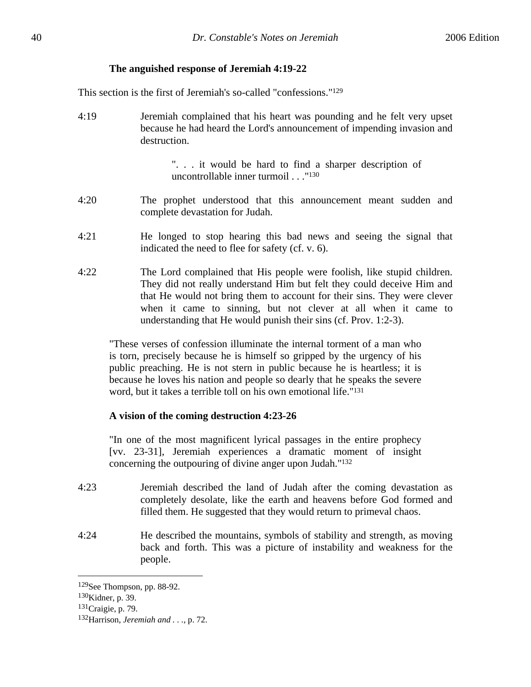## **The anguished response of Jeremiah 4:19-22**

This section is the first of Jeremiah's so-called "confessions."129

4:19 Jeremiah complained that his heart was pounding and he felt very upset because he had heard the Lord's announcement of impending invasion and destruction.

> ". . . it would be hard to find a sharper description of uncontrollable inner turmoil . . ."130

- 4:20 The prophet understood that this announcement meant sudden and complete devastation for Judah.
- 4:21 He longed to stop hearing this bad news and seeing the signal that indicated the need to flee for safety (cf. v. 6).
- 4:22 The Lord complained that His people were foolish, like stupid children. They did not really understand Him but felt they could deceive Him and that He would not bring them to account for their sins. They were clever when it came to sinning, but not clever at all when it came to understanding that He would punish their sins (cf. Prov. 1:2-3).

"These verses of confession illuminate the internal torment of a man who is torn, precisely because he is himself so gripped by the urgency of his public preaching. He is not stern in public because he is heartless; it is because he loves his nation and people so dearly that he speaks the severe word, but it takes a terrible toll on his own emotional life."131

# **A vision of the coming destruction 4:23-26**

"In one of the most magnificent lyrical passages in the entire prophecy [vv. 23-31], Jeremiah experiences a dramatic moment of insight concerning the outpouring of divine anger upon Judah."132

- 4:23 Jeremiah described the land of Judah after the coming devastation as completely desolate, like the earth and heavens before God formed and filled them. He suggested that they would return to primeval chaos.
- 4:24 He described the mountains, symbols of stability and strength, as moving back and forth. This was a picture of instability and weakness for the people.

<sup>129</sup>See Thompson, pp. 88-92.

<sup>130</sup>Kidner, p. 39.

<sup>131</sup>Craigie, p. 79.

<sup>132</sup>Harrison, *Jeremiah and . . .*, p. 72.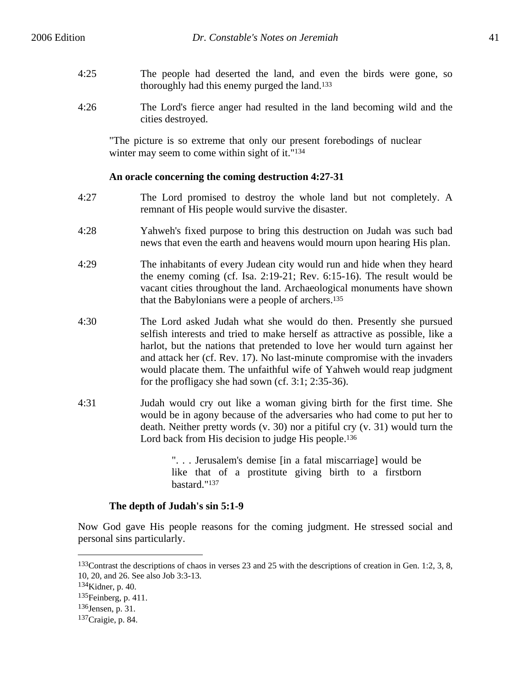- 4:25 The people had deserted the land, and even the birds were gone, so thoroughly had this enemy purged the land.133
- 4:26 The Lord's fierce anger had resulted in the land becoming wild and the cities destroyed.

"The picture is so extreme that only our present forebodings of nuclear winter may seem to come within sight of it."134

## **An oracle concerning the coming destruction 4:27-31**

- 4:27 The Lord promised to destroy the whole land but not completely. A remnant of His people would survive the disaster.
- 4:28 Yahweh's fixed purpose to bring this destruction on Judah was such bad news that even the earth and heavens would mourn upon hearing His plan.
- 4:29 The inhabitants of every Judean city would run and hide when they heard the enemy coming (cf. Isa. 2:19-21; Rev. 6:15-16). The result would be vacant cities throughout the land. Archaeological monuments have shown that the Babylonians were a people of archers.135
- 4:30 The Lord asked Judah what she would do then. Presently she pursued selfish interests and tried to make herself as attractive as possible, like a harlot, but the nations that pretended to love her would turn against her and attack her (cf. Rev. 17). No last-minute compromise with the invaders would placate them. The unfaithful wife of Yahweh would reap judgment for the profligacy she had sown (cf. 3:1; 2:35-36).
- 4:31 Judah would cry out like a woman giving birth for the first time. She would be in agony because of the adversaries who had come to put her to death. Neither pretty words (v. 30) nor a pitiful cry (v. 31) would turn the Lord back from His decision to judge His people.<sup>136</sup>

". . . Jerusalem's demise [in a fatal miscarriage] would be like that of a prostitute giving birth to a firstborn bastard."137

# **The depth of Judah's sin 5:1-9**

Now God gave His people reasons for the coming judgment. He stressed social and personal sins particularly.

<sup>133</sup>Contrast the descriptions of chaos in verses 23 and 25 with the descriptions of creation in Gen. 1:2, 3, 8, 10, 20, and 26. See also Job 3:3-13.

<sup>134</sup>Kidner, p. 40.

<sup>135</sup>Feinberg, p. 411.

<sup>136</sup>Jensen, p. 31.

<sup>137</sup>Craigie, p. 84.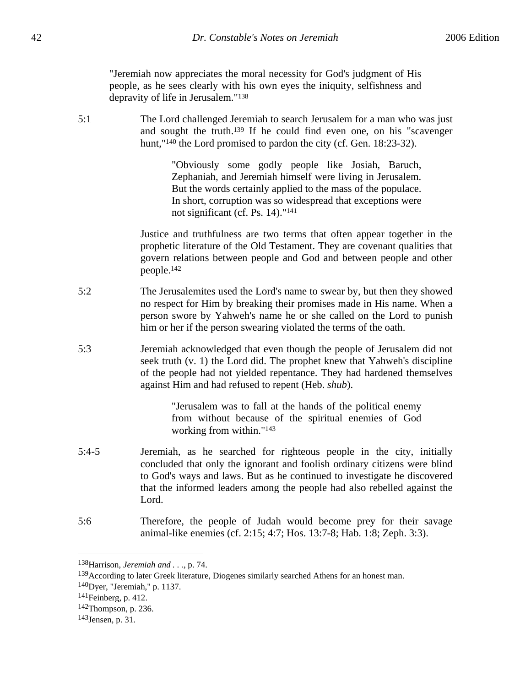"Jeremiah now appreciates the moral necessity for God's judgment of His people, as he sees clearly with his own eyes the iniquity, selfishness and depravity of life in Jerusalem."138

5:1 The Lord challenged Jeremiah to search Jerusalem for a man who was just and sought the truth.139 If he could find even one, on his "scavenger hunt,"<sup>140</sup> the Lord promised to pardon the city (cf. Gen. 18:23-32).

> "Obviously some godly people like Josiah, Baruch, Zephaniah, and Jeremiah himself were living in Jerusalem. But the words certainly applied to the mass of the populace. In short, corruption was so widespread that exceptions were not significant (cf. Ps. 14)."141

Justice and truthfulness are two terms that often appear together in the prophetic literature of the Old Testament. They are covenant qualities that govern relations between people and God and between people and other people.142

- 5:2 The Jerusalemites used the Lord's name to swear by, but then they showed no respect for Him by breaking their promises made in His name. When a person swore by Yahweh's name he or she called on the Lord to punish him or her if the person swearing violated the terms of the oath.
- 5:3 Jeremiah acknowledged that even though the people of Jerusalem did not seek truth (v. 1) the Lord did. The prophet knew that Yahweh's discipline of the people had not yielded repentance. They had hardened themselves against Him and had refused to repent (Heb. *shub*).

"Jerusalem was to fall at the hands of the political enemy from without because of the spiritual enemies of God working from within."143

- 5:4-5 Jeremiah, as he searched for righteous people in the city, initially concluded that only the ignorant and foolish ordinary citizens were blind to God's ways and laws. But as he continued to investigate he discovered that the informed leaders among the people had also rebelled against the Lord.
- 5:6 Therefore, the people of Judah would become prey for their savage animal-like enemies (cf. 2:15; 4:7; Hos. 13:7-8; Hab. 1:8; Zeph. 3:3).

<sup>138</sup>Harrison, *Jeremiah and . . .*, p. 74.

<sup>&</sup>lt;sup>139</sup>According to later Greek literature, Diogenes similarly searched Athens for an honest man.

<sup>140</sup>Dyer, "Jeremiah," p. 1137.

<sup>141</sup>Feinberg, p. 412.

<sup>142</sup>Thompson, p. 236.

<sup>143</sup>Jensen, p. 31.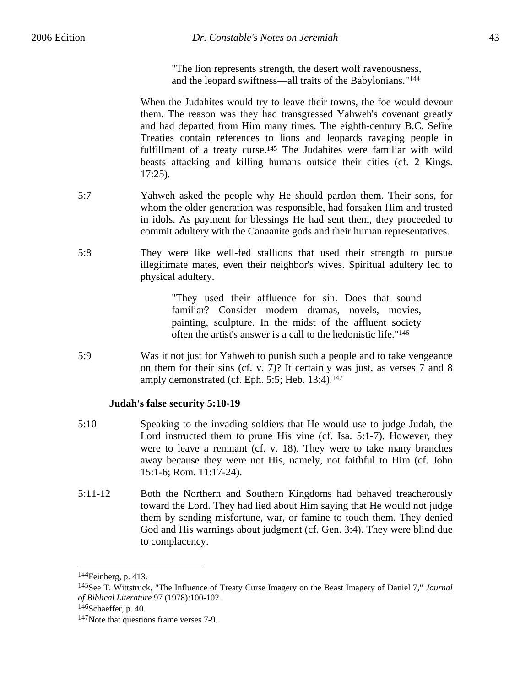"The lion represents strength, the desert wolf ravenousness, and the leopard swiftness—all traits of the Babylonians."144

When the Judahites would try to leave their towns, the foe would devour them. The reason was they had transgressed Yahweh's covenant greatly and had departed from Him many times. The eighth-century B.C. Sefire Treaties contain references to lions and leopards ravaging people in fulfillment of a treaty curse.<sup>145</sup> The Judahites were familiar with wild beasts attacking and killing humans outside their cities (cf. 2 Kings. 17:25).

- 5:7 Yahweh asked the people why He should pardon them. Their sons, for whom the older generation was responsible, had forsaken Him and trusted in idols. As payment for blessings He had sent them, they proceeded to commit adultery with the Canaanite gods and their human representatives.
- 5:8 They were like well-fed stallions that used their strength to pursue illegitimate mates, even their neighbor's wives. Spiritual adultery led to physical adultery.

"They used their affluence for sin. Does that sound familiar? Consider modern dramas, novels, movies, painting, sculpture. In the midst of the affluent society often the artist's answer is a call to the hedonistic life."146

5:9 Was it not just for Yahweh to punish such a people and to take vengeance on them for their sins (cf. v. 7)? It certainly was just, as verses 7 and 8 amply demonstrated (cf. Eph. 5:5; Heb. 13:4).147

### **Judah's false security 5:10-19**

- 5:10 Speaking to the invading soldiers that He would use to judge Judah, the Lord instructed them to prune His vine (cf. Isa. 5:1-7). However, they were to leave a remnant (cf. v. 18). They were to take many branches away because they were not His, namely, not faithful to Him (cf. John 15:1-6; Rom. 11:17-24).
- 5:11-12 Both the Northern and Southern Kingdoms had behaved treacherously toward the Lord. They had lied about Him saying that He would not judge them by sending misfortune, war, or famine to touch them. They denied God and His warnings about judgment (cf. Gen. 3:4). They were blind due to complacency.

1

<sup>144</sup>Feinberg, p. 413.

<sup>145</sup>See T. Wittstruck, "The Influence of Treaty Curse Imagery on the Beast Imagery of Daniel 7," *Journal of Biblical Literature* 97 (1978):100-102.

<sup>146</sup>Schaeffer, p. 40.

<sup>147</sup>Note that questions frame verses 7-9.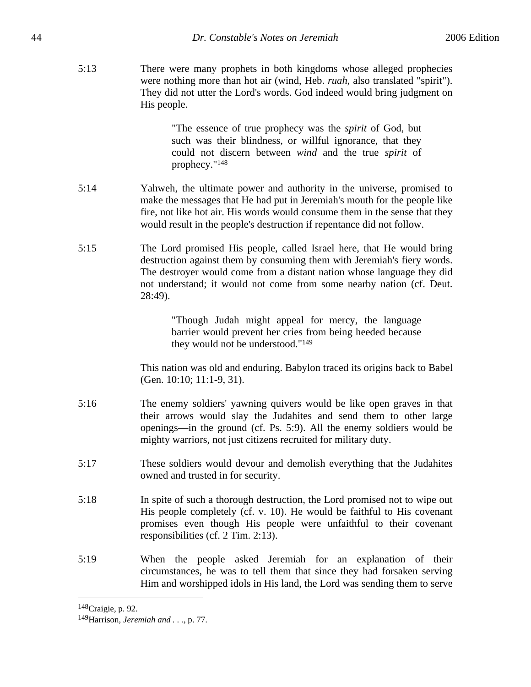5:13 There were many prophets in both kingdoms whose alleged prophecies were nothing more than hot air (wind, Heb. *ruah*, also translated "spirit"). They did not utter the Lord's words. God indeed would bring judgment on His people.

> "The essence of true prophecy was the *spirit* of God, but such was their blindness, or willful ignorance, that they could not discern between *wind* and the true *spirit* of prophecy."148

- 5:14 Yahweh, the ultimate power and authority in the universe, promised to make the messages that He had put in Jeremiah's mouth for the people like fire, not like hot air. His words would consume them in the sense that they would result in the people's destruction if repentance did not follow.
- 5:15 The Lord promised His people, called Israel here, that He would bring destruction against them by consuming them with Jeremiah's fiery words. The destroyer would come from a distant nation whose language they did not understand; it would not come from some nearby nation (cf. Deut. 28:49).

"Though Judah might appeal for mercy, the language barrier would prevent her cries from being heeded because they would not be understood."149

This nation was old and enduring. Babylon traced its origins back to Babel (Gen. 10:10; 11:1-9, 31).

- 5:16 The enemy soldiers' yawning quivers would be like open graves in that their arrows would slay the Judahites and send them to other large openings—in the ground (cf. Ps. 5:9). All the enemy soldiers would be mighty warriors, not just citizens recruited for military duty.
- 5:17 These soldiers would devour and demolish everything that the Judahites owned and trusted in for security.
- 5:18 In spite of such a thorough destruction, the Lord promised not to wipe out His people completely (cf. v. 10). He would be faithful to His covenant promises even though His people were unfaithful to their covenant responsibilities (cf. 2 Tim. 2:13).
- 5:19 When the people asked Jeremiah for an explanation of their circumstances, he was to tell them that since they had forsaken serving Him and worshipped idols in His land, the Lord was sending them to serve

<sup>148</sup>Craigie, p. 92.

<sup>149</sup>Harrison, *Jeremiah and . . .*, p. 77.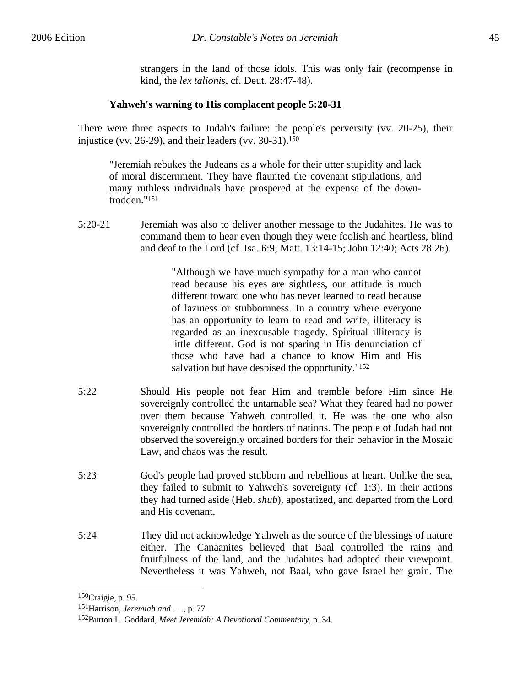strangers in the land of those idols. This was only fair (recompense in kind, the *lex talionis*, cf. Deut. 28:47-48).

# **Yahweh's warning to His complacent people 5:20-31**

There were three aspects to Judah's failure: the people's perversity (vv. 20-25), their injustice (vv. 26-29), and their leaders (vv. 30-31). $150$ 

"Jeremiah rebukes the Judeans as a whole for their utter stupidity and lack of moral discernment. They have flaunted the covenant stipulations, and many ruthless individuals have prospered at the expense of the downtrodden."151

5:20-21 Jeremiah was also to deliver another message to the Judahites. He was to command them to hear even though they were foolish and heartless, blind and deaf to the Lord (cf. Isa. 6:9; Matt. 13:14-15; John 12:40; Acts 28:26).

> "Although we have much sympathy for a man who cannot read because his eyes are sightless, our attitude is much different toward one who has never learned to read because of laziness or stubbornness. In a country where everyone has an opportunity to learn to read and write, illiteracy is regarded as an inexcusable tragedy. Spiritual illiteracy is little different. God is not sparing in His denunciation of those who have had a chance to know Him and His salvation but have despised the opportunity."152

- 5:22 Should His people not fear Him and tremble before Him since He sovereignly controlled the untamable sea? What they feared had no power over them because Yahweh controlled it. He was the one who also sovereignly controlled the borders of nations. The people of Judah had not observed the sovereignly ordained borders for their behavior in the Mosaic Law, and chaos was the result.
- 5:23 God's people had proved stubborn and rebellious at heart. Unlike the sea, they failed to submit to Yahweh's sovereignty (cf. 1:3). In their actions they had turned aside (Heb. *shub*), apostatized, and departed from the Lord and His covenant.
- 5:24 They did not acknowledge Yahweh as the source of the blessings of nature either. The Canaanites believed that Baal controlled the rains and fruitfulness of the land, and the Judahites had adopted their viewpoint. Nevertheless it was Yahweh, not Baal, who gave Israel her grain. The

<sup>150</sup>Craigie, p. 95.

<sup>151</sup>Harrison, *Jeremiah and . . .*, p. 77.

<sup>152</sup>Burton L. Goddard, *Meet Jeremiah: A Devotional Commentary*, p. 34.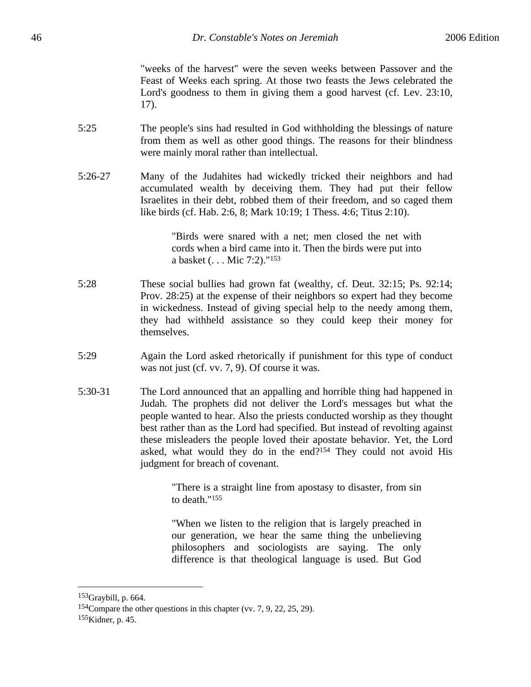"weeks of the harvest" were the seven weeks between Passover and the Feast of Weeks each spring. At those two feasts the Jews celebrated the Lord's goodness to them in giving them a good harvest (cf. Lev. 23:10, 17).

- 5:25 The people's sins had resulted in God withholding the blessings of nature from them as well as other good things. The reasons for their blindness were mainly moral rather than intellectual.
- 5:26-27 Many of the Judahites had wickedly tricked their neighbors and had accumulated wealth by deceiving them. They had put their fellow Israelites in their debt, robbed them of their freedom, and so caged them like birds (cf. Hab. 2:6, 8; Mark 10:19; 1 Thess. 4:6; Titus 2:10).

"Birds were snared with a net; men closed the net with cords when a bird came into it. Then the birds were put into a basket (. . . Mic 7:2)."153

- 5:28 These social bullies had grown fat (wealthy, cf. Deut. 32:15; Ps. 92:14; Prov. 28:25) at the expense of their neighbors so expert had they become in wickedness. Instead of giving special help to the needy among them, they had withheld assistance so they could keep their money for themselves.
- 5:29 Again the Lord asked rhetorically if punishment for this type of conduct was not just (cf. vv. 7, 9). Of course it was.
- 5:30-31 The Lord announced that an appalling and horrible thing had happened in Judah. The prophets did not deliver the Lord's messages but what the people wanted to hear. Also the priests conducted worship as they thought best rather than as the Lord had specified. But instead of revolting against these misleaders the people loved their apostate behavior. Yet, the Lord asked, what would they do in the end?154 They could not avoid His judgment for breach of covenant.

"There is a straight line from apostasy to disaster, from sin to death."155

"When we listen to the religion that is largely preached in our generation, we hear the same thing the unbelieving philosophers and sociologists are saying. The only difference is that theological language is used. But God

<sup>153</sup>Graybill, p. 664.

<sup>154</sup>Compare the other questions in this chapter (vv. 7, 9, 22, 25, 29). 155Kidner, p. 45.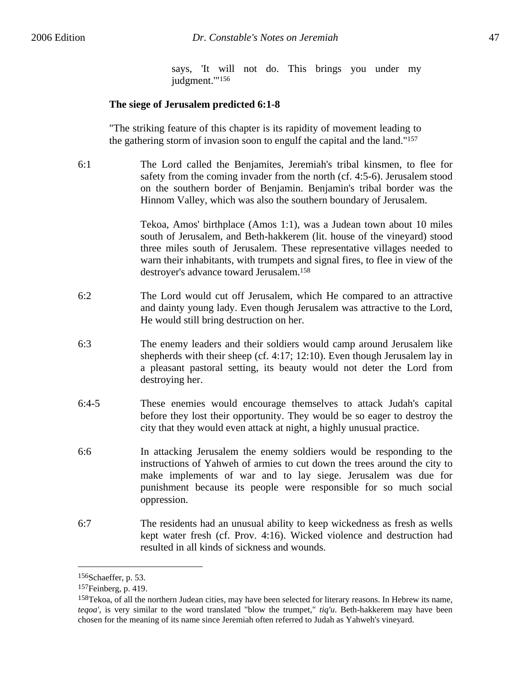says, 'It will not do. This brings you under my judgment.'"156

#### **The siege of Jerusalem predicted 6:1-8**

"The striking feature of this chapter is its rapidity of movement leading to the gathering storm of invasion soon to engulf the capital and the land."157

6:1 The Lord called the Benjamites, Jeremiah's tribal kinsmen, to flee for safety from the coming invader from the north (cf. 4:5-6). Jerusalem stood on the southern border of Benjamin. Benjamin's tribal border was the Hinnom Valley, which was also the southern boundary of Jerusalem.

> Tekoa, Amos' birthplace (Amos 1:1), was a Judean town about 10 miles south of Jerusalem, and Beth-hakkerem (lit. house of the vineyard) stood three miles south of Jerusalem. These representative villages needed to warn their inhabitants, with trumpets and signal fires, to flee in view of the destroyer's advance toward Jerusalem.158

- 6:2 The Lord would cut off Jerusalem, which He compared to an attractive and dainty young lady. Even though Jerusalem was attractive to the Lord, He would still bring destruction on her.
- 6:3 The enemy leaders and their soldiers would camp around Jerusalem like shepherds with their sheep (cf. 4:17; 12:10). Even though Jerusalem lay in a pleasant pastoral setting, its beauty would not deter the Lord from destroying her.
- 6:4-5 These enemies would encourage themselves to attack Judah's capital before they lost their opportunity. They would be so eager to destroy the city that they would even attack at night, a highly unusual practice.
- 6:6 In attacking Jerusalem the enemy soldiers would be responding to the instructions of Yahweh of armies to cut down the trees around the city to make implements of war and to lay siege. Jerusalem was due for punishment because its people were responsible for so much social oppression.
- 6:7 The residents had an unusual ability to keep wickedness as fresh as wells kept water fresh (cf. Prov. 4:16). Wicked violence and destruction had resulted in all kinds of sickness and wounds.

<sup>156</sup>Schaeffer, p. 53.

<sup>157</sup>Feinberg, p. 419.

<sup>158</sup>Tekoa, of all the northern Judean cities, may have been selected for literary reasons. In Hebrew its name, *teqoa'*, is very similar to the word translated "blow the trumpet," *tiq'u*. Beth-hakkerem may have been chosen for the meaning of its name since Jeremiah often referred to Judah as Yahweh's vineyard.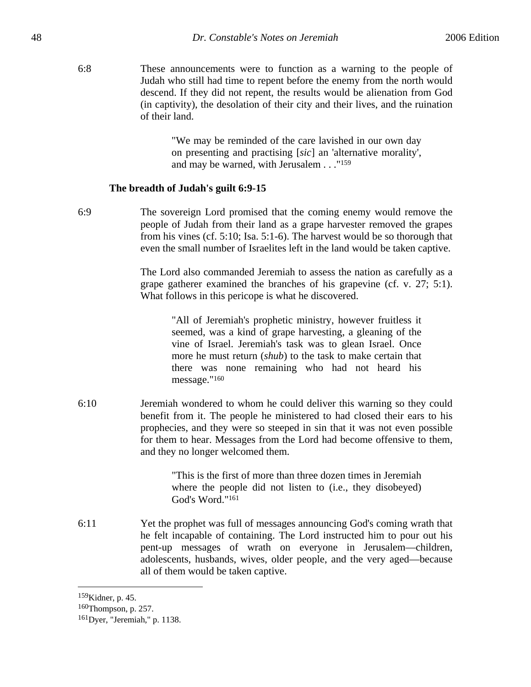6:8 These announcements were to function as a warning to the people of Judah who still had time to repent before the enemy from the north would descend. If they did not repent, the results would be alienation from God (in captivity), the desolation of their city and their lives, and the ruination of their land.

> "We may be reminded of the care lavished in our own day on presenting and practising [*sic*] an 'alternative morality', and may be warned, with Jerusalem . . ."159

#### **The breadth of Judah's guilt 6:9-15**

6:9 The sovereign Lord promised that the coming enemy would remove the people of Judah from their land as a grape harvester removed the grapes from his vines (cf. 5:10; Isa. 5:1-6). The harvest would be so thorough that even the small number of Israelites left in the land would be taken captive.

> The Lord also commanded Jeremiah to assess the nation as carefully as a grape gatherer examined the branches of his grapevine (cf. v. 27; 5:1). What follows in this pericope is what he discovered.

> > "All of Jeremiah's prophetic ministry, however fruitless it seemed, was a kind of grape harvesting, a gleaning of the vine of Israel. Jeremiah's task was to glean Israel. Once more he must return (*shub*) to the task to make certain that there was none remaining who had not heard his message."160

6:10 Jeremiah wondered to whom he could deliver this warning so they could benefit from it. The people he ministered to had closed their ears to his prophecies, and they were so steeped in sin that it was not even possible for them to hear. Messages from the Lord had become offensive to them, and they no longer welcomed them.

> "This is the first of more than three dozen times in Jeremiah where the people did not listen to (i.e., they disobeyed) God's Word."161

6:11 Yet the prophet was full of messages announcing God's coming wrath that he felt incapable of containing. The Lord instructed him to pour out his pent-up messages of wrath on everyone in Jerusalem—children, adolescents, husbands, wives, older people, and the very aged—because all of them would be taken captive.

1

<sup>159</sup>Kidner, p. 45.

<sup>160</sup>Thompson, p. 257.

<sup>161</sup>Dyer, "Jeremiah," p. 1138.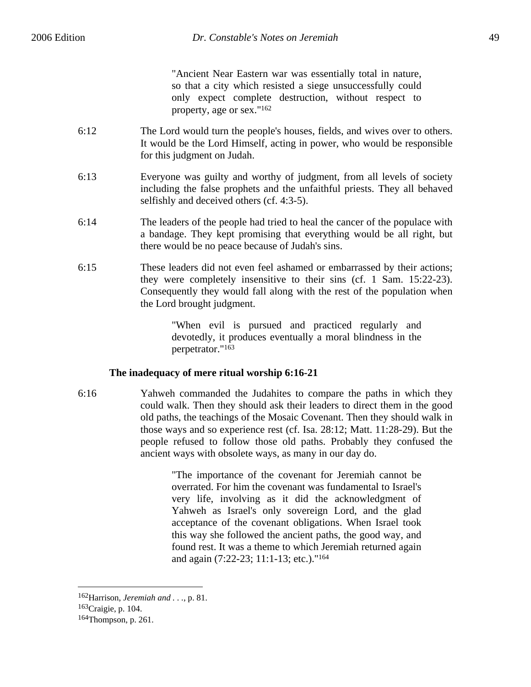"Ancient Near Eastern war was essentially total in nature, so that a city which resisted a siege unsuccessfully could only expect complete destruction, without respect to property, age or sex."162

- 6:12 The Lord would turn the people's houses, fields, and wives over to others. It would be the Lord Himself, acting in power, who would be responsible for this judgment on Judah.
- 6:13 Everyone was guilty and worthy of judgment, from all levels of society including the false prophets and the unfaithful priests. They all behaved selfishly and deceived others (cf. 4:3-5).
- 6:14 The leaders of the people had tried to heal the cancer of the populace with a bandage. They kept promising that everything would be all right, but there would be no peace because of Judah's sins.
- 6:15 These leaders did not even feel ashamed or embarrassed by their actions; they were completely insensitive to their sins (cf. 1 Sam. 15:22-23). Consequently they would fall along with the rest of the population when the Lord brought judgment.

"When evil is pursued and practiced regularly and devotedly, it produces eventually a moral blindness in the perpetrator."163

# **The inadequacy of mere ritual worship 6:16-21**

6:16 Yahweh commanded the Judahites to compare the paths in which they could walk. Then they should ask their leaders to direct them in the good old paths, the teachings of the Mosaic Covenant. Then they should walk in those ways and so experience rest (cf. Isa. 28:12; Matt. 11:28-29). But the people refused to follow those old paths. Probably they confused the ancient ways with obsolete ways, as many in our day do.

> "The importance of the covenant for Jeremiah cannot be overrated. For him the covenant was fundamental to Israel's very life, involving as it did the acknowledgment of Yahweh as Israel's only sovereign Lord, and the glad acceptance of the covenant obligations. When Israel took this way she followed the ancient paths, the good way, and found rest. It was a theme to which Jeremiah returned again and again (7:22-23; 11:1-13; etc.)."164

<sup>162</sup>Harrison, *Jeremiah and . . .*, p. 81.

<sup>163</sup>Craigie, p. 104.

<sup>164</sup>Thompson, p. 261.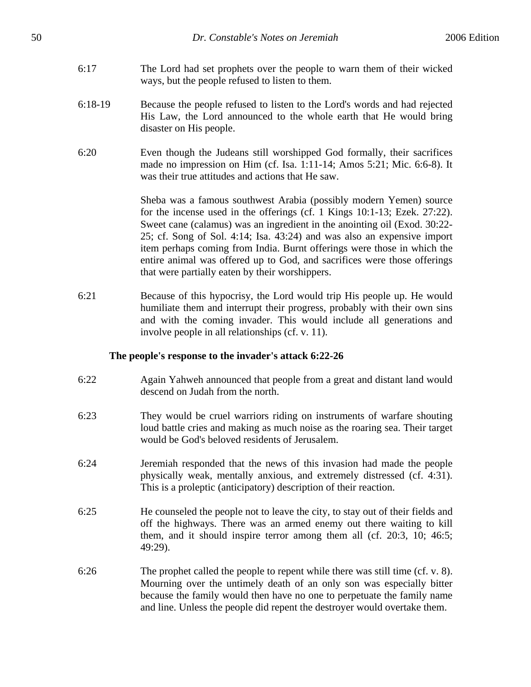- 6:17 The Lord had set prophets over the people to warn them of their wicked ways, but the people refused to listen to them.
- 6:18-19 Because the people refused to listen to the Lord's words and had rejected His Law, the Lord announced to the whole earth that He would bring disaster on His people.
- 6:20 Even though the Judeans still worshipped God formally, their sacrifices made no impression on Him (cf. Isa. 1:11-14; Amos 5:21; Mic. 6:6-8). It was their true attitudes and actions that He saw.

Sheba was a famous southwest Arabia (possibly modern Yemen) source for the incense used in the offerings (cf. 1 Kings 10:1-13; Ezek. 27:22). Sweet cane (calamus) was an ingredient in the anointing oil (Exod. 30:22- 25; cf. Song of Sol. 4:14; Isa. 43:24) and was also an expensive import item perhaps coming from India. Burnt offerings were those in which the entire animal was offered up to God, and sacrifices were those offerings that were partially eaten by their worshippers.

6:21 Because of this hypocrisy, the Lord would trip His people up. He would humiliate them and interrupt their progress, probably with their own sins and with the coming invader. This would include all generations and involve people in all relationships (cf. v. 11).

### **The people's response to the invader's attack 6:22-26**

- 6:22 Again Yahweh announced that people from a great and distant land would descend on Judah from the north.
- 6:23 They would be cruel warriors riding on instruments of warfare shouting loud battle cries and making as much noise as the roaring sea. Their target would be God's beloved residents of Jerusalem.
- 6:24 Jeremiah responded that the news of this invasion had made the people physically weak, mentally anxious, and extremely distressed (cf. 4:31). This is a proleptic (anticipatory) description of their reaction.
- 6:25 He counseled the people not to leave the city, to stay out of their fields and off the highways. There was an armed enemy out there waiting to kill them, and it should inspire terror among them all (cf. 20:3, 10; 46:5; 49:29).
- 6:26 The prophet called the people to repent while there was still time (cf. v. 8). Mourning over the untimely death of an only son was especially bitter because the family would then have no one to perpetuate the family name and line. Unless the people did repent the destroyer would overtake them.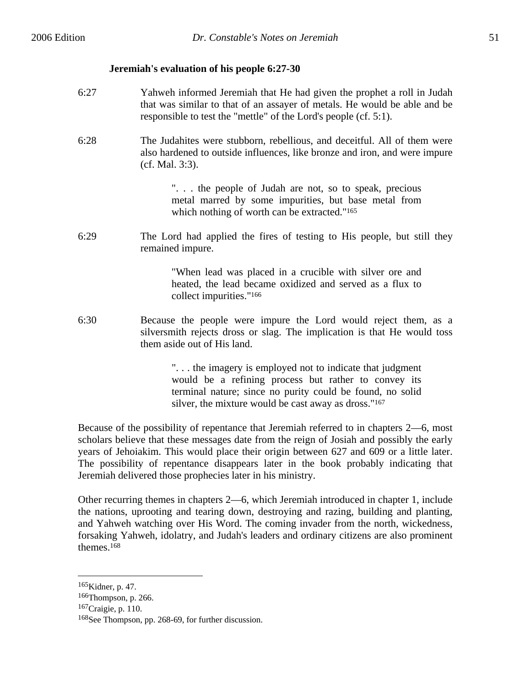### **Jeremiah's evaluation of his people 6:27-30**

- 6:27 Yahweh informed Jeremiah that He had given the prophet a roll in Judah that was similar to that of an assayer of metals. He would be able and be responsible to test the "mettle" of the Lord's people (cf. 5:1).
- 6:28 The Judahites were stubborn, rebellious, and deceitful. All of them were also hardened to outside influences, like bronze and iron, and were impure (cf. Mal. 3:3).

". . . the people of Judah are not, so to speak, precious metal marred by some impurities, but base metal from which nothing of worth can be extracted."<sup>165</sup>

6:29 The Lord had applied the fires of testing to His people, but still they remained impure.

> "When lead was placed in a crucible with silver ore and heated, the lead became oxidized and served as a flux to collect impurities."166

6:30 Because the people were impure the Lord would reject them, as a silversmith rejects dross or slag. The implication is that He would toss them aside out of His land.

> ". . . the imagery is employed not to indicate that judgment would be a refining process but rather to convey its terminal nature; since no purity could be found, no solid silver, the mixture would be cast away as dross."167

Because of the possibility of repentance that Jeremiah referred to in chapters 2—6, most scholars believe that these messages date from the reign of Josiah and possibly the early years of Jehoiakim. This would place their origin between 627 and 609 or a little later. The possibility of repentance disappears later in the book probably indicating that Jeremiah delivered those prophecies later in his ministry.

Other recurring themes in chapters 2—6, which Jeremiah introduced in chapter 1, include the nations, uprooting and tearing down, destroying and razing, building and planting, and Yahweh watching over His Word. The coming invader from the north, wickedness, forsaking Yahweh, idolatry, and Judah's leaders and ordinary citizens are also prominent themes.168

<sup>165</sup>Kidner, p. 47.

<sup>166</sup>Thompson, p. 266.

<sup>167</sup>Craigie, p. 110.

<sup>168</sup>See Thompson, pp. 268-69, for further discussion.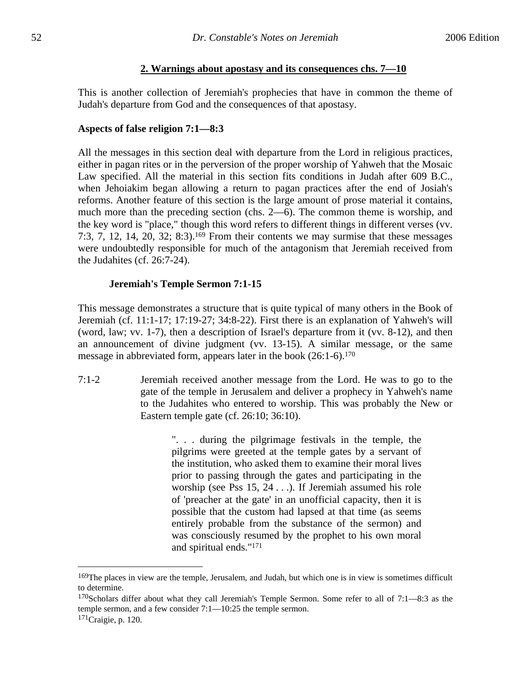## **2. Warnings about apostasy and its consequences chs. 7—10**

This is another collection of Jeremiah's prophecies that have in common the theme of Judah's departure from God and the consequences of that apostasy.

# **Aspects of false religion 7:1—8:3**

All the messages in this section deal with departure from the Lord in religious practices, either in pagan rites or in the perversion of the proper worship of Yahweh that the Mosaic Law specified. All the material in this section fits conditions in Judah after 609 B.C., when Jehoiakim began allowing a return to pagan practices after the end of Josiah's reforms. Another feature of this section is the large amount of prose material it contains, much more than the preceding section (chs. 2—6). The common theme is worship, and the key word is "place," though this word refers to different things in different verses (vv. 7:3, 7, 12, 14, 20, 32; 8:3).<sup>169</sup> From their contents we may surmise that these messages were undoubtedly responsible for much of the antagonism that Jeremiah received from the Judahites (cf. 26:7-24).

# **Jeremiah's Temple Sermon 7:1-15**

This message demonstrates a structure that is quite typical of many others in the Book of Jeremiah (cf. 11:1-17; 17:19-27; 34:8-22). First there is an explanation of Yahweh's will (word, law; vv. 1-7), then a description of Israel's departure from it (vv. 8-12), and then an announcement of divine judgment (vv. 13-15). A similar message, or the same message in abbreviated form, appears later in the book (26:1-6).170

7:1-2 Jeremiah received another message from the Lord. He was to go to the gate of the temple in Jerusalem and deliver a prophecy in Yahweh's name to the Judahites who entered to worship. This was probably the New or Eastern temple gate (cf. 26:10; 36:10).

> ". . . during the pilgrimage festivals in the temple, the pilgrims were greeted at the temple gates by a servant of the institution, who asked them to examine their moral lives prior to passing through the gates and participating in the worship (see Pss 15, 24 . . .). If Jeremiah assumed his role of 'preacher at the gate' in an unofficial capacity, then it is possible that the custom had lapsed at that time (as seems entirely probable from the substance of the sermon) and was consciously resumed by the prophet to his own moral and spiritual ends."171

1

<sup>&</sup>lt;sup>169</sup>The places in view are the temple, Jerusalem, and Judah, but which one is in view is sometimes difficult to determine.

 $170$ Scholars differ about what they call Jeremiah's Temple Sermon. Some refer to all of 7:1—8:3 as the temple sermon, and a few consider 7:1—10:25 the temple sermon.

<sup>171</sup>Craigie, p. 120.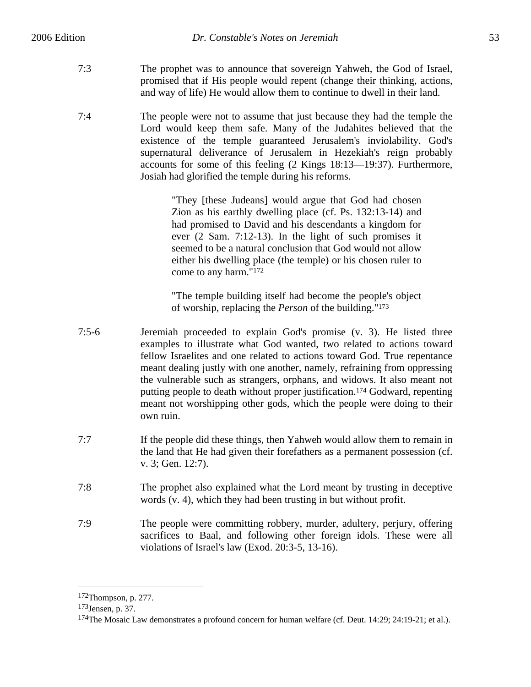- 7:3 The prophet was to announce that sovereign Yahweh, the God of Israel, promised that if His people would repent (change their thinking, actions, and way of life) He would allow them to continue to dwell in their land.
- 7:4 The people were not to assume that just because they had the temple the Lord would keep them safe. Many of the Judahites believed that the existence of the temple guaranteed Jerusalem's inviolability. God's supernatural deliverance of Jerusalem in Hezekiah's reign probably accounts for some of this feeling (2 Kings 18:13—19:37). Furthermore, Josiah had glorified the temple during his reforms.

"They [these Judeans] would argue that God had chosen Zion as his earthly dwelling place (cf. Ps. 132:13-14) and had promised to David and his descendants a kingdom for ever (2 Sam. 7:12-13). In the light of such promises it seemed to be a natural conclusion that God would not allow either his dwelling place (the temple) or his chosen ruler to come to any harm."172

"The temple building itself had become the people's object of worship, replacing the *Person* of the building."173

- 7:5-6 Jeremiah proceeded to explain God's promise (v. 3). He listed three examples to illustrate what God wanted, two related to actions toward fellow Israelites and one related to actions toward God. True repentance meant dealing justly with one another, namely, refraining from oppressing the vulnerable such as strangers, orphans, and widows. It also meant not putting people to death without proper justification.174 Godward, repenting meant not worshipping other gods, which the people were doing to their own ruin.
- 7:7 If the people did these things, then Yahweh would allow them to remain in the land that He had given their forefathers as a permanent possession (cf. v. 3; Gen. 12:7).
- 7:8 The prophet also explained what the Lord meant by trusting in deceptive words (v. 4), which they had been trusting in but without profit.
- 7:9 The people were committing robbery, murder, adultery, perjury, offering sacrifices to Baal, and following other foreign idols. These were all violations of Israel's law (Exod. 20:3-5, 13-16).

1

<sup>172</sup>Thompson, p. 277.

<sup>173</sup>Jensen, p. 37.

<sup>174</sup>The Mosaic Law demonstrates a profound concern for human welfare (cf. Deut. 14:29; 24:19-21; et al.).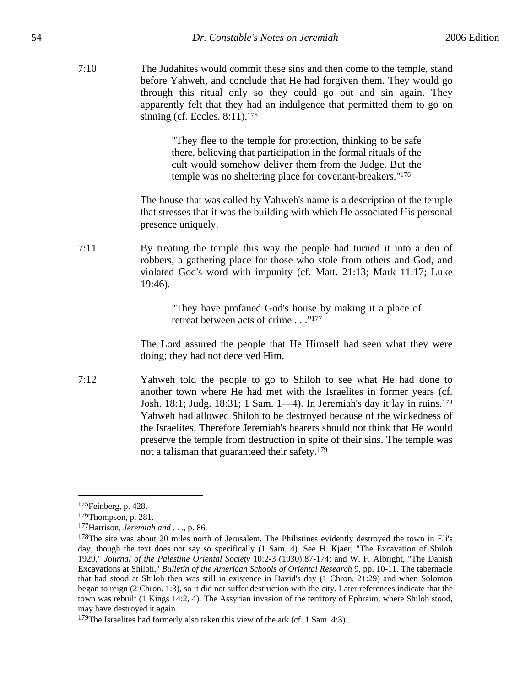7:10 The Judahites would commit these sins and then come to the temple, stand before Yahweh, and conclude that He had forgiven them. They would go through this ritual only so they could go out and sin again. They apparently felt that they had an indulgence that permitted them to go on sinning (cf. Eccles. 8:11).<sup>175</sup>

> "They flee to the temple for protection, thinking to be safe there, believing that participation in the formal rituals of the cult would somehow deliver them from the Judge. But the temple was no sheltering place for covenant-breakers."176

The house that was called by Yahweh's name is a description of the temple that stresses that it was the building with which He associated His personal presence uniquely.

7:11 By treating the temple this way the people had turned it into a den of robbers, a gathering place for those who stole from others and God, and violated God's word with impunity (cf. Matt. 21:13; Mark 11:17; Luke 19:46).

> "They have profaned God's house by making it a place of retreat between acts of crime . . ."177

The Lord assured the people that He Himself had seen what they were doing; they had not deceived Him.

7:12 Yahweh told the people to go to Shiloh to see what He had done to another town where He had met with the Israelites in former years (cf. Josh. 18:1; Judg. 18:31; 1 Sam. 1—4). In Jeremiah's day it lay in ruins.178 Yahweh had allowed Shiloh to be destroyed because of the wickedness of the Israelites. Therefore Jeremiah's hearers should not think that He would preserve the temple from destruction in spite of their sins. The temple was not a talisman that guaranteed their safety.179

<sup>175</sup>Feinberg, p. 428.

<sup>176</sup>Thompson, p. 281.

<sup>177</sup>Harrison, *Jeremiah and . . .*, p. 86.

<sup>&</sup>lt;sup>178</sup>The site was about 20 miles north of Jerusalem. The Philistines evidently destroyed the town in Eli's day, though the text does not say so specifically (1 Sam. 4). See H. Kjaer, "The Excavation of Shiloh 1929," *Journal of the Palestine Oriental Society* 10:2-3 (1930):87-174; and W. F. Albright, "The Danish Excavations at Shiloh," *Bulletin of the American Schools of Oriental Research* 9, pp. 10-11. The tabernacle that had stood at Shiloh then was still in existence in David's day (1 Chron. 21:29) and when Solomon began to reign (2 Chron. 1:3), so it did not suffer destruction with the city. Later references indicate that the town was rebuilt (1 Kings 14:2, 4). The Assyrian invasion of the territory of Ephraim, where Shiloh stood, may have destroyed it again.

<sup>&</sup>lt;sup>179</sup>The Israelites had formerly also taken this view of the ark (cf. 1 Sam. 4:3).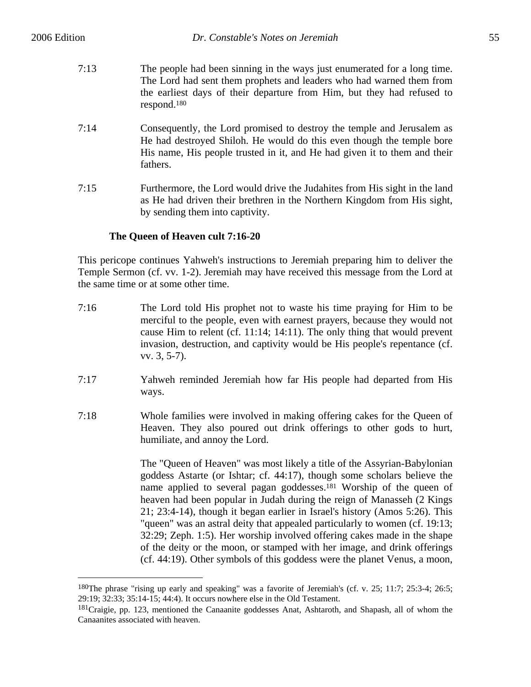$\overline{a}$ 

- 7:13 The people had been sinning in the ways just enumerated for a long time. The Lord had sent them prophets and leaders who had warned them from the earliest days of their departure from Him, but they had refused to respond.180
- 7:14 Consequently, the Lord promised to destroy the temple and Jerusalem as He had destroyed Shiloh. He would do this even though the temple bore His name, His people trusted in it, and He had given it to them and their fathers.
- 7:15 Furthermore, the Lord would drive the Judahites from His sight in the land as He had driven their brethren in the Northern Kingdom from His sight, by sending them into captivity.

# **The Queen of Heaven cult 7:16-20**

This pericope continues Yahweh's instructions to Jeremiah preparing him to deliver the Temple Sermon (cf. vv. 1-2). Jeremiah may have received this message from the Lord at the same time or at some other time.

- 7:16 The Lord told His prophet not to waste his time praying for Him to be merciful to the people, even with earnest prayers, because they would not cause Him to relent (cf. 11:14; 14:11). The only thing that would prevent invasion, destruction, and captivity would be His people's repentance (cf. vv. 3, 5-7).
- 7:17 Yahweh reminded Jeremiah how far His people had departed from His ways.
- 7:18 Whole families were involved in making offering cakes for the Queen of Heaven. They also poured out drink offerings to other gods to hurt, humiliate, and annoy the Lord.

The "Queen of Heaven" was most likely a title of the Assyrian-Babylonian goddess Astarte (or Ishtar; cf. 44:17), though some scholars believe the name applied to several pagan goddesses.181 Worship of the queen of heaven had been popular in Judah during the reign of Manasseh (2 Kings 21; 23:4-14), though it began earlier in Israel's history (Amos 5:26). This "queen" was an astral deity that appealed particularly to women (cf. 19:13; 32:29; Zeph. 1:5). Her worship involved offering cakes made in the shape of the deity or the moon, or stamped with her image, and drink offerings (cf. 44:19). Other symbols of this goddess were the planet Venus, a moon,

<sup>180</sup>The phrase "rising up early and speaking" was a favorite of Jeremiah's (cf. v. 25; 11:7; 25:3-4; 26:5; 29:19; 32:33; 35:14-15; 44:4). It occurs nowhere else in the Old Testament.

<sup>&</sup>lt;sup>181</sup>Craigie, pp. 123, mentioned the Canaanite goddesses Anat, Ashtaroth, and Shapash, all of whom the Canaanites associated with heaven.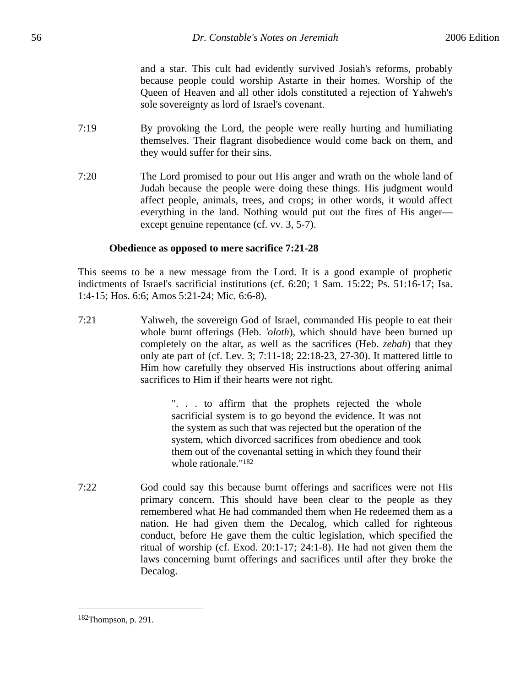and a star. This cult had evidently survived Josiah's reforms, probably because people could worship Astarte in their homes. Worship of the Queen of Heaven and all other idols constituted a rejection of Yahweh's sole sovereignty as lord of Israel's covenant.

- 7:19 By provoking the Lord, the people were really hurting and humiliating themselves. Their flagrant disobedience would come back on them, and they would suffer for their sins.
- 7:20 The Lord promised to pour out His anger and wrath on the whole land of Judah because the people were doing these things. His judgment would affect people, animals, trees, and crops; in other words, it would affect everything in the land. Nothing would put out the fires of His anger except genuine repentance (cf. vv. 3, 5-7).

## **Obedience as opposed to mere sacrifice 7:21-28**

This seems to be a new message from the Lord. It is a good example of prophetic indictments of Israel's sacrificial institutions (cf. 6:20; 1 Sam. 15:22; Ps. 51:16-17; Isa. 1:4-15; Hos. 6:6; Amos 5:21-24; Mic. 6:6-8).

7:21 Yahweh, the sovereign God of Israel, commanded His people to eat their whole burnt offerings (Heb. *'oloth*), which should have been burned up completely on the altar, as well as the sacrifices (Heb. *zebah*) that they only ate part of (cf. Lev. 3; 7:11-18; 22:18-23, 27-30). It mattered little to Him how carefully they observed His instructions about offering animal sacrifices to Him if their hearts were not right.

> ". . . to affirm that the prophets rejected the whole sacrificial system is to go beyond the evidence. It was not the system as such that was rejected but the operation of the system, which divorced sacrifices from obedience and took them out of the covenantal setting in which they found their whole rationale."182

7:22 God could say this because burnt offerings and sacrifices were not His primary concern. This should have been clear to the people as they remembered what He had commanded them when He redeemed them as a nation. He had given them the Decalog, which called for righteous conduct, before He gave them the cultic legislation, which specified the ritual of worship (cf. Exod. 20:1-17; 24:1-8). He had not given them the laws concerning burnt offerings and sacrifices until after they broke the Decalog.

<sup>182</sup>Thompson, p. 291.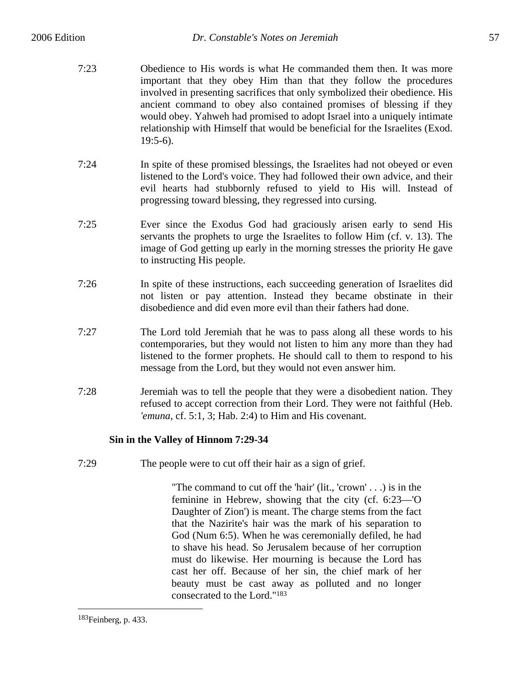- 7:23 Obedience to His words is what He commanded them then. It was more important that they obey Him than that they follow the procedures involved in presenting sacrifices that only symbolized their obedience. His ancient command to obey also contained promises of blessing if they would obey. Yahweh had promised to adopt Israel into a uniquely intimate relationship with Himself that would be beneficial for the Israelites (Exod. 19:5-6).
- 7:24 In spite of these promised blessings, the Israelites had not obeyed or even listened to the Lord's voice. They had followed their own advice, and their evil hearts had stubbornly refused to yield to His will. Instead of progressing toward blessing, they regressed into cursing.
- 7:25 Ever since the Exodus God had graciously arisen early to send His servants the prophets to urge the Israelites to follow Him (cf. v. 13). The image of God getting up early in the morning stresses the priority He gave to instructing His people.
- 7:26 In spite of these instructions, each succeeding generation of Israelites did not listen or pay attention. Instead they became obstinate in their disobedience and did even more evil than their fathers had done.
- 7:27 The Lord told Jeremiah that he was to pass along all these words to his contemporaries, but they would not listen to him any more than they had listened to the former prophets. He should call to them to respond to his message from the Lord, but they would not even answer him.
- 7:28 Jeremiah was to tell the people that they were a disobedient nation. They refused to accept correction from their Lord. They were not faithful (Heb. *'emuna*, cf. 5:1, 3; Hab. 2:4) to Him and His covenant.

# **Sin in the Valley of Hinnom 7:29-34**

7:29 The people were to cut off their hair as a sign of grief.

"The command to cut off the 'hair' (lit., 'crown' . . .) is in the feminine in Hebrew, showing that the city (cf. 6:23—'O Daughter of Zion') is meant. The charge stems from the fact that the Nazirite's hair was the mark of his separation to God (Num 6:5). When he was ceremonially defiled, he had to shave his head. So Jerusalem because of her corruption must do likewise. Her mourning is because the Lord has cast her off. Because of her sin, the chief mark of her beauty must be cast away as polluted and no longer consecrated to the Lord."183

<sup>183</sup>Feinberg, p. 433.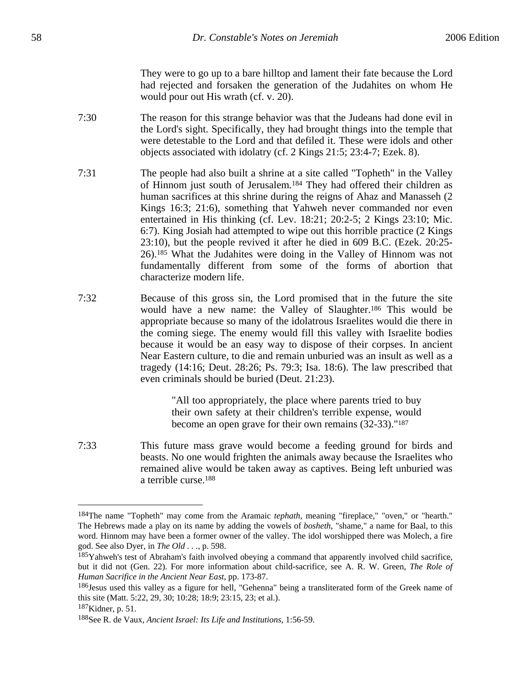They were to go up to a bare hilltop and lament their fate because the Lord had rejected and forsaken the generation of the Judahites on whom He would pour out His wrath (cf. v. 20).

- 7:30 The reason for this strange behavior was that the Judeans had done evil in the Lord's sight. Specifically, they had brought things into the temple that were detestable to the Lord and that defiled it. These were idols and other objects associated with idolatry (cf. 2 Kings 21:5; 23:4-7; Ezek. 8).
- 7:31 The people had also built a shrine at a site called "Topheth" in the Valley of Hinnom just south of Jerusalem.184 They had offered their children as human sacrifices at this shrine during the reigns of Ahaz and Manasseh (2 Kings 16:3; 21:6), something that Yahweh never commanded nor even entertained in His thinking (cf. Lev. 18:21; 20:2-5; 2 Kings 23:10; Mic. 6:7). King Josiah had attempted to wipe out this horrible practice (2 Kings 23:10), but the people revived it after he died in 609 B.C. (Ezek. 20:25- 26).185 What the Judahites were doing in the Valley of Hinnom was not fundamentally different from some of the forms of abortion that characterize modern life.
- 7:32 Because of this gross sin, the Lord promised that in the future the site would have a new name: the Valley of Slaughter.186 This would be appropriate because so many of the idolatrous Israelites would die there in the coming siege. The enemy would fill this valley with Israelite bodies because it would be an easy way to dispose of their corpses. In ancient Near Eastern culture, to die and remain unburied was an insult as well as a tragedy (14:16; Deut. 28:26; Ps. 79:3; Isa. 18:6). The law prescribed that even criminals should be buried (Deut. 21:23).

"All too appropriately, the place where parents tried to buy their own safety at their children's terrible expense, would become an open grave for their own remains (32-33)."187

7:33 This future mass grave would become a feeding ground for birds and beasts. No one would frighten the animals away because the Israelites who remained alive would be taken away as captives. Being left unburied was a terrible curse.188

<sup>184</sup>The name "Topheth" may come from the Aramaic *tephath*, meaning "fireplace," "oven," or "hearth." The Hebrews made a play on its name by adding the vowels of *bosheth*, "shame," a name for Baal, to this word. Hinnom may have been a former owner of the valley. The idol worshipped there was Molech, a fire god. See also Dyer, in *The Old . . .*, p. 598.

<sup>185</sup>Yahweh's test of Abraham's faith involved obeying a command that apparently involved child sacrifice, but it did not (Gen. 22). For more information about child-sacrifice, see A. R. W. Green, *The Role of Human Sacrifice in the Ancient Near East*, pp. 173-87.

<sup>186</sup>Jesus used this valley as a figure for hell, "Gehenna" being a transliterated form of the Greek name of this site (Matt. 5:22, 29, 30; 10:28; 18:9; 23:15, 23; et al.).

<sup>187</sup>Kidner, p. 51.

<sup>188</sup>See R. de Vaux, *Ancient Israel: Its Life and Institutions*, 1:56-59.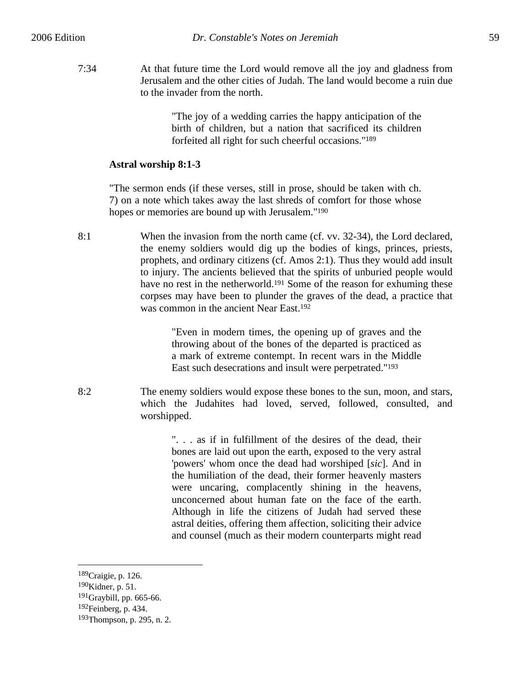7:34 At that future time the Lord would remove all the joy and gladness from Jerusalem and the other cities of Judah. The land would become a ruin due to the invader from the north.

> "The joy of a wedding carries the happy anticipation of the birth of children, but a nation that sacrificed its children forfeited all right for such cheerful occasions."189

## **Astral worship 8:1-3**

"The sermon ends (if these verses, still in prose, should be taken with ch. 7) on a note which takes away the last shreds of comfort for those whose hopes or memories are bound up with Jerusalem."190

8:1 When the invasion from the north came (cf. vv. 32-34), the Lord declared, the enemy soldiers would dig up the bodies of kings, princes, priests, prophets, and ordinary citizens (cf. Amos 2:1). Thus they would add insult to injury. The ancients believed that the spirits of unburied people would have no rest in the netherworld.<sup>191</sup> Some of the reason for exhuming these corpses may have been to plunder the graves of the dead, a practice that was common in the ancient Near East.192

> "Even in modern times, the opening up of graves and the throwing about of the bones of the departed is practiced as a mark of extreme contempt. In recent wars in the Middle East such desecrations and insult were perpetrated."193

8:2 The enemy soldiers would expose these bones to the sun, moon, and stars, which the Judahites had loved, served, followed, consulted, and worshipped.

> ". . . as if in fulfillment of the desires of the dead, their bones are laid out upon the earth, exposed to the very astral 'powers' whom once the dead had worshiped [*sic*]. And in the humiliation of the dead, their former heavenly masters were uncaring, complacently shining in the heavens, unconcerned about human fate on the face of the earth. Although in life the citizens of Judah had served these astral deities, offering them affection, soliciting their advice and counsel (much as their modern counterparts might read

<sup>189</sup>Craigie, p. 126.

<sup>190</sup>Kidner, p. 51.

 $191$ Graybill, pp. 665-66.

<sup>192</sup>Feinberg, p. 434.

<sup>193</sup>Thompson, p. 295, n. 2.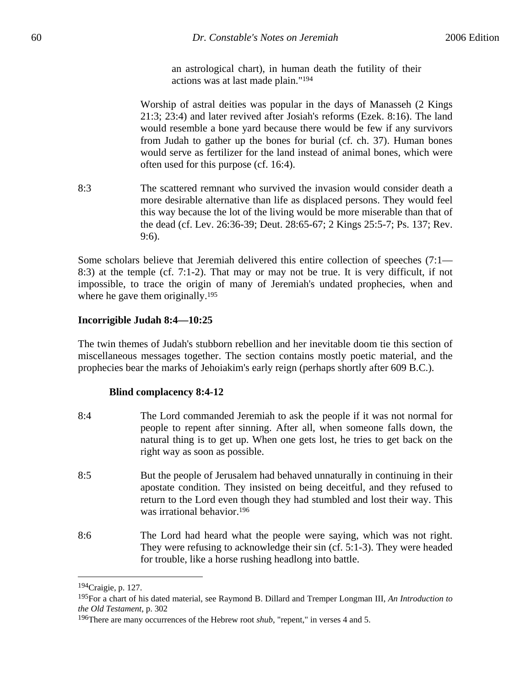an astrological chart), in human death the futility of their actions was at last made plain."194

Worship of astral deities was popular in the days of Manasseh (2 Kings 21:3; 23:4) and later revived after Josiah's reforms (Ezek. 8:16). The land would resemble a bone yard because there would be few if any survivors from Judah to gather up the bones for burial (cf. ch. 37). Human bones would serve as fertilizer for the land instead of animal bones, which were often used for this purpose (cf. 16:4).

8:3 The scattered remnant who survived the invasion would consider death a more desirable alternative than life as displaced persons. They would feel this way because the lot of the living would be more miserable than that of the dead (cf. Lev. 26:36-39; Deut. 28:65-67; 2 Kings 25:5-7; Ps. 137; Rev. 9:6).

Some scholars believe that Jeremiah delivered this entire collection of speeches (7:1— 8:3) at the temple (cf. 7:1-2). That may or may not be true. It is very difficult, if not impossible, to trace the origin of many of Jeremiah's undated prophecies, when and where he gave them originally.<sup>195</sup>

## **Incorrigible Judah 8:4—10:25**

The twin themes of Judah's stubborn rebellion and her inevitable doom tie this section of miscellaneous messages together. The section contains mostly poetic material, and the prophecies bear the marks of Jehoiakim's early reign (perhaps shortly after 609 B.C.).

### **Blind complacency 8:4-12**

8:4 The Lord commanded Jeremiah to ask the people if it was not normal for people to repent after sinning. After all, when someone falls down, the natural thing is to get up. When one gets lost, he tries to get back on the right way as soon as possible. 8:5 But the people of Jerusalem had behaved unnaturally in continuing in their apostate condition. They insisted on being deceitful, and they refused to return to the Lord even though they had stumbled and lost their way. This was irrational behavior.196 8:6 The Lord had heard what the people were saying, which was not right. They were refusing to acknowledge their sin (cf. 5:1-3). They were headed for trouble, like a horse rushing headlong into battle.

<sup>194</sup>Craigie, p. 127.

<sup>195</sup>For a chart of his dated material, see Raymond B. Dillard and Tremper Longman III, *An Introduction to the Old Testament*, p. 302

<sup>196</sup>There are many occurrences of the Hebrew root *shub*, "repent," in verses 4 and 5.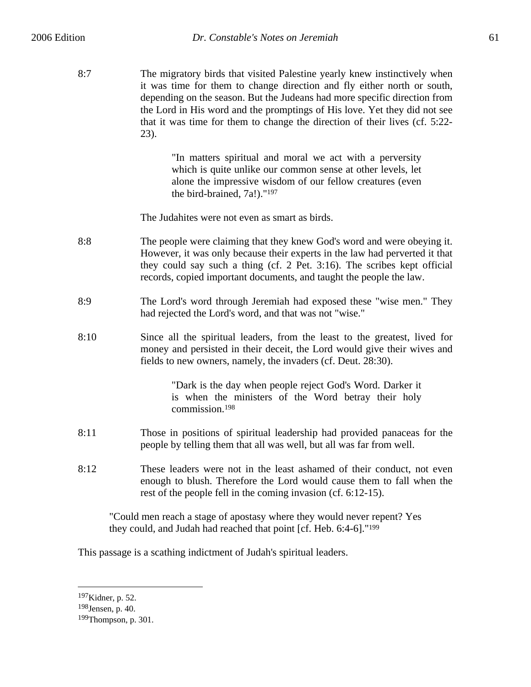8:7 The migratory birds that visited Palestine yearly knew instinctively when it was time for them to change direction and fly either north or south, depending on the season. But the Judeans had more specific direction from the Lord in His word and the promptings of His love. Yet they did not see that it was time for them to change the direction of their lives (cf. 5:22- 23).

> "In matters spiritual and moral we act with a perversity which is quite unlike our common sense at other levels, let alone the impressive wisdom of our fellow creatures (even the bird-brained, 7a!)."197

The Judahites were not even as smart as birds.

- 8:8 The people were claiming that they knew God's word and were obeying it. However, it was only because their experts in the law had perverted it that they could say such a thing (cf. 2 Pet. 3:16). The scribes kept official records, copied important documents, and taught the people the law.
- 8:9 The Lord's word through Jeremiah had exposed these "wise men." They had rejected the Lord's word, and that was not "wise."
- 8:10 Since all the spiritual leaders, from the least to the greatest, lived for money and persisted in their deceit, the Lord would give their wives and fields to new owners, namely, the invaders (cf. Deut. 28:30).

"Dark is the day when people reject God's Word. Darker it is when the ministers of the Word betray their holy commission.198

- 8:11 Those in positions of spiritual leadership had provided panaceas for the people by telling them that all was well, but all was far from well.
- 8:12 These leaders were not in the least ashamed of their conduct, not even enough to blush. Therefore the Lord would cause them to fall when the rest of the people fell in the coming invasion (cf. 6:12-15).

"Could men reach a stage of apostasy where they would never repent? Yes they could, and Judah had reached that point [cf. Heb. 6:4-6]."199

This passage is a scathing indictment of Judah's spiritual leaders.

<sup>197</sup>Kidner, p. 52.

<sup>198</sup>Jensen, p. 40.

<sup>199</sup>Thompson, p. 301.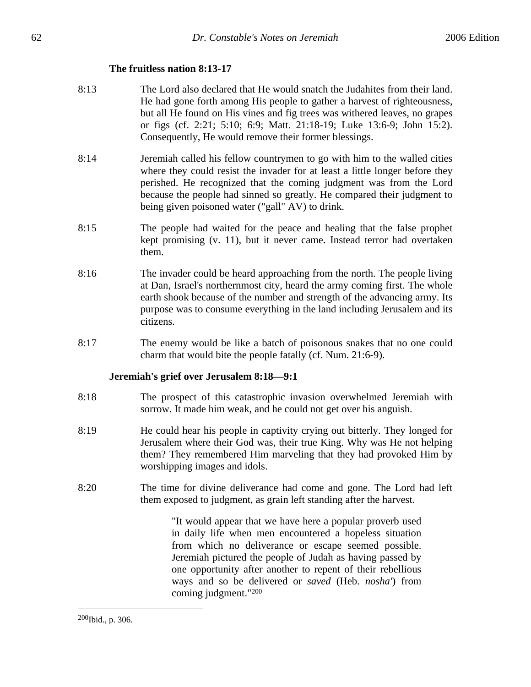## **The fruitless nation 8:13-17**

- 8:13 The Lord also declared that He would snatch the Judahites from their land. He had gone forth among His people to gather a harvest of righteousness, but all He found on His vines and fig trees was withered leaves, no grapes or figs (cf. 2:21; 5:10; 6:9; Matt. 21:18-19; Luke 13:6-9; John 15:2). Consequently, He would remove their former blessings.
- 8:14 Jeremiah called his fellow countrymen to go with him to the walled cities where they could resist the invader for at least a little longer before they perished. He recognized that the coming judgment was from the Lord because the people had sinned so greatly. He compared their judgment to being given poisoned water ("gall" AV) to drink.
- 8:15 The people had waited for the peace and healing that the false prophet kept promising (v. 11), but it never came. Instead terror had overtaken them.
- 8:16 The invader could be heard approaching from the north. The people living at Dan, Israel's northernmost city, heard the army coming first. The whole earth shook because of the number and strength of the advancing army. Its purpose was to consume everything in the land including Jerusalem and its citizens.
- 8:17 The enemy would be like a batch of poisonous snakes that no one could charm that would bite the people fatally (cf. Num. 21:6-9).

### **Jeremiah's grief over Jerusalem 8:18—9:1**

- 8:18 The prospect of this catastrophic invasion overwhelmed Jeremiah with sorrow. It made him weak, and he could not get over his anguish.
- 8:19 He could hear his people in captivity crying out bitterly. They longed for Jerusalem where their God was, their true King. Why was He not helping them? They remembered Him marveling that they had provoked Him by worshipping images and idols.
- 8:20 The time for divine deliverance had come and gone. The Lord had left them exposed to judgment, as grain left standing after the harvest.

"It would appear that we have here a popular proverb used in daily life when men encountered a hopeless situation from which no deliverance or escape seemed possible. Jeremiah pictured the people of Judah as having passed by one opportunity after another to repent of their rebellious ways and so be delivered or *saved* (Heb. *nosha'*) from coming judgment."200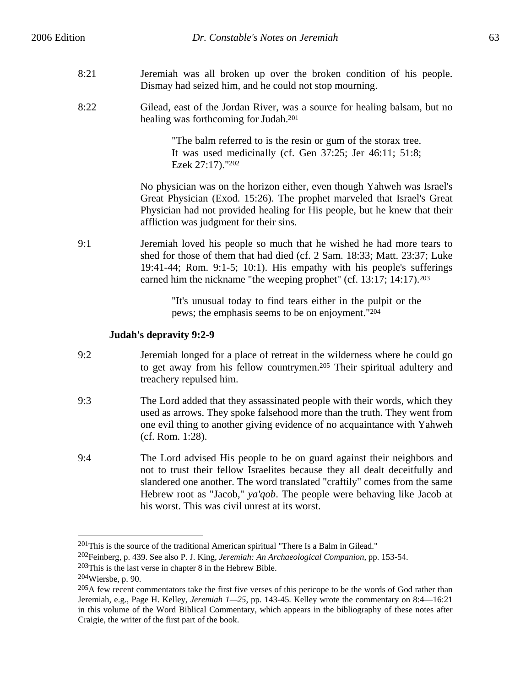8:22 Gilead, east of the Jordan River, was a source for healing balsam, but no healing was forthcoming for Judah.201

> "The balm referred to is the resin or gum of the storax tree. It was used medicinally (cf. Gen 37:25; Jer 46:11; 51:8; Ezek 27:17)."202

No physician was on the horizon either, even though Yahweh was Israel's Great Physician (Exod. 15:26). The prophet marveled that Israel's Great Physician had not provided healing for His people, but he knew that their affliction was judgment for their sins.

9:1 Jeremiah loved his people so much that he wished he had more tears to shed for those of them that had died (cf. 2 Sam. 18:33; Matt. 23:37; Luke 19:41-44; Rom. 9:1-5; 10:1). His empathy with his people's sufferings earned him the nickname "the weeping prophet" (cf. 13:17; 14:17).<sup>203</sup>

> "It's unusual today to find tears either in the pulpit or the pews; the emphasis seems to be on enjoyment."204

# **Judah's depravity 9:2-9**

- 9:2 Jeremiah longed for a place of retreat in the wilderness where he could go to get away from his fellow countrymen.205 Their spiritual adultery and treachery repulsed him.
- 9:3 The Lord added that they assassinated people with their words, which they used as arrows. They spoke falsehood more than the truth. They went from one evil thing to another giving evidence of no acquaintance with Yahweh (cf. Rom. 1:28).
- 9:4 The Lord advised His people to be on guard against their neighbors and not to trust their fellow Israelites because they all dealt deceitfully and slandered one another. The word translated "craftily" comes from the same Hebrew root as "Jacob," *ya'qob*. The people were behaving like Jacob at his worst. This was civil unrest at its worst.

<sup>201</sup>This is the source of the traditional American spiritual "There Is a Balm in Gilead."

204Wiersbe, p. 90.

<sup>202</sup>Feinberg, p. 439. See also P. J. King, *Jeremiah: An Archaeological Companion*, pp. 153-54.

<sup>203</sup>This is the last verse in chapter 8 in the Hebrew Bible.

<sup>205</sup>A few recent commentators take the first five verses of this pericope to be the words of God rather than Jeremiah, e.g., Page H. Kelley, *Jeremiah 1—25*, pp. 143-45. Kelley wrote the commentary on 8:4—16:21 in this volume of the Word Biblical Commentary, which appears in the bibliography of these notes after Craigie, the writer of the first part of the book.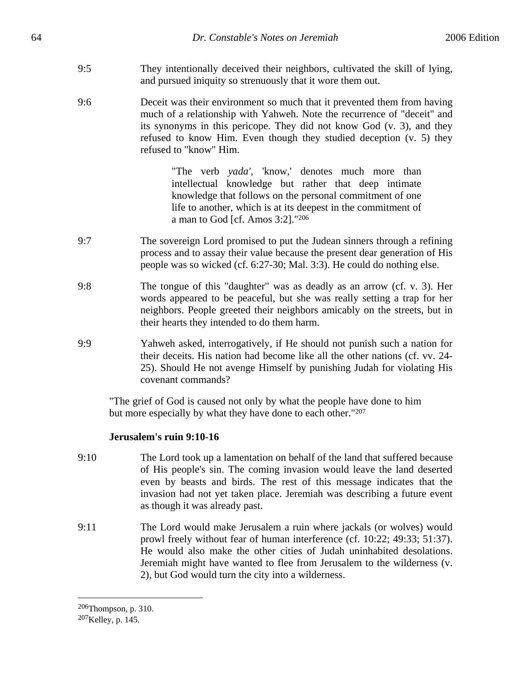- 9:5 They intentionally deceived their neighbors, cultivated the skill of lying, and pursued iniquity so strenuously that it wore them out.
- 9:6 Deceit was their environment so much that it prevented them from having much of a relationship with Yahweh. Note the recurrence of "deceit" and its synonyms in this pericope. They did not know God (v. 3), and they refused to know Him. Even though they studied deception (v. 5) they refused to "know" Him.

"The verb *yada'*, 'know,' denotes much more than intellectual knowledge but rather that deep intimate knowledge that follows on the personal commitment of one life to another, which is at its deepest in the commitment of a man to God [cf. Amos 3:2]."206

- 9:7 The sovereign Lord promised to put the Judean sinners through a refining process and to assay their value because the present dear generation of His people was so wicked (cf. 6:27-30; Mal. 3:3). He could do nothing else.
- 9:8 The tongue of this "daughter" was as deadly as an arrow (cf. v. 3). Her words appeared to be peaceful, but she was really setting a trap for her neighbors. People greeted their neighbors amicably on the streets, but in their hearts they intended to do them harm.
- 9:9 Yahweh asked, interrogatively, if He should not punish such a nation for their deceits. His nation had become like all the other nations (cf. vv. 24- 25). Should He not avenge Himself by punishing Judah for violating His covenant commands?

"The grief of God is caused not only by what the people have done to him but more especially by what they have done to each other."207

# **Jerusalem's ruin 9:10-16**

- 9:10 The Lord took up a lamentation on behalf of the land that suffered because of His people's sin. The coming invasion would leave the land deserted even by beasts and birds. The rest of this message indicates that the invasion had not yet taken place. Jeremiah was describing a future event as though it was already past.
- 9:11 The Lord would make Jerusalem a ruin where jackals (or wolves) would prowl freely without fear of human interference (cf. 10:22; 49:33; 51:37). He would also make the other cities of Judah uninhabited desolations. Jeremiah might have wanted to flee from Jerusalem to the wilderness (v. 2), but God would turn the city into a wilderness.

<sup>206</sup>Thompson, p. 310.

<sup>207</sup>Kelley, p. 145.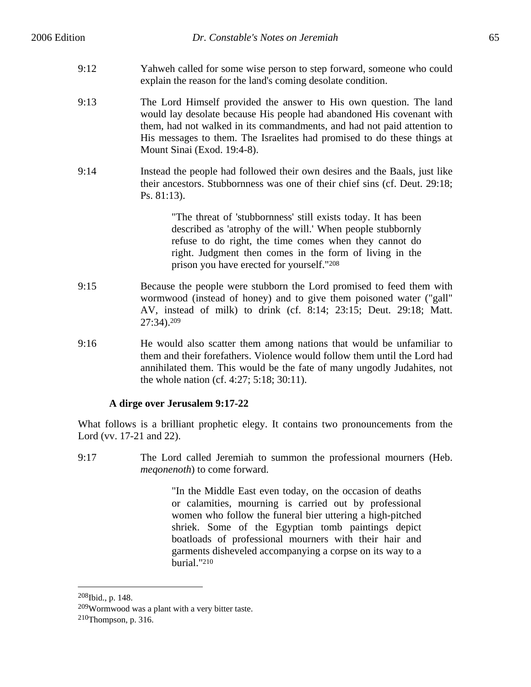- 9:12 Yahweh called for some wise person to step forward, someone who could explain the reason for the land's coming desolate condition.
- 9:13 The Lord Himself provided the answer to His own question. The land would lay desolate because His people had abandoned His covenant with them, had not walked in its commandments, and had not paid attention to His messages to them. The Israelites had promised to do these things at Mount Sinai (Exod. 19:4-8).
- 9:14 Instead the people had followed their own desires and the Baals, just like their ancestors. Stubbornness was one of their chief sins (cf. Deut. 29:18; Ps. 81:13).

"The threat of 'stubbornness' still exists today. It has been described as 'atrophy of the will.' When people stubbornly refuse to do right, the time comes when they cannot do right. Judgment then comes in the form of living in the prison you have erected for yourself."208

- 9:15 Because the people were stubborn the Lord promised to feed them with wormwood (instead of honey) and to give them poisoned water ("gall" AV, instead of milk) to drink (cf. 8:14; 23:15; Deut. 29:18; Matt. 27:34).209
- 9:16 He would also scatter them among nations that would be unfamiliar to them and their forefathers. Violence would follow them until the Lord had annihilated them. This would be the fate of many ungodly Judahites, not the whole nation (cf. 4:27; 5:18; 30:11).

# **A dirge over Jerusalem 9:17-22**

What follows is a brilliant prophetic elegy. It contains two pronouncements from the Lord (vv. 17-21 and 22).

9:17 The Lord called Jeremiah to summon the professional mourners (Heb. *meqonenoth*) to come forward.

> "In the Middle East even today, on the occasion of deaths or calamities, mourning is carried out by professional women who follow the funeral bier uttering a high-pitched shriek. Some of the Egyptian tomb paintings depict boatloads of professional mourners with their hair and garments disheveled accompanying a corpse on its way to a burial."210

1

<sup>208</sup>Ibid., p. 148.

<sup>209</sup>Wormwood was a plant with a very bitter taste.

<sup>210</sup>Thompson, p. 316.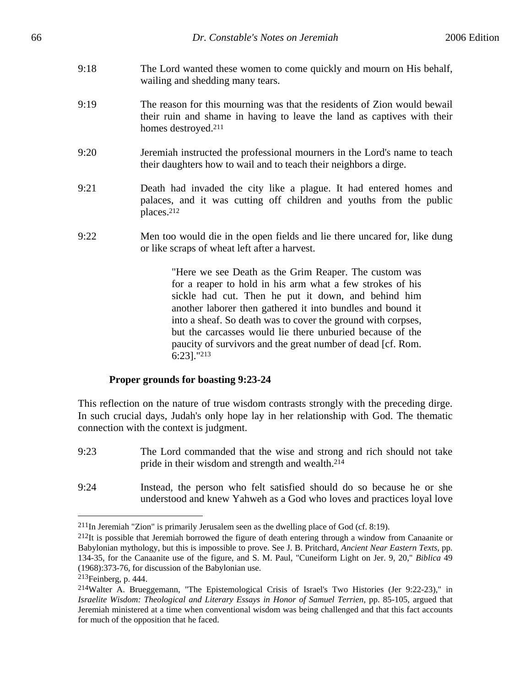- 9:18 The Lord wanted these women to come quickly and mourn on His behalf, wailing and shedding many tears.
- 9:19 The reason for this mourning was that the residents of Zion would bewail their ruin and shame in having to leave the land as captives with their homes destroyed.211
- 9:20 Jeremiah instructed the professional mourners in the Lord's name to teach their daughters how to wail and to teach their neighbors a dirge.
- 9:21 Death had invaded the city like a plague. It had entered homes and palaces, and it was cutting off children and youths from the public places.212
- 9:22 Men too would die in the open fields and lie there uncared for, like dung or like scraps of wheat left after a harvest.

"Here we see Death as the Grim Reaper. The custom was for a reaper to hold in his arm what a few strokes of his sickle had cut. Then he put it down, and behind him another laborer then gathered it into bundles and bound it into a sheaf. So death was to cover the ground with corpses, but the carcasses would lie there unburied because of the paucity of survivors and the great number of dead [cf. Rom. 6:23]."213

### **Proper grounds for boasting 9:23-24**

This reflection on the nature of true wisdom contrasts strongly with the preceding dirge. In such crucial days, Judah's only hope lay in her relationship with God. The thematic connection with the context is judgment.

- 9:23 The Lord commanded that the wise and strong and rich should not take pride in their wisdom and strength and wealth.214
- 9:24 Instead, the person who felt satisfied should do so because he or she understood and knew Yahweh as a God who loves and practices loyal love

<u>.</u>

 $211$ In Jeremiah "Zion" is primarily Jerusalem seen as the dwelling place of God (cf. 8:19).

 $^{212}$ It is possible that Jeremiah borrowed the figure of death entering through a window from Canaanite or Babylonian mythology, but this is impossible to prove. See J. B. Pritchard, *Ancient Near Eastern Texts*, pp. 134-35, for the Canaanite use of the figure, and S. M. Paul, "Cuneiform Light on Jer. 9, 20," *Biblica* 49 (1968):373-76, for discussion of the Babylonian use.

<sup>213</sup>Feinberg, p. 444.

<sup>214</sup>Walter A. Brueggemann, "The Epistemological Crisis of Israel's Two Histories (Jer 9:22-23)," in *Israelite Wisdom: Theological and Literary Essays in Honor of Samuel Terrien*, pp. 85-105, argued that Jeremiah ministered at a time when conventional wisdom was being challenged and that this fact accounts for much of the opposition that he faced.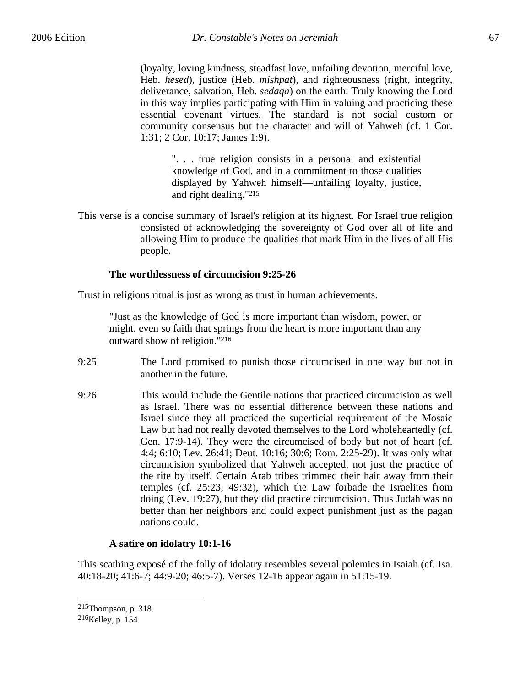(loyalty, loving kindness, steadfast love, unfailing devotion, merciful love, Heb. *hesed*), justice (Heb. *mishpat*), and righteousness (right, integrity, deliverance, salvation, Heb. *sedaqa*) on the earth. Truly knowing the Lord in this way implies participating with Him in valuing and practicing these essential covenant virtues. The standard is not social custom or community consensus but the character and will of Yahweh (cf. 1 Cor. 1:31; 2 Cor. 10:17; James 1:9).

". . . true religion consists in a personal and existential knowledge of God, and in a commitment to those qualities displayed by Yahweh himself—unfailing loyalty, justice, and right dealing."215

This verse is a concise summary of Israel's religion at its highest. For Israel true religion consisted of acknowledging the sovereignty of God over all of life and allowing Him to produce the qualities that mark Him in the lives of all His people.

## **The worthlessness of circumcision 9:25-26**

Trust in religious ritual is just as wrong as trust in human achievements.

"Just as the knowledge of God is more important than wisdom, power, or might, even so faith that springs from the heart is more important than any outward show of religion."216

- 9:25 The Lord promised to punish those circumcised in one way but not in another in the future.
- 9:26 This would include the Gentile nations that practiced circumcision as well as Israel. There was no essential difference between these nations and Israel since they all practiced the superficial requirement of the Mosaic Law but had not really devoted themselves to the Lord wholeheartedly (cf. Gen. 17:9-14). They were the circumcised of body but not of heart (cf. 4:4; 6:10; Lev. 26:41; Deut. 10:16; 30:6; Rom. 2:25-29). It was only what circumcision symbolized that Yahweh accepted, not just the practice of the rite by itself. Certain Arab tribes trimmed their hair away from their temples (cf. 25:23; 49:32), which the Law forbade the Israelites from doing (Lev. 19:27), but they did practice circumcision. Thus Judah was no better than her neighbors and could expect punishment just as the pagan nations could.

# **A satire on idolatry 10:1-16**

This scathing exposé of the folly of idolatry resembles several polemics in Isaiah (cf. Isa. 40:18-20; 41:6-7; 44:9-20; 46:5-7). Verses 12-16 appear again in 51:15-19.

<sup>215</sup>Thompson, p. 318.

<sup>216</sup>Kelley, p. 154.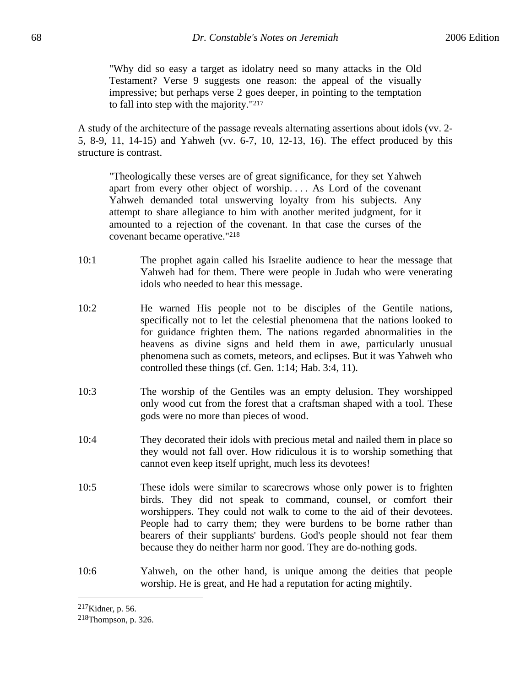"Why did so easy a target as idolatry need so many attacks in the Old Testament? Verse 9 suggests one reason: the appeal of the visually impressive; but perhaps verse 2 goes deeper, in pointing to the temptation to fall into step with the majority."217

A study of the architecture of the passage reveals alternating assertions about idols (vv. 2- 5, 8-9, 11, 14-15) and Yahweh (vv. 6-7, 10, 12-13, 16). The effect produced by this structure is contrast.

"Theologically these verses are of great significance, for they set Yahweh apart from every other object of worship. . . . As Lord of the covenant Yahweh demanded total unswerving loyalty from his subjects. Any attempt to share allegiance to him with another merited judgment, for it amounted to a rejection of the covenant. In that case the curses of the covenant became operative."218

- 10:1 The prophet again called his Israelite audience to hear the message that Yahweh had for them. There were people in Judah who were venerating idols who needed to hear this message.
- 10:2 He warned His people not to be disciples of the Gentile nations, specifically not to let the celestial phenomena that the nations looked to for guidance frighten them. The nations regarded abnormalities in the heavens as divine signs and held them in awe, particularly unusual phenomena such as comets, meteors, and eclipses. But it was Yahweh who controlled these things (cf. Gen. 1:14; Hab. 3:4, 11).
- 10:3 The worship of the Gentiles was an empty delusion. They worshipped only wood cut from the forest that a craftsman shaped with a tool. These gods were no more than pieces of wood.
- 10:4 They decorated their idols with precious metal and nailed them in place so they would not fall over. How ridiculous it is to worship something that cannot even keep itself upright, much less its devotees!
- 10:5 These idols were similar to scarecrows whose only power is to frighten birds. They did not speak to command, counsel, or comfort their worshippers. They could not walk to come to the aid of their devotees. People had to carry them; they were burdens to be borne rather than bearers of their suppliants' burdens. God's people should not fear them because they do neither harm nor good. They are do-nothing gods.
- 10:6 Yahweh, on the other hand, is unique among the deities that people worship. He is great, and He had a reputation for acting mightily.

1

<sup>217</sup>Kidner, p. 56.

<sup>218</sup>Thompson, p. 326.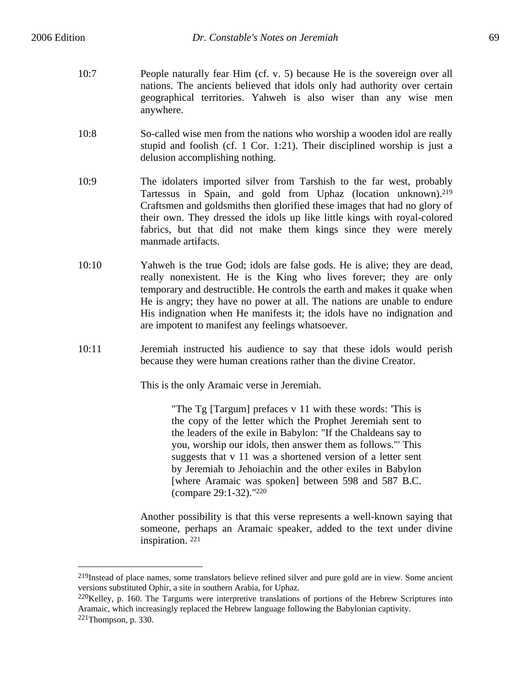$\overline{a}$ 

- 10:7 People naturally fear Him (cf. v. 5) because He is the sovereign over all nations. The ancients believed that idols only had authority over certain geographical territories. Yahweh is also wiser than any wise men anywhere.
- 10:8 So-called wise men from the nations who worship a wooden idol are really stupid and foolish (cf. 1 Cor. 1:21). Their disciplined worship is just a delusion accomplishing nothing.
- 10:9 The idolaters imported silver from Tarshish to the far west, probably Tartessus in Spain, and gold from Uphaz (location unknown).219 Craftsmen and goldsmiths then glorified these images that had no glory of their own. They dressed the idols up like little kings with royal-colored fabrics, but that did not make them kings since they were merely manmade artifacts.
- 10:10 Yahweh is the true God; idols are false gods. He is alive; they are dead, really nonexistent. He is the King who lives forever; they are only temporary and destructible. He controls the earth and makes it quake when He is angry; they have no power at all. The nations are unable to endure His indignation when He manifests it; the idols have no indignation and are impotent to manifest any feelings whatsoever.
- 10:11 Jeremiah instructed his audience to say that these idols would perish because they were human creations rather than the divine Creator.

This is the only Aramaic verse in Jeremiah.

"The Tg [Targum] prefaces v 11 with these words: 'This is the copy of the letter which the Prophet Jeremiah sent to the leaders of the exile in Babylon: "If the Chaldeans say to you, worship our idols, then answer them as follows."' This suggests that v 11 was a shortened version of a letter sent by Jeremiah to Jehoiachin and the other exiles in Babylon [where Aramaic was spoken] between 598 and 587 B.C. (compare 29:1-32)."220

Another possibility is that this verse represents a well-known saying that someone, perhaps an Aramaic speaker, added to the text under divine inspiration. 221

 $^{219}$ Instead of place names, some translators believe refined silver and pure gold are in view. Some ancient versions substituted Ophir, a site in southern Arabia, for Uphaz.

<sup>&</sup>lt;sup>220</sup>Kelley, p. 160. The Targums were interpretive translations of portions of the Hebrew Scriptures into Aramaic, which increasingly replaced the Hebrew language following the Babylonian captivity.  $221$ Thompson, p. 330.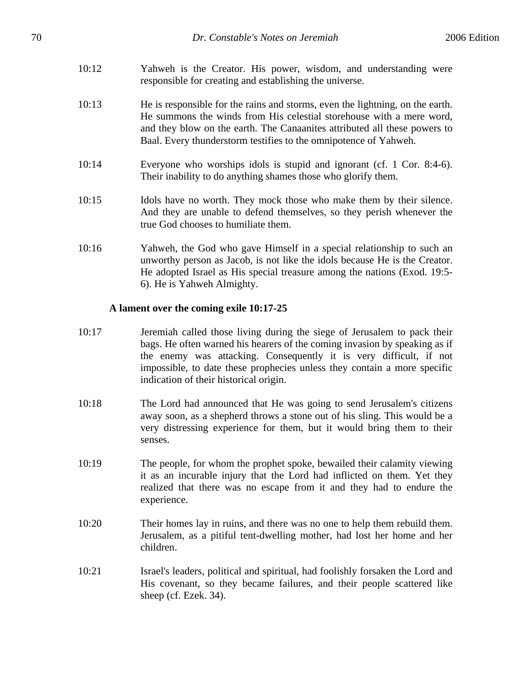- 10:12 Yahweh is the Creator. His power, wisdom, and understanding were responsible for creating and establishing the universe.
- 10:13 He is responsible for the rains and storms, even the lightning, on the earth. He summons the winds from His celestial storehouse with a mere word, and they blow on the earth. The Canaanites attributed all these powers to Baal. Every thunderstorm testifies to the omnipotence of Yahweh.
- 10:14 Everyone who worships idols is stupid and ignorant (cf. 1 Cor. 8:4-6). Their inability to do anything shames those who glorify them.
- 10:15 Idols have no worth. They mock those who make them by their silence. And they are unable to defend themselves, so they perish whenever the true God chooses to humiliate them.
- 10:16 Yahweh, the God who gave Himself in a special relationship to such an unworthy person as Jacob, is not like the idols because He is the Creator. He adopted Israel as His special treasure among the nations (Exod. 19:5- 6). He is Yahweh Almighty.

### **A lament over the coming exile 10:17-25**

- 10:17 Jeremiah called those living during the siege of Jerusalem to pack their bags. He often warned his hearers of the coming invasion by speaking as if the enemy was attacking. Consequently it is very difficult, if not impossible, to date these prophecies unless they contain a more specific indication of their historical origin.
- 10:18 The Lord had announced that He was going to send Jerusalem's citizens away soon, as a shepherd throws a stone out of his sling. This would be a very distressing experience for them, but it would bring them to their senses.
- 10:19 The people, for whom the prophet spoke, bewailed their calamity viewing it as an incurable injury that the Lord had inflicted on them. Yet they realized that there was no escape from it and they had to endure the experience.
- 10:20 Their homes lay in ruins, and there was no one to help them rebuild them. Jerusalem, as a pitiful tent-dwelling mother, had lost her home and her children.
- 10:21 Israel's leaders, political and spiritual, had foolishly forsaken the Lord and His covenant, so they became failures, and their people scattered like sheep (cf. Ezek. 34).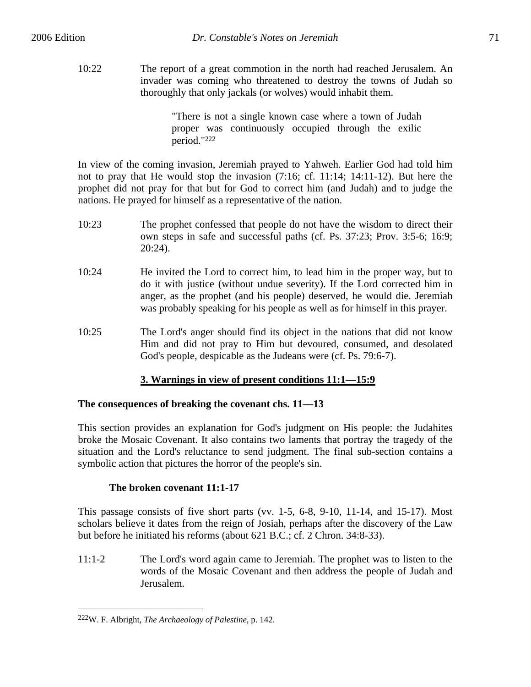10:22 The report of a great commotion in the north had reached Jerusalem. An invader was coming who threatened to destroy the towns of Judah so thoroughly that only jackals (or wolves) would inhabit them.

> "There is not a single known case where a town of Judah proper was continuously occupied through the exilic period."222

In view of the coming invasion, Jeremiah prayed to Yahweh. Earlier God had told him not to pray that He would stop the invasion (7:16; cf. 11:14; 14:11-12). But here the prophet did not pray for that but for God to correct him (and Judah) and to judge the nations. He prayed for himself as a representative of the nation.

- 10:23 The prophet confessed that people do not have the wisdom to direct their own steps in safe and successful paths (cf. Ps. 37:23; Prov. 3:5-6; 16:9; 20:24).
- 10:24 He invited the Lord to correct him, to lead him in the proper way, but to do it with justice (without undue severity). If the Lord corrected him in anger, as the prophet (and his people) deserved, he would die. Jeremiah was probably speaking for his people as well as for himself in this prayer.
- 10:25 The Lord's anger should find its object in the nations that did not know Him and did not pray to Him but devoured, consumed, and desolated God's people, despicable as the Judeans were (cf. Ps. 79:6-7).

# **3. Warnings in view of present conditions 11:1—15:9**

# **The consequences of breaking the covenant chs. 11—13**

This section provides an explanation for God's judgment on His people: the Judahites broke the Mosaic Covenant. It also contains two laments that portray the tragedy of the situation and the Lord's reluctance to send judgment. The final sub-section contains a symbolic action that pictures the horror of the people's sin.

# **The broken covenant 11:1-17**

This passage consists of five short parts (vv.  $1-5$ ,  $6-8$ ,  $9-10$ ,  $11-14$ , and  $15-17$ ). Most scholars believe it dates from the reign of Josiah, perhaps after the discovery of the Law but before he initiated his reforms (about 621 B.C.; cf. 2 Chron. 34:8-33).

11:1-2 The Lord's word again came to Jeremiah. The prophet was to listen to the words of the Mosaic Covenant and then address the people of Judah and Jerusalem.

<u>.</u>

<sup>222</sup>W. F. Albright, *The Archaeology of Palestine*, p. 142.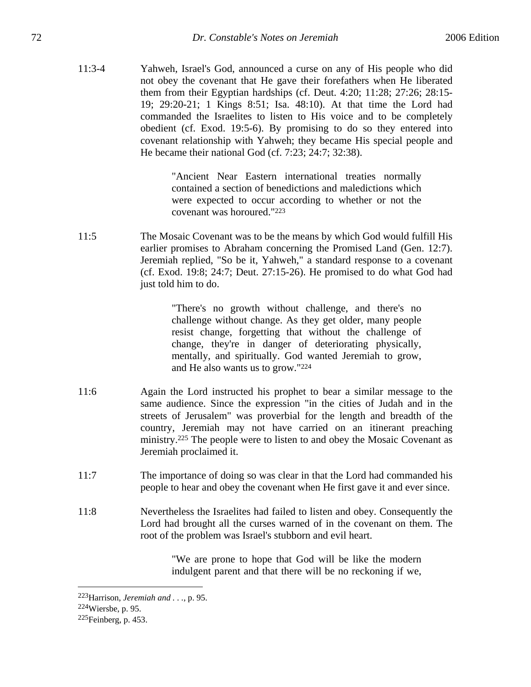11:3-4 Yahweh, Israel's God, announced a curse on any of His people who did not obey the covenant that He gave their forefathers when He liberated them from their Egyptian hardships (cf. Deut. 4:20; 11:28; 27:26; 28:15- 19; 29:20-21; 1 Kings 8:51; Isa. 48:10). At that time the Lord had commanded the Israelites to listen to His voice and to be completely obedient (cf. Exod. 19:5-6). By promising to do so they entered into covenant relationship with Yahweh; they became His special people and He became their national God (cf. 7:23; 24:7; 32:38).

> "Ancient Near Eastern international treaties normally contained a section of benedictions and maledictions which were expected to occur according to whether or not the covenant was horoured."223

11:5 The Mosaic Covenant was to be the means by which God would fulfill His earlier promises to Abraham concerning the Promised Land (Gen. 12:7). Jeremiah replied, "So be it, Yahweh," a standard response to a covenant (cf. Exod. 19:8; 24:7; Deut. 27:15-26). He promised to do what God had just told him to do.

> "There's no growth without challenge, and there's no challenge without change. As they get older, many people resist change, forgetting that without the challenge of change, they're in danger of deteriorating physically, mentally, and spiritually. God wanted Jeremiah to grow, and He also wants us to grow."224

- 11:6 Again the Lord instructed his prophet to bear a similar message to the same audience. Since the expression "in the cities of Judah and in the streets of Jerusalem" was proverbial for the length and breadth of the country, Jeremiah may not have carried on an itinerant preaching ministry.225 The people were to listen to and obey the Mosaic Covenant as Jeremiah proclaimed it.
- 11:7 The importance of doing so was clear in that the Lord had commanded his people to hear and obey the covenant when He first gave it and ever since.
- 11:8 Nevertheless the Israelites had failed to listen and obey. Consequently the Lord had brought all the curses warned of in the covenant on them. The root of the problem was Israel's stubborn and evil heart.

"We are prone to hope that God will be like the modern indulgent parent and that there will be no reckoning if we,

<sup>223</sup>Harrison, *Jeremiah and . . .*, p. 95.

<sup>224</sup>Wiersbe, p. 95.

<sup>225</sup>Feinberg, p. 453.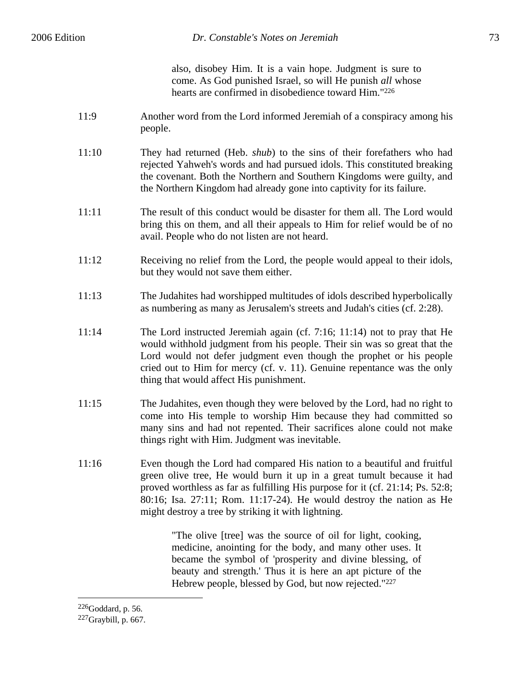also, disobey Him. It is a vain hope. Judgment is sure to come. As God punished Israel, so will He punish *all* whose hearts are confirmed in disobedience toward Him."226

- 11:9 Another word from the Lord informed Jeremiah of a conspiracy among his people.
- 11:10 They had returned (Heb. *shub*) to the sins of their forefathers who had rejected Yahweh's words and had pursued idols. This constituted breaking the covenant. Both the Northern and Southern Kingdoms were guilty, and the Northern Kingdom had already gone into captivity for its failure.
- 11:11 The result of this conduct would be disaster for them all. The Lord would bring this on them, and all their appeals to Him for relief would be of no avail. People who do not listen are not heard.
- 11:12 Receiving no relief from the Lord, the people would appeal to their idols, but they would not save them either.
- 11:13 The Judahites had worshipped multitudes of idols described hyperbolically as numbering as many as Jerusalem's streets and Judah's cities (cf. 2:28).
- 11:14 The Lord instructed Jeremiah again (cf. 7:16; 11:14) not to pray that He would withhold judgment from his people. Their sin was so great that the Lord would not defer judgment even though the prophet or his people cried out to Him for mercy (cf. v. 11). Genuine repentance was the only thing that would affect His punishment.
- 11:15 The Judahites, even though they were beloved by the Lord, had no right to come into His temple to worship Him because they had committed so many sins and had not repented. Their sacrifices alone could not make things right with Him. Judgment was inevitable.
- 11:16 Even though the Lord had compared His nation to a beautiful and fruitful green olive tree, He would burn it up in a great tumult because it had proved worthless as far as fulfilling His purpose for it (cf. 21:14; Ps. 52:8; 80:16; Isa. 27:11; Rom. 11:17-24). He would destroy the nation as He might destroy a tree by striking it with lightning.

"The olive [tree] was the source of oil for light, cooking, medicine, anointing for the body, and many other uses. It became the symbol of 'prosperity and divine blessing, of beauty and strength.' Thus it is here an apt picture of the Hebrew people, blessed by God, but now rejected."227

<sup>226</sup>Goddard, p. 56.

<sup>227</sup>Graybill, p. 667.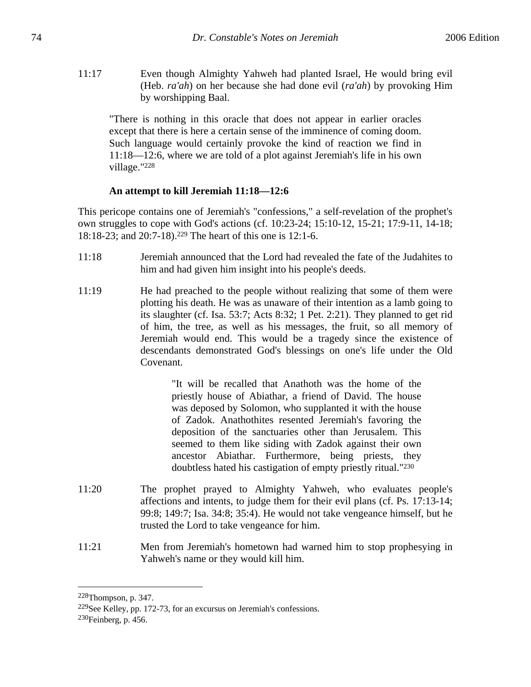11:17 Even though Almighty Yahweh had planted Israel, He would bring evil (Heb. *ra'ah*) on her because she had done evil (*ra'ah*) by provoking Him by worshipping Baal.

"There is nothing in this oracle that does not appear in earlier oracles except that there is here a certain sense of the imminence of coming doom. Such language would certainly provoke the kind of reaction we find in 11:18—12:6, where we are told of a plot against Jeremiah's life in his own village."228

## **An attempt to kill Jeremiah 11:18—12:6**

This pericope contains one of Jeremiah's "confessions," a self-revelation of the prophet's own struggles to cope with God's actions (cf. 10:23-24; 15:10-12, 15-21; 17:9-11, 14-18; 18:18-23; and 20:7-18).229 The heart of this one is 12:1-6.

- 11:18 Jeremiah announced that the Lord had revealed the fate of the Judahites to him and had given him insight into his people's deeds.
- 11:19 He had preached to the people without realizing that some of them were plotting his death. He was as unaware of their intention as a lamb going to its slaughter (cf. Isa. 53:7; Acts 8:32; 1 Pet. 2:21). They planned to get rid of him, the tree, as well as his messages, the fruit, so all memory of Jeremiah would end. This would be a tragedy since the existence of descendants demonstrated God's blessings on one's life under the Old Covenant.

"It will be recalled that Anathoth was the home of the priestly house of Abiathar, a friend of David. The house was deposed by Solomon, who supplanted it with the house of Zadok. Anathothites resented Jeremiah's favoring the deposition of the sanctuaries other than Jerusalem. This seemed to them like siding with Zadok against their own ancestor Abiathar. Furthermore, being priests, they doubtless hated his castigation of empty priestly ritual."230

- 11:20 The prophet prayed to Almighty Yahweh, who evaluates people's affections and intents, to judge them for their evil plans (cf. Ps. 17:13-14; 99:8; 149:7; Isa. 34:8; 35:4). He would not take vengeance himself, but he trusted the Lord to take vengeance for him.
- 11:21 Men from Jeremiah's hometown had warned him to stop prophesying in Yahweh's name or they would kill him.

<sup>228</sup>Thompson, p. 347.

<sup>229</sup>See Kelley, pp. 172-73, for an excursus on Jeremiah's confessions. 230Feinberg, p. 456.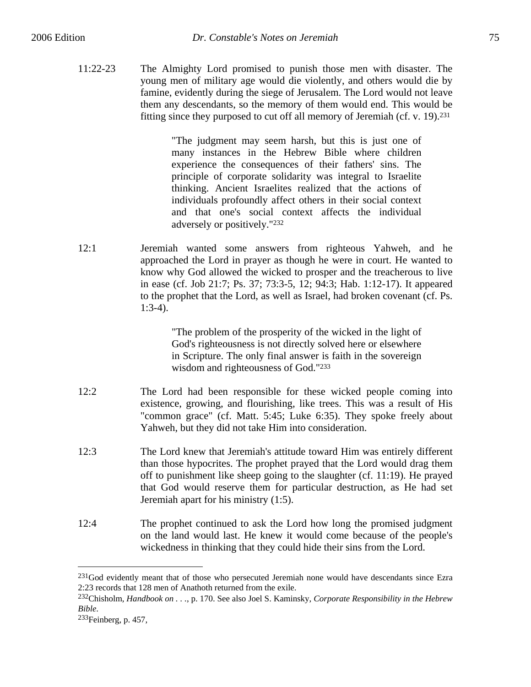11:22-23 The Almighty Lord promised to punish those men with disaster. The young men of military age would die violently, and others would die by famine, evidently during the siege of Jerusalem. The Lord would not leave them any descendants, so the memory of them would end. This would be fitting since they purposed to cut off all memory of Jeremiah (cf. v. 19).231

> "The judgment may seem harsh, but this is just one of many instances in the Hebrew Bible where children experience the consequences of their fathers' sins. The principle of corporate solidarity was integral to Israelite thinking. Ancient Israelites realized that the actions of individuals profoundly affect others in their social context and that one's social context affects the individual adversely or positively."232

12:1 Jeremiah wanted some answers from righteous Yahweh, and he approached the Lord in prayer as though he were in court. He wanted to know why God allowed the wicked to prosper and the treacherous to live in ease (cf. Job 21:7; Ps. 37; 73:3-5, 12; 94:3; Hab. 1:12-17). It appeared to the prophet that the Lord, as well as Israel, had broken covenant (cf. Ps. 1:3-4).

> "The problem of the prosperity of the wicked in the light of God's righteousness is not directly solved here or elsewhere in Scripture. The only final answer is faith in the sovereign wisdom and righteousness of God."233

- 12:2 The Lord had been responsible for these wicked people coming into existence, growing, and flourishing, like trees. This was a result of His "common grace" (cf. Matt. 5:45; Luke 6:35). They spoke freely about Yahweh, but they did not take Him into consideration.
- 12:3 The Lord knew that Jeremiah's attitude toward Him was entirely different than those hypocrites. The prophet prayed that the Lord would drag them off to punishment like sheep going to the slaughter (cf. 11:19). He prayed that God would reserve them for particular destruction, as He had set Jeremiah apart for his ministry (1:5).
- 12:4 The prophet continued to ask the Lord how long the promised judgment on the land would last. He knew it would come because of the people's wickedness in thinking that they could hide their sins from the Lord.

 $^{231}$ God evidently meant that of those who persecuted Jeremiah none would have descendants since Ezra 2:23 records that 128 men of Anathoth returned from the exile.

<sup>232</sup>Chisholm, *Handbook on . . .*, p. 170. See also Joel S. Kaminsky, *Corporate Responsibility in the Hebrew Bible.*<br><sup>233</sup>Feinberg, p. 457,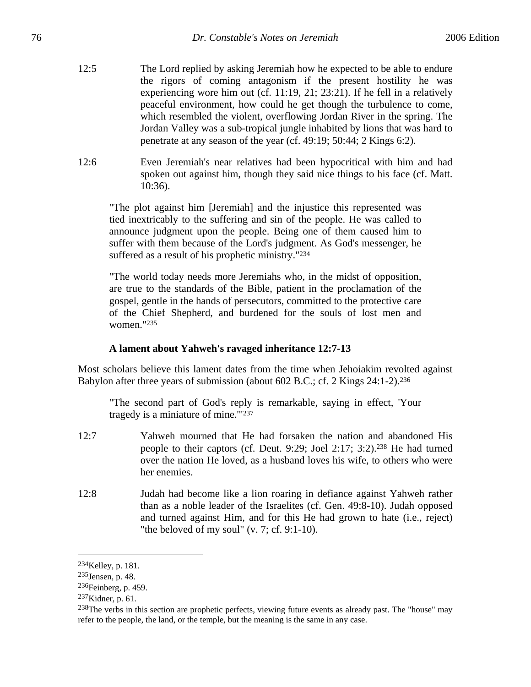- 12:5 The Lord replied by asking Jeremiah how he expected to be able to endure the rigors of coming antagonism if the present hostility he was experiencing wore him out (cf. 11:19, 21; 23:21). If he fell in a relatively peaceful environment, how could he get though the turbulence to come, which resembled the violent, overflowing Jordan River in the spring. The Jordan Valley was a sub-tropical jungle inhabited by lions that was hard to penetrate at any season of the year (cf. 49:19; 50:44; 2 Kings 6:2).
- 12:6 Even Jeremiah's near relatives had been hypocritical with him and had spoken out against him, though they said nice things to his face (cf. Matt. 10:36).

"The plot against him [Jeremiah] and the injustice this represented was tied inextricably to the suffering and sin of the people. He was called to announce judgment upon the people. Being one of them caused him to suffer with them because of the Lord's judgment. As God's messenger, he suffered as a result of his prophetic ministry."234

"The world today needs more Jeremiahs who, in the midst of opposition, are true to the standards of the Bible, patient in the proclamation of the gospel, gentle in the hands of persecutors, committed to the protective care of the Chief Shepherd, and burdened for the souls of lost men and women."235

## **A lament about Yahweh's ravaged inheritance 12:7-13**

Most scholars believe this lament dates from the time when Jehoiakim revolted against Babylon after three years of submission (about 602 B.C.; cf. 2 Kings 24:1-2).<sup>236</sup>

"The second part of God's reply is remarkable, saying in effect, 'Your tragedy is a miniature of mine.'"237

- 12:7 Yahweh mourned that He had forsaken the nation and abandoned His people to their captors (cf. Deut. 9:29; Joel 2:17; 3:2).238 He had turned over the nation He loved, as a husband loves his wife, to others who were her enemies.
- 12:8 Judah had become like a lion roaring in defiance against Yahweh rather than as a noble leader of the Israelites (cf. Gen. 49:8-10). Judah opposed and turned against Him, and for this He had grown to hate (i.e., reject) "the beloved of my soul" (v. 7; cf. 9:1-10).

<sup>234</sup>Kelley, p. 181.

<sup>235</sup>Jensen, p. 48.

<sup>236</sup>Feinberg, p. 459.

 $237$ Kidner, p. 61.

<sup>&</sup>lt;sup>238</sup>The verbs in this section are prophetic perfects, viewing future events as already past. The "house" may refer to the people, the land, or the temple, but the meaning is the same in any case.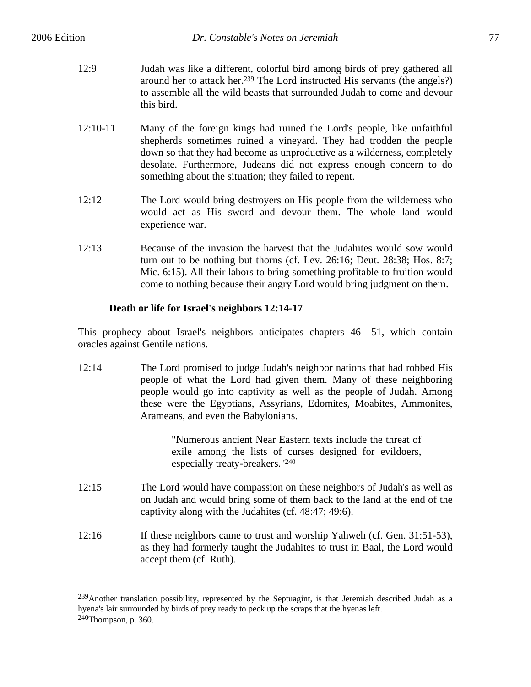$\overline{a}$ 

- 12:9 Judah was like a different, colorful bird among birds of prey gathered all around her to attack her.239 The Lord instructed His servants (the angels?) to assemble all the wild beasts that surrounded Judah to come and devour this bird.
- 12:10-11 Many of the foreign kings had ruined the Lord's people, like unfaithful shepherds sometimes ruined a vineyard. They had trodden the people down so that they had become as unproductive as a wilderness, completely desolate. Furthermore, Judeans did not express enough concern to do something about the situation; they failed to repent.
- 12:12 The Lord would bring destroyers on His people from the wilderness who would act as His sword and devour them. The whole land would experience war.
- 12:13 Because of the invasion the harvest that the Judahites would sow would turn out to be nothing but thorns (cf. Lev. 26:16; Deut. 28:38; Hos. 8:7; Mic. 6:15). All their labors to bring something profitable to fruition would come to nothing because their angry Lord would bring judgment on them.

## **Death or life for Israel's neighbors 12:14-17**

This prophecy about Israel's neighbors anticipates chapters 46—51, which contain oracles against Gentile nations.

12:14 The Lord promised to judge Judah's neighbor nations that had robbed His people of what the Lord had given them. Many of these neighboring people would go into captivity as well as the people of Judah. Among these were the Egyptians, Assyrians, Edomites, Moabites, Ammonites, Arameans, and even the Babylonians.

> "Numerous ancient Near Eastern texts include the threat of exile among the lists of curses designed for evildoers, especially treaty-breakers."240

- 12:15 The Lord would have compassion on these neighbors of Judah's as well as on Judah and would bring some of them back to the land at the end of the captivity along with the Judahites (cf. 48:47; 49:6).
- 12:16 If these neighbors came to trust and worship Yahweh (cf. Gen. 31:51-53), as they had formerly taught the Judahites to trust in Baal, the Lord would accept them (cf. Ruth).

<sup>&</sup>lt;sup>239</sup>Another translation possibility, represented by the Septuagint, is that Jeremiah described Judah as a hyena's lair surrounded by birds of prey ready to peck up the scraps that the hyenas left. 240Thompson, p. 360.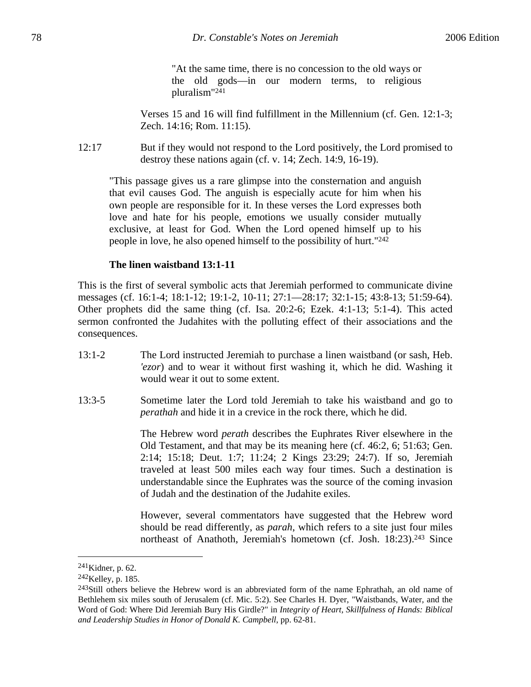"At the same time, there is no concession to the old ways or the old gods—in our modern terms, to religious pluralism"241

Verses 15 and 16 will find fulfillment in the Millennium (cf. Gen. 12:1-3; Zech. 14:16; Rom. 11:15).

12:17 But if they would not respond to the Lord positively, the Lord promised to destroy these nations again (cf. v. 14; Zech. 14:9, 16-19).

"This passage gives us a rare glimpse into the consternation and anguish that evil causes God. The anguish is especially acute for him when his own people are responsible for it. In these verses the Lord expresses both love and hate for his people, emotions we usually consider mutually exclusive, at least for God. When the Lord opened himself up to his people in love, he also opened himself to the possibility of hurt."242

### **The linen waistband 13:1-11**

This is the first of several symbolic acts that Jeremiah performed to communicate divine messages (cf. 16:1-4; 18:1-12; 19:1-2, 10-11; 27:1—28:17; 32:1-15; 43:8-13; 51:59-64). Other prophets did the same thing (cf. Isa. 20:2-6; Ezek. 4:1-13; 5:1-4). This acted sermon confronted the Judahites with the polluting effect of their associations and the consequences.

- 13:1-2 The Lord instructed Jeremiah to purchase a linen waistband (or sash, Heb. *'ezor*) and to wear it without first washing it, which he did. Washing it would wear it out to some extent.
- 13:3-5 Sometime later the Lord told Jeremiah to take his waistband and go to *perathah* and hide it in a crevice in the rock there, which he did.

The Hebrew word *perath* describes the Euphrates River elsewhere in the Old Testament, and that may be its meaning here (cf. 46:2, 6; 51:63; Gen. 2:14; 15:18; Deut. 1:7; 11:24; 2 Kings 23:29; 24:7). If so, Jeremiah traveled at least 500 miles each way four times. Such a destination is understandable since the Euphrates was the source of the coming invasion of Judah and the destination of the Judahite exiles.

However, several commentators have suggested that the Hebrew word should be read differently, as *parah*, which refers to a site just four miles northeast of Anathoth, Jeremiah's hometown (cf. Josh. 18:23).<sup>243</sup> Since

 $^{241}$ Kidner, p. 62.

<sup>242</sup>Kelley, p. 185.

<sup>&</sup>lt;sup>243</sup>Still others believe the Hebrew word is an abbreviated form of the name Ephrathah, an old name of Bethlehem six miles south of Jerusalem (cf. Mic. 5:2). See Charles H. Dyer, "Waistbands, Water, and the Word of God: Where Did Jeremiah Bury His Girdle?" in *Integrity of Heart, Skillfulness of Hands: Biblical and Leadership Studies in Honor of Donald K. Campbell*, pp. 62-81.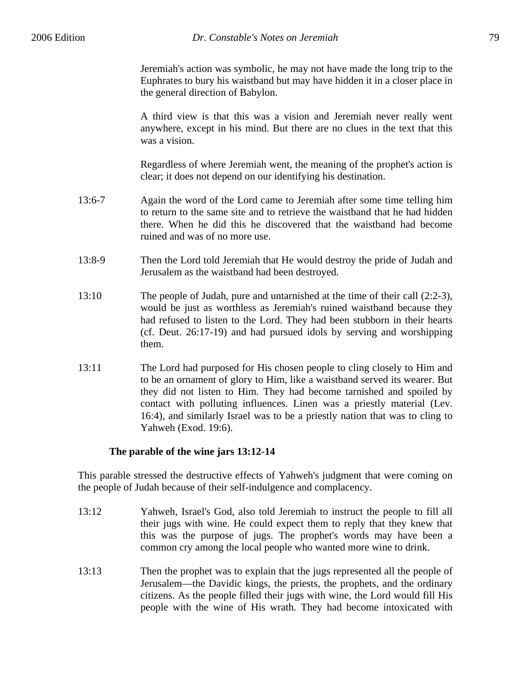Jeremiah's action was symbolic, he may not have made the long trip to the Euphrates to bury his waistband but may have hidden it in a closer place in the general direction of Babylon.

A third view is that this was a vision and Jeremiah never really went anywhere, except in his mind. But there are no clues in the text that this was a vision.

Regardless of where Jeremiah went, the meaning of the prophet's action is clear; it does not depend on our identifying his destination.

- 13:6-7 Again the word of the Lord came to Jeremiah after some time telling him to return to the same site and to retrieve the waistband that he had hidden there. When he did this he discovered that the waistband had become ruined and was of no more use.
- 13:8-9 Then the Lord told Jeremiah that He would destroy the pride of Judah and Jerusalem as the waistband had been destroyed.
- 13:10 The people of Judah, pure and untarnished at the time of their call (2:2-3), would be just as worthless as Jeremiah's ruined waistband because they had refused to listen to the Lord. They had been stubborn in their hearts (cf. Deut. 26:17-19) and had pursued idols by serving and worshipping them.
- 13:11 The Lord had purposed for His chosen people to cling closely to Him and to be an ornament of glory to Him, like a waistband served its wearer. But they did not listen to Him. They had become tarnished and spoiled by contact with polluting influences. Linen was a priestly material (Lev. 16:4), and similarly Israel was to be a priestly nation that was to cling to Yahweh (Exod. 19:6).

## **The parable of the wine jars 13:12-14**

This parable stressed the destructive effects of Yahweh's judgment that were coming on the people of Judah because of their self-indulgence and complacency.

- 13:12 Yahweh, Israel's God, also told Jeremiah to instruct the people to fill all their jugs with wine. He could expect them to reply that they knew that this was the purpose of jugs. The prophet's words may have been a common cry among the local people who wanted more wine to drink.
- 13:13 Then the prophet was to explain that the jugs represented all the people of Jerusalem—the Davidic kings, the priests, the prophets, and the ordinary citizens. As the people filled their jugs with wine, the Lord would fill His people with the wine of His wrath. They had become intoxicated with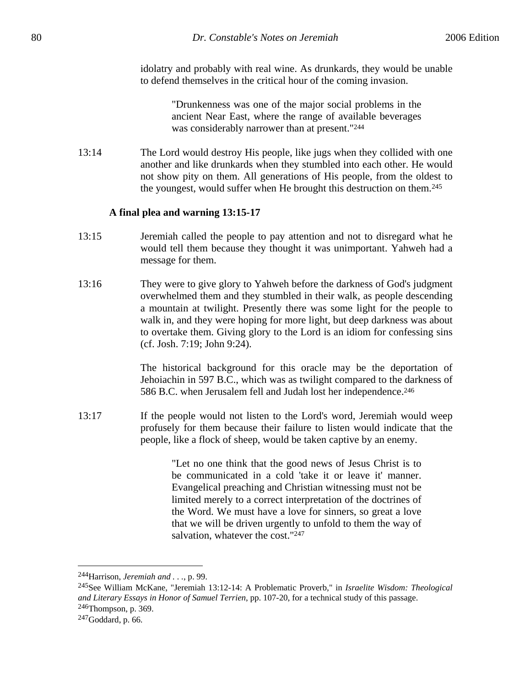idolatry and probably with real wine. As drunkards, they would be unable to defend themselves in the critical hour of the coming invasion.

> "Drunkenness was one of the major social problems in the ancient Near East, where the range of available beverages was considerably narrower than at present."244

13:14 The Lord would destroy His people, like jugs when they collided with one another and like drunkards when they stumbled into each other. He would not show pity on them. All generations of His people, from the oldest to the youngest, would suffer when He brought this destruction on them.245

### **A final plea and warning 13:15-17**

- 13:15 Jeremiah called the people to pay attention and not to disregard what he would tell them because they thought it was unimportant. Yahweh had a message for them.
- 13:16 They were to give glory to Yahweh before the darkness of God's judgment overwhelmed them and they stumbled in their walk, as people descending a mountain at twilight. Presently there was some light for the people to walk in, and they were hoping for more light, but deep darkness was about to overtake them. Giving glory to the Lord is an idiom for confessing sins (cf. Josh. 7:19; John 9:24).

The historical background for this oracle may be the deportation of Jehoiachin in 597 B.C., which was as twilight compared to the darkness of 586 B.C. when Jerusalem fell and Judah lost her independence.<sup>246</sup>

13:17 If the people would not listen to the Lord's word, Jeremiah would weep profusely for them because their failure to listen would indicate that the people, like a flock of sheep, would be taken captive by an enemy.

> "Let no one think that the good news of Jesus Christ is to be communicated in a cold 'take it or leave it' manner. Evangelical preaching and Christian witnessing must not be limited merely to a correct interpretation of the doctrines of the Word. We must have a love for sinners, so great a love that we will be driven urgently to unfold to them the way of salvation, whatever the cost."<sup>247</sup>

<sup>244</sup>Harrison, *Jeremiah and . . .*, p. 99.

<sup>245</sup>See William McKane, "Jeremiah 13:12-14: A Problematic Proverb," in *Israelite Wisdom: Theological and Literary Essays in Honor of Samuel Terrien*, pp. 107-20, for a technical study of this passage. 246Thompson, p. 369.

 $247$ Goddard, p. 66.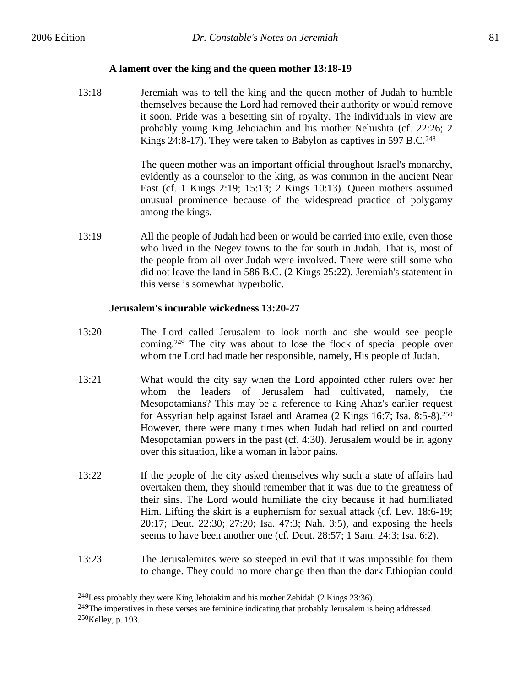1

### **A lament over the king and the queen mother 13:18-19**

13:18 Jeremiah was to tell the king and the queen mother of Judah to humble themselves because the Lord had removed their authority or would remove it soon. Pride was a besetting sin of royalty. The individuals in view are probably young King Jehoiachin and his mother Nehushta (cf. 22:26; 2 Kings 24:8-17). They were taken to Babylon as captives in 597 B.C.<sup>248</sup>

> The queen mother was an important official throughout Israel's monarchy, evidently as a counselor to the king, as was common in the ancient Near East (cf. 1 Kings 2:19; 15:13; 2 Kings 10:13). Queen mothers assumed unusual prominence because of the widespread practice of polygamy among the kings.

13:19 All the people of Judah had been or would be carried into exile, even those who lived in the Negev towns to the far south in Judah. That is, most of the people from all over Judah were involved. There were still some who did not leave the land in 586 B.C. (2 Kings 25:22). Jeremiah's statement in this verse is somewhat hyperbolic.

### **Jerusalem's incurable wickedness 13:20-27**

- 13:20 The Lord called Jerusalem to look north and she would see people coming.249 The city was about to lose the flock of special people over whom the Lord had made her responsible, namely, His people of Judah.
- 13:21 What would the city say when the Lord appointed other rulers over her whom the leaders of Jerusalem had cultivated, namely, the Mesopotamians? This may be a reference to King Ahaz's earlier request for Assyrian help against Israel and Aramea (2 Kings 16:7; Isa. 8:5-8).250 However, there were many times when Judah had relied on and courted Mesopotamian powers in the past (cf. 4:30). Jerusalem would be in agony over this situation, like a woman in labor pains.
- 13:22 If the people of the city asked themselves why such a state of affairs had overtaken them, they should remember that it was due to the greatness of their sins. The Lord would humiliate the city because it had humiliated Him. Lifting the skirt is a euphemism for sexual attack (cf. Lev. 18:6-19; 20:17; Deut. 22:30; 27:20; Isa. 47:3; Nah. 3:5), and exposing the heels seems to have been another one (cf. Deut. 28:57; 1 Sam. 24:3; Isa. 6:2).
- 13:23 The Jerusalemites were so steeped in evil that it was impossible for them to change. They could no more change then than the dark Ethiopian could

<sup>248</sup>Less probably they were King Jehoiakim and his mother Zebidah (2 Kings 23:36).

<sup>&</sup>lt;sup>249</sup>The imperatives in these verses are feminine indicating that probably Jerusalem is being addressed. 250Kelley, p. 193.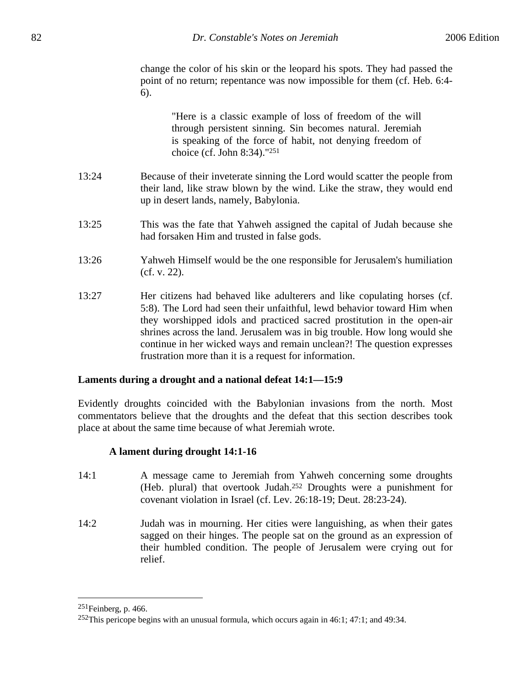change the color of his skin or the leopard his spots. They had passed the point of no return; repentance was now impossible for them (cf. Heb. 6:4- 6).

> "Here is a classic example of loss of freedom of the will through persistent sinning. Sin becomes natural. Jeremiah is speaking of the force of habit, not denying freedom of choice (cf. John 8:34)."251

- 13:24 Because of their inveterate sinning the Lord would scatter the people from their land, like straw blown by the wind. Like the straw, they would end up in desert lands, namely, Babylonia.
- 13:25 This was the fate that Yahweh assigned the capital of Judah because she had forsaken Him and trusted in false gods.
- 13:26 Yahweh Himself would be the one responsible for Jerusalem's humiliation (cf. v. 22).
- 13:27 Her citizens had behaved like adulterers and like copulating horses (cf. 5:8). The Lord had seen their unfaithful, lewd behavior toward Him when they worshipped idols and practiced sacred prostitution in the open-air shrines across the land. Jerusalem was in big trouble. How long would she continue in her wicked ways and remain unclean?! The question expresses frustration more than it is a request for information.

### **Laments during a drought and a national defeat 14:1—15:9**

Evidently droughts coincided with the Babylonian invasions from the north. Most commentators believe that the droughts and the defeat that this section describes took place at about the same time because of what Jeremiah wrote.

## **A lament during drought 14:1-16**

- 14:1 A message came to Jeremiah from Yahweh concerning some droughts (Heb. plural) that overtook Judah.252 Droughts were a punishment for covenant violation in Israel (cf. Lev. 26:18-19; Deut. 28:23-24).
- 14:2 Judah was in mourning. Her cities were languishing, as when their gates sagged on their hinges. The people sat on the ground as an expression of their humbled condition. The people of Jerusalem were crying out for relief.

 $251$ Feinberg, p. 466.

<sup>252</sup>This pericope begins with an unusual formula, which occurs again in 46:1; 47:1; and 49:34.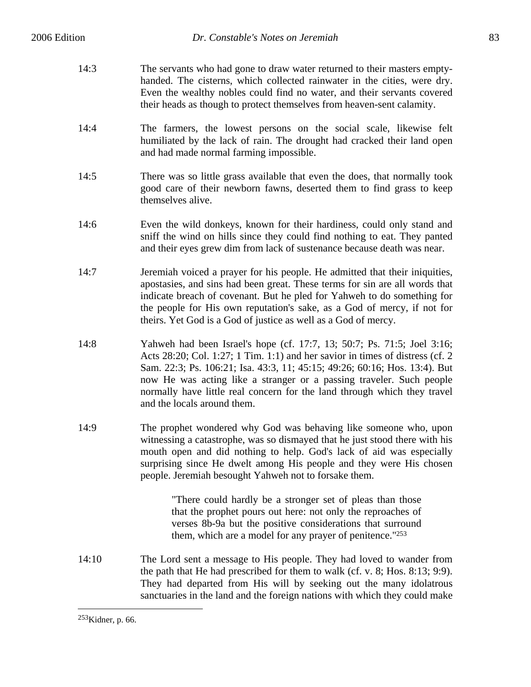- 14:3 The servants who had gone to draw water returned to their masters emptyhanded. The cisterns, which collected rainwater in the cities, were dry. Even the wealthy nobles could find no water, and their servants covered their heads as though to protect themselves from heaven-sent calamity.
- 14:4 The farmers, the lowest persons on the social scale, likewise felt humiliated by the lack of rain. The drought had cracked their land open and had made normal farming impossible.
- 14:5 There was so little grass available that even the does, that normally took good care of their newborn fawns, deserted them to find grass to keep themselves alive.
- 14:6 Even the wild donkeys, known for their hardiness, could only stand and sniff the wind on hills since they could find nothing to eat. They panted and their eyes grew dim from lack of sustenance because death was near.
- 14:7 Jeremiah voiced a prayer for his people. He admitted that their iniquities, apostasies, and sins had been great. These terms for sin are all words that indicate breach of covenant. But he pled for Yahweh to do something for the people for His own reputation's sake, as a God of mercy, if not for theirs. Yet God is a God of justice as well as a God of mercy.
- 14:8 Yahweh had been Israel's hope (cf. 17:7, 13; 50:7; Ps. 71:5; Joel 3:16; Acts 28:20; Col. 1:27; 1 Tim. 1:1) and her savior in times of distress (cf. 2 Sam. 22:3; Ps. 106:21; Isa. 43:3, 11; 45:15; 49:26; 60:16; Hos. 13:4). But now He was acting like a stranger or a passing traveler. Such people normally have little real concern for the land through which they travel and the locals around them.
- 14:9 The prophet wondered why God was behaving like someone who, upon witnessing a catastrophe, was so dismayed that he just stood there with his mouth open and did nothing to help. God's lack of aid was especially surprising since He dwelt among His people and they were His chosen people. Jeremiah besought Yahweh not to forsake them.

"There could hardly be a stronger set of pleas than those that the prophet pours out here: not only the reproaches of verses 8b-9a but the positive considerations that surround them, which are a model for any prayer of penitence."253

14:10 The Lord sent a message to His people. They had loved to wander from the path that He had prescribed for them to walk (cf. v. 8; Hos. 8:13; 9:9). They had departed from His will by seeking out the many idolatrous sanctuaries in the land and the foreign nations with which they could make

<sup>253</sup>Kidner, p. 66.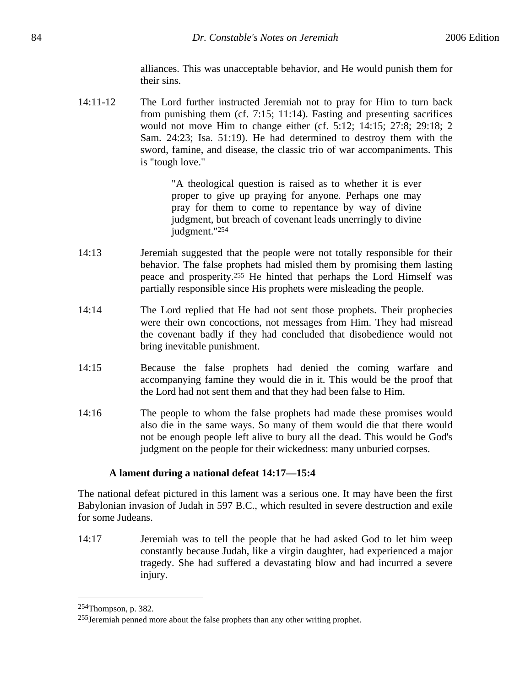alliances. This was unacceptable behavior, and He would punish them for their sins.

14:11-12 The Lord further instructed Jeremiah not to pray for Him to turn back from punishing them (cf. 7:15; 11:14). Fasting and presenting sacrifices would not move Him to change either (cf. 5:12; 14:15; 27:8; 29:18; 2 Sam. 24:23; Isa. 51:19). He had determined to destroy them with the sword, famine, and disease, the classic trio of war accompaniments. This is "tough love."

> "A theological question is raised as to whether it is ever proper to give up praying for anyone. Perhaps one may pray for them to come to repentance by way of divine judgment, but breach of covenant leads unerringly to divine judgment."254

- 14:13 Jeremiah suggested that the people were not totally responsible for their behavior. The false prophets had misled them by promising them lasting peace and prosperity.255 He hinted that perhaps the Lord Himself was partially responsible since His prophets were misleading the people.
- 14:14 The Lord replied that He had not sent those prophets. Their prophecies were their own concoctions, not messages from Him. They had misread the covenant badly if they had concluded that disobedience would not bring inevitable punishment.
- 14:15 Because the false prophets had denied the coming warfare and accompanying famine they would die in it. This would be the proof that the Lord had not sent them and that they had been false to Him.
- 14:16 The people to whom the false prophets had made these promises would also die in the same ways. So many of them would die that there would not be enough people left alive to bury all the dead. This would be God's judgment on the people for their wickedness: many unburied corpses.

## **A lament during a national defeat 14:17—15:4**

The national defeat pictured in this lament was a serious one. It may have been the first Babylonian invasion of Judah in 597 B.C., which resulted in severe destruction and exile for some Judeans.

14:17 Jeremiah was to tell the people that he had asked God to let him weep constantly because Judah, like a virgin daughter, had experienced a major tragedy. She had suffered a devastating blow and had incurred a severe injury.

<sup>254</sup>Thompson, p. 382.

<sup>255</sup>Jeremiah penned more about the false prophets than any other writing prophet.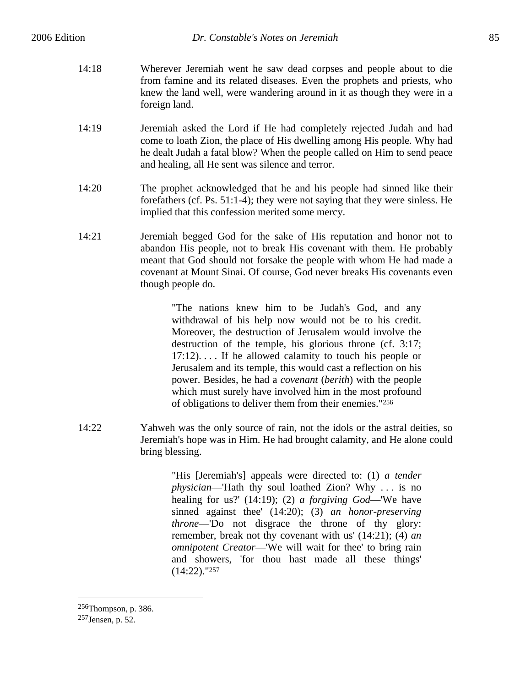- 14:18 Wherever Jeremiah went he saw dead corpses and people about to die from famine and its related diseases. Even the prophets and priests, who knew the land well, were wandering around in it as though they were in a foreign land.
- 14:19 Jeremiah asked the Lord if He had completely rejected Judah and had come to loath Zion, the place of His dwelling among His people. Why had he dealt Judah a fatal blow? When the people called on Him to send peace and healing, all He sent was silence and terror.
- 14:20 The prophet acknowledged that he and his people had sinned like their forefathers (cf. Ps. 51:1-4); they were not saying that they were sinless. He implied that this confession merited some mercy.
- 14:21 Jeremiah begged God for the sake of His reputation and honor not to abandon His people, not to break His covenant with them. He probably meant that God should not forsake the people with whom He had made a covenant at Mount Sinai. Of course, God never breaks His covenants even though people do.

"The nations knew him to be Judah's God, and any withdrawal of his help now would not be to his credit. Moreover, the destruction of Jerusalem would involve the destruction of the temple, his glorious throne (cf. 3:17; 17:12). . . . If he allowed calamity to touch his people or Jerusalem and its temple, this would cast a reflection on his power. Besides, he had a *covenant* (*berith*) with the people which must surely have involved him in the most profound of obligations to deliver them from their enemies."256

14:22 Yahweh was the only source of rain, not the idols or the astral deities, so Jeremiah's hope was in Him. He had brought calamity, and He alone could bring blessing.

> "His [Jeremiah's] appeals were directed to: (1) *a tender physician*—'Hath thy soul loathed Zion? Why . . . is no healing for us?' (14:19); (2) *a forgiving God*—'We have sinned against thee' (14:20); (3) *an honor-preserving throne*—'Do not disgrace the throne of thy glory: remember, break not thy covenant with us' (14:21); (4) *an omnipotent Creator*—'We will wait for thee' to bring rain and showers, 'for thou hast made all these things'  $(14:22)$ ."<sup>257</sup>

<sup>256</sup>Thompson, p. 386. 257Jensen, p. 52.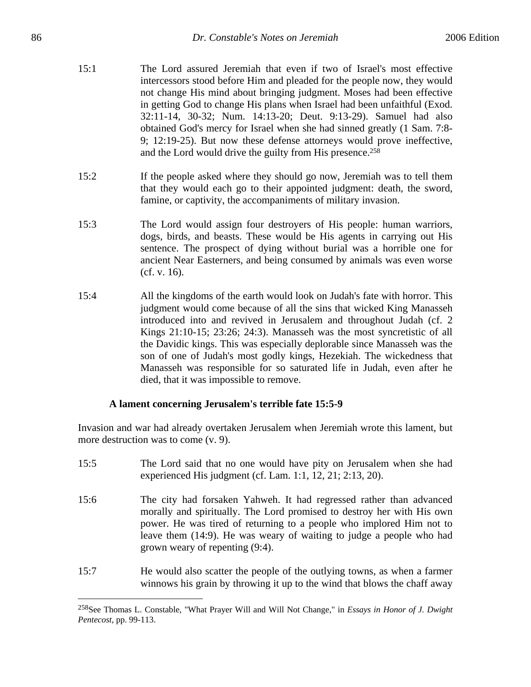- 15:1 The Lord assured Jeremiah that even if two of Israel's most effective intercessors stood before Him and pleaded for the people now, they would not change His mind about bringing judgment. Moses had been effective in getting God to change His plans when Israel had been unfaithful (Exod. 32:11-14, 30-32; Num. 14:13-20; Deut. 9:13-29). Samuel had also obtained God's mercy for Israel when she had sinned greatly (1 Sam. 7:8- 9; 12:19-25). But now these defense attorneys would prove ineffective, and the Lord would drive the guilty from His presence.258
- 15:2 If the people asked where they should go now, Jeremiah was to tell them that they would each go to their appointed judgment: death, the sword, famine, or captivity, the accompaniments of military invasion.
- 15:3 The Lord would assign four destroyers of His people: human warriors, dogs, birds, and beasts. These would be His agents in carrying out His sentence. The prospect of dying without burial was a horrible one for ancient Near Easterners, and being consumed by animals was even worse (cf. v. 16).
- 15:4 All the kingdoms of the earth would look on Judah's fate with horror. This judgment would come because of all the sins that wicked King Manasseh introduced into and revived in Jerusalem and throughout Judah (cf. 2 Kings 21:10-15; 23:26; 24:3). Manasseh was the most syncretistic of all the Davidic kings. This was especially deplorable since Manasseh was the son of one of Judah's most godly kings, Hezekiah. The wickedness that Manasseh was responsible for so saturated life in Judah, even after he died, that it was impossible to remove.

## **A lament concerning Jerusalem's terrible fate 15:5-9**

*Pentecost*, pp. 99-113.

Invasion and war had already overtaken Jerusalem when Jeremiah wrote this lament, but more destruction was to come (v. 9).

15:5 The Lord said that no one would have pity on Jerusalem when she had experienced His judgment (cf. Lam. 1:1, 12, 21; 2:13, 20). 15:6 The city had forsaken Yahweh. It had regressed rather than advanced morally and spiritually. The Lord promised to destroy her with His own power. He was tired of returning to a people who implored Him not to leave them (14:9). He was weary of waiting to judge a people who had grown weary of repenting (9:4). 15:7 He would also scatter the people of the outlying towns, as when a farmer

winnows his grain by throwing it up to the wind that blows the chaff away

 $\overline{a}$ 258See Thomas L. Constable, "What Prayer Will and Will Not Change," in *Essays in Honor of J. Dwight*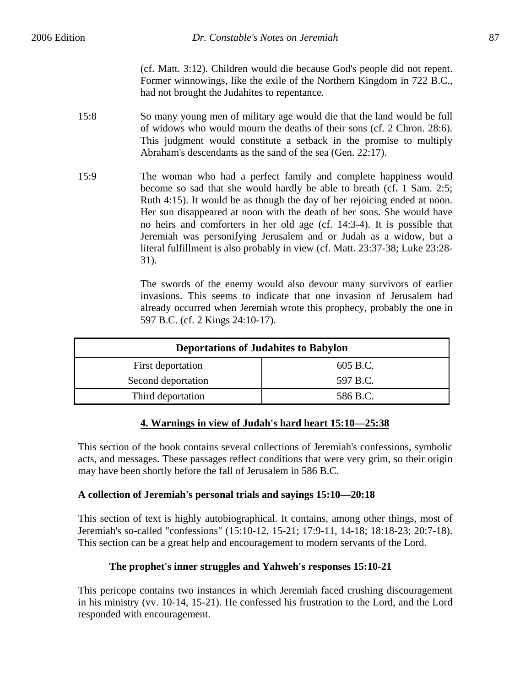(cf. Matt. 3:12). Children would die because God's people did not repent. Former winnowings, like the exile of the Northern Kingdom in 722 B.C., had not brought the Judahites to repentance.

- 15:8 So many young men of military age would die that the land would be full of widows who would mourn the deaths of their sons (cf. 2 Chron. 28:6). This judgment would constitute a setback in the promise to multiply Abraham's descendants as the sand of the sea (Gen. 22:17).
- 15:9 The woman who had a perfect family and complete happiness would become so sad that she would hardly be able to breath (cf. 1 Sam. 2:5; Ruth 4:15). It would be as though the day of her rejoicing ended at noon. Her sun disappeared at noon with the death of her sons. She would have no heirs and comforters in her old age (cf. 14:3-4). It is possible that Jeremiah was personifying Jerusalem and or Judah as a widow, but a literal fulfillment is also probably in view (cf. Matt. 23:37-38; Luke 23:28- 31).

The swords of the enemy would also devour many survivors of earlier invasions. This seems to indicate that one invasion of Jerusalem had already occurred when Jeremiah wrote this prophecy, probably the one in 597 B.C. (cf. 2 Kings 24:10-17).

| <b>Deportations of Judahites to Babylon</b> |          |
|---------------------------------------------|----------|
| First deportation                           | 605 B.C. |
| Second deportation                          | 597 B.C. |
| Third deportation                           | 586 B.C. |

# **4. Warnings in view of Judah's hard heart 15:10—25:38**

This section of the book contains several collections of Jeremiah's confessions, symbolic acts, and messages. These passages reflect conditions that were very grim, so their origin may have been shortly before the fall of Jerusalem in 586 B.C.

## **A collection of Jeremiah's personal trials and sayings 15:10—20:18**

This section of text is highly autobiographical. It contains, among other things, most of Jeremiah's so-called "confessions" (15:10-12, 15-21; 17:9-11, 14-18; 18:18-23; 20:7-18). This section can be a great help and encouragement to modern servants of the Lord.

# **The prophet's inner struggles and Yahweh's responses 15:10-21**

This pericope contains two instances in which Jeremiah faced crushing discouragement in his ministry (vv. 10-14, 15-21). He confessed his frustration to the Lord, and the Lord responded with encouragement.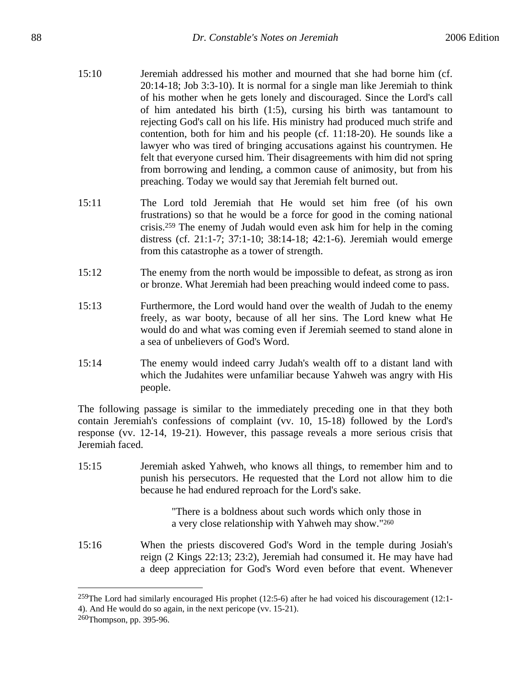- 15:10 Jeremiah addressed his mother and mourned that she had borne him (cf. 20:14-18; Job 3:3-10). It is normal for a single man like Jeremiah to think of his mother when he gets lonely and discouraged. Since the Lord's call of him antedated his birth (1:5), cursing his birth was tantamount to rejecting God's call on his life. His ministry had produced much strife and contention, both for him and his people (cf. 11:18-20). He sounds like a lawyer who was tired of bringing accusations against his countrymen. He felt that everyone cursed him. Their disagreements with him did not spring from borrowing and lending, a common cause of animosity, but from his preaching. Today we would say that Jeremiah felt burned out.
- 15:11 The Lord told Jeremiah that He would set him free (of his own frustrations) so that he would be a force for good in the coming national crisis.259 The enemy of Judah would even ask him for help in the coming distress (cf. 21:1-7; 37:1-10; 38:14-18; 42:1-6). Jeremiah would emerge from this catastrophe as a tower of strength.
- 15:12 The enemy from the north would be impossible to defeat, as strong as iron or bronze. What Jeremiah had been preaching would indeed come to pass.
- 15:13 Furthermore, the Lord would hand over the wealth of Judah to the enemy freely, as war booty, because of all her sins. The Lord knew what He would do and what was coming even if Jeremiah seemed to stand alone in a sea of unbelievers of God's Word.
- 15:14 The enemy would indeed carry Judah's wealth off to a distant land with which the Judahites were unfamiliar because Yahweh was angry with His people.

The following passage is similar to the immediately preceding one in that they both contain Jeremiah's confessions of complaint (vv. 10, 15-18) followed by the Lord's response (vv. 12-14, 19-21). However, this passage reveals a more serious crisis that Jeremiah faced.

15:15 Jeremiah asked Yahweh, who knows all things, to remember him and to punish his persecutors. He requested that the Lord not allow him to die because he had endured reproach for the Lord's sake.

> "There is a boldness about such words which only those in a very close relationship with Yahweh may show."260

15:16 When the priests discovered God's Word in the temple during Josiah's reign (2 Kings 22:13; 23:2), Jeremiah had consumed it. He may have had a deep appreciation for God's Word even before that event. Whenever

<sup>259</sup>The Lord had similarly encouraged His prophet (12:5-6) after he had voiced his discouragement (12:1- 4). And He would do so again, in the next pericope (vv. 15-21).

<sup>260</sup>Thompson, pp. 395-96.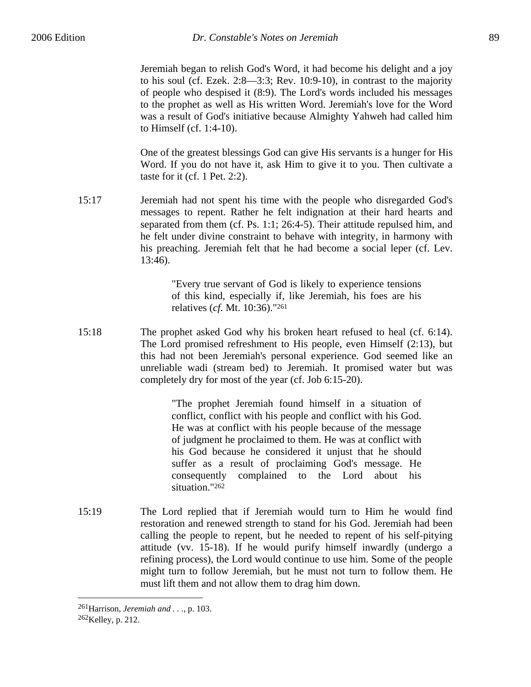Jeremiah began to relish God's Word, it had become his delight and a joy to his soul (cf. Ezek. 2:8—3:3; Rev. 10:9-10), in contrast to the majority of people who despised it (8:9). The Lord's words included his messages to the prophet as well as His written Word. Jeremiah's love for the Word was a result of God's initiative because Almighty Yahweh had called him to Himself (cf. 1:4-10).

One of the greatest blessings God can give His servants is a hunger for His Word. If you do not have it, ask Him to give it to you. Then cultivate a taste for it (cf. 1 Pet. 2:2).

15:17 Jeremiah had not spent his time with the people who disregarded God's messages to repent. Rather he felt indignation at their hard hearts and separated from them (cf. Ps. 1:1; 26:4-5). Their attitude repulsed him, and he felt under divine constraint to behave with integrity, in harmony with his preaching. Jeremiah felt that he had become a social leper (cf. Lev. 13:46).

> "Every true servant of God is likely to experience tensions of this kind, especially if, like Jeremiah, his foes are his relatives (*cf*. Mt. 10:36)."261

15:18 The prophet asked God why his broken heart refused to heal (cf. 6:14). The Lord promised refreshment to His people, even Himself (2:13), but this had not been Jeremiah's personal experience. God seemed like an unreliable wadi (stream bed) to Jeremiah. It promised water but was completely dry for most of the year (cf. Job 6:15-20).

> "The prophet Jeremiah found himself in a situation of conflict, conflict with his people and conflict with his God. He was at conflict with his people because of the message of judgment he proclaimed to them. He was at conflict with his God because he considered it unjust that he should suffer as a result of proclaiming God's message. He consequently complained to the Lord about his situation."262

15:19 The Lord replied that if Jeremiah would turn to Him he would find restoration and renewed strength to stand for his God. Jeremiah had been calling the people to repent, but he needed to repent of his self-pitying attitude (vv. 15-18). If he would purify himself inwardly (undergo a refining process), the Lord would continue to use him. Some of the people might turn to follow Jeremiah, but he must not turn to follow them. He must lift them and not allow them to drag him down.

<sup>261</sup>Harrison, *Jeremiah and . . .*, p. 103. 262Kelley, p. 212.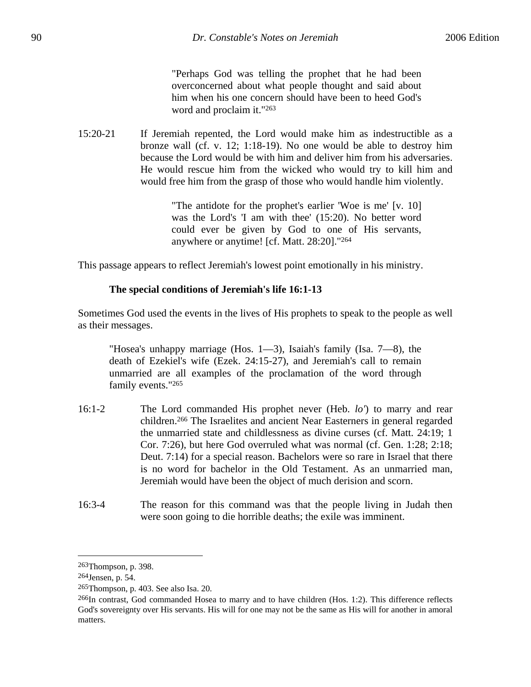"Perhaps God was telling the prophet that he had been overconcerned about what people thought and said about him when his one concern should have been to heed God's word and proclaim it."263

15:20-21 If Jeremiah repented, the Lord would make him as indestructible as a bronze wall (cf. v. 12; 1:18-19). No one would be able to destroy him because the Lord would be with him and deliver him from his adversaries. He would rescue him from the wicked who would try to kill him and would free him from the grasp of those who would handle him violently.

> "The antidote for the prophet's earlier 'Woe is me' [v. 10] was the Lord's 'I am with thee' (15:20). No better word could ever be given by God to one of His servants, anywhere or anytime! [cf. Matt. 28:20]."264

This passage appears to reflect Jeremiah's lowest point emotionally in his ministry.

### **The special conditions of Jeremiah's life 16:1-13**

Sometimes God used the events in the lives of His prophets to speak to the people as well as their messages.

"Hosea's unhappy marriage (Hos.  $1-3$ ), Isaiah's family (Isa.  $7-8$ ), the death of Ezekiel's wife (Ezek. 24:15-27), and Jeremiah's call to remain unmarried are all examples of the proclamation of the word through family events."265

- 16:1-2 The Lord commanded His prophet never (Heb. *lo'*) to marry and rear children.266 The Israelites and ancient Near Easterners in general regarded the unmarried state and childlessness as divine curses (cf. Matt. 24:19; 1 Cor. 7:26), but here God overruled what was normal (cf. Gen. 1:28; 2:18; Deut. 7:14) for a special reason. Bachelors were so rare in Israel that there is no word for bachelor in the Old Testament. As an unmarried man, Jeremiah would have been the object of much derision and scorn.
- 16:3-4 The reason for this command was that the people living in Judah then were soon going to die horrible deaths; the exile was imminent.

<sup>263</sup>Thompson, p. 398.

<sup>264</sup>Jensen, p. 54.

<sup>265</sup>Thompson, p. 403. See also Isa. 20.

 $^{266}$ In contrast, God commanded Hosea to marry and to have children (Hos. 1:2). This difference reflects God's sovereignty over His servants. His will for one may not be the same as His will for another in amoral matters.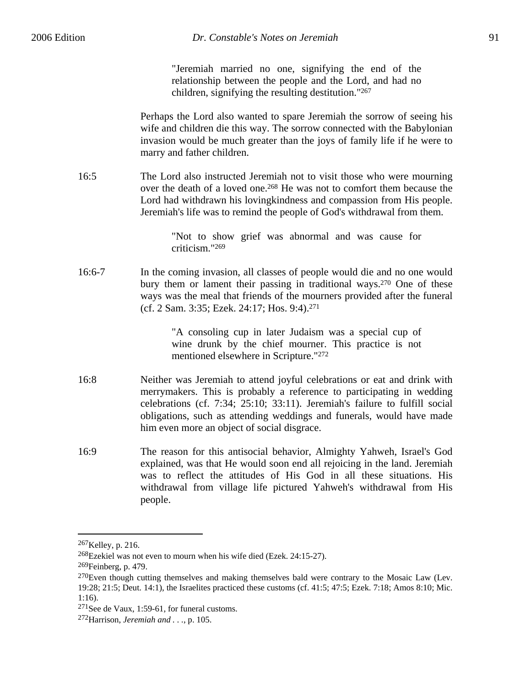"Jeremiah married no one, signifying the end of the relationship between the people and the Lord, and had no children, signifying the resulting destitution."267

Perhaps the Lord also wanted to spare Jeremiah the sorrow of seeing his wife and children die this way. The sorrow connected with the Babylonian invasion would be much greater than the joys of family life if he were to marry and father children.

16:5 The Lord also instructed Jeremiah not to visit those who were mourning over the death of a loved one.268 He was not to comfort them because the Lord had withdrawn his lovingkindness and compassion from His people. Jeremiah's life was to remind the people of God's withdrawal from them.

> "Not to show grief was abnormal and was cause for criticism."269

16:6-7 In the coming invasion, all classes of people would die and no one would bury them or lament their passing in traditional ways.<sup>270</sup> One of these ways was the meal that friends of the mourners provided after the funeral (cf. 2 Sam. 3:35; Ezek. 24:17; Hos. 9:4).271

> "A consoling cup in later Judaism was a special cup of wine drunk by the chief mourner. This practice is not mentioned elsewhere in Scripture."272

- 16:8 Neither was Jeremiah to attend joyful celebrations or eat and drink with merrymakers. This is probably a reference to participating in wedding celebrations (cf. 7:34; 25:10; 33:11). Jeremiah's failure to fulfill social obligations, such as attending weddings and funerals, would have made him even more an object of social disgrace.
- 16:9 The reason for this antisocial behavior, Almighty Yahweh, Israel's God explained, was that He would soon end all rejoicing in the land. Jeremiah was to reflect the attitudes of His God in all these situations. His withdrawal from village life pictured Yahweh's withdrawal from His people.

<sup>267</sup>Kelley, p. 216.

<sup>268</sup>Ezekiel was not even to mourn when his wife died (Ezek. 24:15-27).

 $269$ Feinberg, p. 479.

<sup>&</sup>lt;sup>270</sup>Even though cutting themselves and making themselves bald were contrary to the Mosaic Law (Lev. 19:28; 21:5; Deut. 14:1), the Israelites practiced these customs (cf. 41:5; 47:5; Ezek. 7:18; Amos 8:10; Mic. 1:16).

<sup>271</sup>See de Vaux, 1:59-61, for funeral customs.

<sup>272</sup>Harrison, *Jeremiah and . . .*, p. 105.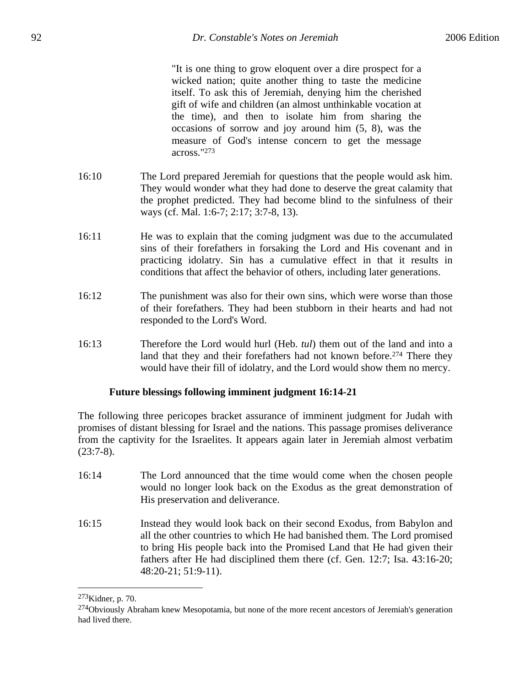"It is one thing to grow eloquent over a dire prospect for a wicked nation; quite another thing to taste the medicine itself. To ask this of Jeremiah, denying him the cherished gift of wife and children (an almost unthinkable vocation at the time), and then to isolate him from sharing the occasions of sorrow and joy around him (5, 8), was the measure of God's intense concern to get the message across."273

- 16:10 The Lord prepared Jeremiah for questions that the people would ask him. They would wonder what they had done to deserve the great calamity that the prophet predicted. They had become blind to the sinfulness of their ways (cf. Mal. 1:6-7; 2:17; 3:7-8, 13).
- 16:11 He was to explain that the coming judgment was due to the accumulated sins of their forefathers in forsaking the Lord and His covenant and in practicing idolatry. Sin has a cumulative effect in that it results in conditions that affect the behavior of others, including later generations.
- 16:12 The punishment was also for their own sins, which were worse than those of their forefathers. They had been stubborn in their hearts and had not responded to the Lord's Word.
- 16:13 Therefore the Lord would hurl (Heb. *tul*) them out of the land and into a land that they and their forefathers had not known before.<sup>274</sup> There they would have their fill of idolatry, and the Lord would show them no mercy.

## **Future blessings following imminent judgment 16:14-21**

The following three pericopes bracket assurance of imminent judgment for Judah with promises of distant blessing for Israel and the nations. This passage promises deliverance from the captivity for the Israelites. It appears again later in Jeremiah almost verbatim (23:7-8).

- 16:14 The Lord announced that the time would come when the chosen people would no longer look back on the Exodus as the great demonstration of His preservation and deliverance.
- 16:15 Instead they would look back on their second Exodus, from Babylon and all the other countries to which He had banished them. The Lord promised to bring His people back into the Promised Land that He had given their fathers after He had disciplined them there (cf. Gen. 12:7; Isa. 43:16-20; 48:20-21; 51:9-11).

<sup>273</sup>Kidner, p. 70.

<sup>&</sup>lt;sup>274</sup>Obviously Abraham knew Mesopotamia, but none of the more recent ancestors of Jeremiah's generation had lived there.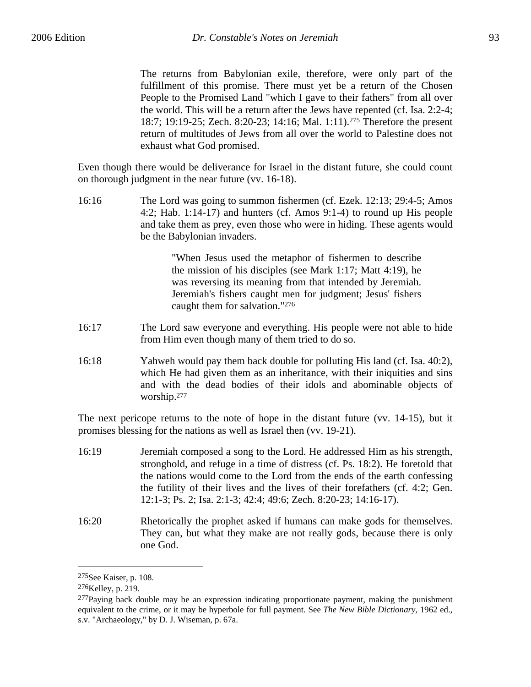The returns from Babylonian exile, therefore, were only part of the fulfillment of this promise. There must yet be a return of the Chosen People to the Promised Land "which I gave to their fathers" from all over the world. This will be a return after the Jews have repented (cf. Isa. 2:2-4; 18:7; 19:19-25; Zech. 8:20-23; 14:16; Mal. 1:11).275 Therefore the present return of multitudes of Jews from all over the world to Palestine does not exhaust what God promised.

Even though there would be deliverance for Israel in the distant future, she could count on thorough judgment in the near future (vv. 16-18).

16:16 The Lord was going to summon fishermen (cf. Ezek. 12:13; 29:4-5; Amos 4:2; Hab. 1:14-17) and hunters (cf. Amos 9:1-4) to round up His people and take them as prey, even those who were in hiding. These agents would be the Babylonian invaders.

> "When Jesus used the metaphor of fishermen to describe the mission of his disciples (see Mark 1:17; Matt 4:19), he was reversing its meaning from that intended by Jeremiah. Jeremiah's fishers caught men for judgment; Jesus' fishers caught them for salvation."276

- 16:17 The Lord saw everyone and everything. His people were not able to hide from Him even though many of them tried to do so.
- 16:18 Yahweh would pay them back double for polluting His land (cf. Isa. 40:2), which He had given them as an inheritance, with their iniquities and sins and with the dead bodies of their idols and abominable objects of worship.277

The next pericope returns to the note of hope in the distant future (vv. 14-15), but it promises blessing for the nations as well as Israel then (vv. 19-21).

- 16:19 Jeremiah composed a song to the Lord. He addressed Him as his strength, stronghold, and refuge in a time of distress (cf. Ps. 18:2). He foretold that the nations would come to the Lord from the ends of the earth confessing the futility of their lives and the lives of their forefathers (cf. 4:2; Gen. 12:1-3; Ps. 2; Isa. 2:1-3; 42:4; 49:6; Zech. 8:20-23; 14:16-17).
- 16:20 Rhetorically the prophet asked if humans can make gods for themselves. They can, but what they make are not really gods, because there is only one God.

<sup>275</sup>See Kaiser, p. 108.

<sup>276</sup>Kelley, p. 219.

 $277$ Paying back double may be an expression indicating proportionate payment, making the punishment equivalent to the crime, or it may be hyperbole for full payment. See *The New Bible Dictionary*, 1962 ed., s.v. "Archaeology," by D. J. Wiseman, p. 67a.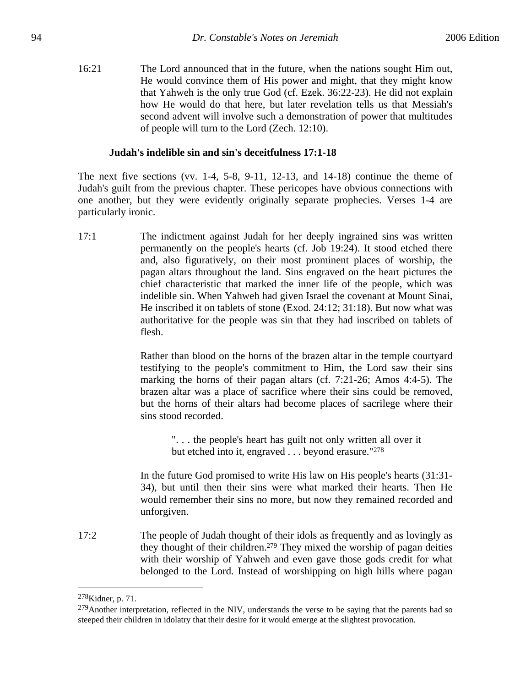16:21 The Lord announced that in the future, when the nations sought Him out, He would convince them of His power and might, that they might know that Yahweh is the only true God (cf. Ezek. 36:22-23). He did not explain how He would do that here, but later revelation tells us that Messiah's second advent will involve such a demonstration of power that multitudes of people will turn to the Lord (Zech. 12:10).

### **Judah's indelible sin and sin's deceitfulness 17:1-18**

The next five sections (vv. 1-4, 5-8, 9-11, 12-13, and  $14-18$ ) continue the theme of Judah's guilt from the previous chapter. These pericopes have obvious connections with one another, but they were evidently originally separate prophecies. Verses 1-4 are particularly ironic.

17:1 The indictment against Judah for her deeply ingrained sins was written permanently on the people's hearts (cf. Job 19:24). It stood etched there and, also figuratively, on their most prominent places of worship, the pagan altars throughout the land. Sins engraved on the heart pictures the chief characteristic that marked the inner life of the people, which was indelible sin. When Yahweh had given Israel the covenant at Mount Sinai, He inscribed it on tablets of stone (Exod. 24:12; 31:18). But now what was authoritative for the people was sin that they had inscribed on tablets of flesh.

> Rather than blood on the horns of the brazen altar in the temple courtyard testifying to the people's commitment to Him, the Lord saw their sins marking the horns of their pagan altars (cf. 7:21-26; Amos 4:4-5). The brazen altar was a place of sacrifice where their sins could be removed, but the horns of their altars had become places of sacrilege where their sins stood recorded.

> > ". . . the people's heart has guilt not only written all over it but etched into it, engraved . . . beyond erasure."278

In the future God promised to write His law on His people's hearts (31:31- 34), but until then their sins were what marked their hearts. Then He would remember their sins no more, but now they remained recorded and unforgiven.

17:2 The people of Judah thought of their idols as frequently and as lovingly as they thought of their children.279 They mixed the worship of pagan deities with their worship of Yahweh and even gave those gods credit for what belonged to the Lord. Instead of worshipping on high hills where pagan

<sup>278</sup>Kidner, p. 71.

<sup>&</sup>lt;sup>279</sup>Another interpretation, reflected in the NIV, understands the verse to be saying that the parents had so steeped their children in idolatry that their desire for it would emerge at the slightest provocation.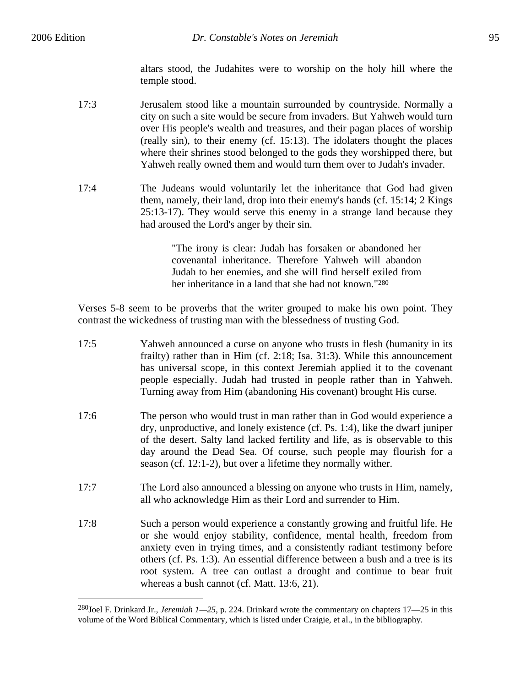1

altars stood, the Judahites were to worship on the holy hill where the temple stood.

- 17:3 Jerusalem stood like a mountain surrounded by countryside. Normally a city on such a site would be secure from invaders. But Yahweh would turn over His people's wealth and treasures, and their pagan places of worship (really sin), to their enemy (cf. 15:13). The idolaters thought the places where their shrines stood belonged to the gods they worshipped there, but Yahweh really owned them and would turn them over to Judah's invader.
- 17:4 The Judeans would voluntarily let the inheritance that God had given them, namely, their land, drop into their enemy's hands (cf. 15:14; 2 Kings 25:13-17). They would serve this enemy in a strange land because they had aroused the Lord's anger by their sin.

"The irony is clear: Judah has forsaken or abandoned her covenantal inheritance. Therefore Yahweh will abandon Judah to her enemies, and she will find herself exiled from her inheritance in a land that she had not known."280

Verses 5-8 seem to be proverbs that the writer grouped to make his own point. They contrast the wickedness of trusting man with the blessedness of trusting God.

| 17:5 | Yahweh announced a curse on anyone who trusts in flesh (humanity in its<br>frailty) rather than in Him (cf. $2:18$ ; Isa. $31:3$ ). While this announcement<br>has universal scope, in this context Jeremiah applied it to the covenant                                                                                                                                                                                                  |
|------|------------------------------------------------------------------------------------------------------------------------------------------------------------------------------------------------------------------------------------------------------------------------------------------------------------------------------------------------------------------------------------------------------------------------------------------|
|      | people especially. Judah had trusted in people rather than in Yahweh.<br>Turning away from Him (abandoning His covenant) brought His curse.                                                                                                                                                                                                                                                                                              |
| 17:6 | The person who would trust in man rather than in God would experience a<br>dry, unproductive, and lonely existence (cf. Ps. 1:4), like the dwarf juniper<br>of the desert. Salty land lacked fertility and life, as is observable to this<br>day around the Dead Sea. Of course, such people may flourish for a<br>season (cf. 12:1-2), but over a lifetime they normally wither.                                                        |
| 17:7 | The Lord also announced a blessing on anyone who trusts in Him, namely,<br>all who acknowledge Him as their Lord and surrender to Him.                                                                                                                                                                                                                                                                                                   |
| 17:8 | Such a person would experience a constantly growing and fruitful life. He<br>or she would enjoy stability, confidence, mental health, freedom from<br>anxiety even in trying times, and a consistently radiant testimony before<br>others (cf. Ps. 1:3). An essential difference between a bush and a tree is its<br>root system. A tree can outlast a drought and continue to bear fruit<br>whereas a bush cannot (cf. Matt. 13:6, 21). |

<sup>280</sup>Joel F. Drinkard Jr., *Jeremiah 1—25*, p. 224. Drinkard wrote the commentary on chapters 17—25 in this volume of the Word Biblical Commentary, which is listed under Craigie, et al., in the bibliography.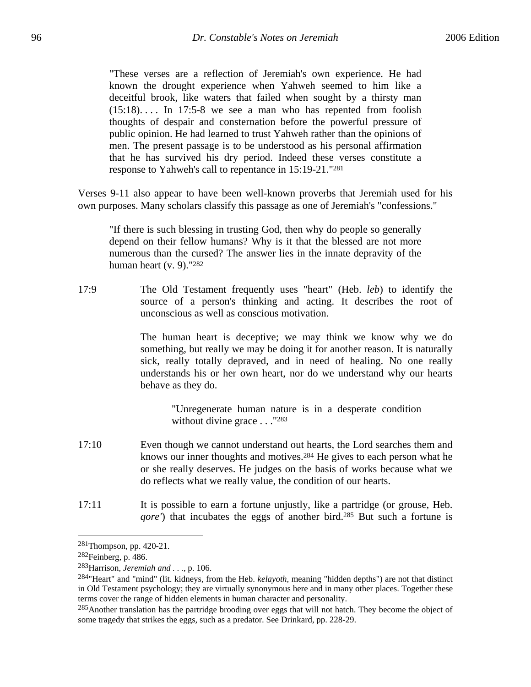"These verses are a reflection of Jeremiah's own experience. He had known the drought experience when Yahweh seemed to him like a deceitful brook, like waters that failed when sought by a thirsty man  $(15:18)$ ... In 17:5-8 we see a man who has repented from foolish thoughts of despair and consternation before the powerful pressure of public opinion. He had learned to trust Yahweh rather than the opinions of men. The present passage is to be understood as his personal affirmation that he has survived his dry period. Indeed these verses constitute a response to Yahweh's call to repentance in 15:19-21."281

Verses 9-11 also appear to have been well-known proverbs that Jeremiah used for his own purposes. Many scholars classify this passage as one of Jeremiah's "confessions."

"If there is such blessing in trusting God, then why do people so generally depend on their fellow humans? Why is it that the blessed are not more numerous than the cursed? The answer lies in the innate depravity of the human heart (v. 9)."282

17:9 The Old Testament frequently uses "heart" (Heb. *leb*) to identify the source of a person's thinking and acting. It describes the root of unconscious as well as conscious motivation.

> The human heart is deceptive; we may think we know why we do something, but really we may be doing it for another reason. It is naturally sick, really totally depraved, and in need of healing. No one really understands his or her own heart, nor do we understand why our hearts behave as they do.

> > "Unregenerate human nature is in a desperate condition without divine grace . . . "283

- 17:10 Even though we cannot understand out hearts, the Lord searches them and knows our inner thoughts and motives.284 He gives to each person what he or she really deserves. He judges on the basis of works because what we do reflects what we really value, the condition of our hearts.
- 17:11 It is possible to earn a fortune unjustly, like a partridge (or grouse, Heb. *gore'*) that incubates the eggs of another bird.<sup>285</sup> But such a fortune is

<sup>281</sup>Thompson, pp. 420-21.

<sup>282</sup>Feinberg, p. 486.

<sup>283</sup>Harrison, *Jeremiah and . . .*, p. 106.

<sup>284&</sup>quot;Heart" and "mind" (lit. kidneys, from the Heb. *kelayoth*, meaning "hidden depths") are not that distinct in Old Testament psychology; they are virtually synonymous here and in many other places. Together these terms cover the range of hidden elements in human character and personality.

<sup>&</sup>lt;sup>285</sup>Another translation has the partridge brooding over eggs that will not hatch. They become the object of some tragedy that strikes the eggs, such as a predator. See Drinkard, pp. 228-29.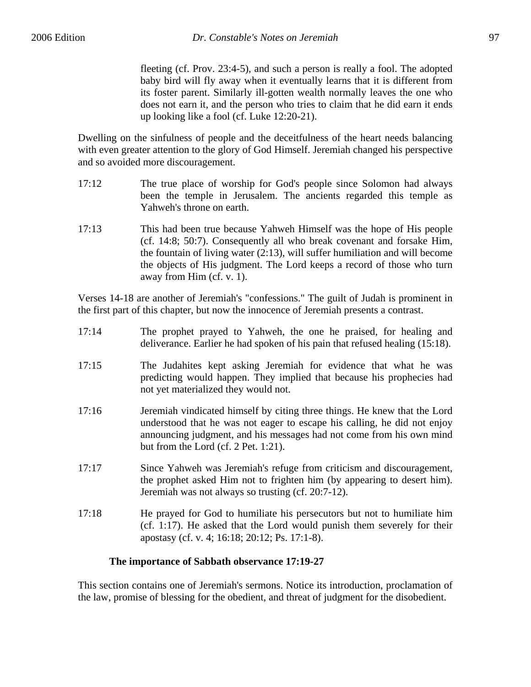fleeting (cf. Prov. 23:4-5), and such a person is really a fool. The adopted baby bird will fly away when it eventually learns that it is different from its foster parent. Similarly ill-gotten wealth normally leaves the one who does not earn it, and the person who tries to claim that he did earn it ends up looking like a fool (cf. Luke 12:20-21).

Dwelling on the sinfulness of people and the deceitfulness of the heart needs balancing with even greater attention to the glory of God Himself. Jeremiah changed his perspective and so avoided more discouragement.

- 17:12 The true place of worship for God's people since Solomon had always been the temple in Jerusalem. The ancients regarded this temple as Yahweh's throne on earth.
- 17:13 This had been true because Yahweh Himself was the hope of His people (cf. 14:8; 50:7). Consequently all who break covenant and forsake Him, the fountain of living water (2:13), will suffer humiliation and will become the objects of His judgment. The Lord keeps a record of those who turn away from Him (cf. v. 1).

Verses 14-18 are another of Jeremiah's "confessions." The guilt of Judah is prominent in the first part of this chapter, but now the innocence of Jeremiah presents a contrast.

- 17:14 The prophet prayed to Yahweh, the one he praised, for healing and deliverance. Earlier he had spoken of his pain that refused healing (15:18).
- 17:15 The Judahites kept asking Jeremiah for evidence that what he was predicting would happen. They implied that because his prophecies had not yet materialized they would not.
- 17:16 Jeremiah vindicated himself by citing three things. He knew that the Lord understood that he was not eager to escape his calling, he did not enjoy announcing judgment, and his messages had not come from his own mind but from the Lord (cf. 2 Pet. 1:21).
- 17:17 Since Yahweh was Jeremiah's refuge from criticism and discouragement, the prophet asked Him not to frighten him (by appearing to desert him). Jeremiah was not always so trusting (cf. 20:7-12).
- 17:18 He prayed for God to humiliate his persecutors but not to humiliate him (cf. 1:17). He asked that the Lord would punish them severely for their apostasy (cf. v. 4; 16:18; 20:12; Ps. 17:1-8).

### **The importance of Sabbath observance 17:19-27**

This section contains one of Jeremiah's sermons. Notice its introduction, proclamation of the law, promise of blessing for the obedient, and threat of judgment for the disobedient.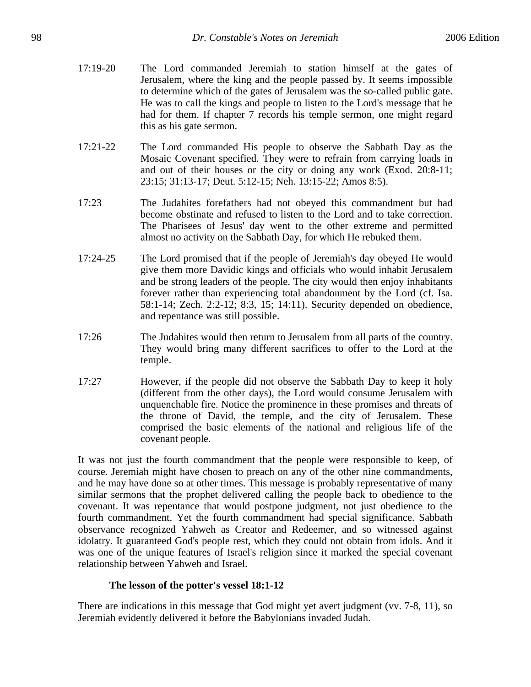- 17:19-20 The Lord commanded Jeremiah to station himself at the gates of Jerusalem, where the king and the people passed by. It seems impossible to determine which of the gates of Jerusalem was the so-called public gate. He was to call the kings and people to listen to the Lord's message that he had for them. If chapter 7 records his temple sermon, one might regard this as his gate sermon.
- 17:21-22 The Lord commanded His people to observe the Sabbath Day as the Mosaic Covenant specified. They were to refrain from carrying loads in and out of their houses or the city or doing any work (Exod. 20:8-11; 23:15; 31:13-17; Deut. 5:12-15; Neh. 13:15-22; Amos 8:5).
- 17:23 The Judahites forefathers had not obeyed this commandment but had become obstinate and refused to listen to the Lord and to take correction. The Pharisees of Jesus' day went to the other extreme and permitted almost no activity on the Sabbath Day, for which He rebuked them.
- 17:24-25 The Lord promised that if the people of Jeremiah's day obeyed He would give them more Davidic kings and officials who would inhabit Jerusalem and be strong leaders of the people. The city would then enjoy inhabitants forever rather than experiencing total abandonment by the Lord (cf. Isa. 58:1-14; Zech. 2:2-12; 8:3, 15; 14:11). Security depended on obedience, and repentance was still possible.
- 17:26 The Judahites would then return to Jerusalem from all parts of the country. They would bring many different sacrifices to offer to the Lord at the temple.
- 17:27 However, if the people did not observe the Sabbath Day to keep it holy (different from the other days), the Lord would consume Jerusalem with unquenchable fire. Notice the prominence in these promises and threats of the throne of David, the temple, and the city of Jerusalem. These comprised the basic elements of the national and religious life of the covenant people.

It was not just the fourth commandment that the people were responsible to keep, of course. Jeremiah might have chosen to preach on any of the other nine commandments, and he may have done so at other times. This message is probably representative of many similar sermons that the prophet delivered calling the people back to obedience to the covenant. It was repentance that would postpone judgment, not just obedience to the fourth commandment. Yet the fourth commandment had special significance. Sabbath observance recognized Yahweh as Creator and Redeemer, and so witnessed against idolatry. It guaranteed God's people rest, which they could not obtain from idols. And it was one of the unique features of Israel's religion since it marked the special covenant relationship between Yahweh and Israel.

# **The lesson of the potter's vessel 18:1-12**

There are indications in this message that God might yet avert judgment (vv. 7-8, 11), so Jeremiah evidently delivered it before the Babylonians invaded Judah.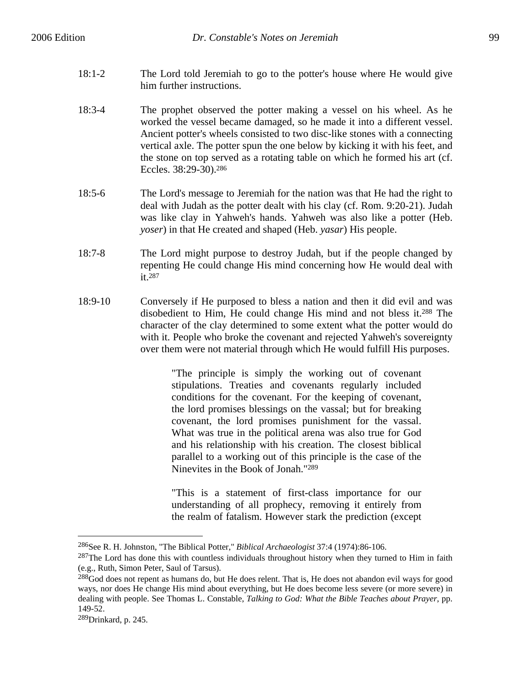- 18:1-2 The Lord told Jeremiah to go to the potter's house where He would give him further instructions.
- 18:3-4 The prophet observed the potter making a vessel on his wheel. As he worked the vessel became damaged, so he made it into a different vessel. Ancient potter's wheels consisted to two disc-like stones with a connecting vertical axle. The potter spun the one below by kicking it with his feet, and the stone on top served as a rotating table on which he formed his art (cf. Eccles. 38:29-30).286
- 18:5-6 The Lord's message to Jeremiah for the nation was that He had the right to deal with Judah as the potter dealt with his clay (cf. Rom. 9:20-21). Judah was like clay in Yahweh's hands. Yahweh was also like a potter (Heb. *yoser*) in that He created and shaped (Heb. *yasar*) His people.
- 18:7-8 The Lord might purpose to destroy Judah, but if the people changed by repenting He could change His mind concerning how He would deal with it.287
- 18:9-10 Conversely if He purposed to bless a nation and then it did evil and was disobedient to Him, He could change His mind and not bless it.288 The character of the clay determined to some extent what the potter would do with it. People who broke the covenant and rejected Yahweh's sovereignty over them were not material through which He would fulfill His purposes.

"The principle is simply the working out of covenant stipulations. Treaties and covenants regularly included conditions for the covenant. For the keeping of covenant, the lord promises blessings on the vassal; but for breaking covenant, the lord promises punishment for the vassal. What was true in the political arena was also true for God and his relationship with his creation. The closest biblical parallel to a working out of this principle is the case of the Ninevites in the Book of Jonah."289

"This is a statement of first-class importance for our understanding of all prophecy, removing it entirely from the realm of fatalism. However stark the prediction (except

<sup>286</sup>See R. H. Johnston, "The Biblical Potter," *Biblical Archaeologist* 37:4 (1974):86-106.

 $287$ The Lord has done this with countless individuals throughout history when they turned to Him in faith (e.g., Ruth, Simon Peter, Saul of Tarsus).

<sup>&</sup>lt;sup>288</sup>God does not repent as humans do, but He does relent. That is, He does not abandon evil ways for good ways, nor does He change His mind about everything, but He does become less severe (or more severe) in dealing with people. See Thomas L. Constable, *Talking to God: What the Bible Teaches about Prayer*, pp. 149-52.

<sup>289</sup>Drinkard, p. 245.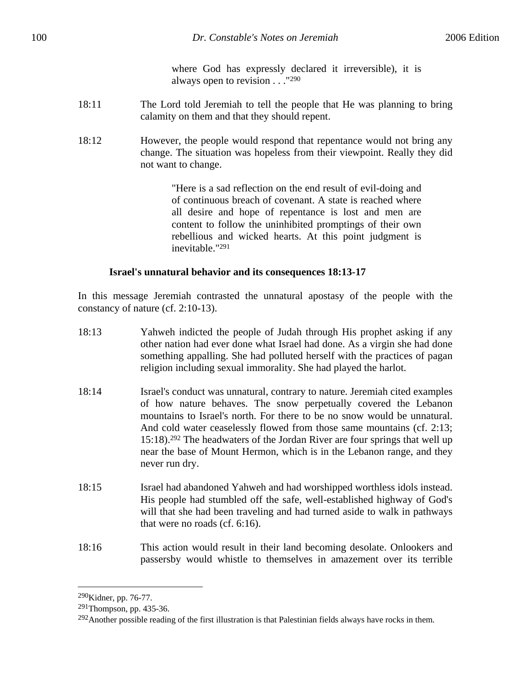where God has expressly declared it irreversible), it is always open to revision . . ."290

- 18:11 The Lord told Jeremiah to tell the people that He was planning to bring calamity on them and that they should repent.
- 18:12 However, the people would respond that repentance would not bring any change. The situation was hopeless from their viewpoint. Really they did not want to change.

"Here is a sad reflection on the end result of evil-doing and of continuous breach of covenant. A state is reached where all desire and hope of repentance is lost and men are content to follow the uninhibited promptings of their own rebellious and wicked hearts. At this point judgment is inevitable."291

#### **Israel's unnatural behavior and its consequences 18:13-17**

In this message Jeremiah contrasted the unnatural apostasy of the people with the constancy of nature (cf. 2:10-13).

- 18:13 Yahweh indicted the people of Judah through His prophet asking if any other nation had ever done what Israel had done. As a virgin she had done something appalling. She had polluted herself with the practices of pagan religion including sexual immorality. She had played the harlot.
- 18:14 Israel's conduct was unnatural, contrary to nature. Jeremiah cited examples of how nature behaves. The snow perpetually covered the Lebanon mountains to Israel's north. For there to be no snow would be unnatural. And cold water ceaselessly flowed from those same mountains (cf. 2:13; 15:18).292 The headwaters of the Jordan River are four springs that well up near the base of Mount Hermon, which is in the Lebanon range, and they never run dry.
- 18:15 Israel had abandoned Yahweh and had worshipped worthless idols instead. His people had stumbled off the safe, well-established highway of God's will that she had been traveling and had turned aside to walk in pathways that were no roads (cf. 6:16).
- 18:16 This action would result in their land becoming desolate. Onlookers and passersby would whistle to themselves in amazement over its terrible

<sup>290</sup>Kidner, pp. 76-77.

<sup>291</sup>Thompson, pp. 435-36.

 $292$ Another possible reading of the first illustration is that Palestinian fields always have rocks in them.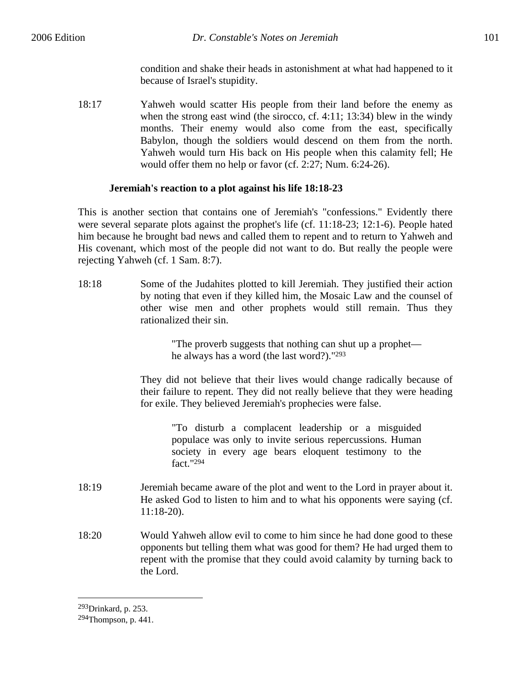condition and shake their heads in astonishment at what had happened to it because of Israel's stupidity.

18:17 Yahweh would scatter His people from their land before the enemy as when the strong east wind (the sirocco, cf. 4:11; 13:34) blew in the windy months. Their enemy would also come from the east, specifically Babylon, though the soldiers would descend on them from the north. Yahweh would turn His back on His people when this calamity fell; He would offer them no help or favor (cf. 2:27; Num. 6:24-26).

## **Jeremiah's reaction to a plot against his life 18:18-23**

This is another section that contains one of Jeremiah's "confessions." Evidently there were several separate plots against the prophet's life (cf. 11:18-23; 12:1-6). People hated him because he brought bad news and called them to repent and to return to Yahweh and His covenant, which most of the people did not want to do. But really the people were rejecting Yahweh (cf. 1 Sam. 8:7).

18:18 Some of the Judahites plotted to kill Jeremiah. They justified their action by noting that even if they killed him, the Mosaic Law and the counsel of other wise men and other prophets would still remain. Thus they rationalized their sin.

> "The proverb suggests that nothing can shut up a prophet he always has a word (the last word?)."293

They did not believe that their lives would change radically because of their failure to repent. They did not really believe that they were heading for exile. They believed Jeremiah's prophecies were false.

> "To disturb a complacent leadership or a misguided populace was only to invite serious repercussions. Human society in every age bears eloquent testimony to the fact."294

- 18:19 Jeremiah became aware of the plot and went to the Lord in prayer about it. He asked God to listen to him and to what his opponents were saying (cf. 11:18-20).
- 18:20 Would Yahweh allow evil to come to him since he had done good to these opponents but telling them what was good for them? He had urged them to repent with the promise that they could avoid calamity by turning back to the Lord.

<sup>1</sup> 293Drinkard, p. 253.

<sup>294</sup>Thompson, p. 441.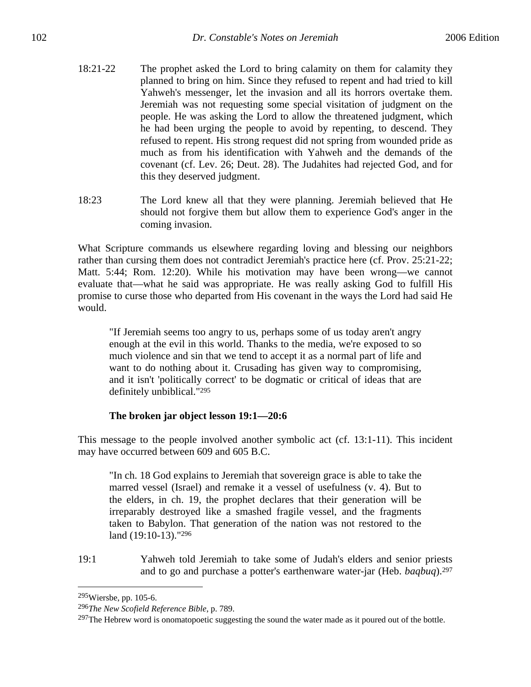- 18:21-22 The prophet asked the Lord to bring calamity on them for calamity they planned to bring on him. Since they refused to repent and had tried to kill Yahweh's messenger, let the invasion and all its horrors overtake them. Jeremiah was not requesting some special visitation of judgment on the people. He was asking the Lord to allow the threatened judgment, which he had been urging the people to avoid by repenting, to descend. They refused to repent. His strong request did not spring from wounded pride as much as from his identification with Yahweh and the demands of the covenant (cf. Lev. 26; Deut. 28). The Judahites had rejected God, and for this they deserved judgment.
- 18:23 The Lord knew all that they were planning. Jeremiah believed that He should not forgive them but allow them to experience God's anger in the coming invasion.

What Scripture commands us elsewhere regarding loving and blessing our neighbors rather than cursing them does not contradict Jeremiah's practice here (cf. Prov. 25:21-22; Matt. 5:44; Rom. 12:20). While his motivation may have been wrong—we cannot evaluate that—what he said was appropriate. He was really asking God to fulfill His promise to curse those who departed from His covenant in the ways the Lord had said He would.

"If Jeremiah seems too angry to us, perhaps some of us today aren't angry enough at the evil in this world. Thanks to the media, we're exposed to so much violence and sin that we tend to accept it as a normal part of life and want to do nothing about it. Crusading has given way to compromising, and it isn't 'politically correct' to be dogmatic or critical of ideas that are definitely unbiblical."295

## **The broken jar object lesson 19:1—20:6**

This message to the people involved another symbolic act (cf. 13:1-11). This incident may have occurred between 609 and 605 B.C.

"In ch. 18 God explains to Jeremiah that sovereign grace is able to take the marred vessel (Israel) and remake it a vessel of usefulness (v. 4). But to the elders, in ch. 19, the prophet declares that their generation will be irreparably destroyed like a smashed fragile vessel, and the fragments taken to Babylon. That generation of the nation was not restored to the land (19:10-13)."296

19:1 Yahweh told Jeremiah to take some of Judah's elders and senior priests and to go and purchase a potter's earthenware water-jar (Heb. *baqbuq*).297

<sup>295</sup>Wiersbe, pp. 105-6.

<sup>296</sup>*The New Scofield Reference Bible*, p. 789.

<sup>&</sup>lt;sup>297</sup>The Hebrew word is onomatopoetic suggesting the sound the water made as it poured out of the bottle.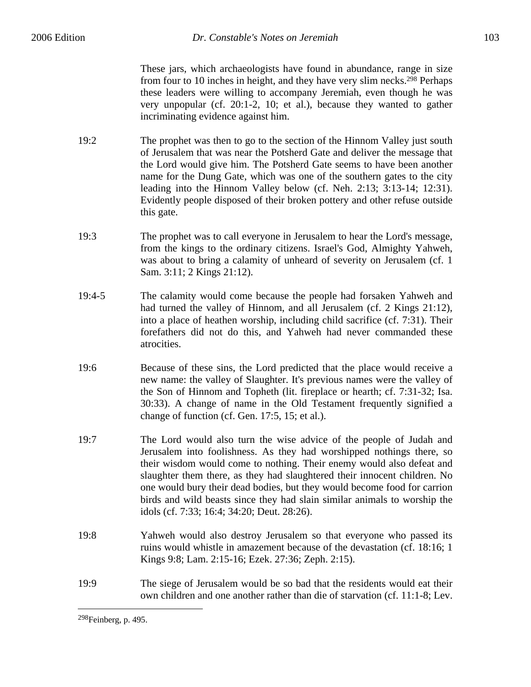These jars, which archaeologists have found in abundance, range in size from four to 10 inches in height, and they have very slim necks.298 Perhaps these leaders were willing to accompany Jeremiah, even though he was very unpopular (cf. 20:1-2, 10; et al.), because they wanted to gather incriminating evidence against him.

- 19:2 The prophet was then to go to the section of the Hinnom Valley just south of Jerusalem that was near the Potsherd Gate and deliver the message that the Lord would give him. The Potsherd Gate seems to have been another name for the Dung Gate, which was one of the southern gates to the city leading into the Hinnom Valley below (cf. Neh. 2:13; 3:13-14; 12:31). Evidently people disposed of their broken pottery and other refuse outside this gate.
- 19:3 The prophet was to call everyone in Jerusalem to hear the Lord's message, from the kings to the ordinary citizens. Israel's God, Almighty Yahweh, was about to bring a calamity of unheard of severity on Jerusalem (cf. 1 Sam. 3:11; 2 Kings 21:12).
- 19:4-5 The calamity would come because the people had forsaken Yahweh and had turned the valley of Hinnom, and all Jerusalem (cf. 2 Kings 21:12), into a place of heathen worship, including child sacrifice (cf. 7:31). Their forefathers did not do this, and Yahweh had never commanded these atrocities.
- 19:6 Because of these sins, the Lord predicted that the place would receive a new name: the valley of Slaughter. It's previous names were the valley of the Son of Hinnom and Topheth (lit. fireplace or hearth; cf. 7:31-32; Isa. 30:33). A change of name in the Old Testament frequently signified a change of function (cf. Gen. 17:5, 15; et al.).
- 19:7 The Lord would also turn the wise advice of the people of Judah and Jerusalem into foolishness. As they had worshipped nothings there, so their wisdom would come to nothing. Their enemy would also defeat and slaughter them there, as they had slaughtered their innocent children. No one would bury their dead bodies, but they would become food for carrion birds and wild beasts since they had slain similar animals to worship the idols (cf. 7:33; 16:4; 34:20; Deut. 28:26).
- 19:8 Yahweh would also destroy Jerusalem so that everyone who passed its ruins would whistle in amazement because of the devastation (cf. 18:16; 1 Kings 9:8; Lam. 2:15-16; Ezek. 27:36; Zeph. 2:15).
- 19:9 The siege of Jerusalem would be so bad that the residents would eat their own children and one another rather than die of starvation (cf. 11:1-8; Lev.

<sup>298</sup>Feinberg, p. 495.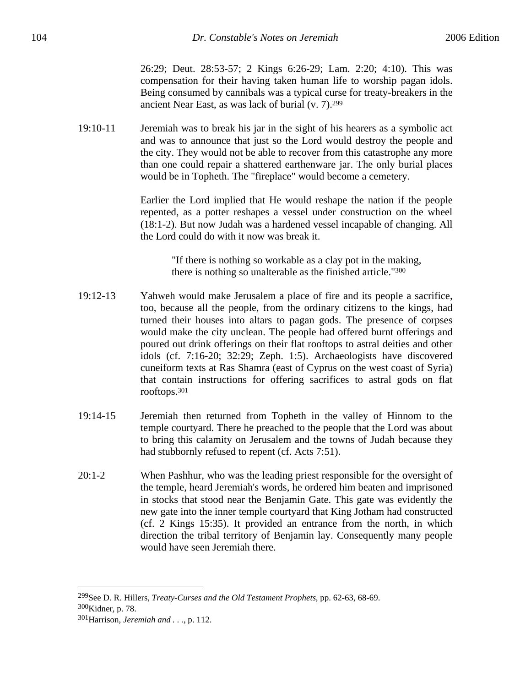26:29; Deut. 28:53-57; 2 Kings 6:26-29; Lam. 2:20; 4:10). This was compensation for their having taken human life to worship pagan idols. Being consumed by cannibals was a typical curse for treaty-breakers in the ancient Near East, as was lack of burial (v. 7).299

19:10-11 Jeremiah was to break his jar in the sight of his hearers as a symbolic act and was to announce that just so the Lord would destroy the people and the city. They would not be able to recover from this catastrophe any more than one could repair a shattered earthenware jar. The only burial places would be in Topheth. The "fireplace" would become a cemetery.

> Earlier the Lord implied that He would reshape the nation if the people repented, as a potter reshapes a vessel under construction on the wheel (18:1-2). But now Judah was a hardened vessel incapable of changing. All the Lord could do with it now was break it.

> > "If there is nothing so workable as a clay pot in the making, there is nothing so unalterable as the finished article."300

- 19:12-13 Yahweh would make Jerusalem a place of fire and its people a sacrifice, too, because all the people, from the ordinary citizens to the kings, had turned their houses into altars to pagan gods. The presence of corpses would make the city unclean. The people had offered burnt offerings and poured out drink offerings on their flat rooftops to astral deities and other idols (cf. 7:16-20; 32:29; Zeph. 1:5). Archaeologists have discovered cuneiform texts at Ras Shamra (east of Cyprus on the west coast of Syria) that contain instructions for offering sacrifices to astral gods on flat rooftops.301
- 19:14-15 Jeremiah then returned from Topheth in the valley of Hinnom to the temple courtyard. There he preached to the people that the Lord was about to bring this calamity on Jerusalem and the towns of Judah because they had stubbornly refused to repent (cf. Acts 7:51).
- 20:1-2 When Pashhur, who was the leading priest responsible for the oversight of the temple, heard Jeremiah's words, he ordered him beaten and imprisoned in stocks that stood near the Benjamin Gate. This gate was evidently the new gate into the inner temple courtyard that King Jotham had constructed (cf. 2 Kings 15:35). It provided an entrance from the north, in which direction the tribal territory of Benjamin lay. Consequently many people would have seen Jeremiah there.

<sup>299</sup>See D. R. Hillers, *Treaty-Curses and the Old Testament Prophets*, pp. 62-63, 68-69. 300Kidner, p. 78.

<sup>301</sup>Harrison, *Jeremiah and . . .*, p. 112.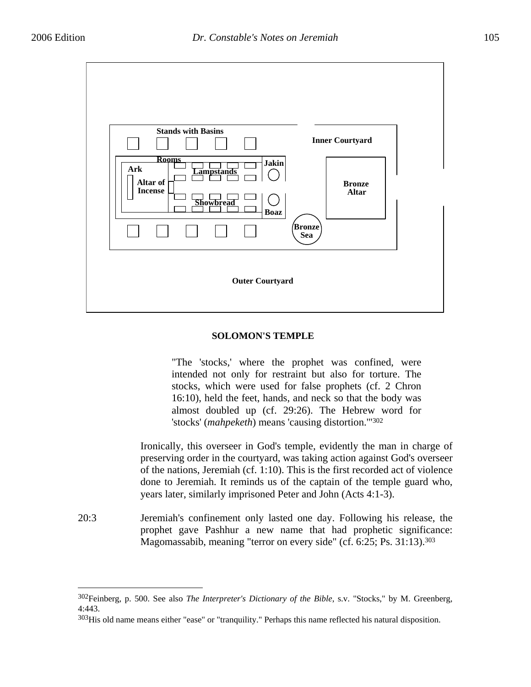$\overline{a}$ 



#### **SOLOMON'S TEMPLE**

"The 'stocks,' where the prophet was confined, were intended not only for restraint but also for torture. The stocks, which were used for false prophets (cf. 2 Chron 16:10), held the feet, hands, and neck so that the body was almost doubled up (cf. 29:26). The Hebrew word for 'stocks' (*mahpeketh*) means 'causing distortion.'"302

Ironically, this overseer in God's temple, evidently the man in charge of preserving order in the courtyard, was taking action against God's overseer of the nations, Jeremiah (cf. 1:10). This is the first recorded act of violence done to Jeremiah. It reminds us of the captain of the temple guard who, years later, similarly imprisoned Peter and John (Acts 4:1-3).

20:3 Jeremiah's confinement only lasted one day. Following his release, the prophet gave Pashhur a new name that had prophetic significance: Magomassabib, meaning "terror on every side" (cf. 6:25; Ps. 31:13).303

<sup>302</sup>Feinberg, p. 500. See also *The Interpreter's Dictionary of the Bible*, s.v. "Stocks," by M. Greenberg, 4:443.

<sup>&</sup>lt;sup>303</sup>His old name means either "ease" or "tranquility." Perhaps this name reflected his natural disposition.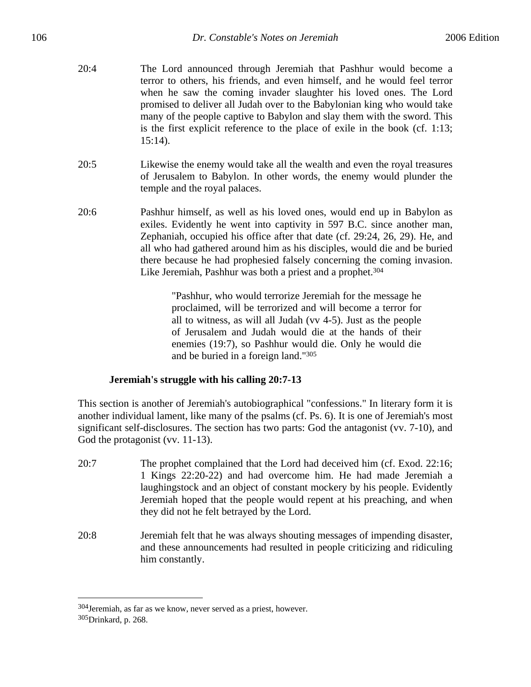- 20:4 The Lord announced through Jeremiah that Pashhur would become a terror to others, his friends, and even himself, and he would feel terror when he saw the coming invader slaughter his loved ones. The Lord promised to deliver all Judah over to the Babylonian king who would take many of the people captive to Babylon and slay them with the sword. This is the first explicit reference to the place of exile in the book (cf. 1:13; 15:14).
- 20:5 Likewise the enemy would take all the wealth and even the royal treasures of Jerusalem to Babylon. In other words, the enemy would plunder the temple and the royal palaces.
- 20:6 Pashhur himself, as well as his loved ones, would end up in Babylon as exiles. Evidently he went into captivity in 597 B.C. since another man, Zephaniah, occupied his office after that date (cf. 29:24, 26, 29). He, and all who had gathered around him as his disciples, would die and be buried there because he had prophesied falsely concerning the coming invasion. Like Jeremiah, Pashhur was both a priest and a prophet.<sup>304</sup>

"Pashhur, who would terrorize Jeremiah for the message he proclaimed, will be terrorized and will become a terror for all to witness, as will all Judah (vv 4-5). Just as the people of Jerusalem and Judah would die at the hands of their enemies (19:7), so Pashhur would die. Only he would die and be buried in a foreign land."305

## **Jeremiah's struggle with his calling 20:7-13**

This section is another of Jeremiah's autobiographical "confessions." In literary form it is another individual lament, like many of the psalms (cf. Ps. 6). It is one of Jeremiah's most significant self-disclosures. The section has two parts: God the antagonist (vv. 7-10), and God the protagonist (vv. 11-13).

- 20:7 The prophet complained that the Lord had deceived him (cf. Exod. 22:16; 1 Kings 22:20-22) and had overcome him. He had made Jeremiah a laughingstock and an object of constant mockery by his people. Evidently Jeremiah hoped that the people would repent at his preaching, and when they did not he felt betrayed by the Lord.
- 20:8 Jeremiah felt that he was always shouting messages of impending disaster, and these announcements had resulted in people criticizing and ridiculing him constantly.

<sup>304</sup>Jeremiah, as far as we know, never served as a priest, however. 305Drinkard, p. 268.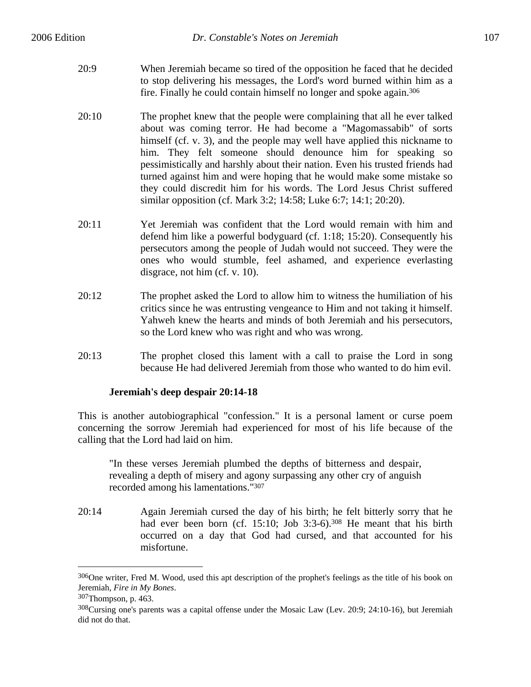- 20:9 When Jeremiah became so tired of the opposition he faced that he decided to stop delivering his messages, the Lord's word burned within him as a fire. Finally he could contain himself no longer and spoke again.306
- 20:10 The prophet knew that the people were complaining that all he ever talked about was coming terror. He had become a "Magomassabib" of sorts himself (cf. v. 3), and the people may well have applied this nickname to him. They felt someone should denounce him for speaking so pessimistically and harshly about their nation. Even his trusted friends had turned against him and were hoping that he would make some mistake so they could discredit him for his words. The Lord Jesus Christ suffered similar opposition (cf. Mark 3:2; 14:58; Luke 6:7; 14:1; 20:20).
- 20:11 Yet Jeremiah was confident that the Lord would remain with him and defend him like a powerful bodyguard (cf. 1:18; 15:20). Consequently his persecutors among the people of Judah would not succeed. They were the ones who would stumble, feel ashamed, and experience everlasting disgrace, not him (cf. v. 10).
- 20:12 The prophet asked the Lord to allow him to witness the humiliation of his critics since he was entrusting vengeance to Him and not taking it himself. Yahweh knew the hearts and minds of both Jeremiah and his persecutors, so the Lord knew who was right and who was wrong.
- 20:13 The prophet closed this lament with a call to praise the Lord in song because He had delivered Jeremiah from those who wanted to do him evil.

## **Jeremiah's deep despair 20:14-18**

This is another autobiographical "confession." It is a personal lament or curse poem concerning the sorrow Jeremiah had experienced for most of his life because of the calling that the Lord had laid on him.

"In these verses Jeremiah plumbed the depths of bitterness and despair, revealing a depth of misery and agony surpassing any other cry of anguish recorded among his lamentations."307

20:14 Again Jeremiah cursed the day of his birth; he felt bitterly sorry that he had ever been born (cf. 15:10; Job 3:3-6).<sup>308</sup> He meant that his birth occurred on a day that God had cursed, and that accounted for his misfortune.

<sup>306</sup>One writer, Fred M. Wood, used this apt description of the prophet's feelings as the title of his book on Jeremiah, *Fire in My Bones*. 307Thompson, p. 463.

<sup>&</sup>lt;sup>308</sup>Cursing one's parents was a capital offense under the Mosaic Law (Lev. 20:9; 24:10-16), but Jeremiah did not do that.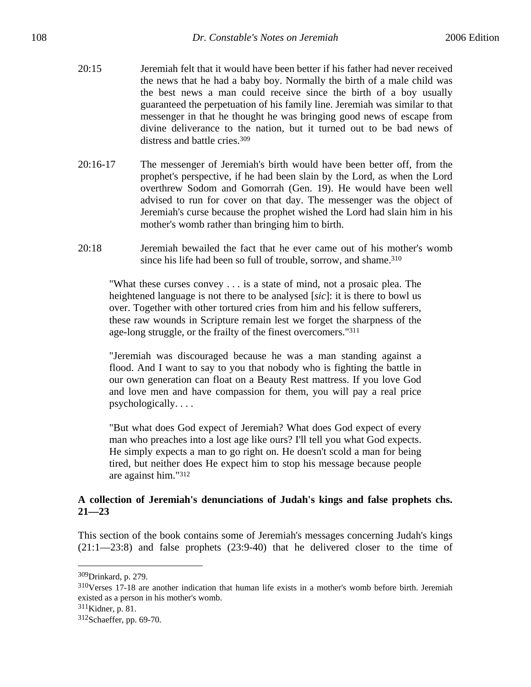- 20:15 Jeremiah felt that it would have been better if his father had never received the news that he had a baby boy. Normally the birth of a male child was the best news a man could receive since the birth of a boy usually guaranteed the perpetuation of his family line. Jeremiah was similar to that messenger in that he thought he was bringing good news of escape from divine deliverance to the nation, but it turned out to be bad news of distress and battle cries.309
- 20:16-17 The messenger of Jeremiah's birth would have been better off, from the prophet's perspective, if he had been slain by the Lord, as when the Lord overthrew Sodom and Gomorrah (Gen. 19). He would have been well advised to run for cover on that day. The messenger was the object of Jeremiah's curse because the prophet wished the Lord had slain him in his mother's womb rather than bringing him to birth.
- 20:18 Jeremiah bewailed the fact that he ever came out of his mother's womb since his life had been so full of trouble, sorrow, and shame.<sup>310</sup>

"What these curses convey . . . is a state of mind, not a prosaic plea. The heightened language is not there to be analysed [*sic*]: it is there to bowl us over. Together with other tortured cries from him and his fellow sufferers, these raw wounds in Scripture remain lest we forget the sharpness of the age-long struggle, or the frailty of the finest overcomers."311

"Jeremiah was discouraged because he was a man standing against a flood. And I want to say to you that nobody who is fighting the battle in our own generation can float on a Beauty Rest mattress. If you love God and love men and have compassion for them, you will pay a real price psychologically. . . .

"But what does God expect of Jeremiah? What does God expect of every man who preaches into a lost age like ours? I'll tell you what God expects. He simply expects a man to go right on. He doesn't scold a man for being tired, but neither does He expect him to stop his message because people are against him."312

## **A collection of Jeremiah's denunciations of Judah's kings and false prophets chs. 21—23**

This section of the book contains some of Jeremiah's messages concerning Judah's kings (21:1—23:8) and false prophets (23:9-40) that he delivered closer to the time of

<sup>309</sup>Drinkard, p. 279.

<sup>310</sup>Verses 17-18 are another indication that human life exists in a mother's womb before birth. Jeremiah existed as a person in his mother's womb.

<sup>311</sup>Kidner, p. 81.

<sup>312</sup>Schaeffer, pp. 69-70.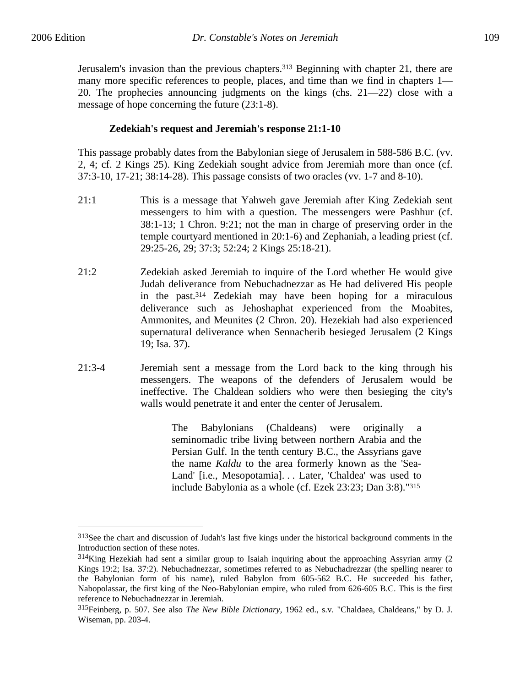$\overline{a}$ 

Jerusalem's invasion than the previous chapters.313 Beginning with chapter 21, there are many more specific references to people, places, and time than we find in chapters 1— 20. The prophecies announcing judgments on the kings (chs. 21—22) close with a message of hope concerning the future (23:1-8).

## **Zedekiah's request and Jeremiah's response 21:1-10**

This passage probably dates from the Babylonian siege of Jerusalem in 588-586 B.C. (vv. 2, 4; cf. 2 Kings 25). King Zedekiah sought advice from Jeremiah more than once (cf. 37:3-10, 17-21; 38:14-28). This passage consists of two oracles (vv. 1-7 and 8-10).

- 21:1 This is a message that Yahweh gave Jeremiah after King Zedekiah sent messengers to him with a question. The messengers were Pashhur (cf. 38:1-13; 1 Chron. 9:21; not the man in charge of preserving order in the temple courtyard mentioned in 20:1-6) and Zephaniah, a leading priest (cf. 29:25-26, 29; 37:3; 52:24; 2 Kings 25:18-21).
- 21:2 Zedekiah asked Jeremiah to inquire of the Lord whether He would give Judah deliverance from Nebuchadnezzar as He had delivered His people in the past.314 Zedekiah may have been hoping for a miraculous deliverance such as Jehoshaphat experienced from the Moabites, Ammonites, and Meunites (2 Chron. 20). Hezekiah had also experienced supernatural deliverance when Sennacherib besieged Jerusalem (2 Kings 19; Isa. 37).
- 21:3-4 Jeremiah sent a message from the Lord back to the king through his messengers. The weapons of the defenders of Jerusalem would be ineffective. The Chaldean soldiers who were then besieging the city's walls would penetrate it and enter the center of Jerusalem.

The Babylonians (Chaldeans) were originally a seminomadic tribe living between northern Arabia and the Persian Gulf. In the tenth century B.C., the Assyrians gave the name *Kaldu* to the area formerly known as the 'Sea-Land' [i.e., Mesopotamia]. . . Later, 'Chaldea' was used to include Babylonia as a whole (cf. Ezek 23:23; Dan 3:8)."315

<sup>&</sup>lt;sup>313</sup>See the chart and discussion of Judah's last five kings under the historical background comments in the Introduction section of these notes.

<sup>314</sup>King Hezekiah had sent a similar group to Isaiah inquiring about the approaching Assyrian army (2 Kings 19:2; Isa. 37:2). Nebuchadnezzar, sometimes referred to as Nebuchadrezzar (the spelling nearer to the Babylonian form of his name), ruled Babylon from 605-562 B.C. He succeeded his father, Nabopolassar, the first king of the Neo-Babylonian empire, who ruled from 626-605 B.C. This is the first reference to Nebuchadnezzar in Jeremiah.

<sup>315</sup>Feinberg, p. 507. See also *The New Bible Dictionary*, 1962 ed., s.v. "Chaldaea, Chaldeans," by D. J. Wiseman, pp. 203-4.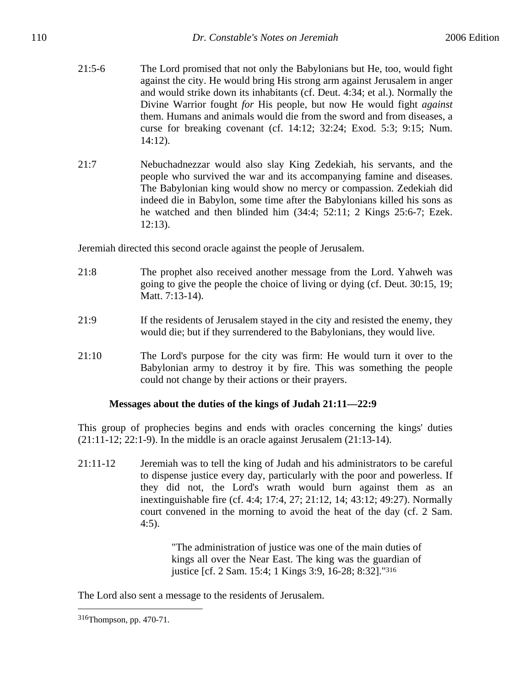- 21:5-6 The Lord promised that not only the Babylonians but He, too, would fight against the city. He would bring His strong arm against Jerusalem in anger and would strike down its inhabitants (cf. Deut. 4:34; et al.). Normally the Divine Warrior fought *for* His people, but now He would fight *against* them. Humans and animals would die from the sword and from diseases, a curse for breaking covenant (cf. 14:12; 32:24; Exod. 5:3; 9:15; Num. 14:12).
- 21:7 Nebuchadnezzar would also slay King Zedekiah, his servants, and the people who survived the war and its accompanying famine and diseases. The Babylonian king would show no mercy or compassion. Zedekiah did indeed die in Babylon, some time after the Babylonians killed his sons as he watched and then blinded him (34:4; 52:11; 2 Kings 25:6-7; Ezek. 12:13).

Jeremiah directed this second oracle against the people of Jerusalem.

- 21:8 The prophet also received another message from the Lord. Yahweh was going to give the people the choice of living or dying (cf. Deut. 30:15, 19; Matt. 7:13-14).
- 21:9 If the residents of Jerusalem stayed in the city and resisted the enemy, they would die; but if they surrendered to the Babylonians, they would live.
- 21:10 The Lord's purpose for the city was firm: He would turn it over to the Babylonian army to destroy it by fire. This was something the people could not change by their actions or their prayers.

# **Messages about the duties of the kings of Judah 21:11—22:9**

This group of prophecies begins and ends with oracles concerning the kings' duties  $(21:11-12; 22:1-9)$ . In the middle is an oracle against Jerusalem  $(21:13-14)$ .

21:11-12 Jeremiah was to tell the king of Judah and his administrators to be careful to dispense justice every day, particularly with the poor and powerless. If they did not, the Lord's wrath would burn against them as an inextinguishable fire (cf. 4:4; 17:4, 27; 21:12, 14; 43:12; 49:27). Normally court convened in the morning to avoid the heat of the day (cf. 2 Sam. 4:5).

> "The administration of justice was one of the main duties of kings all over the Near East. The king was the guardian of justice [cf. 2 Sam. 15:4; 1 Kings 3:9, 16-28; 8:32]."316

The Lord also sent a message to the residents of Jerusalem.

<sup>316</sup>Thompson, pp. 470-71.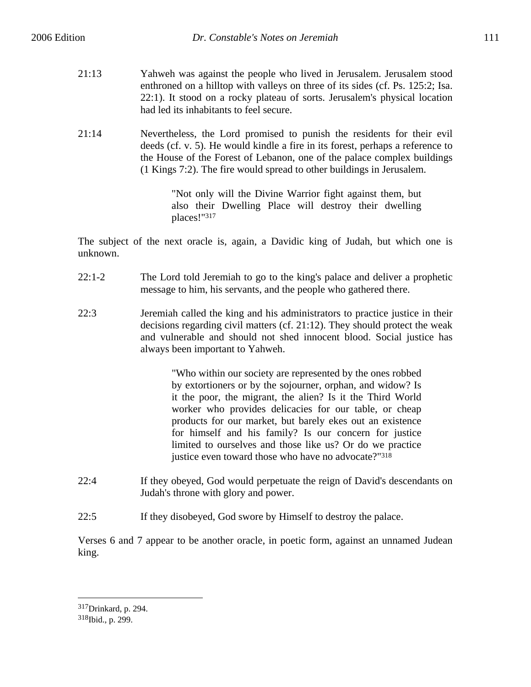- 21:13 Yahweh was against the people who lived in Jerusalem. Jerusalem stood enthroned on a hilltop with valleys on three of its sides (cf. Ps. 125:2; Isa. 22:1). It stood on a rocky plateau of sorts. Jerusalem's physical location had led its inhabitants to feel secure.
- 21:14 Nevertheless, the Lord promised to punish the residents for their evil deeds (cf. v. 5). He would kindle a fire in its forest, perhaps a reference to the House of the Forest of Lebanon, one of the palace complex buildings (1 Kings 7:2). The fire would spread to other buildings in Jerusalem.

"Not only will the Divine Warrior fight against them, but also their Dwelling Place will destroy their dwelling places!"317

The subject of the next oracle is, again, a Davidic king of Judah, but which one is unknown.

- 22:1-2 The Lord told Jeremiah to go to the king's palace and deliver a prophetic message to him, his servants, and the people who gathered there.
- 22:3 Jeremiah called the king and his administrators to practice justice in their decisions regarding civil matters (cf. 21:12). They should protect the weak and vulnerable and should not shed innocent blood. Social justice has always been important to Yahweh.

"Who within our society are represented by the ones robbed by extortioners or by the sojourner, orphan, and widow? Is it the poor, the migrant, the alien? Is it the Third World worker who provides delicacies for our table, or cheap products for our market, but barely ekes out an existence for himself and his family? Is our concern for justice limited to ourselves and those like us? Or do we practice justice even toward those who have no advocate?"<sup>318</sup>

- 22:4 If they obeyed, God would perpetuate the reign of David's descendants on Judah's throne with glory and power.
- 22:5 If they disobeyed, God swore by Himself to destroy the palace.

Verses 6 and 7 appear to be another oracle, in poetic form, against an unnamed Judean king.

<sup>317</sup>Drinkard, p. 294. 318Ibid., p. 299.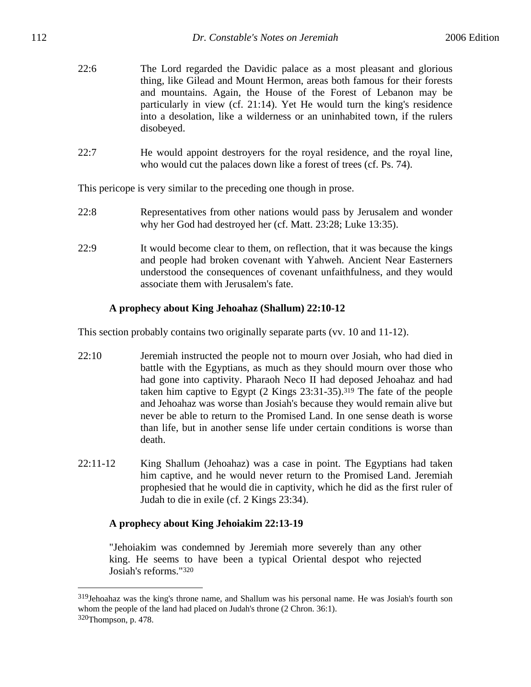- 22:6 The Lord regarded the Davidic palace as a most pleasant and glorious thing, like Gilead and Mount Hermon, areas both famous for their forests and mountains. Again, the House of the Forest of Lebanon may be particularly in view (cf. 21:14). Yet He would turn the king's residence into a desolation, like a wilderness or an uninhabited town, if the rulers disobeyed.
- 22:7 He would appoint destroyers for the royal residence, and the royal line, who would cut the palaces down like a forest of trees (cf. Ps. 74).

This pericope is very similar to the preceding one though in prose.

- 22:8 Representatives from other nations would pass by Jerusalem and wonder why her God had destroyed her (cf. Matt. 23:28; Luke 13:35).
- 22:9 It would become clear to them, on reflection, that it was because the kings and people had broken covenant with Yahweh. Ancient Near Easterners understood the consequences of covenant unfaithfulness, and they would associate them with Jerusalem's fate.

## **A prophecy about King Jehoahaz (Shallum) 22:10-12**

This section probably contains two originally separate parts (vv. 10 and 11-12).

- 22:10 Jeremiah instructed the people not to mourn over Josiah, who had died in battle with the Egyptians, as much as they should mourn over those who had gone into captivity. Pharaoh Neco II had deposed Jehoahaz and had taken him captive to Egypt (2 Kings 23:31-35).319 The fate of the people and Jehoahaz was worse than Josiah's because they would remain alive but never be able to return to the Promised Land. In one sense death is worse than life, but in another sense life under certain conditions is worse than death.
- 22:11-12 King Shallum (Jehoahaz) was a case in point. The Egyptians had taken him captive, and he would never return to the Promised Land. Jeremiah prophesied that he would die in captivity, which he did as the first ruler of Judah to die in exile (cf. 2 Kings 23:34).

## **A prophecy about King Jehoiakim 22:13-19**

 $\overline{a}$ 

"Jehoiakim was condemned by Jeremiah more severely than any other king. He seems to have been a typical Oriental despot who rejected Josiah's reforms."320

<sup>319</sup>Jehoahaz was the king's throne name, and Shallum was his personal name. He was Josiah's fourth son whom the people of the land had placed on Judah's throne (2 Chron. 36:1). 320Thompson, p. 478.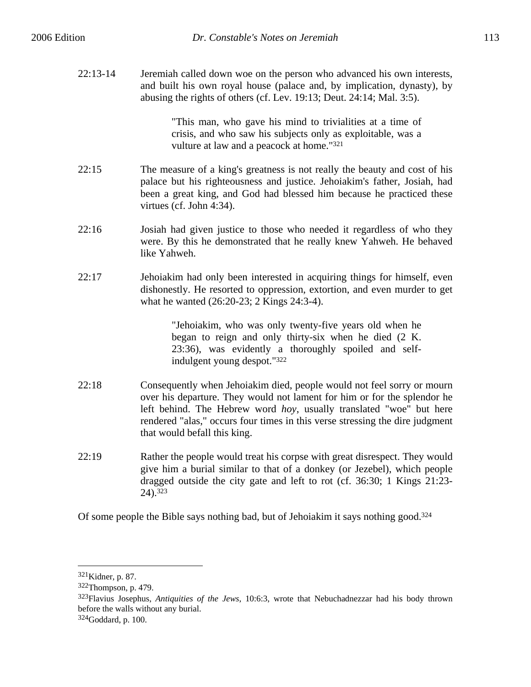22:13-14 Jeremiah called down woe on the person who advanced his own interests, and built his own royal house (palace and, by implication, dynasty), by

abusing the rights of others (cf. Lev. 19:13; Deut. 24:14; Mal. 3:5).

"This man, who gave his mind to trivialities at a time of crisis, and who saw his subjects only as exploitable, was a vulture at law and a peacock at home."321

- 22:15 The measure of a king's greatness is not really the beauty and cost of his palace but his righteousness and justice. Jehoiakim's father, Josiah, had been a great king, and God had blessed him because he practiced these virtues (cf. John 4:34).
- 22:16 Josiah had given justice to those who needed it regardless of who they were. By this he demonstrated that he really knew Yahweh. He behaved like Yahweh.
- 22:17 Jehoiakim had only been interested in acquiring things for himself, even dishonestly. He resorted to oppression, extortion, and even murder to get what he wanted (26:20-23; 2 Kings 24:3-4).

"Jehoiakim, who was only twenty-five years old when he began to reign and only thirty-six when he died (2 K. 23:36), was evidently a thoroughly spoiled and selfindulgent young despot."322

- 22:18 Consequently when Jehoiakim died, people would not feel sorry or mourn over his departure. They would not lament for him or for the splendor he left behind. The Hebrew word *hoy*, usually translated "woe" but here rendered "alas," occurs four times in this verse stressing the dire judgment that would befall this king.
- 22:19 Rather the people would treat his corpse with great disrespect. They would give him a burial similar to that of a donkey (or Jezebel), which people dragged outside the city gate and left to rot (cf. 36:30; 1 Kings 21:23- 24).323

Of some people the Bible says nothing bad, but of Jehoiakim it says nothing good.324

<sup>321</sup>Kidner, p. 87.

<sup>322</sup>Thompson, p. 479.

<sup>323</sup>Flavius Josephus, *Antiquities of the Jews*, 10:6:3, wrote that Nebuchadnezzar had his body thrown before the walls without any burial.

<sup>324</sup>Goddard, p. 100.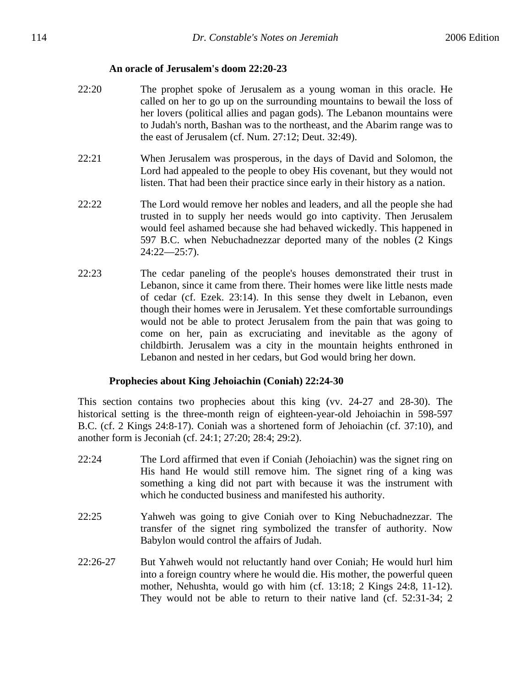## **An oracle of Jerusalem's doom 22:20-23**

- 22:20 The prophet spoke of Jerusalem as a young woman in this oracle. He called on her to go up on the surrounding mountains to bewail the loss of her lovers (political allies and pagan gods). The Lebanon mountains were to Judah's north, Bashan was to the northeast, and the Abarim range was to the east of Jerusalem (cf. Num. 27:12; Deut. 32:49).
- 22:21 When Jerusalem was prosperous, in the days of David and Solomon, the Lord had appealed to the people to obey His covenant, but they would not listen. That had been their practice since early in their history as a nation.
- 22:22 The Lord would remove her nobles and leaders, and all the people she had trusted in to supply her needs would go into captivity. Then Jerusalem would feel ashamed because she had behaved wickedly. This happened in 597 B.C. when Nebuchadnezzar deported many of the nobles (2 Kings 24:22—25:7).
- 22:23 The cedar paneling of the people's houses demonstrated their trust in Lebanon, since it came from there. Their homes were like little nests made of cedar (cf. Ezek. 23:14). In this sense they dwelt in Lebanon, even though their homes were in Jerusalem. Yet these comfortable surroundings would not be able to protect Jerusalem from the pain that was going to come on her, pain as excruciating and inevitable as the agony of childbirth. Jerusalem was a city in the mountain heights enthroned in Lebanon and nested in her cedars, but God would bring her down.

## **Prophecies about King Jehoiachin (Coniah) 22:24-30**

This section contains two prophecies about this king (vv. 24-27 and 28-30). The historical setting is the three-month reign of eighteen-year-old Jehoiachin in 598-597 B.C. (cf. 2 Kings 24:8-17). Coniah was a shortened form of Jehoiachin (cf. 37:10), and another form is Jeconiah (cf. 24:1; 27:20; 28:4; 29:2).

- 22:24 The Lord affirmed that even if Coniah (Jehoiachin) was the signet ring on His hand He would still remove him. The signet ring of a king was something a king did not part with because it was the instrument with which he conducted business and manifested his authority.
- 22:25 Yahweh was going to give Coniah over to King Nebuchadnezzar. The transfer of the signet ring symbolized the transfer of authority. Now Babylon would control the affairs of Judah.
- 22:26-27 But Yahweh would not reluctantly hand over Coniah; He would hurl him into a foreign country where he would die. His mother, the powerful queen mother, Nehushta, would go with him (cf. 13:18; 2 Kings 24:8, 11-12). They would not be able to return to their native land (cf. 52:31-34; 2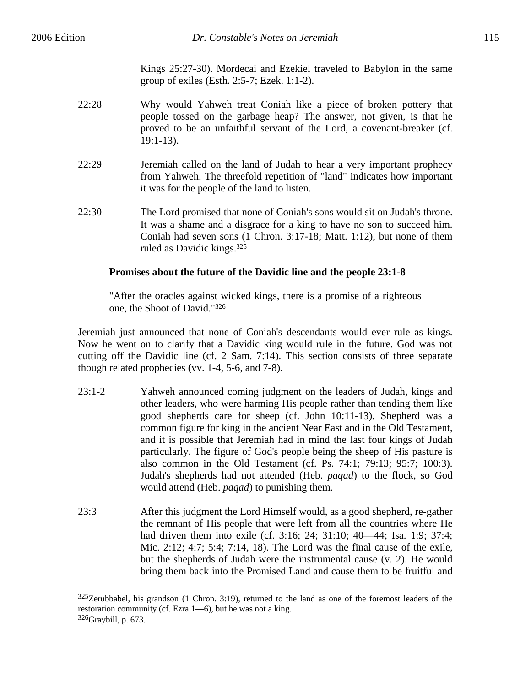$\overline{a}$ 

Kings 25:27-30). Mordecai and Ezekiel traveled to Babylon in the same group of exiles (Esth. 2:5-7; Ezek. 1:1-2).

- 22:28 Why would Yahweh treat Coniah like a piece of broken pottery that people tossed on the garbage heap? The answer, not given, is that he proved to be an unfaithful servant of the Lord, a covenant-breaker (cf. 19:1-13).
- 22:29 Jeremiah called on the land of Judah to hear a very important prophecy from Yahweh. The threefold repetition of "land" indicates how important it was for the people of the land to listen.
- 22:30 The Lord promised that none of Coniah's sons would sit on Judah's throne. It was a shame and a disgrace for a king to have no son to succeed him. Coniah had seven sons (1 Chron. 3:17-18; Matt. 1:12), but none of them ruled as Davidic kings.325

# **Promises about the future of the Davidic line and the people 23:1-8**

"After the oracles against wicked kings, there is a promise of a righteous one, the Shoot of David."326

Jeremiah just announced that none of Coniah's descendants would ever rule as kings. Now he went on to clarify that a Davidic king would rule in the future. God was not cutting off the Davidic line (cf. 2 Sam. 7:14). This section consists of three separate though related prophecies (vv. 1-4, 5-6, and 7-8).

- 23:1-2 Yahweh announced coming judgment on the leaders of Judah, kings and other leaders, who were harming His people rather than tending them like good shepherds care for sheep (cf. John 10:11-13). Shepherd was a common figure for king in the ancient Near East and in the Old Testament, and it is possible that Jeremiah had in mind the last four kings of Judah particularly. The figure of God's people being the sheep of His pasture is also common in the Old Testament (cf. Ps. 74:1; 79:13; 95:7; 100:3). Judah's shepherds had not attended (Heb. *paqad*) to the flock, so God would attend (Heb. *paqad*) to punishing them.
- 23:3 After this judgment the Lord Himself would, as a good shepherd, re-gather the remnant of His people that were left from all the countries where He had driven them into exile (cf. 3:16; 24; 31:10; 40—44; Isa. 1:9; 37:4; Mic. 2:12; 4:7; 5:4; 7:14, 18). The Lord was the final cause of the exile, but the shepherds of Judah were the instrumental cause (v. 2). He would bring them back into the Promised Land and cause them to be fruitful and

<sup>325</sup>Zerubbabel, his grandson (1 Chron. 3:19), returned to the land as one of the foremost leaders of the restoration community (cf. Ezra 1—6), but he was not a king. 326Graybill, p. 673.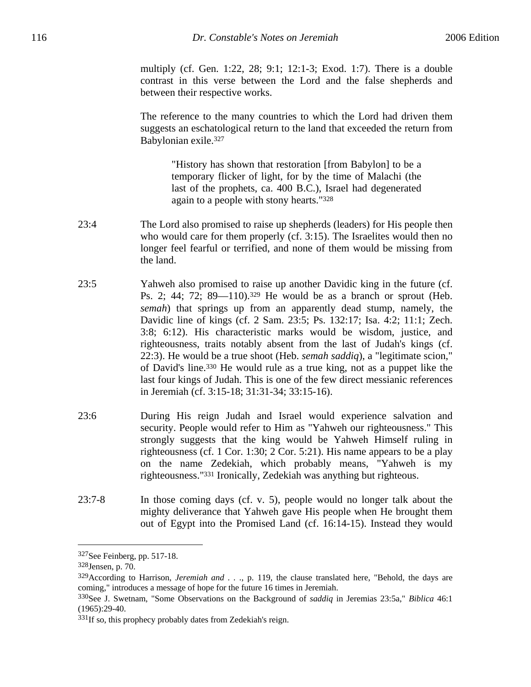multiply (cf. Gen. 1:22, 28; 9:1; 12:1-3; Exod. 1:7). There is a double contrast in this verse between the Lord and the false shepherds and between their respective works.

The reference to the many countries to which the Lord had driven them suggests an eschatological return to the land that exceeded the return from Babylonian exile.327

> "History has shown that restoration [from Babylon] to be a temporary flicker of light, for by the time of Malachi (the last of the prophets, ca. 400 B.C.), Israel had degenerated again to a people with stony hearts."328

- 23:4 The Lord also promised to raise up shepherds (leaders) for His people then who would care for them properly (cf. 3:15). The Israelites would then no longer feel fearful or terrified, and none of them would be missing from the land.
- 23:5 Yahweh also promised to raise up another Davidic king in the future (cf. Ps. 2; 44; 72; 89—110).329 He would be as a branch or sprout (Heb. *semah*) that springs up from an apparently dead stump, namely, the Davidic line of kings (cf. 2 Sam. 23:5; Ps. 132:17; Isa. 4:2; 11:1; Zech. 3:8; 6:12). His characteristic marks would be wisdom, justice, and righteousness, traits notably absent from the last of Judah's kings (cf. 22:3). He would be a true shoot (Heb. *semah saddiq*), a "legitimate scion," of David's line.330 He would rule as a true king, not as a puppet like the last four kings of Judah. This is one of the few direct messianic references in Jeremiah (cf. 3:15-18; 31:31-34; 33:15-16).
- 23:6 During His reign Judah and Israel would experience salvation and security. People would refer to Him as "Yahweh our righteousness." This strongly suggests that the king would be Yahweh Himself ruling in righteousness (cf. 1 Cor. 1:30; 2 Cor. 5:21). His name appears to be a play on the name Zedekiah, which probably means, "Yahweh is my righteousness."331 Ironically, Zedekiah was anything but righteous.
- 23:7-8 In those coming days (cf. v. 5), people would no longer talk about the mighty deliverance that Yahweh gave His people when He brought them out of Egypt into the Promised Land (cf. 16:14-15). Instead they would

<sup>327</sup>See Feinberg, pp. 517-18.

<sup>328</sup>Jensen, p. 70.

<sup>329</sup>According to Harrison, *Jeremiah and . . .*, p. 119, the clause translated here, "Behold, the days are coming," introduces a message of hope for the future 16 times in Jeremiah.

<sup>330</sup>See J. Swetnam, "Some Observations on the Background of *saddiq* in Jeremias 23:5a," *Biblica* 46:1 (1965):29-40.

<sup>&</sup>lt;sup>331</sup>If so, this prophecy probably dates from Zedekiah's reign.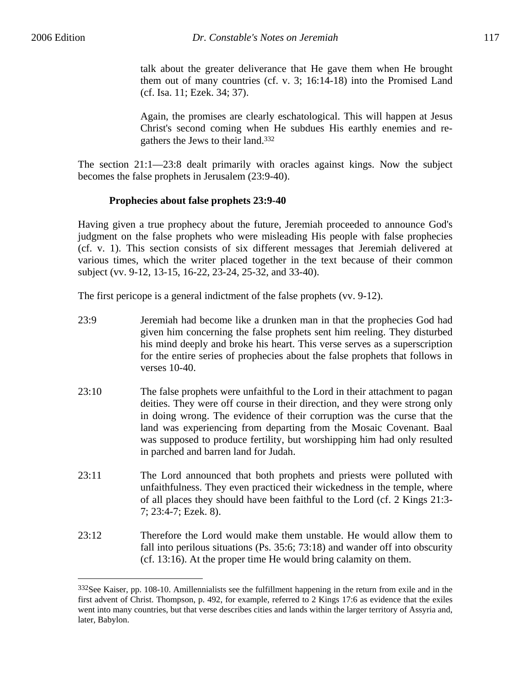$\overline{a}$ 

talk about the greater deliverance that He gave them when He brought them out of many countries (cf. v. 3; 16:14-18) into the Promised Land (cf. Isa. 11; Ezek. 34; 37).

Again, the promises are clearly eschatological. This will happen at Jesus Christ's second coming when He subdues His earthly enemies and regathers the Jews to their land.332

The section 21:1—23:8 dealt primarily with oracles against kings. Now the subject becomes the false prophets in Jerusalem (23:9-40).

# **Prophecies about false prophets 23:9-40**

Having given a true prophecy about the future, Jeremiah proceeded to announce God's judgment on the false prophets who were misleading His people with false prophecies (cf. v. 1). This section consists of six different messages that Jeremiah delivered at various times, which the writer placed together in the text because of their common subject (vv. 9-12, 13-15, 16-22, 23-24, 25-32, and 33-40).

The first pericope is a general indictment of the false prophets (vv. 9-12).

- 23:9 Jeremiah had become like a drunken man in that the prophecies God had given him concerning the false prophets sent him reeling. They disturbed his mind deeply and broke his heart. This verse serves as a superscription for the entire series of prophecies about the false prophets that follows in verses 10-40.
- 23:10 The false prophets were unfaithful to the Lord in their attachment to pagan deities. They were off course in their direction, and they were strong only in doing wrong. The evidence of their corruption was the curse that the land was experiencing from departing from the Mosaic Covenant. Baal was supposed to produce fertility, but worshipping him had only resulted in parched and barren land for Judah.
- 23:11 The Lord announced that both prophets and priests were polluted with unfaithfulness. They even practiced their wickedness in the temple, where of all places they should have been faithful to the Lord (cf. 2 Kings 21:3- 7; 23:4-7; Ezek. 8).
- 23:12 Therefore the Lord would make them unstable. He would allow them to fall into perilous situations (Ps. 35:6; 73:18) and wander off into obscurity (cf. 13:16). At the proper time He would bring calamity on them.

<sup>&</sup>lt;sup>332</sup>See Kaiser, pp. 108-10. Amillennialists see the fulfillment happening in the return from exile and in the first advent of Christ. Thompson, p. 492, for example, referred to 2 Kings 17:6 as evidence that the exiles went into many countries, but that verse describes cities and lands within the larger territory of Assyria and, later, Babylon.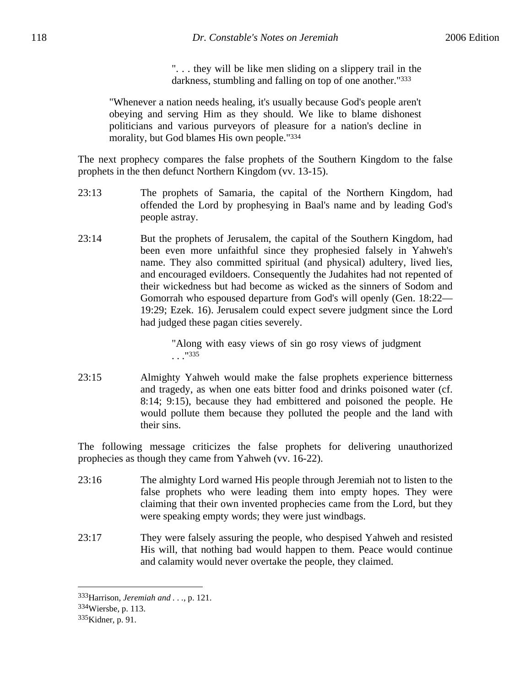". . . they will be like men sliding on a slippery trail in the darkness, stumbling and falling on top of one another."333

"Whenever a nation needs healing, it's usually because God's people aren't obeying and serving Him as they should. We like to blame dishonest politicians and various purveyors of pleasure for a nation's decline in morality, but God blames His own people."334

The next prophecy compares the false prophets of the Southern Kingdom to the false prophets in the then defunct Northern Kingdom (vv. 13-15).

- 23:13 The prophets of Samaria, the capital of the Northern Kingdom, had offended the Lord by prophesying in Baal's name and by leading God's people astray.
- 23:14 But the prophets of Jerusalem, the capital of the Southern Kingdom, had been even more unfaithful since they prophesied falsely in Yahweh's name. They also committed spiritual (and physical) adultery, lived lies, and encouraged evildoers. Consequently the Judahites had not repented of their wickedness but had become as wicked as the sinners of Sodom and Gomorrah who espoused departure from God's will openly (Gen. 18:22— 19:29; Ezek. 16). Jerusalem could expect severe judgment since the Lord had judged these pagan cities severely.

"Along with easy views of sin go rosy views of judgment . . ."335

23:15 Almighty Yahweh would make the false prophets experience bitterness and tragedy, as when one eats bitter food and drinks poisoned water (cf. 8:14; 9:15), because they had embittered and poisoned the people. He would pollute them because they polluted the people and the land with their sins.

The following message criticizes the false prophets for delivering unauthorized prophecies as though they came from Yahweh (vv. 16-22).

- 23:16 The almighty Lord warned His people through Jeremiah not to listen to the false prophets who were leading them into empty hopes. They were claiming that their own invented prophecies came from the Lord, but they were speaking empty words; they were just windbags.
- 23:17 They were falsely assuring the people, who despised Yahweh and resisted His will, that nothing bad would happen to them. Peace would continue and calamity would never overtake the people, they claimed.

<sup>333</sup>Harrison, *Jeremiah and . . .*, p. 121.

<sup>334</sup>Wiersbe, p. 113.

<sup>335</sup>Kidner, p. 91.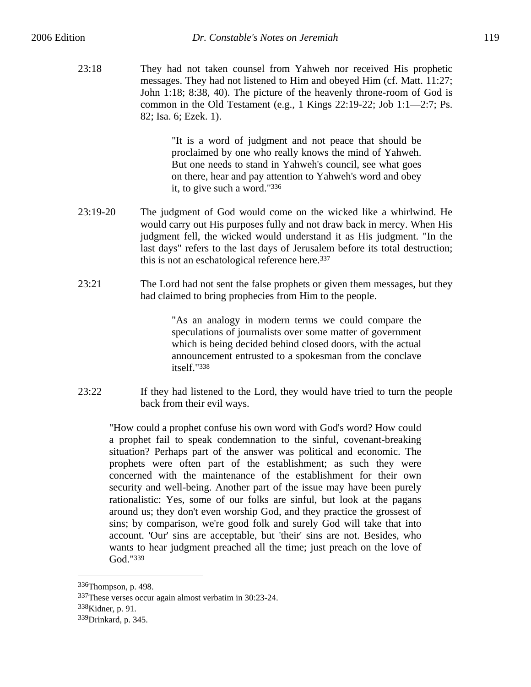23:18 They had not taken counsel from Yahweh nor received His prophetic messages. They had not listened to Him and obeyed Him (cf. Matt. 11:27; John 1:18; 8:38, 40). The picture of the heavenly throne-room of God is common in the Old Testament (e.g., 1 Kings 22:19-22; Job 1:1—2:7; Ps. 82; Isa. 6; Ezek. 1).

> "It is a word of judgment and not peace that should be proclaimed by one who really knows the mind of Yahweh. But one needs to stand in Yahweh's council, see what goes on there, hear and pay attention to Yahweh's word and obey it, to give such a word."336

- 23:19-20 The judgment of God would come on the wicked like a whirlwind. He would carry out His purposes fully and not draw back in mercy. When His judgment fell, the wicked would understand it as His judgment. "In the last days" refers to the last days of Jerusalem before its total destruction; this is not an eschatological reference here.<sup>337</sup>
- 23:21 The Lord had not sent the false prophets or given them messages, but they had claimed to bring prophecies from Him to the people.

"As an analogy in modern terms we could compare the speculations of journalists over some matter of government which is being decided behind closed doors, with the actual announcement entrusted to a spokesman from the conclave itself."338

23:22 If they had listened to the Lord, they would have tried to turn the people back from their evil ways.

"How could a prophet confuse his own word with God's word? How could a prophet fail to speak condemnation to the sinful, covenant-breaking situation? Perhaps part of the answer was political and economic. The prophets were often part of the establishment; as such they were concerned with the maintenance of the establishment for their own security and well-being. Another part of the issue may have been purely rationalistic: Yes, some of our folks are sinful, but look at the pagans around us; they don't even worship God, and they practice the grossest of sins; by comparison, we're good folk and surely God will take that into account. 'Our' sins are acceptable, but 'their' sins are not. Besides, who wants to hear judgment preached all the time; just preach on the love of God."339

338Kidner, p. 91.

<sup>336</sup>Thompson, p. 498.

<sup>337</sup>These verses occur again almost verbatim in 30:23-24.

<sup>339</sup>Drinkard, p. 345.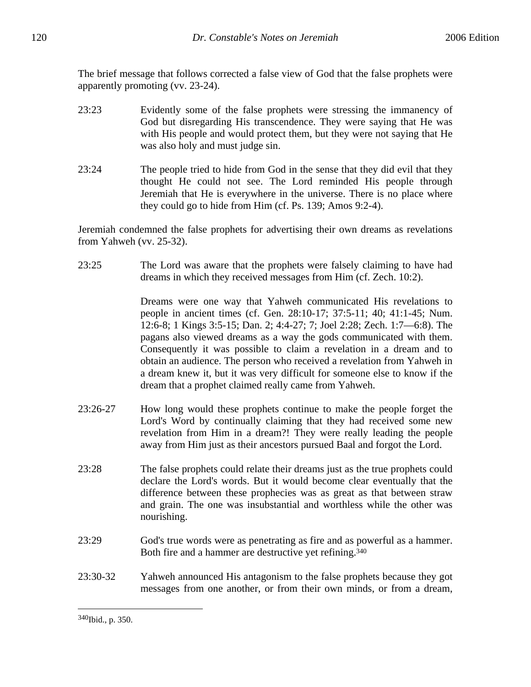The brief message that follows corrected a false view of God that the false prophets were apparently promoting (vv. 23-24).

- 23:23 Evidently some of the false prophets were stressing the immanency of God but disregarding His transcendence. They were saying that He was with His people and would protect them, but they were not saying that He was also holy and must judge sin.
- 23:24 The people tried to hide from God in the sense that they did evil that they thought He could not see. The Lord reminded His people through Jeremiah that He is everywhere in the universe. There is no place where they could go to hide from Him (cf. Ps. 139; Amos 9:2-4).

Jeremiah condemned the false prophets for advertising their own dreams as revelations from Yahweh (vv. 25-32).

23:25 The Lord was aware that the prophets were falsely claiming to have had dreams in which they received messages from Him (cf. Zech. 10:2).

> Dreams were one way that Yahweh communicated His revelations to people in ancient times (cf. Gen. 28:10-17; 37:5-11; 40; 41:1-45; Num. 12:6-8; 1 Kings 3:5-15; Dan. 2; 4:4-27; 7; Joel 2:28; Zech. 1:7—6:8). The pagans also viewed dreams as a way the gods communicated with them. Consequently it was possible to claim a revelation in a dream and to obtain an audience. The person who received a revelation from Yahweh in a dream knew it, but it was very difficult for someone else to know if the dream that a prophet claimed really came from Yahweh.

- 23:26-27 How long would these prophets continue to make the people forget the Lord's Word by continually claiming that they had received some new revelation from Him in a dream?! They were really leading the people away from Him just as their ancestors pursued Baal and forgot the Lord.
- 23:28 The false prophets could relate their dreams just as the true prophets could declare the Lord's words. But it would become clear eventually that the difference between these prophecies was as great as that between straw and grain. The one was insubstantial and worthless while the other was nourishing.
- 23:29 God's true words were as penetrating as fire and as powerful as a hammer. Both fire and a hammer are destructive yet refining.340
- 23:30-32 Yahweh announced His antagonism to the false prophets because they got messages from one another, or from their own minds, or from a dream,

<sup>340</sup>Ibid., p. 350.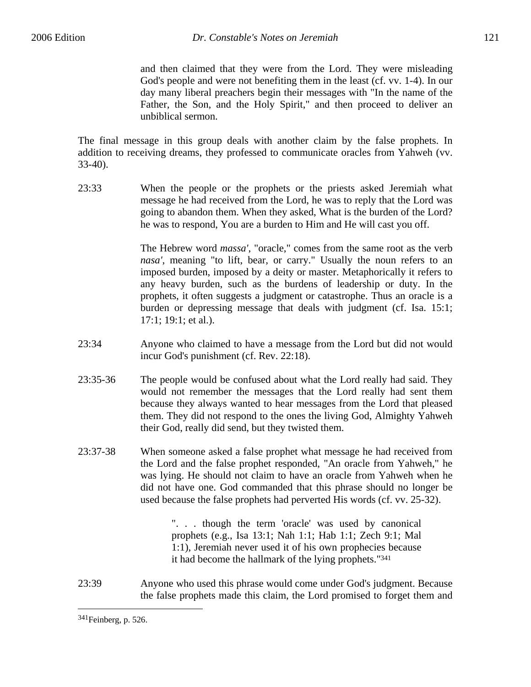and then claimed that they were from the Lord. They were misleading God's people and were not benefiting them in the least (cf. vv. 1-4). In our day many liberal preachers begin their messages with "In the name of the Father, the Son, and the Holy Spirit," and then proceed to deliver an unbiblical sermon.

The final message in this group deals with another claim by the false prophets. In addition to receiving dreams, they professed to communicate oracles from Yahweh (vv. 33-40).

23:33 When the people or the prophets or the priests asked Jeremiah what message he had received from the Lord, he was to reply that the Lord was going to abandon them. When they asked, What is the burden of the Lord? he was to respond, You are a burden to Him and He will cast you off.

> The Hebrew word *massa'*, "oracle," comes from the same root as the verb *nasa'*, meaning "to lift, bear, or carry." Usually the noun refers to an imposed burden, imposed by a deity or master. Metaphorically it refers to any heavy burden, such as the burdens of leadership or duty. In the prophets, it often suggests a judgment or catastrophe. Thus an oracle is a burden or depressing message that deals with judgment (cf. Isa. 15:1; 17:1; 19:1; et al.).

- 23:34 Anyone who claimed to have a message from the Lord but did not would incur God's punishment (cf. Rev. 22:18).
- 23:35-36 The people would be confused about what the Lord really had said. They would not remember the messages that the Lord really had sent them because they always wanted to hear messages from the Lord that pleased them. They did not respond to the ones the living God, Almighty Yahweh their God, really did send, but they twisted them.
- 23:37-38 When someone asked a false prophet what message he had received from the Lord and the false prophet responded, "An oracle from Yahweh," he was lying. He should not claim to have an oracle from Yahweh when he did not have one. God commanded that this phrase should no longer be used because the false prophets had perverted His words (cf. vv. 25-32).

". . . though the term 'oracle' was used by canonical prophets (e.g., Isa 13:1; Nah 1:1; Hab 1:1; Zech 9:1; Mal 1:1), Jeremiah never used it of his own prophecies because it had become the hallmark of the lying prophets."341

23:39 Anyone who used this phrase would come under God's judgment. Because the false prophets made this claim, the Lord promised to forget them and

<sup>341</sup>Feinberg, p. 526.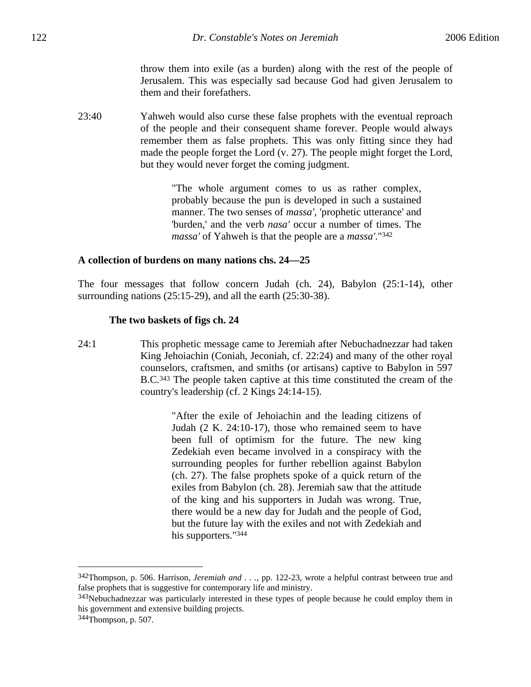throw them into exile (as a burden) along with the rest of the people of Jerusalem. This was especially sad because God had given Jerusalem to them and their forefathers.

23:40 Yahweh would also curse these false prophets with the eventual reproach of the people and their consequent shame forever. People would always remember them as false prophets. This was only fitting since they had made the people forget the Lord (v. 27). The people might forget the Lord, but they would never forget the coming judgment.

> "The whole argument comes to us as rather complex, probably because the pun is developed in such a sustained manner. The two senses of *massa'*, 'prophetic utterance' and 'burden,' and the verb *nasa'* occur a number of times. The *massa'* of Yahweh is that the people are a *massa'*."342

### **A collection of burdens on many nations chs. 24—25**

The four messages that follow concern Judah (ch. 24), Babylon (25:1-14), other surrounding nations (25:15-29), and all the earth (25:30-38).

### **The two baskets of figs ch. 24**

24:1 This prophetic message came to Jeremiah after Nebuchadnezzar had taken King Jehoiachin (Coniah, Jeconiah, cf. 22:24) and many of the other royal counselors, craftsmen, and smiths (or artisans) captive to Babylon in 597 B.C.343 The people taken captive at this time constituted the cream of the country's leadership (cf. 2 Kings 24:14-15).

> "After the exile of Jehoiachin and the leading citizens of Judah (2 K. 24:10-17), those who remained seem to have been full of optimism for the future. The new king Zedekiah even became involved in a conspiracy with the surrounding peoples for further rebellion against Babylon (ch. 27). The false prophets spoke of a quick return of the exiles from Babylon (ch. 28). Jeremiah saw that the attitude of the king and his supporters in Judah was wrong. True, there would be a new day for Judah and the people of God, but the future lay with the exiles and not with Zedekiah and his supporters."<sup>344</sup>

<sup>342</sup>Thompson, p. 506. Harrison, *Jeremiah and . . .*, pp. 122-23, wrote a helpful contrast between true and false prophets that is suggestive for contemporary life and ministry.

<sup>&</sup>lt;sup>343</sup>Nebuchadnezzar was particularly interested in these types of people because he could employ them in his government and extensive building projects.

<sup>344</sup>Thompson, p. 507.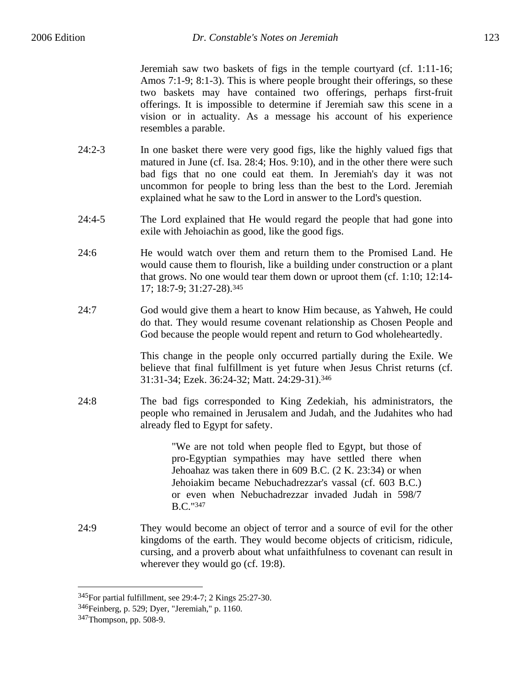Jeremiah saw two baskets of figs in the temple courtyard (cf. 1:11-16; Amos 7:1-9; 8:1-3). This is where people brought their offerings, so these two baskets may have contained two offerings, perhaps first-fruit offerings. It is impossible to determine if Jeremiah saw this scene in a vision or in actuality. As a message his account of his experience resembles a parable.

- 24:2-3 In one basket there were very good figs, like the highly valued figs that matured in June (cf. Isa. 28:4; Hos. 9:10), and in the other there were such bad figs that no one could eat them. In Jeremiah's day it was not uncommon for people to bring less than the best to the Lord. Jeremiah explained what he saw to the Lord in answer to the Lord's question.
- 24:4-5 The Lord explained that He would regard the people that had gone into exile with Jehoiachin as good, like the good figs.
- 24:6 He would watch over them and return them to the Promised Land. He would cause them to flourish, like a building under construction or a plant that grows. No one would tear them down or uproot them (cf. 1:10; 12:14- 17; 18:7-9; 31:27-28).345
- 24:7 God would give them a heart to know Him because, as Yahweh, He could do that. They would resume covenant relationship as Chosen People and God because the people would repent and return to God wholeheartedly.

This change in the people only occurred partially during the Exile. We believe that final fulfillment is yet future when Jesus Christ returns (cf. 31:31-34; Ezek. 36:24-32; Matt. 24:29-31).346

24:8 The bad figs corresponded to King Zedekiah, his administrators, the people who remained in Jerusalem and Judah, and the Judahites who had already fled to Egypt for safety.

> "We are not told when people fled to Egypt, but those of pro-Egyptian sympathies may have settled there when Jehoahaz was taken there in 609 B.C. (2 K. 23:34) or when Jehoiakim became Nebuchadrezzar's vassal (cf. 603 B.C.) or even when Nebuchadrezzar invaded Judah in 598/7 B.C."347

24:9 They would become an object of terror and a source of evil for the other kingdoms of the earth. They would become objects of criticism, ridicule, cursing, and a proverb about what unfaithfulness to covenant can result in wherever they would go (cf. 19:8).

<sup>345</sup>For partial fulfillment, see 29:4-7; 2 Kings 25:27-30.

<sup>346</sup>Feinberg, p. 529; Dyer, "Jeremiah," p. 1160.

<sup>347</sup>Thompson, pp. 508-9.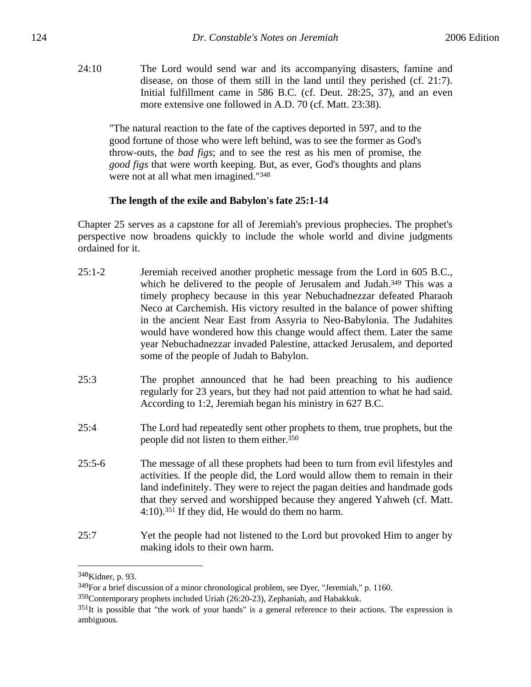24:10 The Lord would send war and its accompanying disasters, famine and disease, on those of them still in the land until they perished (cf. 21:7). Initial fulfillment came in 586 B.C. (cf. Deut. 28:25, 37), and an even more extensive one followed in A.D. 70 (cf. Matt. 23:38).

"The natural reaction to the fate of the captives deported in 597, and to the good fortune of those who were left behind, was to see the former as God's throw-outs, the *bad figs*; and to see the rest as his men of promise, the *good figs* that were worth keeping. But, as ever, God's thoughts and plans were not at all what men imagined."348

# **The length of the exile and Babylon's fate 25:1-14**

Chapter 25 serves as a capstone for all of Jeremiah's previous prophecies. The prophet's perspective now broadens quickly to include the whole world and divine judgments ordained for it.

- 25:1-2 Jeremiah received another prophetic message from the Lord in 605 B.C., which he delivered to the people of Jerusalem and Judah.<sup>349</sup> This was a timely prophecy because in this year Nebuchadnezzar defeated Pharaoh Neco at Carchemish. His victory resulted in the balance of power shifting in the ancient Near East from Assyria to Neo-Babylonia. The Judahites would have wondered how this change would affect them. Later the same year Nebuchadnezzar invaded Palestine, attacked Jerusalem, and deported some of the people of Judah to Babylon.
- 25:3 The prophet announced that he had been preaching to his audience regularly for 23 years, but they had not paid attention to what he had said. According to 1:2, Jeremiah began his ministry in 627 B.C.
- 25:4 The Lord had repeatedly sent other prophets to them, true prophets, but the people did not listen to them either.350
- 25:5-6 The message of all these prophets had been to turn from evil lifestyles and activities. If the people did, the Lord would allow them to remain in their land indefinitely. They were to reject the pagan deities and handmade gods that they served and worshipped because they angered Yahweh (cf. Matt. 4:10).351 If they did, He would do them no harm.
- 25:7 Yet the people had not listened to the Lord but provoked Him to anger by making idols to their own harm.

<sup>348</sup>Kidner, p. 93.

<sup>349</sup>For a brief discussion of a minor chronological problem, see Dyer, "Jeremiah," p. 1160.

<sup>350</sup>Contemporary prophets included Uriah (26:20-23), Zephaniah, and Habakkuk.

 $351$ It is possible that "the work of your hands" is a general reference to their actions. The expression is ambiguous.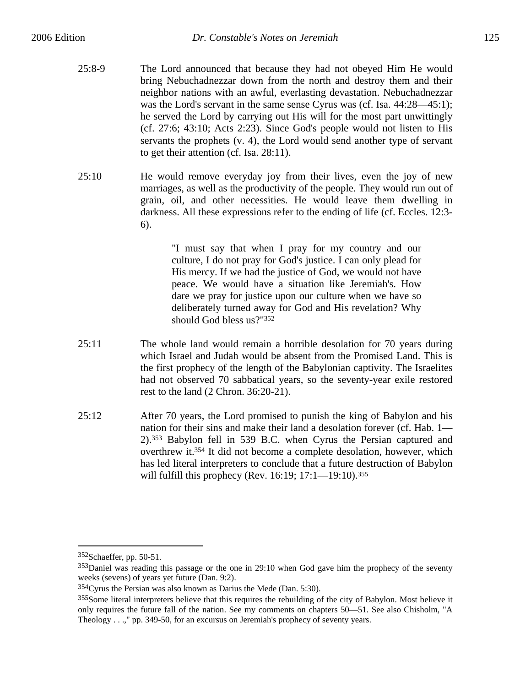- 25:8-9 The Lord announced that because they had not obeyed Him He would bring Nebuchadnezzar down from the north and destroy them and their neighbor nations with an awful, everlasting devastation. Nebuchadnezzar was the Lord's servant in the same sense Cyrus was (cf. Isa. 44:28—45:1); he served the Lord by carrying out His will for the most part unwittingly (cf. 27:6; 43:10; Acts 2:23). Since God's people would not listen to His servants the prophets (v. 4), the Lord would send another type of servant to get their attention (cf. Isa. 28:11).
- 25:10 He would remove everyday joy from their lives, even the joy of new marriages, as well as the productivity of the people. They would run out of grain, oil, and other necessities. He would leave them dwelling in darkness. All these expressions refer to the ending of life (cf. Eccles. 12:3- 6).

"I must say that when I pray for my country and our culture, I do not pray for God's justice. I can only plead for His mercy. If we had the justice of God, we would not have peace. We would have a situation like Jeremiah's. How dare we pray for justice upon our culture when we have so deliberately turned away for God and His revelation? Why should God bless us?"352

- 25:11 The whole land would remain a horrible desolation for 70 years during which Israel and Judah would be absent from the Promised Land. This is the first prophecy of the length of the Babylonian captivity. The Israelites had not observed 70 sabbatical years, so the seventy-year exile restored rest to the land (2 Chron. 36:20-21).
- 25:12 After 70 years, the Lord promised to punish the king of Babylon and his nation for their sins and make their land a desolation forever (cf. Hab. 1— 2).353 Babylon fell in 539 B.C. when Cyrus the Persian captured and overthrew it.354 It did not become a complete desolation, however, which has led literal interpreters to conclude that a future destruction of Babylon will fulfill this prophecy (Rev. 16:19; 17:1—19:10).<sup>355</sup>

<sup>352</sup>Schaeffer, pp. 50-51.

<sup>353</sup>Daniel was reading this passage or the one in 29:10 when God gave him the prophecy of the seventy weeks (sevens) of years yet future (Dan. 9:2).

<sup>354</sup>Cyrus the Persian was also known as Darius the Mede (Dan. 5:30).

<sup>355</sup>Some literal interpreters believe that this requires the rebuilding of the city of Babylon. Most believe it only requires the future fall of the nation. See my comments on chapters 50—51. See also Chisholm, "A Theology . . .," pp. 349-50, for an excursus on Jeremiah's prophecy of seventy years.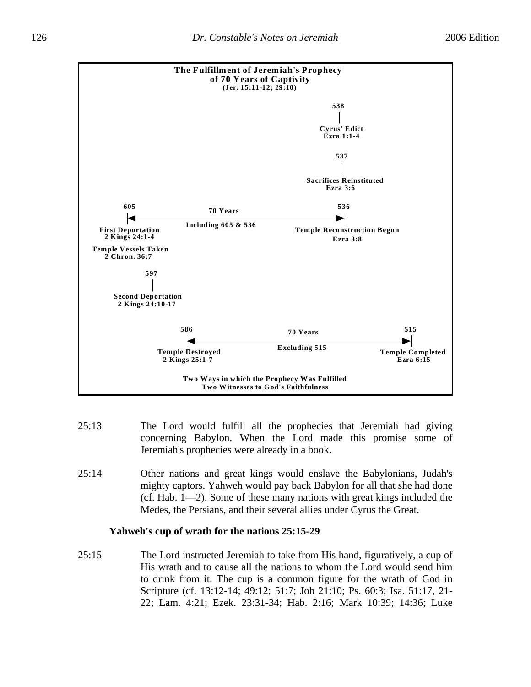

- 25:13 The Lord would fulfill all the prophecies that Jeremiah had giving concerning Babylon. When the Lord made this promise some of Jeremiah's prophecies were already in a book.
- 25:14 Other nations and great kings would enslave the Babylonians, Judah's mighty captors. Yahweh would pay back Babylon for all that she had done (cf. Hab. 1—2). Some of these many nations with great kings included the Medes, the Persians, and their several allies under Cyrus the Great.

# **Yahweh's cup of wrath for the nations 25:15-29**

25:15 The Lord instructed Jeremiah to take from His hand, figuratively, a cup of His wrath and to cause all the nations to whom the Lord would send him to drink from it. The cup is a common figure for the wrath of God in Scripture (cf. 13:12-14; 49:12; 51:7; Job 21:10; Ps. 60:3; Isa. 51:17, 21- 22; Lam. 4:21; Ezek. 23:31-34; Hab. 2:16; Mark 10:39; 14:36; Luke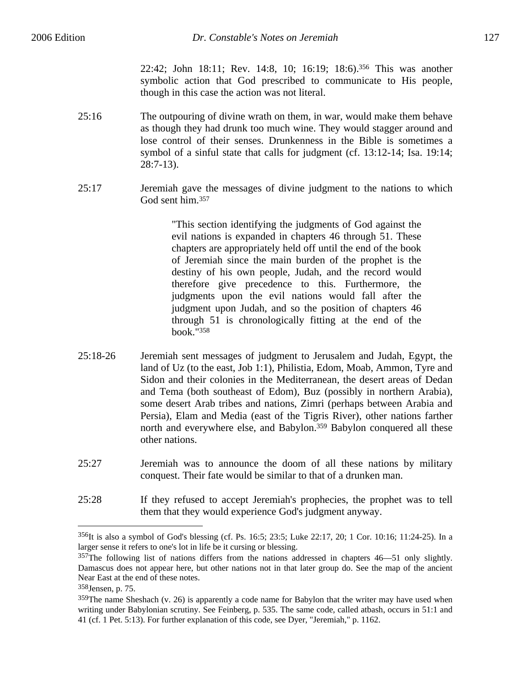22:42; John 18:11; Rev. 14:8, 10; 16:19; 18:6).356 This was another symbolic action that God prescribed to communicate to His people, though in this case the action was not literal.

- 25:16 The outpouring of divine wrath on them, in war, would make them behave as though they had drunk too much wine. They would stagger around and lose control of their senses. Drunkenness in the Bible is sometimes a symbol of a sinful state that calls for judgment (cf. 13:12-14; Isa. 19:14; 28:7-13).
- 25:17 Jeremiah gave the messages of divine judgment to the nations to which God sent him.357

"This section identifying the judgments of God against the evil nations is expanded in chapters 46 through 51. These chapters are appropriately held off until the end of the book of Jeremiah since the main burden of the prophet is the destiny of his own people, Judah, and the record would therefore give precedence to this. Furthermore, the judgments upon the evil nations would fall after the judgment upon Judah, and so the position of chapters 46 through 51 is chronologically fitting at the end of the book."358

- 25:18-26 Jeremiah sent messages of judgment to Jerusalem and Judah, Egypt, the land of Uz (to the east, Job 1:1), Philistia, Edom, Moab, Ammon, Tyre and Sidon and their colonies in the Mediterranean, the desert areas of Dedan and Tema (both southeast of Edom), Buz (possibly in northern Arabia), some desert Arab tribes and nations, Zimri (perhaps between Arabia and Persia), Elam and Media (east of the Tigris River), other nations farther north and everywhere else, and Babylon.359 Babylon conquered all these other nations.
- 25:27 Jeremiah was to announce the doom of all these nations by military conquest. Their fate would be similar to that of a drunken man.
- 25:28 If they refused to accept Jeremiah's prophecies, the prophet was to tell them that they would experience God's judgment anyway.

<sup>356</sup>It is also a symbol of God's blessing (cf. Ps. 16:5; 23:5; Luke 22:17, 20; 1 Cor. 10:16; 11:24-25). In a larger sense it refers to one's lot in life be it cursing or blessing.

<sup>357</sup>The following list of nations differs from the nations addressed in chapters 46—51 only slightly. Damascus does not appear here, but other nations not in that later group do. See the map of the ancient Near East at the end of these notes.

<sup>358</sup>Jensen, p. 75.

 $359$ The name Sheshach (v. 26) is apparently a code name for Babylon that the writer may have used when writing under Babylonian scrutiny. See Feinberg, p. 535. The same code, called atbash, occurs in 51:1 and 41 (cf. 1 Pet. 5:13). For further explanation of this code, see Dyer, "Jeremiah," p. 1162.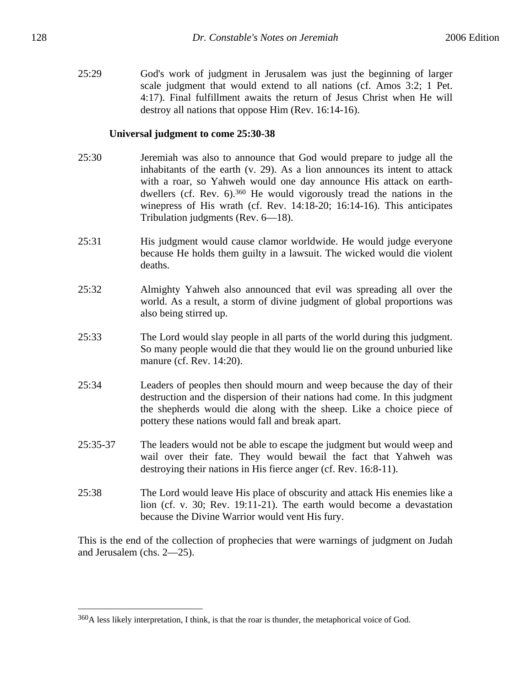25:29 God's work of judgment in Jerusalem was just the beginning of larger scale judgment that would extend to all nations (cf. Amos 3:2; 1 Pet. 4:17). Final fulfillment awaits the return of Jesus Christ when He will destroy all nations that oppose Him (Rev. 16:14-16).

## **Universal judgment to come 25:30-38**

- 25:30 Jeremiah was also to announce that God would prepare to judge all the inhabitants of the earth (v. 29). As a lion announces its intent to attack with a roar, so Yahweh would one day announce His attack on earthdwellers (cf. Rev. 6).360 He would vigorously tread the nations in the winepress of His wrath (cf. Rev. 14:18-20; 16:14-16). This anticipates Tribulation judgments (Rev. 6—18).
- 25:31 His judgment would cause clamor worldwide. He would judge everyone because He holds them guilty in a lawsuit. The wicked would die violent deaths.
- 25:32 Almighty Yahweh also announced that evil was spreading all over the world. As a result, a storm of divine judgment of global proportions was also being stirred up.
- 25:33 The Lord would slay people in all parts of the world during this judgment. So many people would die that they would lie on the ground unburied like manure (cf. Rev. 14:20).
- 25:34 Leaders of peoples then should mourn and weep because the day of their destruction and the dispersion of their nations had come. In this judgment the shepherds would die along with the sheep. Like a choice piece of pottery these nations would fall and break apart.
- 25:35-37 The leaders would not be able to escape the judgment but would weep and wail over their fate. They would bewail the fact that Yahweh was destroying their nations in His fierce anger (cf. Rev. 16:8-11).
- 25:38 The Lord would leave His place of obscurity and attack His enemies like a lion (cf. v. 30; Rev. 19:11-21). The earth would become a devastation because the Divine Warrior would vent His fury.

This is the end of the collection of prophecies that were warnings of judgment on Judah and Jerusalem (chs. 2—25).

<u>.</u>

<sup>360</sup>A less likely interpretation, I think, is that the roar is thunder, the metaphorical voice of God.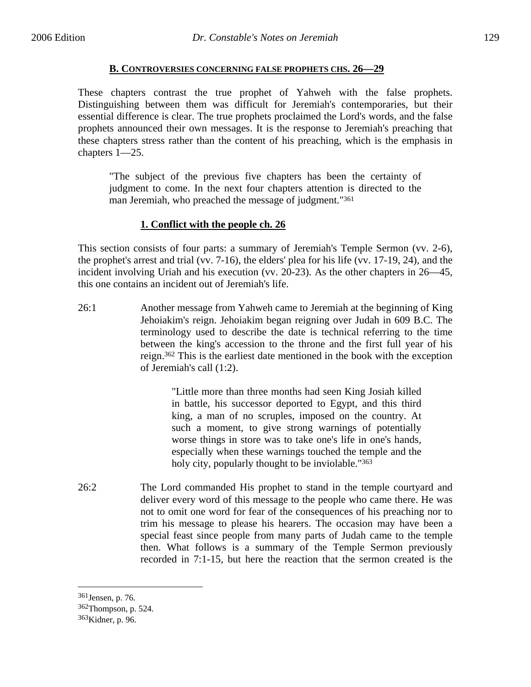## **B. CONTROVERSIES CONCERNING FALSE PROPHETS CHS. 26—29**

These chapters contrast the true prophet of Yahweh with the false prophets. Distinguishing between them was difficult for Jeremiah's contemporaries, but their essential difference is clear. The true prophets proclaimed the Lord's words, and the false prophets announced their own messages. It is the response to Jeremiah's preaching that these chapters stress rather than the content of his preaching, which is the emphasis in chapters 1—25.

"The subject of the previous five chapters has been the certainty of judgment to come. In the next four chapters attention is directed to the man Jeremiah, who preached the message of judgment."361

# **1. Conflict with the people ch. 26**

This section consists of four parts: a summary of Jeremiah's Temple Sermon (vv. 2-6), the prophet's arrest and trial (vv. 7-16), the elders' plea for his life (vv. 17-19, 24), and the incident involving Uriah and his execution (vv. 20-23). As the other chapters in 26—45, this one contains an incident out of Jeremiah's life.

26:1 Another message from Yahweh came to Jeremiah at the beginning of King Jehoiakim's reign. Jehoiakim began reigning over Judah in 609 B.C. The terminology used to describe the date is technical referring to the time between the king's accession to the throne and the first full year of his reign.362 This is the earliest date mentioned in the book with the exception of Jeremiah's call (1:2).

> "Little more than three months had seen King Josiah killed in battle, his successor deported to Egypt, and this third king, a man of no scruples, imposed on the country. At such a moment, to give strong warnings of potentially worse things in store was to take one's life in one's hands, especially when these warnings touched the temple and the holy city, popularly thought to be inviolable."<sup>363</sup>

26:2 The Lord commanded His prophet to stand in the temple courtyard and deliver every word of this message to the people who came there. He was not to omit one word for fear of the consequences of his preaching nor to trim his message to please his hearers. The occasion may have been a special feast since people from many parts of Judah came to the temple then. What follows is a summary of the Temple Sermon previously recorded in 7:1-15, but here the reaction that the sermon created is the

<sup>361</sup>Jensen, p. 76.

<sup>362</sup>Thompson, p. 524.

<sup>363</sup>Kidner, p. 96.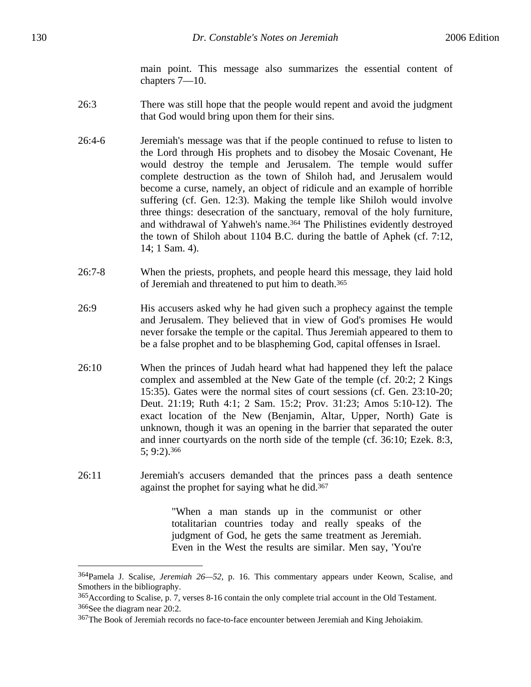main point. This message also summarizes the essential content of chapters 7—10.

- 26:3 There was still hope that the people would repent and avoid the judgment that God would bring upon them for their sins.
- 26:4-6 Jeremiah's message was that if the people continued to refuse to listen to the Lord through His prophets and to disobey the Mosaic Covenant, He would destroy the temple and Jerusalem. The temple would suffer complete destruction as the town of Shiloh had, and Jerusalem would become a curse, namely, an object of ridicule and an example of horrible suffering (cf. Gen. 12:3). Making the temple like Shiloh would involve three things: desecration of the sanctuary, removal of the holy furniture, and withdrawal of Yahweh's name.<sup>364</sup> The Philistines evidently destroyed the town of Shiloh about 1104 B.C. during the battle of Aphek (cf. 7:12, 14; 1 Sam. 4).
- 26:7-8 When the priests, prophets, and people heard this message, they laid hold of Jeremiah and threatened to put him to death.365
- 26:9 His accusers asked why he had given such a prophecy against the temple and Jerusalem. They believed that in view of God's promises He would never forsake the temple or the capital. Thus Jeremiah appeared to them to be a false prophet and to be blaspheming God, capital offenses in Israel.
- 26:10 When the princes of Judah heard what had happened they left the palace complex and assembled at the New Gate of the temple (cf. 20:2; 2 Kings 15:35). Gates were the normal sites of court sessions (cf. Gen. 23:10-20; Deut. 21:19; Ruth 4:1; 2 Sam. 15:2; Prov. 31:23; Amos 5:10-12). The exact location of the New (Benjamin, Altar, Upper, North) Gate is unknown, though it was an opening in the barrier that separated the outer and inner courtyards on the north side of the temple (cf. 36:10; Ezek. 8:3, 5; 9:2).366
- 26:11 Jeremiah's accusers demanded that the princes pass a death sentence against the prophet for saying what he did.367

"When a man stands up in the communist or other totalitarian countries today and really speaks of the judgment of God, he gets the same treatment as Jeremiah. Even in the West the results are similar. Men say, 'You're

<sup>364</sup>Pamela J. Scalise, *Jeremiah 26—52*, p. 16. This commentary appears under Keown, Scalise, and Smothers in the bibliography.

<sup>365</sup>According to Scalise, p. 7, verses 8-16 contain the only complete trial account in the Old Testament. 366See the diagram near 20:2.

<sup>367</sup>The Book of Jeremiah records no face-to-face encounter between Jeremiah and King Jehoiakim.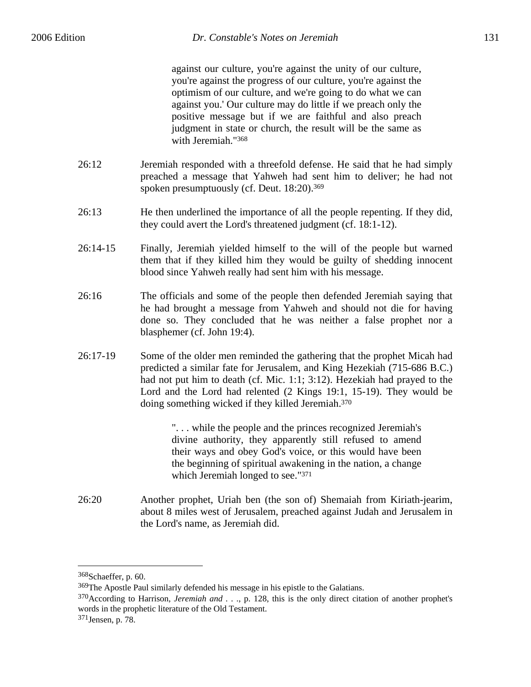against our culture, you're against the unity of our culture, you're against the progress of our culture, you're against the optimism of our culture, and we're going to do what we can against you.' Our culture may do little if we preach only the positive message but if we are faithful and also preach judgment in state or church, the result will be the same as with Jeremiah."368

- 26:12 Jeremiah responded with a threefold defense. He said that he had simply preached a message that Yahweh had sent him to deliver; he had not spoken presumptuously (cf. Deut. 18:20).369
- 26:13 He then underlined the importance of all the people repenting. If they did, they could avert the Lord's threatened judgment (cf. 18:1-12).
- 26:14-15 Finally, Jeremiah yielded himself to the will of the people but warned them that if they killed him they would be guilty of shedding innocent blood since Yahweh really had sent him with his message.
- 26:16 The officials and some of the people then defended Jeremiah saying that he had brought a message from Yahweh and should not die for having done so. They concluded that he was neither a false prophet nor a blasphemer (cf. John 19:4).
- 26:17-19 Some of the older men reminded the gathering that the prophet Micah had predicted a similar fate for Jerusalem, and King Hezekiah (715-686 B.C.) had not put him to death (cf. Mic. 1:1; 3:12). Hezekiah had prayed to the Lord and the Lord had relented (2 Kings 19:1, 15-19). They would be doing something wicked if they killed Jeremiah.370

". . . while the people and the princes recognized Jeremiah's divine authority, they apparently still refused to amend their ways and obey God's voice, or this would have been the beginning of spiritual awakening in the nation, a change which Jeremiah longed to see."371

26:20 Another prophet, Uriah ben (the son of) Shemaiah from Kiriath-jearim, about 8 miles west of Jerusalem, preached against Judah and Jerusalem in the Lord's name, as Jeremiah did.

<sup>368</sup>Schaeffer, p. 60.

<sup>369</sup>The Apostle Paul similarly defended his message in his epistle to the Galatians.

<sup>370</sup>According to Harrison, *Jeremiah and . . .*, p. 128, this is the only direct citation of another prophet's words in the prophetic literature of the Old Testament.

<sup>371</sup>Jensen, p. 78.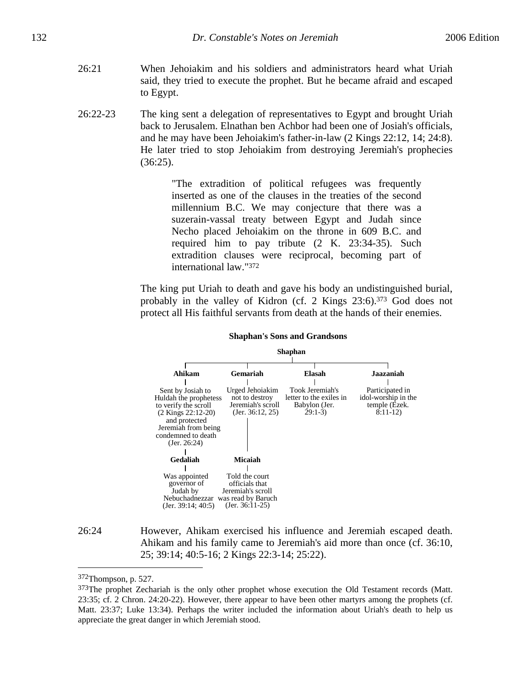- 26:21 When Jehoiakim and his soldiers and administrators heard what Uriah said, they tried to execute the prophet. But he became afraid and escaped to Egypt.
- 26:22-23 The king sent a delegation of representatives to Egypt and brought Uriah back to Jerusalem. Elnathan ben Achbor had been one of Josiah's officials, and he may have been Jehoiakim's father-in-law (2 Kings 22:12, 14; 24:8). He later tried to stop Jehoiakim from destroying Jeremiah's prophecies (36:25).

"The extradition of political refugees was frequently inserted as one of the clauses in the treaties of the second millennium B.C. We may conjecture that there was a suzerain-vassal treaty between Egypt and Judah since Necho placed Jehoiakim on the throne in 609 B.C. and required him to pay tribute (2 K. 23:34-35). Such extradition clauses were reciprocal, becoming part of international law."372

The king put Uriah to death and gave his body an undistinguished burial, probably in the valley of Kidron (cf. 2 Kings 23:6).373 God does not protect all His faithful servants from death at the hands of their enemies.



#### **Shaphan's Sons and Grandsons**

26:24 However, Ahikam exercised his influence and Jeremiah escaped death. Ahikam and his family came to Jeremiah's aid more than once (cf. 36:10, 25; 39:14; 40:5-16; 2 Kings 22:3-14; 25:22).

<sup>372</sup>Thompson, p. 527.

<sup>&</sup>lt;sup>373</sup>The prophet Zechariah is the only other prophet whose execution the Old Testament records (Matt. 23:35; cf. 2 Chron. 24:20-22). However, there appear to have been other martyrs among the prophets (cf. Matt. 23:37; Luke 13:34). Perhaps the writer included the information about Uriah's death to help us appreciate the great danger in which Jeremiah stood.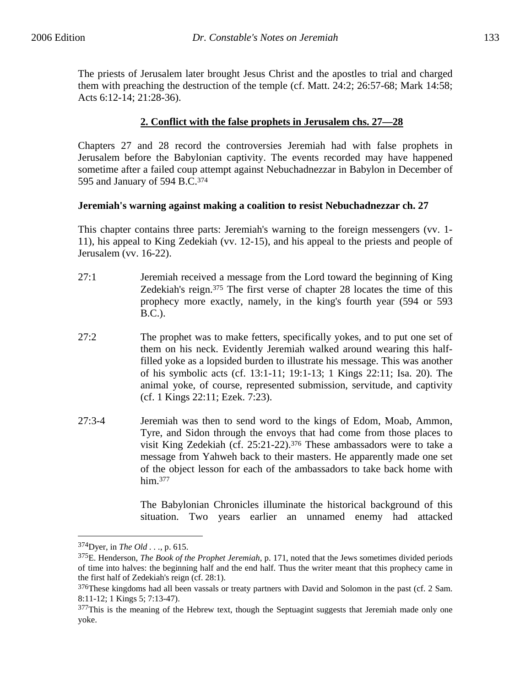The priests of Jerusalem later brought Jesus Christ and the apostles to trial and charged them with preaching the destruction of the temple (cf. Matt. 24:2; 26:57-68; Mark 14:58; Acts 6:12-14; 21:28-36).

# **2. Conflict with the false prophets in Jerusalem chs. 27—28**

Chapters 27 and 28 record the controversies Jeremiah had with false prophets in Jerusalem before the Babylonian captivity. The events recorded may have happened sometime after a failed coup attempt against Nebuchadnezzar in Babylon in December of 595 and January of 594 B.C.374

## **Jeremiah's warning against making a coalition to resist Nebuchadnezzar ch. 27**

This chapter contains three parts: Jeremiah's warning to the foreign messengers (vv. 1- 11), his appeal to King Zedekiah (vv. 12-15), and his appeal to the priests and people of Jerusalem (vv. 16-22).

- 27:1 Jeremiah received a message from the Lord toward the beginning of King Zedekiah's reign.375 The first verse of chapter 28 locates the time of this prophecy more exactly, namely, in the king's fourth year (594 or 593 B.C.).
- 27:2 The prophet was to make fetters, specifically yokes, and to put one set of them on his neck. Evidently Jeremiah walked around wearing this halffilled yoke as a lopsided burden to illustrate his message. This was another of his symbolic acts (cf. 13:1-11; 19:1-13; 1 Kings 22:11; Isa. 20). The animal yoke, of course, represented submission, servitude, and captivity (cf. 1 Kings 22:11; Ezek. 7:23).
- 27:3-4 Jeremiah was then to send word to the kings of Edom, Moab, Ammon, Tyre, and Sidon through the envoys that had come from those places to visit King Zedekiah (cf. 25:21-22).376 These ambassadors were to take a message from Yahweh back to their masters. He apparently made one set of the object lesson for each of the ambassadors to take back home with him.377

The Babylonian Chronicles illuminate the historical background of this situation. Two years earlier an unnamed enemy had attacked

<sup>374</sup>Dyer, in *The Old . . .*, p. 615.

<sup>375</sup>E. Henderson, *The Book of the Prophet Jeremiah*, p. 171, noted that the Jews sometimes divided periods of time into halves: the beginning half and the end half. Thus the writer meant that this prophecy came in the first half of Zedekiah's reign (cf. 28:1).

<sup>&</sup>lt;sup>376</sup>These kingdoms had all been vassals or treaty partners with David and Solomon in the past (cf. 2 Sam. 8:11-12; 1 Kings 5; 7:13-47).

<sup>&</sup>lt;sup>377</sup>This is the meaning of the Hebrew text, though the Septuagint suggests that Jeremiah made only one yoke.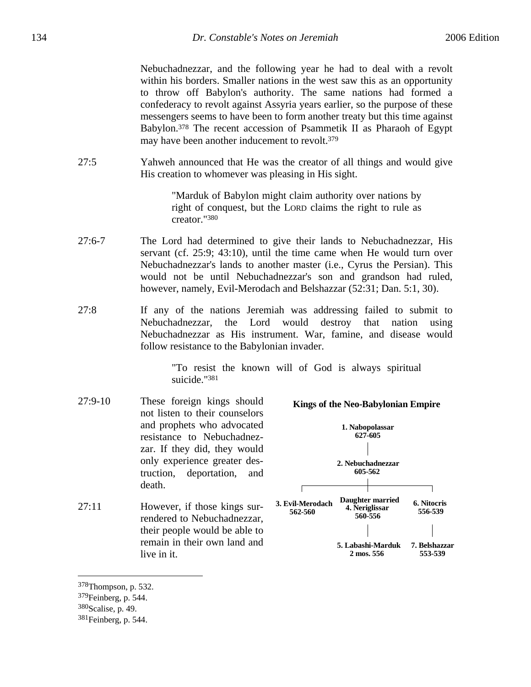Nebuchadnezzar, and the following year he had to deal with a revolt within his borders. Smaller nations in the west saw this as an opportunity to throw off Babylon's authority. The same nations had formed a confederacy to revolt against Assyria years earlier, so the purpose of these messengers seems to have been to form another treaty but this time against Babylon.378 The recent accession of Psammetik II as Pharaoh of Egypt may have been another inducement to revolt.379

27:5 Yahweh announced that He was the creator of all things and would give His creation to whomever was pleasing in His sight.

> "Marduk of Babylon might claim authority over nations by right of conquest, but the LORD claims the right to rule as creator."380

- 27:6-7 The Lord had determined to give their lands to Nebuchadnezzar, His servant (cf. 25:9; 43:10), until the time came when He would turn over Nebuchadnezzar's lands to another master (i.e., Cyrus the Persian). This would not be until Nebuchadnezzar's son and grandson had ruled, however, namely, Evil-Merodach and Belshazzar (52:31; Dan. 5:1, 30).
- 27:8 If any of the nations Jeremiah was addressing failed to submit to Nebuchadnezzar, the Lord would destroy that nation using Nebuchadnezzar as His instrument. War, famine, and disease would follow resistance to the Babylonian invader.

"To resist the known will of God is always spiritual suicide."381

- 27:9-10 These foreign kings should not listen to their counselors and prophets who advocated resistance to Nebuchadnezzar. If they did, they would only experience greater destruction, deportation, and death.
- 27:11 However, if those kings surrendered to Nebuchadnezzar, their people would be able to remain in their own land and live in it.



**Kings of the Neo-Babylonian Empire**

<u>.</u>

<sup>378</sup>Thompson, p. 532.

<sup>379</sup>Feinberg, p. 544.

<sup>380</sup>Scalise, p. 49.

<sup>381</sup>Feinberg, p. 544.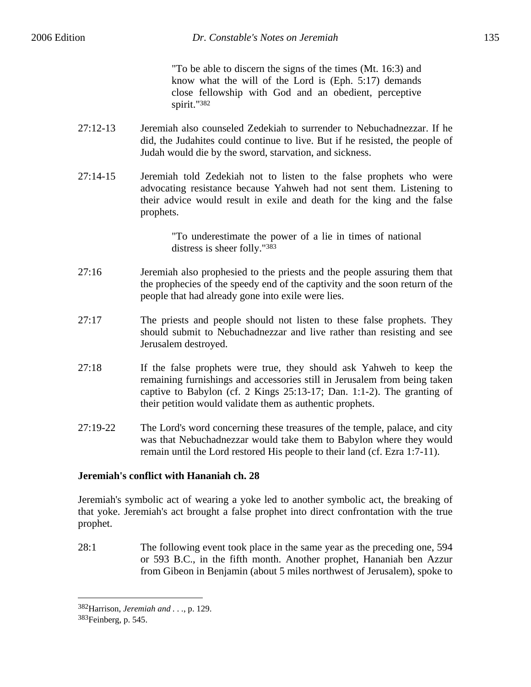"To be able to discern the signs of the times (Mt. 16:3) and know what the will of the Lord is (Eph. 5:17) demands close fellowship with God and an obedient, perceptive spirit."382

- 27:12-13 Jeremiah also counseled Zedekiah to surrender to Nebuchadnezzar. If he did, the Judahites could continue to live. But if he resisted, the people of Judah would die by the sword, starvation, and sickness.
- 27:14-15 Jeremiah told Zedekiah not to listen to the false prophets who were advocating resistance because Yahweh had not sent them. Listening to their advice would result in exile and death for the king and the false prophets.

"To underestimate the power of a lie in times of national distress is sheer folly."383

- 27:16 Jeremiah also prophesied to the priests and the people assuring them that the prophecies of the speedy end of the captivity and the soon return of the people that had already gone into exile were lies.
- 27:17 The priests and people should not listen to these false prophets. They should submit to Nebuchadnezzar and live rather than resisting and see Jerusalem destroyed.
- 27:18 If the false prophets were true, they should ask Yahweh to keep the remaining furnishings and accessories still in Jerusalem from being taken captive to Babylon (cf. 2 Kings 25:13-17; Dan. 1:1-2). The granting of their petition would validate them as authentic prophets.
- 27:19-22 The Lord's word concerning these treasures of the temple, palace, and city was that Nebuchadnezzar would take them to Babylon where they would remain until the Lord restored His people to their land (cf. Ezra 1:7-11).

# **Jeremiah's conflict with Hananiah ch. 28**

Jeremiah's symbolic act of wearing a yoke led to another symbolic act, the breaking of that yoke. Jeremiah's act brought a false prophet into direct confrontation with the true prophet.

28:1 The following event took place in the same year as the preceding one, 594 or 593 B.C., in the fifth month. Another prophet, Hananiah ben Azzur from Gibeon in Benjamin (about 5 miles northwest of Jerusalem), spoke to

<sup>382</sup>Harrison, *Jeremiah and . . .*, p. 129.

<sup>383</sup>Feinberg, p. 545.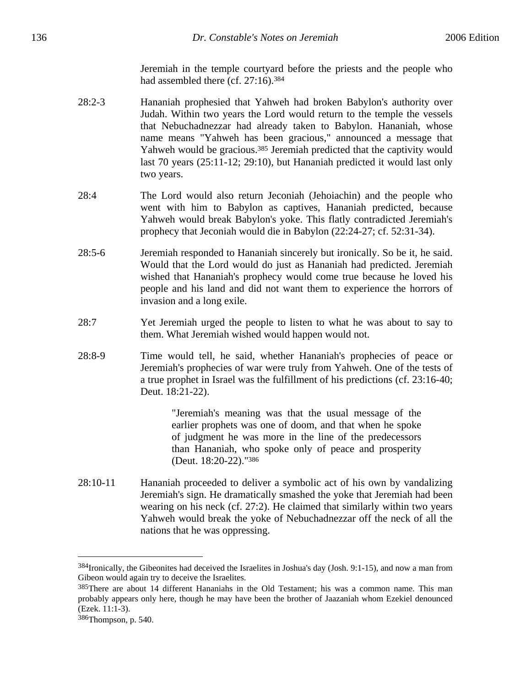Jeremiah in the temple courtyard before the priests and the people who had assembled there (cf. 27:16).384

- 28:2-3 Hananiah prophesied that Yahweh had broken Babylon's authority over Judah. Within two years the Lord would return to the temple the vessels that Nebuchadnezzar had already taken to Babylon. Hananiah, whose name means "Yahweh has been gracious," announced a message that Yahweh would be gracious.385 Jeremiah predicted that the captivity would last 70 years (25:11-12; 29:10), but Hananiah predicted it would last only two years.
- 28:4 The Lord would also return Jeconiah (Jehoiachin) and the people who went with him to Babylon as captives, Hananiah predicted, because Yahweh would break Babylon's yoke. This flatly contradicted Jeremiah's prophecy that Jeconiah would die in Babylon (22:24-27; cf. 52:31-34).
- 28:5-6 Jeremiah responded to Hananiah sincerely but ironically. So be it, he said. Would that the Lord would do just as Hananiah had predicted. Jeremiah wished that Hananiah's prophecy would come true because he loved his people and his land and did not want them to experience the horrors of invasion and a long exile.
- 28:7 Yet Jeremiah urged the people to listen to what he was about to say to them. What Jeremiah wished would happen would not.
- 28:8-9 Time would tell, he said, whether Hananiah's prophecies of peace or Jeremiah's prophecies of war were truly from Yahweh. One of the tests of a true prophet in Israel was the fulfillment of his predictions (cf. 23:16-40; Deut. 18:21-22).

"Jeremiah's meaning was that the usual message of the earlier prophets was one of doom, and that when he spoke of judgment he was more in the line of the predecessors than Hananiah, who spoke only of peace and prosperity (Deut. 18:20-22)."386

28:10-11 Hananiah proceeded to deliver a symbolic act of his own by vandalizing Jeremiah's sign. He dramatically smashed the yoke that Jeremiah had been wearing on his neck (cf. 27:2). He claimed that similarly within two years Yahweh would break the yoke of Nebuchadnezzar off the neck of all the nations that he was oppressing.

<sup>384</sup>Ironically, the Gibeonites had deceived the Israelites in Joshua's day (Josh. 9:1-15), and now a man from Gibeon would again try to deceive the Israelites.

<sup>385</sup>There are about 14 different Hananiahs in the Old Testament; his was a common name. This man probably appears only here, though he may have been the brother of Jaazaniah whom Ezekiel denounced (Ezek. 11:1-3).

<sup>386</sup>Thompson, p. 540.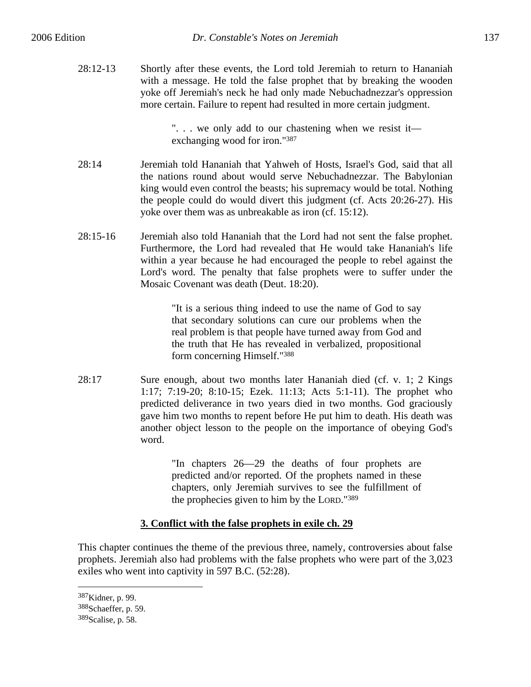28:12-13 Shortly after these events, the Lord told Jeremiah to return to Hananiah with a message. He told the false prophet that by breaking the wooden yoke off Jeremiah's neck he had only made Nebuchadnezzar's oppression more certain. Failure to repent had resulted in more certain judgment.

> ". . . we only add to our chastening when we resist it exchanging wood for iron."387

- 28:14 Jeremiah told Hananiah that Yahweh of Hosts, Israel's God, said that all the nations round about would serve Nebuchadnezzar. The Babylonian king would even control the beasts; his supremacy would be total. Nothing the people could do would divert this judgment (cf. Acts 20:26-27). His yoke over them was as unbreakable as iron (cf. 15:12).
- 28:15-16 Jeremiah also told Hananiah that the Lord had not sent the false prophet. Furthermore, the Lord had revealed that He would take Hananiah's life within a year because he had encouraged the people to rebel against the Lord's word. The penalty that false prophets were to suffer under the Mosaic Covenant was death (Deut. 18:20).

"It is a serious thing indeed to use the name of God to say that secondary solutions can cure our problems when the real problem is that people have turned away from God and the truth that He has revealed in verbalized, propositional form concerning Himself."388

28:17 Sure enough, about two months later Hananiah died (cf. v. 1; 2 Kings 1:17; 7:19-20; 8:10-15; Ezek. 11:13; Acts 5:1-11). The prophet who predicted deliverance in two years died in two months. God graciously gave him two months to repent before He put him to death. His death was another object lesson to the people on the importance of obeying God's word.

> "In chapters 26—29 the deaths of four prophets are predicted and/or reported. Of the prophets named in these chapters, only Jeremiah survives to see the fulfillment of the prophecies given to him by the LORD."389

# **3. Conflict with the false prophets in exile ch. 29**

This chapter continues the theme of the previous three, namely, controversies about false prophets. Jeremiah also had problems with the false prophets who were part of the 3,023 exiles who went into captivity in 597 B.C. (52:28).

<sup>387</sup>Kidner, p. 99.

<sup>388</sup>Schaeffer, p. 59.

<sup>389</sup>Scalise, p. 58.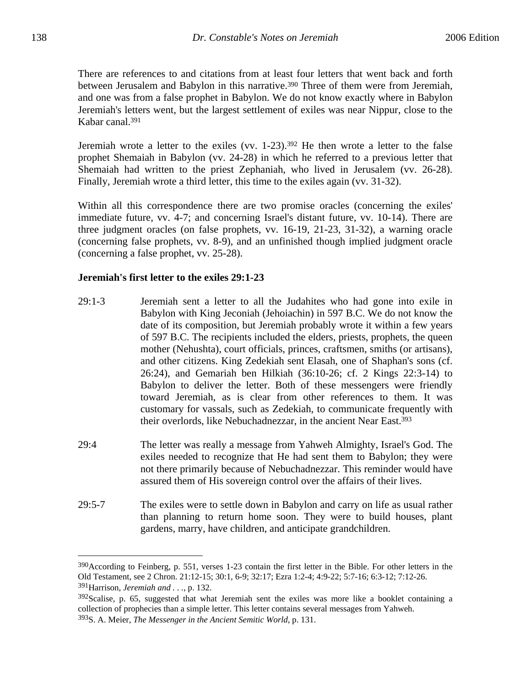There are references to and citations from at least four letters that went back and forth between Jerusalem and Babylon in this narrative.<sup>390</sup> Three of them were from Jeremiah, and one was from a false prophet in Babylon. We do not know exactly where in Babylon Jeremiah's letters went, but the largest settlement of exiles was near Nippur, close to the Kabar canal.391

Jeremiah wrote a letter to the exiles (vv.  $1-23$ ).<sup>392</sup> He then wrote a letter to the false prophet Shemaiah in Babylon (vv. 24-28) in which he referred to a previous letter that Shemaiah had written to the priest Zephaniah, who lived in Jerusalem (vv. 26-28). Finally, Jeremiah wrote a third letter, this time to the exiles again (vv. 31-32).

Within all this correspondence there are two promise oracles (concerning the exiles' immediate future, vv. 4-7; and concerning Israel's distant future, vv. 10-14). There are three judgment oracles (on false prophets, vv. 16-19, 21-23, 31-32), a warning oracle (concerning false prophets, vv. 8-9), and an unfinished though implied judgment oracle (concerning a false prophet, vv. 25-28).

# **Jeremiah's first letter to the exiles 29:1-23**

- 29:1-3 Jeremiah sent a letter to all the Judahites who had gone into exile in Babylon with King Jeconiah (Jehoiachin) in 597 B.C. We do not know the date of its composition, but Jeremiah probably wrote it within a few years of 597 B.C. The recipients included the elders, priests, prophets, the queen mother (Nehushta), court officials, princes, craftsmen, smiths (or artisans), and other citizens. King Zedekiah sent Elasah, one of Shaphan's sons (cf. 26:24), and Gemariah ben Hilkiah (36:10-26; cf. 2 Kings 22:3-14) to Babylon to deliver the letter. Both of these messengers were friendly toward Jeremiah, as is clear from other references to them. It was customary for vassals, such as Zedekiah, to communicate frequently with their overlords, like Nebuchadnezzar, in the ancient Near East.393
- 29:4 The letter was really a message from Yahweh Almighty, Israel's God. The exiles needed to recognize that He had sent them to Babylon; they were not there primarily because of Nebuchadnezzar. This reminder would have assured them of His sovereign control over the affairs of their lives.
- 29:5-7 The exiles were to settle down in Babylon and carry on life as usual rather than planning to return home soon. They were to build houses, plant gardens, marry, have children, and anticipate grandchildren.

<sup>390</sup>According to Feinberg, p. 551, verses 1-23 contain the first letter in the Bible. For other letters in the Old Testament, see 2 Chron. 21:12-15; 30:1, 6-9; 32:17; Ezra 1:2-4; 4:9-22; 5:7-16; 6:3-12; 7:12-26. 391Harrison, *Jeremiah and . . .*, p. 132.

 $392$ Scalise, p. 65, suggested that what Jeremiah sent the exiles was more like a booklet containing a collection of prophecies than a simple letter. This letter contains several messages from Yahweh. 393S. A. Meier, *The Messenger in the Ancient Semitic World*, p. 131.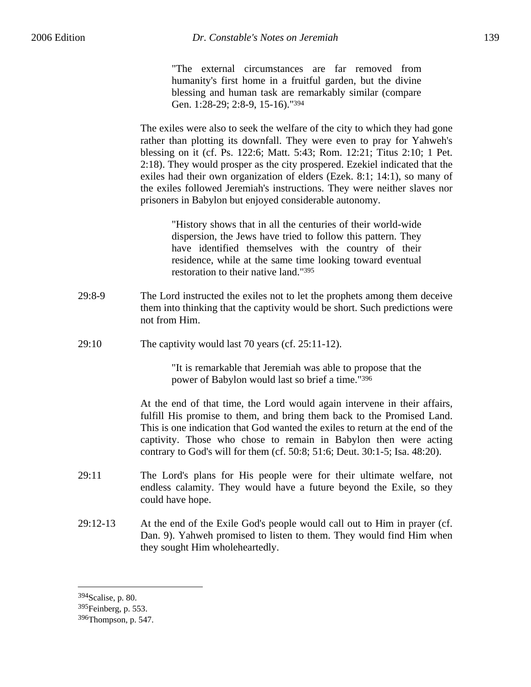"The external circumstances are far removed from humanity's first home in a fruitful garden, but the divine blessing and human task are remarkably similar (compare Gen. 1:28-29; 2:8-9, 15-16)."394

The exiles were also to seek the welfare of the city to which they had gone rather than plotting its downfall. They were even to pray for Yahweh's blessing on it (cf. Ps. 122:6; Matt. 5:43; Rom. 12:21; Titus 2:10; 1 Pet. 2:18). They would prosper as the city prospered. Ezekiel indicated that the exiles had their own organization of elders (Ezek. 8:1; 14:1), so many of the exiles followed Jeremiah's instructions. They were neither slaves nor prisoners in Babylon but enjoyed considerable autonomy.

"History shows that in all the centuries of their world-wide dispersion, the Jews have tried to follow this pattern. They have identified themselves with the country of their residence, while at the same time looking toward eventual restoration to their native land."395

- 29:8-9 The Lord instructed the exiles not to let the prophets among them deceive them into thinking that the captivity would be short. Such predictions were not from Him.
- 29:10 The captivity would last 70 years (cf. 25:11-12).

"It is remarkable that Jeremiah was able to propose that the power of Babylon would last so brief a time."396

At the end of that time, the Lord would again intervene in their affairs, fulfill His promise to them, and bring them back to the Promised Land. This is one indication that God wanted the exiles to return at the end of the captivity. Those who chose to remain in Babylon then were acting contrary to God's will for them (cf. 50:8; 51:6; Deut. 30:1-5; Isa. 48:20).

- 29:11 The Lord's plans for His people were for their ultimate welfare, not endless calamity. They would have a future beyond the Exile, so they could have hope.
- 29:12-13 At the end of the Exile God's people would call out to Him in prayer (cf. Dan. 9). Yahweh promised to listen to them. They would find Him when they sought Him wholeheartedly.

<sup>394</sup>Scalise, p. 80.

<sup>395</sup>Feinberg, p. 553.

<sup>396</sup>Thompson, p. 547.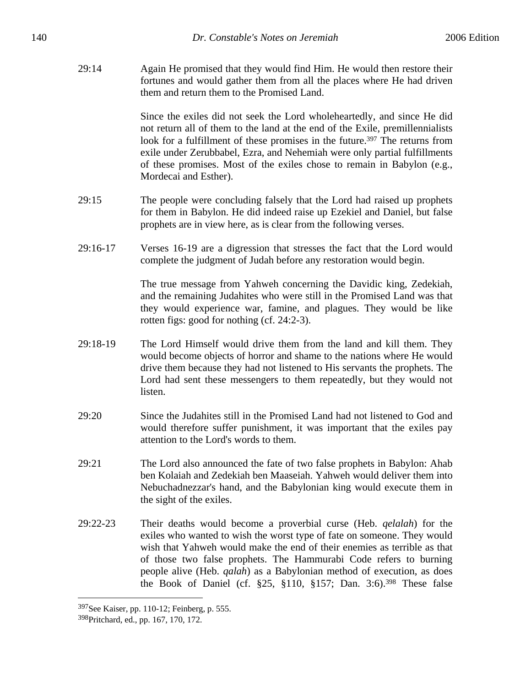29:14 Again He promised that they would find Him. He would then restore their fortunes and would gather them from all the places where He had driven them and return them to the Promised Land.

> Since the exiles did not seek the Lord wholeheartedly, and since He did not return all of them to the land at the end of the Exile, premillennialists look for a fulfillment of these promises in the future.<sup>397</sup> The returns from exile under Zerubbabel, Ezra, and Nehemiah were only partial fulfillments of these promises. Most of the exiles chose to remain in Babylon (e.g., Mordecai and Esther).

- 29:15 The people were concluding falsely that the Lord had raised up prophets for them in Babylon. He did indeed raise up Ezekiel and Daniel, but false prophets are in view here, as is clear from the following verses.
- 29:16-17 Verses 16-19 are a digression that stresses the fact that the Lord would complete the judgment of Judah before any restoration would begin.

The true message from Yahweh concerning the Davidic king, Zedekiah, and the remaining Judahites who were still in the Promised Land was that they would experience war, famine, and plagues. They would be like rotten figs: good for nothing (cf. 24:2-3).

- 29:18-19 The Lord Himself would drive them from the land and kill them. They would become objects of horror and shame to the nations where He would drive them because they had not listened to His servants the prophets. The Lord had sent these messengers to them repeatedly, but they would not listen.
- 29:20 Since the Judahites still in the Promised Land had not listened to God and would therefore suffer punishment, it was important that the exiles pay attention to the Lord's words to them.
- 29:21 The Lord also announced the fate of two false prophets in Babylon: Ahab ben Kolaiah and Zedekiah ben Maaseiah. Yahweh would deliver them into Nebuchadnezzar's hand, and the Babylonian king would execute them in the sight of the exiles.
- 29:22-23 Their deaths would become a proverbial curse (Heb. *qelalah*) for the exiles who wanted to wish the worst type of fate on someone. They would wish that Yahweh would make the end of their enemies as terrible as that of those two false prophets. The Hammurabi Code refers to burning people alive (Heb. *qalah*) as a Babylonian method of execution, as does the Book of Daniel (cf. §25, §110, §157; Dan. 3:6).398 These false

<sup>397</sup>See Kaiser, pp. 110-12; Feinberg, p. 555.

<sup>398</sup>Pritchard, ed., pp. 167, 170, 172.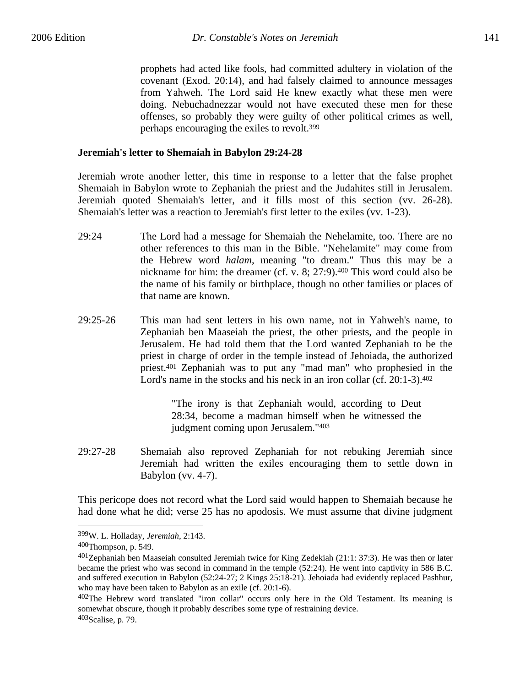prophets had acted like fools, had committed adultery in violation of the covenant (Exod. 20:14), and had falsely claimed to announce messages from Yahweh. The Lord said He knew exactly what these men were doing. Nebuchadnezzar would not have executed these men for these offenses, so probably they were guilty of other political crimes as well, perhaps encouraging the exiles to revolt.399

## **Jeremiah's letter to Shemaiah in Babylon 29:24-28**

Jeremiah wrote another letter, this time in response to a letter that the false prophet Shemaiah in Babylon wrote to Zephaniah the priest and the Judahites still in Jerusalem. Jeremiah quoted Shemaiah's letter, and it fills most of this section (vv. 26-28). Shemaiah's letter was a reaction to Jeremiah's first letter to the exiles (vv. 1-23).

- 29:24 The Lord had a message for Shemaiah the Nehelamite, too. There are no other references to this man in the Bible. "Nehelamite" may come from the Hebrew word *halam*, meaning "to dream." Thus this may be a nickname for him: the dreamer (cf. v. 8; 27:9).400 This word could also be the name of his family or birthplace, though no other families or places of that name are known.
- 29:25-26 This man had sent letters in his own name, not in Yahweh's name, to Zephaniah ben Maaseiah the priest, the other priests, and the people in Jerusalem. He had told them that the Lord wanted Zephaniah to be the priest in charge of order in the temple instead of Jehoiada, the authorized priest.401 Zephaniah was to put any "mad man" who prophesied in the Lord's name in the stocks and his neck in an iron collar (cf. 20:1-3).<sup>402</sup>

"The irony is that Zephaniah would, according to Deut 28:34, become a madman himself when he witnessed the judgment coming upon Jerusalem."403

29:27-28 Shemaiah also reproved Zephaniah for not rebuking Jeremiah since Jeremiah had written the exiles encouraging them to settle down in Babylon (vv. 4-7).

This pericope does not record what the Lord said would happen to Shemaiah because he had done what he did; verse 25 has no apodosis. We must assume that divine judgment

<sup>399</sup>W. L. Holladay, *Jeremiah*, 2:143.

<sup>400</sup>Thompson, p. 549.

<sup>401</sup>Zephaniah ben Maaseiah consulted Jeremiah twice for King Zedekiah (21:1: 37:3). He was then or later became the priest who was second in command in the temple (52:24). He went into captivity in 586 B.C. and suffered execution in Babylon (52:24-27; 2 Kings 25:18-21). Jehoiada had evidently replaced Pashhur, who may have been taken to Babylon as an exile (cf. 20:1-6).

<sup>402</sup>The Hebrew word translated "iron collar" occurs only here in the Old Testament. Its meaning is somewhat obscure, though it probably describes some type of restraining device. 403Scalise, p. 79.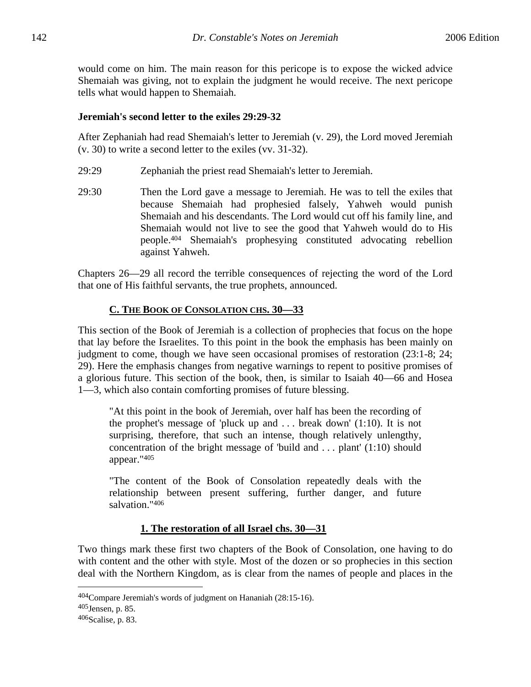would come on him. The main reason for this pericope is to expose the wicked advice Shemaiah was giving, not to explain the judgment he would receive. The next pericope tells what would happen to Shemaiah.

# **Jeremiah's second letter to the exiles 29:29-32**

After Zephaniah had read Shemaiah's letter to Jeremiah (v. 29), the Lord moved Jeremiah (v. 30) to write a second letter to the exiles (vv. 31-32).

- 29:29 Zephaniah the priest read Shemaiah's letter to Jeremiah.
- 29:30 Then the Lord gave a message to Jeremiah. He was to tell the exiles that because Shemaiah had prophesied falsely, Yahweh would punish Shemaiah and his descendants. The Lord would cut off his family line, and Shemaiah would not live to see the good that Yahweh would do to His people.404 Shemaiah's prophesying constituted advocating rebellion against Yahweh.

Chapters 26—29 all record the terrible consequences of rejecting the word of the Lord that one of His faithful servants, the true prophets, announced.

# **C. THE BOOK OF CONSOLATION CHS. 30—33**

This section of the Book of Jeremiah is a collection of prophecies that focus on the hope that lay before the Israelites. To this point in the book the emphasis has been mainly on judgment to come, though we have seen occasional promises of restoration (23:1-8; 24; 29). Here the emphasis changes from negative warnings to repent to positive promises of a glorious future. This section of the book, then, is similar to Isaiah 40—66 and Hosea 1—3, which also contain comforting promises of future blessing.

"At this point in the book of Jeremiah, over half has been the recording of the prophet's message of 'pluck up and . . . break down' (1:10). It is not surprising, therefore, that such an intense, though relatively unlengthy, concentration of the bright message of 'build and . . . plant' (1:10) should appear."405

"The content of the Book of Consolation repeatedly deals with the relationship between present suffering, further danger, and future salvation."406

# **1. The restoration of all Israel chs. 30—31**

Two things mark these first two chapters of the Book of Consolation, one having to do with content and the other with style. Most of the dozen or so prophecies in this section deal with the Northern Kingdom, as is clear from the names of people and places in the

<sup>404</sup>Compare Jeremiah's words of judgment on Hananiah (28:15-16).

<sup>405</sup>Jensen, p. 85.

 $406$ Scalise, p. 83.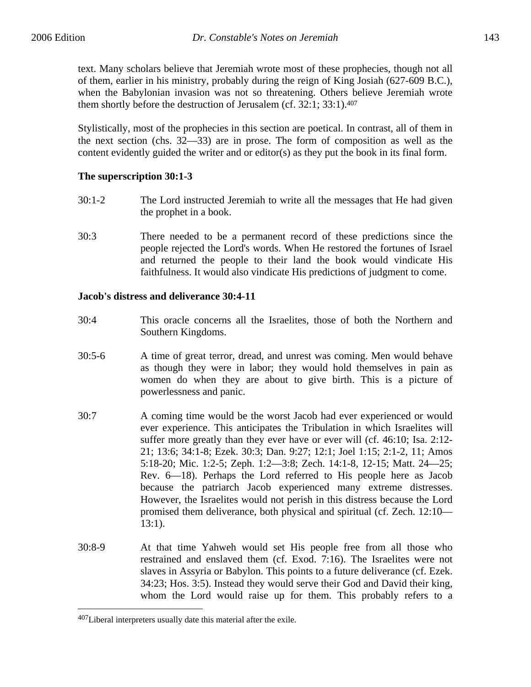text. Many scholars believe that Jeremiah wrote most of these prophecies, though not all of them, earlier in his ministry, probably during the reign of King Josiah (627-609 B.C.), when the Babylonian invasion was not so threatening. Others believe Jeremiah wrote them shortly before the destruction of Jerusalem (cf. 32:1; 33:1).407

Stylistically, most of the prophecies in this section are poetical. In contrast, all of them in the next section (chs. 32—33) are in prose. The form of composition as well as the content evidently guided the writer and or editor(s) as they put the book in its final form.

# **The superscription 30:1-3**

- 30:1-2 The Lord instructed Jeremiah to write all the messages that He had given the prophet in a book.
- 30:3 There needed to be a permanent record of these predictions since the people rejected the Lord's words. When He restored the fortunes of Israel and returned the people to their land the book would vindicate His faithfulness. It would also vindicate His predictions of judgment to come.

## **Jacob's distress and deliverance 30:4-11**

- 30:4 This oracle concerns all the Israelites, those of both the Northern and Southern Kingdoms.
- 30:5-6 A time of great terror, dread, and unrest was coming. Men would behave as though they were in labor; they would hold themselves in pain as women do when they are about to give birth. This is a picture of powerlessness and panic.
- 30:7 A coming time would be the worst Jacob had ever experienced or would ever experience. This anticipates the Tribulation in which Israelites will suffer more greatly than they ever have or ever will (cf. 46:10; Isa. 2:12- 21; 13:6; 34:1-8; Ezek. 30:3; Dan. 9:27; 12:1; Joel 1:15; 2:1-2, 11; Amos 5:18-20; Mic. 1:2-5; Zeph. 1:2—3:8; Zech. 14:1-8, 12-15; Matt. 24—25; Rev. 6—18). Perhaps the Lord referred to His people here as Jacob because the patriarch Jacob experienced many extreme distresses. However, the Israelites would not perish in this distress because the Lord promised them deliverance, both physical and spiritual (cf. Zech. 12:10— 13:1).
- 30:8-9 At that time Yahweh would set His people free from all those who restrained and enslaved them (cf. Exod. 7:16). The Israelites were not slaves in Assyria or Babylon. This points to a future deliverance (cf. Ezek. 34:23; Hos. 3:5). Instead they would serve their God and David their king, whom the Lord would raise up for them. This probably refers to a

<sup>&</sup>lt;sup>407</sup>Liberal interpreters usually date this material after the exile.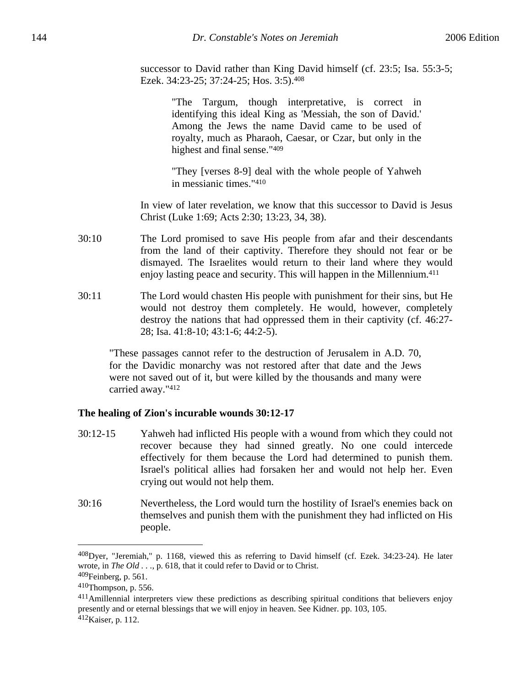successor to David rather than King David himself (cf. 23:5; Isa. 55:3-5; Ezek. 34:23-25; 37:24-25; Hos. 3:5).408

> "The Targum, though interpretative, is correct in identifying this ideal King as 'Messiah, the son of David.' Among the Jews the name David came to be used of royalty, much as Pharaoh, Caesar, or Czar, but only in the highest and final sense."409

> "They [verses 8-9] deal with the whole people of Yahweh in messianic times."410

In view of later revelation, we know that this successor to David is Jesus Christ (Luke 1:69; Acts 2:30; 13:23, 34, 38).

- 30:10 The Lord promised to save His people from afar and their descendants from the land of their captivity. Therefore they should not fear or be dismayed. The Israelites would return to their land where they would enjoy lasting peace and security. This will happen in the Millennium.411
- 30:11 The Lord would chasten His people with punishment for their sins, but He would not destroy them completely. He would, however, completely destroy the nations that had oppressed them in their captivity (cf. 46:27- 28; Isa. 41:8-10; 43:1-6; 44:2-5).

"These passages cannot refer to the destruction of Jerusalem in A.D. 70, for the Davidic monarchy was not restored after that date and the Jews were not saved out of it, but were killed by the thousands and many were carried away."412

## **The healing of Zion's incurable wounds 30:12-17**

- 30:12-15 Yahweh had inflicted His people with a wound from which they could not recover because they had sinned greatly. No one could intercede effectively for them because the Lord had determined to punish them. Israel's political allies had forsaken her and would not help her. Even crying out would not help them.
- 30:16 Nevertheless, the Lord would turn the hostility of Israel's enemies back on themselves and punish them with the punishment they had inflicted on His people.

<u>.</u>

411Amillennial interpreters view these predictions as describing spiritual conditions that believers enjoy presently and or eternal blessings that we will enjoy in heaven. See Kidner. pp. 103, 105. 412Kaiser, p. 112.

<sup>408</sup>Dyer, "Jeremiah," p. 1168, viewed this as referring to David himself (cf. Ezek. 34:23-24). He later wrote, in *The Old . . .*, p. 618, that it could refer to David or to Christ.

<sup>409</sup>Feinberg, p. 561.

<sup>410</sup>Thompson, p. 556.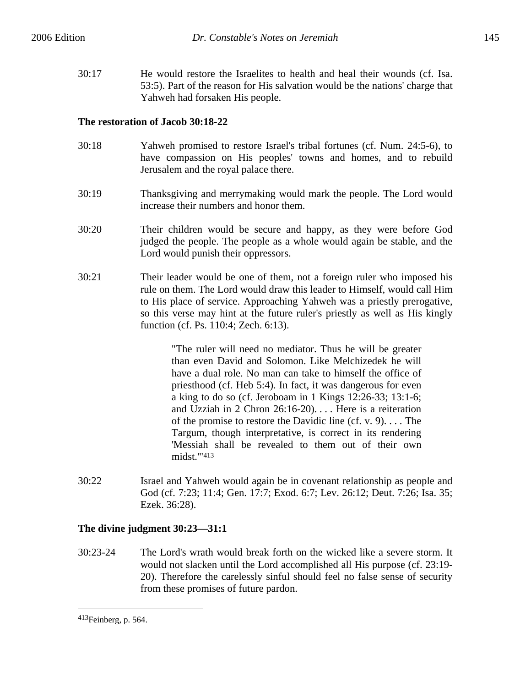30:17 He would restore the Israelites to health and heal their wounds (cf. Isa. 53:5). Part of the reason for His salvation would be the nations' charge that Yahweh had forsaken His people.

# **The restoration of Jacob 30:18-22**

- 30:18 Yahweh promised to restore Israel's tribal fortunes (cf. Num. 24:5-6), to have compassion on His peoples' towns and homes, and to rebuild Jerusalem and the royal palace there.
- 30:19 Thanksgiving and merrymaking would mark the people. The Lord would increase their numbers and honor them.
- 30:20 Their children would be secure and happy, as they were before God judged the people. The people as a whole would again be stable, and the Lord would punish their oppressors.
- 30:21 Their leader would be one of them, not a foreign ruler who imposed his rule on them. The Lord would draw this leader to Himself, would call Him to His place of service. Approaching Yahweh was a priestly prerogative, so this verse may hint at the future ruler's priestly as well as His kingly function (cf. Ps. 110:4; Zech. 6:13).

"The ruler will need no mediator. Thus he will be greater than even David and Solomon. Like Melchizedek he will have a dual role. No man can take to himself the office of priesthood (cf. Heb 5:4). In fact, it was dangerous for even a king to do so (cf. Jeroboam in 1 Kings 12:26-33; 13:1-6; and Uzziah in 2 Chron 26:16-20). . . . Here is a reiteration of the promise to restore the Davidic line (cf. v. 9). . . . The Targum, though interpretative, is correct in its rendering 'Messiah shall be revealed to them out of their own midst.'"413

30:22 Israel and Yahweh would again be in covenant relationship as people and God (cf. 7:23; 11:4; Gen. 17:7; Exod. 6:7; Lev. 26:12; Deut. 7:26; Isa. 35; Ezek. 36:28).

# **The divine judgment 30:23—31:1**

30:23-24 The Lord's wrath would break forth on the wicked like a severe storm. It would not slacken until the Lord accomplished all His purpose (cf. 23:19- 20). Therefore the carelessly sinful should feel no false sense of security from these promises of future pardon.

<sup>413</sup>Feinberg, p. 564.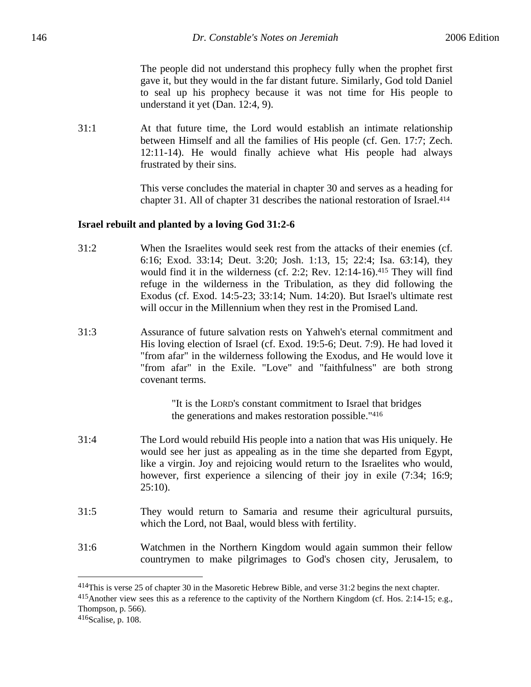The people did not understand this prophecy fully when the prophet first gave it, but they would in the far distant future. Similarly, God told Daniel to seal up his prophecy because it was not time for His people to understand it yet (Dan. 12:4, 9).

31:1 At that future time, the Lord would establish an intimate relationship between Himself and all the families of His people (cf. Gen. 17:7; Zech. 12:11-14). He would finally achieve what His people had always frustrated by their sins.

> This verse concludes the material in chapter 30 and serves as a heading for chapter 31. All of chapter 31 describes the national restoration of Israel.414

#### **Israel rebuilt and planted by a loving God 31:2-6**

- 31:2 When the Israelites would seek rest from the attacks of their enemies (cf. 6:16; Exod. 33:14; Deut. 3:20; Josh. 1:13, 15; 22:4; Isa. 63:14), they would find it in the wilderness (cf. 2:2; Rev. 12:14-16).415 They will find refuge in the wilderness in the Tribulation, as they did following the Exodus (cf. Exod. 14:5-23; 33:14; Num. 14:20). But Israel's ultimate rest will occur in the Millennium when they rest in the Promised Land.
- 31:3 Assurance of future salvation rests on Yahweh's eternal commitment and His loving election of Israel (cf. Exod. 19:5-6; Deut. 7:9). He had loved it "from afar" in the wilderness following the Exodus, and He would love it "from afar" in the Exile. "Love" and "faithfulness" are both strong covenant terms.

"It is the LORD's constant commitment to Israel that bridges the generations and makes restoration possible."416

- 31:4 The Lord would rebuild His people into a nation that was His uniquely. He would see her just as appealing as in the time she departed from Egypt, like a virgin. Joy and rejoicing would return to the Israelites who would, however, first experience a silencing of their joy in exile  $(7:34; 16:9;$  $25:10$ ).
- 31:5 They would return to Samaria and resume their agricultural pursuits, which the Lord, not Baal, would bless with fertility.
- 31:6 Watchmen in the Northern Kingdom would again summon their fellow countrymen to make pilgrimages to God's chosen city, Jerusalem, to

<u>.</u>

<sup>414</sup>This is verse 25 of chapter 30 in the Masoretic Hebrew Bible, and verse 31:2 begins the next chapter.

<sup>415</sup>Another view sees this as a reference to the captivity of the Northern Kingdom (cf. Hos. 2:14-15; e.g., Thompson, p. 566).

<sup>416</sup>Scalise, p. 108.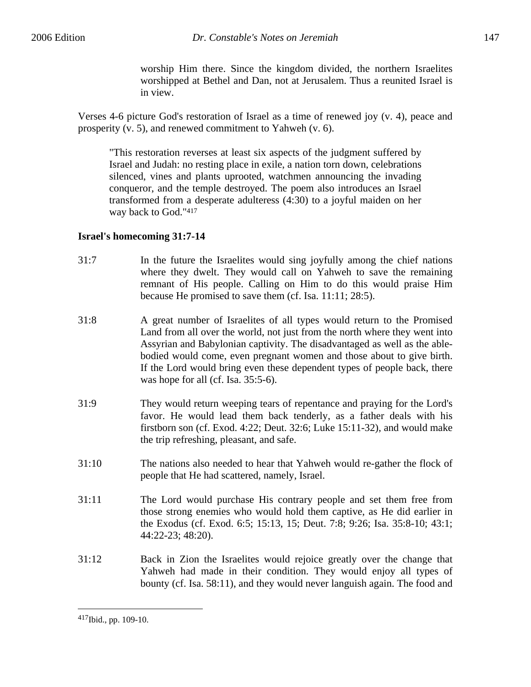worship Him there. Since the kingdom divided, the northern Israelites worshipped at Bethel and Dan, not at Jerusalem. Thus a reunited Israel is in view.

Verses 4-6 picture God's restoration of Israel as a time of renewed joy (v. 4), peace and prosperity (v. 5), and renewed commitment to Yahweh (v. 6).

"This restoration reverses at least six aspects of the judgment suffered by Israel and Judah: no resting place in exile, a nation torn down, celebrations silenced, vines and plants uprooted, watchmen announcing the invading conqueror, and the temple destroyed. The poem also introduces an Israel transformed from a desperate adulteress (4:30) to a joyful maiden on her way back to God."417

# **Israel's homecoming 31:7-14**

- 31:7 In the future the Israelites would sing joyfully among the chief nations where they dwelt. They would call on Yahweh to save the remaining remnant of His people. Calling on Him to do this would praise Him because He promised to save them (cf. Isa. 11:11; 28:5).
- 31:8 A great number of Israelites of all types would return to the Promised Land from all over the world, not just from the north where they went into Assyrian and Babylonian captivity. The disadvantaged as well as the ablebodied would come, even pregnant women and those about to give birth. If the Lord would bring even these dependent types of people back, there was hope for all (cf. Isa. 35:5-6).
- 31:9 They would return weeping tears of repentance and praying for the Lord's favor. He would lead them back tenderly, as a father deals with his firstborn son (cf. Exod. 4:22; Deut. 32:6; Luke 15:11-32), and would make the trip refreshing, pleasant, and safe.
- 31:10 The nations also needed to hear that Yahweh would re-gather the flock of people that He had scattered, namely, Israel.
- 31:11 The Lord would purchase His contrary people and set them free from those strong enemies who would hold them captive, as He did earlier in the Exodus (cf. Exod. 6:5; 15:13, 15; Deut. 7:8; 9:26; Isa. 35:8-10; 43:1; 44:22-23; 48:20).
- 31:12 Back in Zion the Israelites would rejoice greatly over the change that Yahweh had made in their condition. They would enjoy all types of bounty (cf. Isa. 58:11), and they would never languish again. The food and

<u>.</u>

<sup>417</sup>Ibid., pp. 109-10.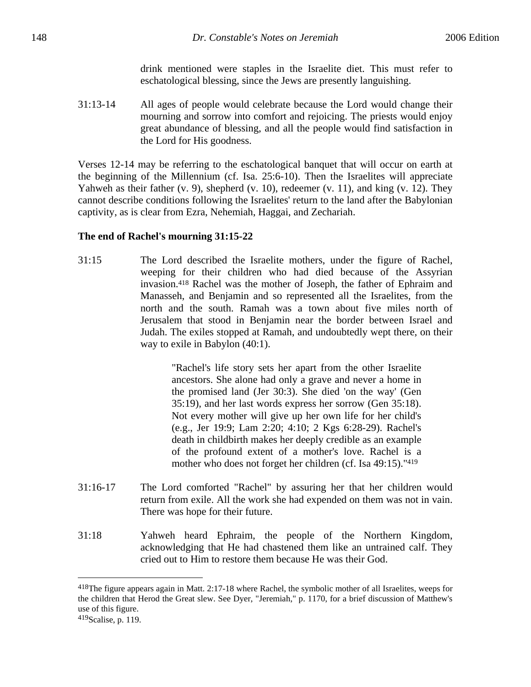drink mentioned were staples in the Israelite diet. This must refer to eschatological blessing, since the Jews are presently languishing.

31:13-14 All ages of people would celebrate because the Lord would change their mourning and sorrow into comfort and rejoicing. The priests would enjoy great abundance of blessing, and all the people would find satisfaction in the Lord for His goodness.

Verses 12-14 may be referring to the eschatological banquet that will occur on earth at the beginning of the Millennium (cf. Isa. 25:6-10). Then the Israelites will appreciate Yahweh as their father (v. 9), shepherd (v. 10), redeemer (v. 11), and king (v. 12). They cannot describe conditions following the Israelites' return to the land after the Babylonian captivity, as is clear from Ezra, Nehemiah, Haggai, and Zechariah.

#### **The end of Rachel's mourning 31:15-22**

31:15 The Lord described the Israelite mothers, under the figure of Rachel, weeping for their children who had died because of the Assyrian invasion.418 Rachel was the mother of Joseph, the father of Ephraim and Manasseh, and Benjamin and so represented all the Israelites, from the north and the south. Ramah was a town about five miles north of Jerusalem that stood in Benjamin near the border between Israel and Judah. The exiles stopped at Ramah, and undoubtedly wept there, on their way to exile in Babylon (40:1).

> "Rachel's life story sets her apart from the other Israelite ancestors. She alone had only a grave and never a home in the promised land (Jer 30:3). She died 'on the way' (Gen 35:19), and her last words express her sorrow (Gen 35:18). Not every mother will give up her own life for her child's (e.g., Jer 19:9; Lam 2:20; 4:10; 2 Kgs 6:28-29). Rachel's death in childbirth makes her deeply credible as an example of the profound extent of a mother's love. Rachel is a mother who does not forget her children (cf. Isa 49:15)."419

- 31:16-17 The Lord comforted "Rachel" by assuring her that her children would return from exile. All the work she had expended on them was not in vain. There was hope for their future.
- 31:18 Yahweh heard Ephraim, the people of the Northern Kingdom, acknowledging that He had chastened them like an untrained calf. They cried out to Him to restore them because He was their God.

<sup>418</sup>The figure appears again in Matt. 2:17-18 where Rachel, the symbolic mother of all Israelites, weeps for the children that Herod the Great slew. See Dyer, "Jeremiah," p. 1170, for a brief discussion of Matthew's use of this figure.

<sup>419</sup>Scalise, p. 119.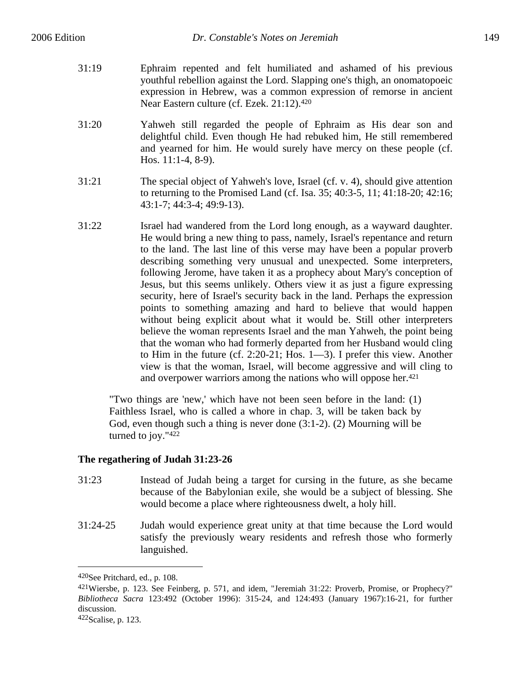- 31:19 Ephraim repented and felt humiliated and ashamed of his previous youthful rebellion against the Lord. Slapping one's thigh, an onomatopoeic expression in Hebrew, was a common expression of remorse in ancient Near Eastern culture (cf. Ezek. 21:12).<sup>420</sup>
- 31:20 Yahweh still regarded the people of Ephraim as His dear son and delightful child. Even though He had rebuked him, He still remembered and yearned for him. He would surely have mercy on these people (cf. Hos. 11:1-4, 8-9).
- 31:21 The special object of Yahweh's love, Israel (cf. v. 4), should give attention to returning to the Promised Land (cf. Isa. 35; 40:3-5, 11; 41:18-20; 42:16; 43:1-7; 44:3-4; 49:9-13).
- 31:22 Israel had wandered from the Lord long enough, as a wayward daughter. He would bring a new thing to pass, namely, Israel's repentance and return to the land. The last line of this verse may have been a popular proverb describing something very unusual and unexpected. Some interpreters, following Jerome, have taken it as a prophecy about Mary's conception of Jesus, but this seems unlikely. Others view it as just a figure expressing security, here of Israel's security back in the land. Perhaps the expression points to something amazing and hard to believe that would happen without being explicit about what it would be. Still other interpreters believe the woman represents Israel and the man Yahweh, the point being that the woman who had formerly departed from her Husband would cling to Him in the future (cf. 2:20-21; Hos. 1—3). I prefer this view. Another view is that the woman, Israel, will become aggressive and will cling to and overpower warriors among the nations who will oppose her.<sup>421</sup>

"Two things are 'new,' which have not been seen before in the land: (1) Faithless Israel, who is called a whore in chap. 3, will be taken back by God, even though such a thing is never done (3:1-2). (2) Mourning will be turned to joy."422

# **The regathering of Judah 31:23-26**

- 31:23 Instead of Judah being a target for cursing in the future, as she became because of the Babylonian exile, she would be a subject of blessing. She would become a place where righteousness dwelt, a holy hill.
- 31:24-25 Judah would experience great unity at that time because the Lord would satisfy the previously weary residents and refresh those who formerly languished.

<sup>420</sup>See Pritchard, ed., p. 108.

 $421$ Wiersbe, p. 123. See Feinberg, p. 571, and idem, "Jeremiah 31:22: Proverb, Promise, or Prophecy?" *Bibliotheca Sacra* 123:492 (October 1996): 315-24, and 124:493 (January 1967):16-21, for further discussion.

<sup>422</sup>Scalise, p. 123.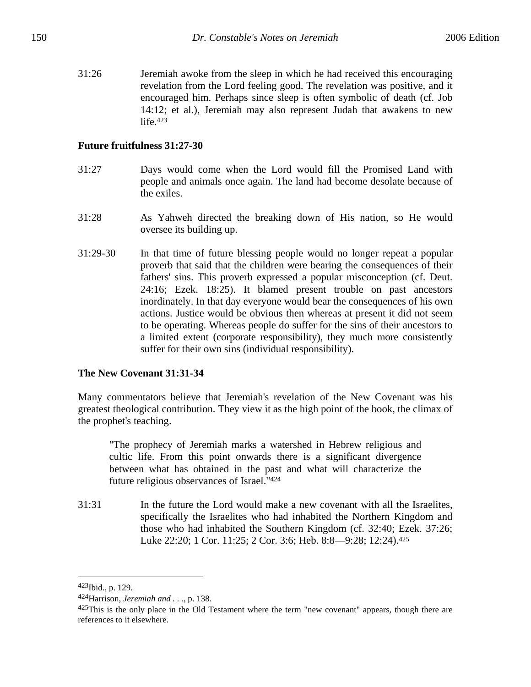31:26 Jeremiah awoke from the sleep in which he had received this encouraging revelation from the Lord feeling good. The revelation was positive, and it encouraged him. Perhaps since sleep is often symbolic of death (cf. Job 14:12; et al.), Jeremiah may also represent Judah that awakens to new life.<sup>423</sup>

### **Future fruitfulness 31:27-30**

- 31:27 Days would come when the Lord would fill the Promised Land with people and animals once again. The land had become desolate because of the exiles.
- 31:28 As Yahweh directed the breaking down of His nation, so He would oversee its building up.
- 31:29-30 In that time of future blessing people would no longer repeat a popular proverb that said that the children were bearing the consequences of their fathers' sins. This proverb expressed a popular misconception (cf. Deut. 24:16; Ezek. 18:25). It blamed present trouble on past ancestors inordinately. In that day everyone would bear the consequences of his own actions. Justice would be obvious then whereas at present it did not seem to be operating. Whereas people do suffer for the sins of their ancestors to a limited extent (corporate responsibility), they much more consistently suffer for their own sins (individual responsibility).

# **The New Covenant 31:31-34**

Many commentators believe that Jeremiah's revelation of the New Covenant was his greatest theological contribution. They view it as the high point of the book, the climax of the prophet's teaching.

"The prophecy of Jeremiah marks a watershed in Hebrew religious and cultic life. From this point onwards there is a significant divergence between what has obtained in the past and what will characterize the future religious observances of Israel."424

31:31 In the future the Lord would make a new covenant with all the Israelites, specifically the Israelites who had inhabited the Northern Kingdom and those who had inhabited the Southern Kingdom (cf. 32:40; Ezek. 37:26; Luke 22:20; 1 Cor. 11:25; 2 Cor. 3:6; Heb. 8:8—9:28; 12:24).425

<u>.</u>

 $423$  [bid., p. 129.

<sup>424</sup>Harrison, *Jeremiah and . . .*, p. 138.

 $425$ This is the only place in the Old Testament where the term "new covenant" appears, though there are references to it elsewhere.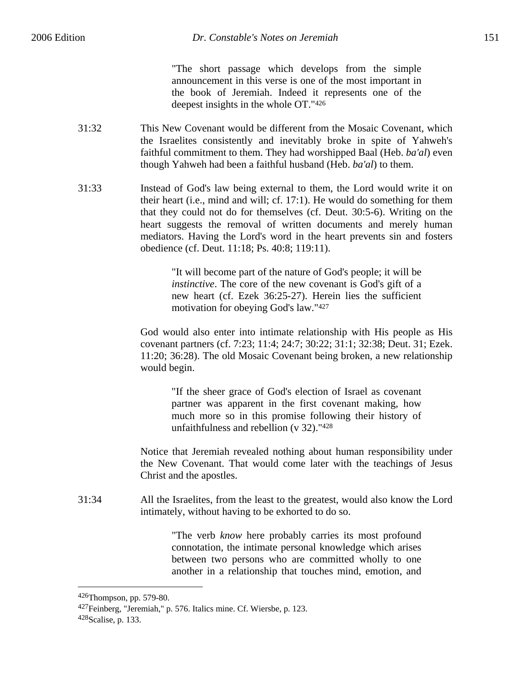"The short passage which develops from the simple announcement in this verse is one of the most important in the book of Jeremiah. Indeed it represents one of the deepest insights in the whole OT."426

- 31:32 This New Covenant would be different from the Mosaic Covenant, which the Israelites consistently and inevitably broke in spite of Yahweh's faithful commitment to them. They had worshipped Baal (Heb. *ba'al*) even though Yahweh had been a faithful husband (Heb. *ba'al*) to them.
- 31:33 Instead of God's law being external to them, the Lord would write it on their heart (i.e., mind and will; cf. 17:1). He would do something for them that they could not do for themselves (cf. Deut. 30:5-6). Writing on the heart suggests the removal of written documents and merely human mediators. Having the Lord's word in the heart prevents sin and fosters obedience (cf. Deut. 11:18; Ps. 40:8; 119:11).

"It will become part of the nature of God's people; it will be *instinctive*. The core of the new covenant is God's gift of a new heart (cf. Ezek 36:25-27). Herein lies the sufficient motivation for obeying God's law."427

God would also enter into intimate relationship with His people as His covenant partners (cf. 7:23; 11:4; 24:7; 30:22; 31:1; 32:38; Deut. 31; Ezek. 11:20; 36:28). The old Mosaic Covenant being broken, a new relationship would begin.

> "If the sheer grace of God's election of Israel as covenant partner was apparent in the first covenant making, how much more so in this promise following their history of unfaithfulness and rebellion (v 32)."428

Notice that Jeremiah revealed nothing about human responsibility under the New Covenant. That would come later with the teachings of Jesus Christ and the apostles.

31:34 All the Israelites, from the least to the greatest, would also know the Lord intimately, without having to be exhorted to do so.

> "The verb *know* here probably carries its most profound connotation, the intimate personal knowledge which arises between two persons who are committed wholly to one another in a relationship that touches mind, emotion, and

<sup>426</sup>Thompson, pp. 579-80.

<sup>427</sup>Feinberg, "Jeremiah," p. 576. Italics mine. Cf. Wiersbe, p. 123. 428Scalise, p. 133.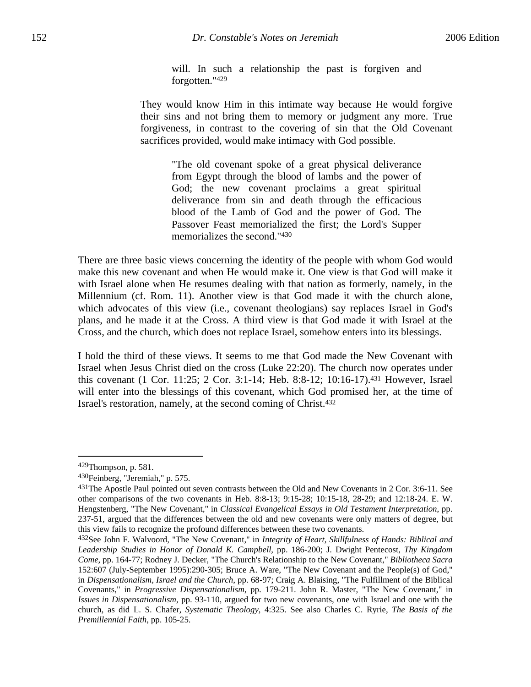will. In such a relationship the past is forgiven and forgotten."429

They would know Him in this intimate way because He would forgive their sins and not bring them to memory or judgment any more. True forgiveness, in contrast to the covering of sin that the Old Covenant sacrifices provided, would make intimacy with God possible.

> "The old covenant spoke of a great physical deliverance from Egypt through the blood of lambs and the power of God; the new covenant proclaims a great spiritual deliverance from sin and death through the efficacious blood of the Lamb of God and the power of God. The Passover Feast memorialized the first; the Lord's Supper memorializes the second."430

There are three basic views concerning the identity of the people with whom God would make this new covenant and when He would make it. One view is that God will make it with Israel alone when He resumes dealing with that nation as formerly, namely, in the Millennium (cf. Rom. 11). Another view is that God made it with the church alone, which advocates of this view (i.e., covenant theologians) say replaces Israel in God's plans, and he made it at the Cross. A third view is that God made it with Israel at the Cross, and the church, which does not replace Israel, somehow enters into its blessings.

I hold the third of these views. It seems to me that God made the New Covenant with Israel when Jesus Christ died on the cross (Luke 22:20). The church now operates under this covenant (1 Cor. 11:25; 2 Cor. 3:1-14; Heb. 8:8-12; 10:16-17).431 However, Israel will enter into the blessings of this covenant, which God promised her, at the time of Israel's restoration, namely, at the second coming of Christ.432

 $429$ Thompson, p. 581.

<sup>430</sup>Feinberg, "Jeremiah," p. 575.

<sup>431</sup>The Apostle Paul pointed out seven contrasts between the Old and New Covenants in 2 Cor. 3:6-11. See other comparisons of the two covenants in Heb. 8:8-13; 9:15-28; 10:15-18, 28-29; and 12:18-24. E. W. Hengstenberg, "The New Covenant," in *Classical Evangelical Essays in Old Testament Interpretation*, pp. 237-51, argued that the differences between the old and new covenants were only matters of degree, but this view fails to recognize the profound differences between these two covenants.

<sup>432</sup>See John F. Walvoord, "The New Covenant," in *Integrity of Heart, Skillfulness of Hands: Biblical and Leadership Studies in Honor of Donald K. Campbell*, pp. 186-200; J. Dwight Pentecost, *Thy Kingdom Come*, pp. 164-77; Rodney J. Decker, "The Church's Relationship to the New Covenant," *Bibliotheca Sacra* 152:607 (July-September 1995):290-305; Bruce A. Ware, "The New Covenant and the People(s) of God," in *Dispensationalism, Israel and the Church*, pp. 68-97; Craig A. Blaising, "The Fulfillment of the Biblical Covenants," in *Progressive Dispensationalism*, pp. 179-211. John R. Master, "The New Covenant," in *Issues in Dispensationalism*, pp. 93-110, argued for two new covenants, one with Israel and one with the church, as did L. S. Chafer, *Systematic Theology*, 4:325. See also Charles C. Ryrie, *The Basis of the Premillennial Faith*, pp. 105-25.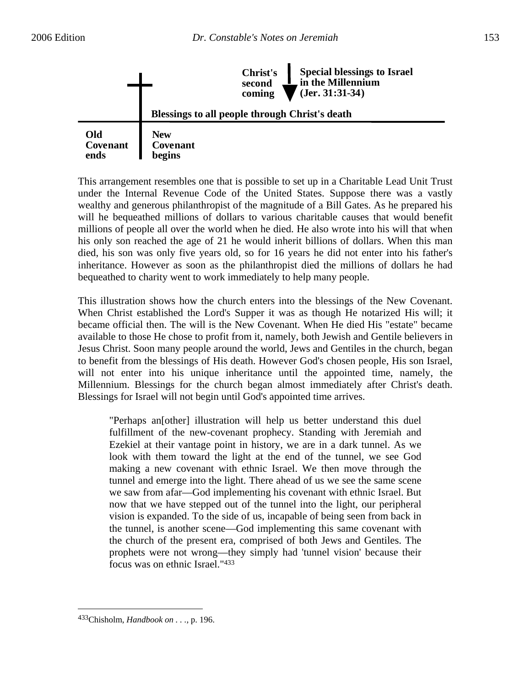



This arrangement resembles one that is possible to set up in a Charitable Lead Unit Trust under the Internal Revenue Code of the United States. Suppose there was a vastly wealthy and generous philanthropist of the magnitude of a Bill Gates. As he prepared his will he bequeathed millions of dollars to various charitable causes that would benefit millions of people all over the world when he died. He also wrote into his will that when his only son reached the age of 21 he would inherit billions of dollars. When this man died, his son was only five years old, so for 16 years he did not enter into his father's inheritance. However as soon as the philanthropist died the millions of dollars he had bequeathed to charity went to work immediately to help many people.

This illustration shows how the church enters into the blessings of the New Covenant. When Christ established the Lord's Supper it was as though He notarized His will; it became official then. The will is the New Covenant. When He died His "estate" became available to those He chose to profit from it, namely, both Jewish and Gentile believers in Jesus Christ. Soon many people around the world, Jews and Gentiles in the church, began to benefit from the blessings of His death. However God's chosen people, His son Israel, will not enter into his unique inheritance until the appointed time, namely, the Millennium. Blessings for the church began almost immediately after Christ's death. Blessings for Israel will not begin until God's appointed time arrives.

"Perhaps an[other] illustration will help us better understand this duel fulfillment of the new-covenant prophecy. Standing with Jeremiah and Ezekiel at their vantage point in history, we are in a dark tunnel. As we look with them toward the light at the end of the tunnel, we see God making a new covenant with ethnic Israel. We then move through the tunnel and emerge into the light. There ahead of us we see the same scene we saw from afar—God implementing his covenant with ethnic Israel. But now that we have stepped out of the tunnel into the light, our peripheral vision is expanded. To the side of us, incapable of being seen from back in the tunnel, is another scene—God implementing this same covenant with the church of the present era, comprised of both Jews and Gentiles. The prophets were not wrong—they simply had 'tunnel vision' because their focus was on ethnic Israel."433

<sup>433</sup>Chisholm, *Handbook on . . .,* p. 196.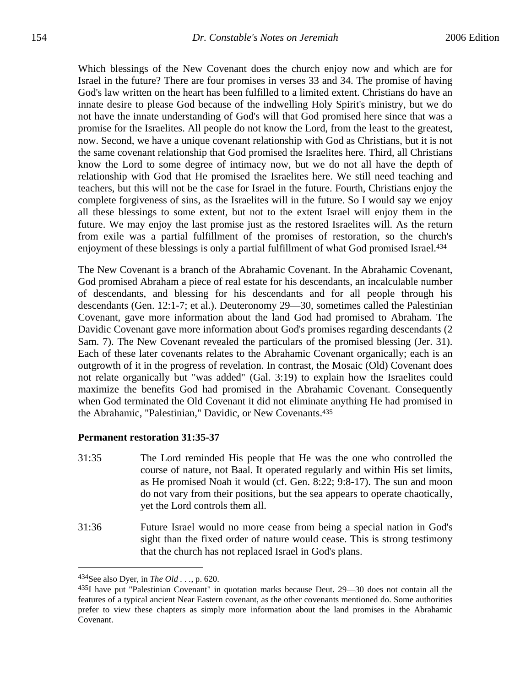Which blessings of the New Covenant does the church enjoy now and which are for Israel in the future? There are four promises in verses 33 and 34. The promise of having God's law written on the heart has been fulfilled to a limited extent. Christians do have an innate desire to please God because of the indwelling Holy Spirit's ministry, but we do not have the innate understanding of God's will that God promised here since that was a promise for the Israelites. All people do not know the Lord, from the least to the greatest, now. Second, we have a unique covenant relationship with God as Christians, but it is not the same covenant relationship that God promised the Israelites here. Third, all Christians know the Lord to some degree of intimacy now, but we do not all have the depth of relationship with God that He promised the Israelites here. We still need teaching and teachers, but this will not be the case for Israel in the future. Fourth, Christians enjoy the complete forgiveness of sins, as the Israelites will in the future. So I would say we enjoy all these blessings to some extent, but not to the extent Israel will enjoy them in the future. We may enjoy the last promise just as the restored Israelites will. As the return from exile was a partial fulfillment of the promises of restoration, so the church's enjoyment of these blessings is only a partial fulfillment of what God promised Israel.<sup>434</sup>

The New Covenant is a branch of the Abrahamic Covenant. In the Abrahamic Covenant, God promised Abraham a piece of real estate for his descendants, an incalculable number of descendants, and blessing for his descendants and for all people through his descendants (Gen. 12:1-7; et al.). Deuteronomy 29—30, sometimes called the Palestinian Covenant, gave more information about the land God had promised to Abraham. The Davidic Covenant gave more information about God's promises regarding descendants (2 Sam. 7). The New Covenant revealed the particulars of the promised blessing (Jer. 31). Each of these later covenants relates to the Abrahamic Covenant organically; each is an outgrowth of it in the progress of revelation. In contrast, the Mosaic (Old) Covenant does not relate organically but "was added" (Gal. 3:19) to explain how the Israelites could maximize the benefits God had promised in the Abrahamic Covenant. Consequently when God terminated the Old Covenant it did not eliminate anything He had promised in the Abrahamic, "Palestinian," Davidic, or New Covenants.435

#### **Permanent restoration 31:35-37**

- 31:35 The Lord reminded His people that He was the one who controlled the course of nature, not Baal. It operated regularly and within His set limits, as He promised Noah it would (cf. Gen. 8:22; 9:8-17). The sun and moon do not vary from their positions, but the sea appears to operate chaotically, yet the Lord controls them all.
- 31:36 Future Israel would no more cease from being a special nation in God's sight than the fixed order of nature would cease. This is strong testimony that the church has not replaced Israel in God's plans.

1

<sup>434</sup>See also Dyer, in *The Old . . .*, p. 620.

 $435I$  have put "Palestinian Covenant" in quotation marks because Deut. 29—30 does not contain all the features of a typical ancient Near Eastern covenant, as the other covenants mentioned do. Some authorities prefer to view these chapters as simply more information about the land promises in the Abrahamic Covenant.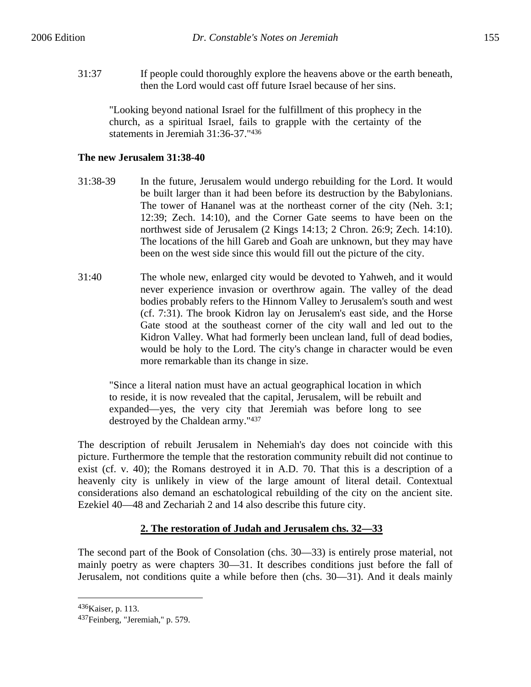31:37 If people could thoroughly explore the heavens above or the earth beneath, then the Lord would cast off future Israel because of her sins.

"Looking beyond national Israel for the fulfillment of this prophecy in the church, as a spiritual Israel, fails to grapple with the certainty of the statements in Jeremiah 31:36-37."436

# **The new Jerusalem 31:38-40**

- 31:38-39 In the future, Jerusalem would undergo rebuilding for the Lord. It would be built larger than it had been before its destruction by the Babylonians. The tower of Hananel was at the northeast corner of the city (Neh. 3:1; 12:39; Zech. 14:10), and the Corner Gate seems to have been on the northwest side of Jerusalem (2 Kings 14:13; 2 Chron. 26:9; Zech. 14:10). The locations of the hill Gareb and Goah are unknown, but they may have been on the west side since this would fill out the picture of the city.
- 31:40 The whole new, enlarged city would be devoted to Yahweh, and it would never experience invasion or overthrow again. The valley of the dead bodies probably refers to the Hinnom Valley to Jerusalem's south and west (cf. 7:31). The brook Kidron lay on Jerusalem's east side, and the Horse Gate stood at the southeast corner of the city wall and led out to the Kidron Valley. What had formerly been unclean land, full of dead bodies, would be holy to the Lord. The city's change in character would be even more remarkable than its change in size.

"Since a literal nation must have an actual geographical location in which to reside, it is now revealed that the capital, Jerusalem, will be rebuilt and expanded—yes, the very city that Jeremiah was before long to see destroyed by the Chaldean army."437

The description of rebuilt Jerusalem in Nehemiah's day does not coincide with this picture. Furthermore the temple that the restoration community rebuilt did not continue to exist (cf. v. 40); the Romans destroyed it in A.D. 70. That this is a description of a heavenly city is unlikely in view of the large amount of literal detail. Contextual considerations also demand an eschatological rebuilding of the city on the ancient site. Ezekiel 40—48 and Zechariah 2 and 14 also describe this future city.

# **2. The restoration of Judah and Jerusalem chs. 32—33**

The second part of the Book of Consolation (chs. 30—33) is entirely prose material, not mainly poetry as were chapters 30—31. It describes conditions just before the fall of Jerusalem, not conditions quite a while before then (chs. 30—31). And it deals mainly

<sup>436</sup>Kaiser, p. 113.

<sup>437</sup>Feinberg, "Jeremiah," p. 579.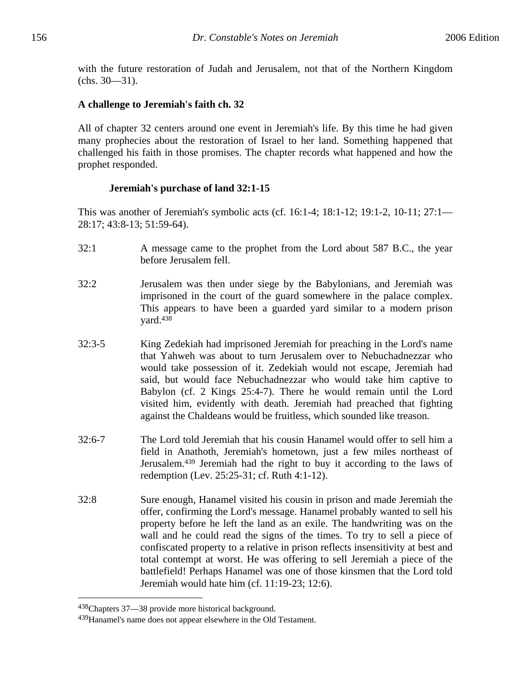with the future restoration of Judah and Jerusalem, not that of the Northern Kingdom (chs. 30—31).

#### **A challenge to Jeremiah's faith ch. 32**

All of chapter 32 centers around one event in Jeremiah's life. By this time he had given many prophecies about the restoration of Israel to her land. Something happened that challenged his faith in those promises. The chapter records what happened and how the prophet responded.

#### **Jeremiah's purchase of land 32:1-15**

This was another of Jeremiah's symbolic acts (cf. 16:1-4; 18:1-12; 19:1-2, 10-11; 27:1— 28:17; 43:8-13; 51:59-64).

- 32:1 A message came to the prophet from the Lord about 587 B.C., the year before Jerusalem fell.
- 32:2 Jerusalem was then under siege by the Babylonians, and Jeremiah was imprisoned in the court of the guard somewhere in the palace complex. This appears to have been a guarded yard similar to a modern prison yard.438
- 32:3-5 King Zedekiah had imprisoned Jeremiah for preaching in the Lord's name that Yahweh was about to turn Jerusalem over to Nebuchadnezzar who would take possession of it. Zedekiah would not escape, Jeremiah had said, but would face Nebuchadnezzar who would take him captive to Babylon (cf. 2 Kings 25:4-7). There he would remain until the Lord visited him, evidently with death. Jeremiah had preached that fighting against the Chaldeans would be fruitless, which sounded like treason.
- 32:6-7 The Lord told Jeremiah that his cousin Hanamel would offer to sell him a field in Anathoth, Jeremiah's hometown, just a few miles northeast of Jerusalem.439 Jeremiah had the right to buy it according to the laws of redemption (Lev. 25:25-31; cf. Ruth 4:1-12).
- 32:8 Sure enough, Hanamel visited his cousin in prison and made Jeremiah the offer, confirming the Lord's message. Hanamel probably wanted to sell his property before he left the land as an exile. The handwriting was on the wall and he could read the signs of the times. To try to sell a piece of confiscated property to a relative in prison reflects insensitivity at best and total contempt at worst. He was offering to sell Jeremiah a piece of the battlefield! Perhaps Hanamel was one of those kinsmen that the Lord told Jeremiah would hate him (cf. 11:19-23; 12:6).

<sup>438</sup>Chapters 37—38 provide more historical background.

<sup>439</sup>Hanamel's name does not appear elsewhere in the Old Testament.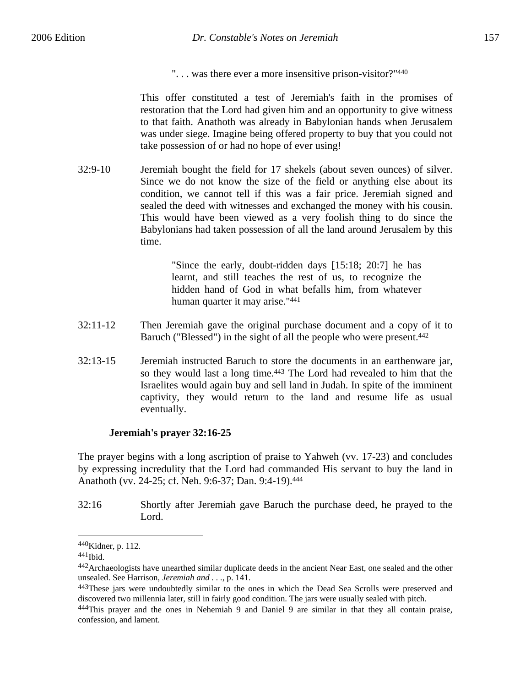". . . was there ever a more insensitive prison-visitor?"440

This offer constituted a test of Jeremiah's faith in the promises of restoration that the Lord had given him and an opportunity to give witness to that faith. Anathoth was already in Babylonian hands when Jerusalem was under siege. Imagine being offered property to buy that you could not take possession of or had no hope of ever using!

32:9-10 Jeremiah bought the field for 17 shekels (about seven ounces) of silver. Since we do not know the size of the field or anything else about its condition, we cannot tell if this was a fair price. Jeremiah signed and sealed the deed with witnesses and exchanged the money with his cousin. This would have been viewed as a very foolish thing to do since the Babylonians had taken possession of all the land around Jerusalem by this time.

> "Since the early, doubt-ridden days [15:18; 20:7] he has learnt, and still teaches the rest of us, to recognize the hidden hand of God in what befalls him, from whatever human quarter it may arise."441

- 32:11-12 Then Jeremiah gave the original purchase document and a copy of it to Baruch ("Blessed") in the sight of all the people who were present.442
- 32:13-15 Jeremiah instructed Baruch to store the documents in an earthenware jar, so they would last a long time.<sup>443</sup> The Lord had revealed to him that the Israelites would again buy and sell land in Judah. In spite of the imminent captivity, they would return to the land and resume life as usual eventually.

#### **Jeremiah's prayer 32:16-25**

The prayer begins with a long ascription of praise to Yahweh (vv. 17-23) and concludes by expressing incredulity that the Lord had commanded His servant to buy the land in Anathoth (vv. 24-25; cf. Neh. 9:6-37; Dan. 9:4-19).444

32:16 Shortly after Jeremiah gave Baruch the purchase deed, he prayed to the Lord.

1

<sup>440</sup>Kidner, p. 112.

 $441$ Ibid.

<sup>442</sup>Archaeologists have unearthed similar duplicate deeds in the ancient Near East, one sealed and the other unsealed. See Harrison, *Jeremiah and . . .*, p. 141.

<sup>&</sup>lt;sup>443</sup>These jars were undoubtedly similar to the ones in which the Dead Sea Scrolls were preserved and discovered two millennia later, still in fairly good condition. The jars were usually sealed with pitch.

<sup>444</sup>This prayer and the ones in Nehemiah 9 and Daniel 9 are similar in that they all contain praise, confession, and lament.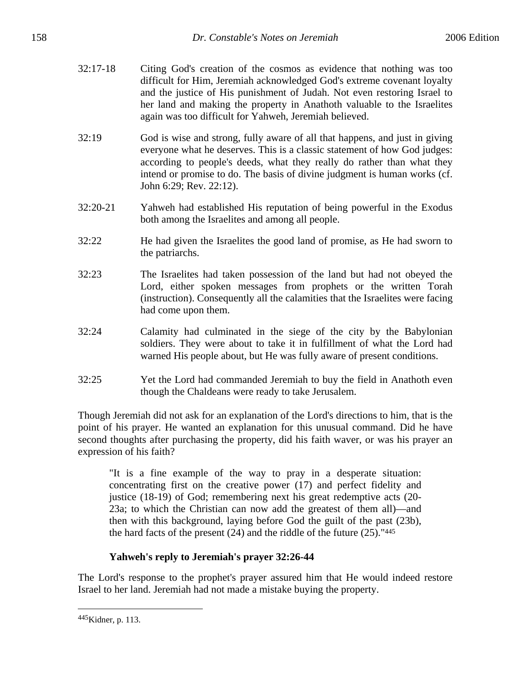- 32:17-18 Citing God's creation of the cosmos as evidence that nothing was too difficult for Him, Jeremiah acknowledged God's extreme covenant loyalty and the justice of His punishment of Judah. Not even restoring Israel to her land and making the property in Anathoth valuable to the Israelites again was too difficult for Yahweh, Jeremiah believed.
- 32:19 God is wise and strong, fully aware of all that happens, and just in giving everyone what he deserves. This is a classic statement of how God judges: according to people's deeds, what they really do rather than what they intend or promise to do. The basis of divine judgment is human works (cf. John 6:29; Rev. 22:12).
- 32:20-21 Yahweh had established His reputation of being powerful in the Exodus both among the Israelites and among all people.
- 32:22 He had given the Israelites the good land of promise, as He had sworn to the patriarchs.
- 32:23 The Israelites had taken possession of the land but had not obeyed the Lord, either spoken messages from prophets or the written Torah (instruction). Consequently all the calamities that the Israelites were facing had come upon them.
- 32:24 Calamity had culminated in the siege of the city by the Babylonian soldiers. They were about to take it in fulfillment of what the Lord had warned His people about, but He was fully aware of present conditions.
- 32:25 Yet the Lord had commanded Jeremiah to buy the field in Anathoth even though the Chaldeans were ready to take Jerusalem.

Though Jeremiah did not ask for an explanation of the Lord's directions to him, that is the point of his prayer. He wanted an explanation for this unusual command. Did he have second thoughts after purchasing the property, did his faith waver, or was his prayer an expression of his faith?

"It is a fine example of the way to pray in a desperate situation: concentrating first on the creative power (17) and perfect fidelity and justice (18-19) of God; remembering next his great redemptive acts (20- 23a; to which the Christian can now add the greatest of them all)—and then with this background, laying before God the guilt of the past (23b), the hard facts of the present (24) and the riddle of the future (25)."445

# **Yahweh's reply to Jeremiah's prayer 32:26-44**

The Lord's response to the prophet's prayer assured him that He would indeed restore Israel to her land. Jeremiah had not made a mistake buying the property.

<sup>445</sup>Kidner, p. 113.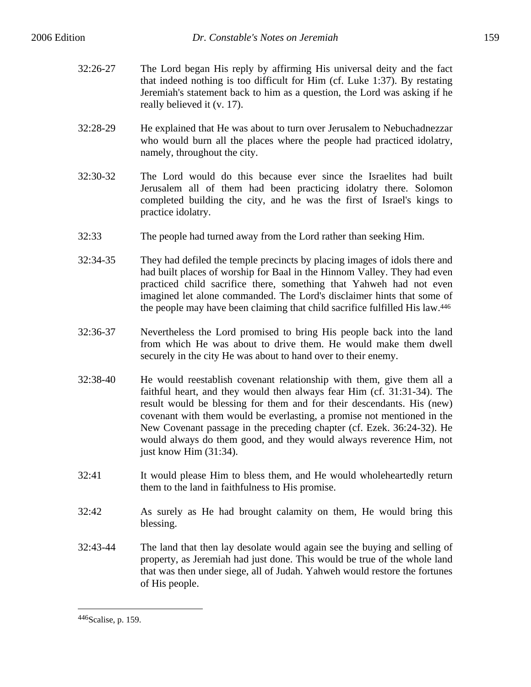- 32:26-27 The Lord began His reply by affirming His universal deity and the fact that indeed nothing is too difficult for Him (cf. Luke 1:37). By restating Jeremiah's statement back to him as a question, the Lord was asking if he really believed it (v. 17).
- 32:28-29 He explained that He was about to turn over Jerusalem to Nebuchadnezzar who would burn all the places where the people had practiced idolatry, namely, throughout the city.
- 32:30-32 The Lord would do this because ever since the Israelites had built Jerusalem all of them had been practicing idolatry there. Solomon completed building the city, and he was the first of Israel's kings to practice idolatry.
- 32:33 The people had turned away from the Lord rather than seeking Him.
- 32:34-35 They had defiled the temple precincts by placing images of idols there and had built places of worship for Baal in the Hinnom Valley. They had even practiced child sacrifice there, something that Yahweh had not even imagined let alone commanded. The Lord's disclaimer hints that some of the people may have been claiming that child sacrifice fulfilled His law.446
- 32:36-37 Nevertheless the Lord promised to bring His people back into the land from which He was about to drive them. He would make them dwell securely in the city He was about to hand over to their enemy.
- 32:38-40 He would reestablish covenant relationship with them, give them all a faithful heart, and they would then always fear Him (cf. 31:31-34). The result would be blessing for them and for their descendants. His (new) covenant with them would be everlasting, a promise not mentioned in the New Covenant passage in the preceding chapter (cf. Ezek. 36:24-32). He would always do them good, and they would always reverence Him, not just know Him (31:34).
- 32:41 It would please Him to bless them, and He would wholeheartedly return them to the land in faithfulness to His promise.
- 32:42 As surely as He had brought calamity on them, He would bring this blessing.
- 32:43-44 The land that then lay desolate would again see the buying and selling of property, as Jeremiah had just done. This would be true of the whole land that was then under siege, all of Judah. Yahweh would restore the fortunes of His people.

<sup>446</sup>Scalise, p. 159.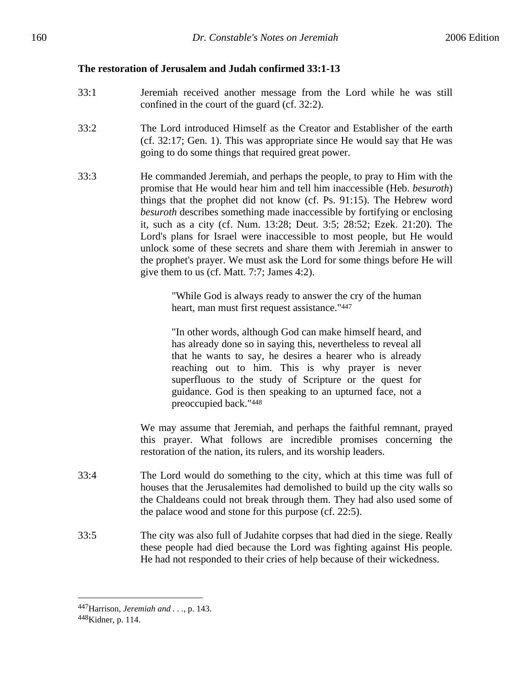# **The restoration of Jerusalem and Judah confirmed 33:1-13**

- 33:1 Jeremiah received another message from the Lord while he was still confined in the court of the guard (cf. 32:2).
- 33:2 The Lord introduced Himself as the Creator and Establisher of the earth (cf. 32:17; Gen. 1). This was appropriate since He would say that He was going to do some things that required great power.
- 33:3 He commanded Jeremiah, and perhaps the people, to pray to Him with the promise that He would hear him and tell him inaccessible (Heb. *besuroth*) things that the prophet did not know (cf. Ps. 91:15). The Hebrew word *besuroth* describes something made inaccessible by fortifying or enclosing it, such as a city (cf. Num. 13:28; Deut. 3:5; 28:52; Ezek. 21:20). The Lord's plans for Israel were inaccessible to most people, but He would unlock some of these secrets and share them with Jeremiah in answer to the prophet's prayer. We must ask the Lord for some things before He will give them to us (cf. Matt. 7:7; James 4:2).

"While God is always ready to answer the cry of the human heart, man must first request assistance."447

"In other words, although God can make himself heard, and has already done so in saying this, nevertheless to reveal all that he wants to say, he desires a hearer who is already reaching out to him. This is why prayer is never superfluous to the study of Scripture or the quest for guidance. God is then speaking to an upturned face, not a preoccupied back."448

We may assume that Jeremiah, and perhaps the faithful remnant, prayed this prayer. What follows are incredible promises concerning the restoration of the nation, its rulers, and its worship leaders.

- 33:4 The Lord would do something to the city, which at this time was full of houses that the Jerusalemites had demolished to build up the city walls so the Chaldeans could not break through them. They had also used some of the palace wood and stone for this purpose (cf. 22:5).
- 33:5 The city was also full of Judahite corpses that had died in the siege. Really these people had died because the Lord was fighting against His people. He had not responded to their cries of help because of their wickedness.

1

<sup>447</sup>Harrison, *Jeremiah and . . .*, p. 143.

<sup>448</sup>Kidner, p. 114.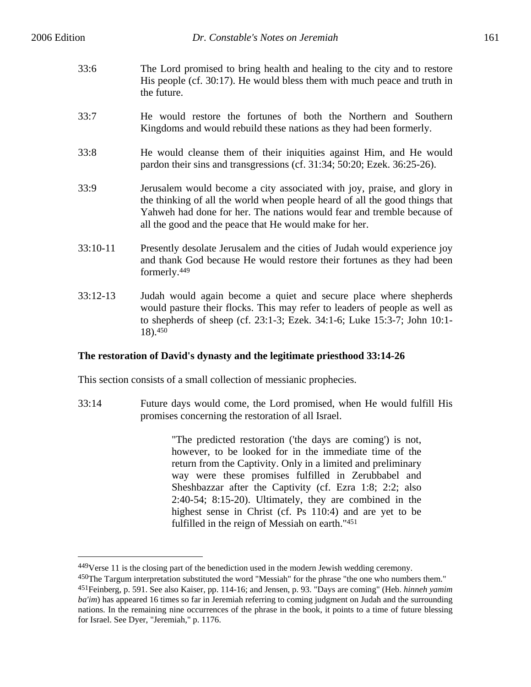$\overline{a}$ 

- 33:6 The Lord promised to bring health and healing to the city and to restore His people (cf. 30:17). He would bless them with much peace and truth in the future.
- 33:7 He would restore the fortunes of both the Northern and Southern Kingdoms and would rebuild these nations as they had been formerly.
- 33:8 He would cleanse them of their iniquities against Him, and He would pardon their sins and transgressions (cf. 31:34; 50:20; Ezek. 36:25-26).
- 33:9 Jerusalem would become a city associated with joy, praise, and glory in the thinking of all the world when people heard of all the good things that Yahweh had done for her. The nations would fear and tremble because of all the good and the peace that He would make for her.
- 33:10-11 Presently desolate Jerusalem and the cities of Judah would experience joy and thank God because He would restore their fortunes as they had been formerly.449
- 33:12-13 Judah would again become a quiet and secure place where shepherds would pasture their flocks. This may refer to leaders of people as well as to shepherds of sheep (cf. 23:1-3; Ezek. 34:1-6; Luke 15:3-7; John 10:1- 18).450

# **The restoration of David's dynasty and the legitimate priesthood 33:14-26**

This section consists of a small collection of messianic prophecies.

33:14 Future days would come, the Lord promised, when He would fulfill His promises concerning the restoration of all Israel.

> "The predicted restoration ('the days are coming') is not, however, to be looked for in the immediate time of the return from the Captivity. Only in a limited and preliminary way were these promises fulfilled in Zerubbabel and Sheshbazzar after the Captivity (cf. Ezra 1:8; 2:2; also 2:40-54; 8:15-20). Ultimately, they are combined in the highest sense in Christ (cf. Ps 110:4) and are yet to be fulfilled in the reign of Messiah on earth."451

<sup>449</sup>Verse 11 is the closing part of the benediction used in the modern Jewish wedding ceremony.

<sup>450</sup>The Targum interpretation substituted the word "Messiah" for the phrase "the one who numbers them." 451Feinberg, p. 591. See also Kaiser, pp. 114-16; and Jensen, p. 93. "Days are coming" (Heb. *hinneh yamim ba'im*) has appeared 16 times so far in Jeremiah referring to coming judgment on Judah and the surrounding nations. In the remaining nine occurrences of the phrase in the book, it points to a time of future blessing for Israel. See Dyer, "Jeremiah," p. 1176.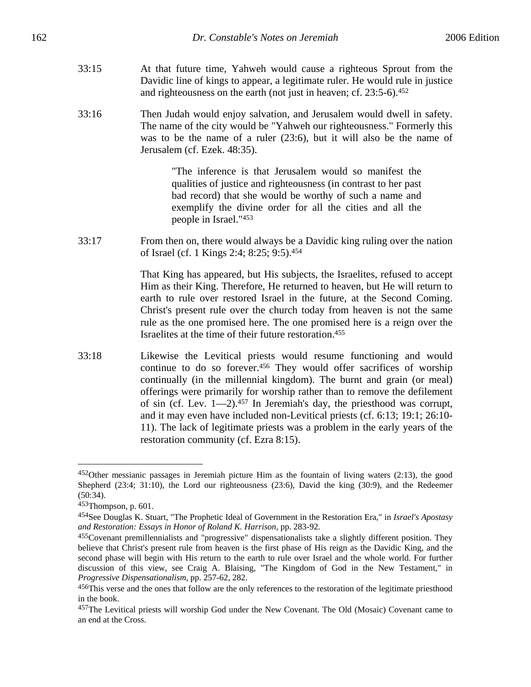- 33:15 At that future time, Yahweh would cause a righteous Sprout from the Davidic line of kings to appear, a legitimate ruler. He would rule in justice and righteousness on the earth (not just in heaven; cf. 23:5-6).452
- 33:16 Then Judah would enjoy salvation, and Jerusalem would dwell in safety. The name of the city would be "Yahweh our righteousness." Formerly this was to be the name of a ruler (23:6), but it will also be the name of Jerusalem (cf. Ezek. 48:35).

"The inference is that Jerusalem would so manifest the qualities of justice and righteousness (in contrast to her past bad record) that she would be worthy of such a name and exemplify the divine order for all the cities and all the people in Israel."453

33:17 From then on, there would always be a Davidic king ruling over the nation of Israel (cf. 1 Kings 2:4; 8:25; 9:5).454

> That King has appeared, but His subjects, the Israelites, refused to accept Him as their King. Therefore, He returned to heaven, but He will return to earth to rule over restored Israel in the future, at the Second Coming. Christ's present rule over the church today from heaven is not the same rule as the one promised here. The one promised here is a reign over the Israelites at the time of their future restoration.455

33:18 Likewise the Levitical priests would resume functioning and would continue to do so forever.456 They would offer sacrifices of worship continually (in the millennial kingdom). The burnt and grain (or meal) offerings were primarily for worship rather than to remove the defilement of sin (cf. Lev.  $1-2$ ).<sup>457</sup> In Jeremiah's day, the priesthood was corrupt, and it may even have included non-Levitical priests (cf. 6:13; 19:1; 26:10- 11). The lack of legitimate priests was a problem in the early years of the restoration community (cf. Ezra 8:15).

1

<sup>452</sup>Other messianic passages in Jeremiah picture Him as the fountain of living waters (2:13), the good Shepherd (23:4; 31:10), the Lord our righteousness (23:6), David the king (30:9), and the Redeemer (50:34).

<sup>453</sup>Thompson, p. 601.

<sup>454</sup>See Douglas K. Stuart, "The Prophetic Ideal of Government in the Restoration Era," in *Israel's Apostasy and Restoration: Essays in Honor of Roland K. Harrison*, pp. 283-92.

<sup>455</sup>Covenant premillennialists and "progressive" dispensationalists take a slightly different position. They believe that Christ's present rule from heaven is the first phase of His reign as the Davidic King, and the second phase will begin with His return to the earth to rule over Israel and the whole world. For further discussion of this view, see Craig A. Blaising, "The Kingdom of God in the New Testament," in *Progressive Dispensationalism*, pp. 257-62, 282.

<sup>456</sup>This verse and the ones that follow are the only references to the restoration of the legitimate priesthood in the book.

<sup>457</sup>The Levitical priests will worship God under the New Covenant. The Old (Mosaic) Covenant came to an end at the Cross.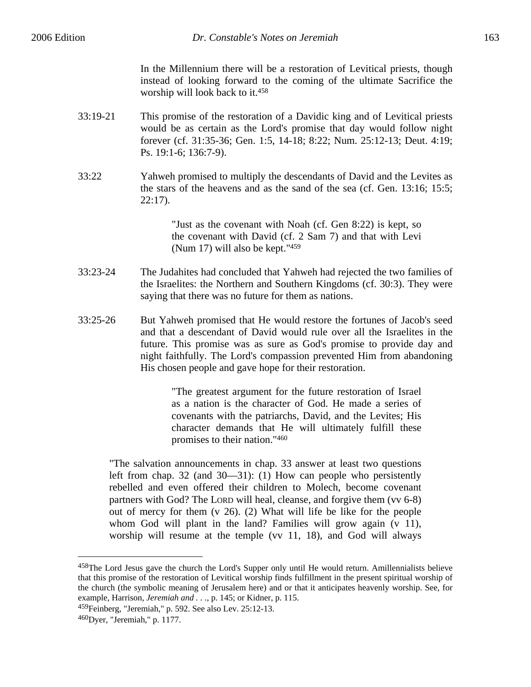In the Millennium there will be a restoration of Levitical priests, though instead of looking forward to the coming of the ultimate Sacrifice the worship will look back to it.458

33:19-21 This promise of the restoration of a Davidic king and of Levitical priests would be as certain as the Lord's promise that day would follow night forever (cf. 31:35-36; Gen. 1:5, 14-18; 8:22; Num. 25:12-13; Deut. 4:19; Ps. 19:1-6; 136:7-9).

33:22 Yahweh promised to multiply the descendants of David and the Levites as the stars of the heavens and as the sand of the sea (cf. Gen. 13:16; 15:5; 22:17).

> "Just as the covenant with Noah (cf. Gen 8:22) is kept, so the covenant with David (cf. 2 Sam 7) and that with Levi (Num 17) will also be kept."459

- 33:23-24 The Judahites had concluded that Yahweh had rejected the two families of the Israelites: the Northern and Southern Kingdoms (cf. 30:3). They were saying that there was no future for them as nations.
- 33:25-26 But Yahweh promised that He would restore the fortunes of Jacob's seed and that a descendant of David would rule over all the Israelites in the future. This promise was as sure as God's promise to provide day and night faithfully. The Lord's compassion prevented Him from abandoning His chosen people and gave hope for their restoration.

"The greatest argument for the future restoration of Israel as a nation is the character of God. He made a series of covenants with the patriarchs, David, and the Levites; His character demands that He will ultimately fulfill these promises to their nation."460

"The salvation announcements in chap. 33 answer at least two questions left from chap. 32 (and 30—31): (1) How can people who persistently rebelled and even offered their children to Molech, become covenant partners with God? The LORD will heal, cleanse, and forgive them (vv 6-8) out of mercy for them (v 26). (2) What will life be like for the people whom God will plant in the land? Families will grow again (v 11), worship will resume at the temple (vv 11, 18), and God will always

<sup>458</sup>The Lord Jesus gave the church the Lord's Supper only until He would return. Amillennialists believe that this promise of the restoration of Levitical worship finds fulfillment in the present spiritual worship of the church (the symbolic meaning of Jerusalem here) and or that it anticipates heavenly worship. See, for example, Harrison, *Jeremiah and . . .*, p. 145; or Kidner, p. 115.

<sup>459</sup>Feinberg, "Jeremiah," p. 592. See also Lev. 25:12-13.

<sup>460</sup>Dyer, "Jeremiah," p. 1177.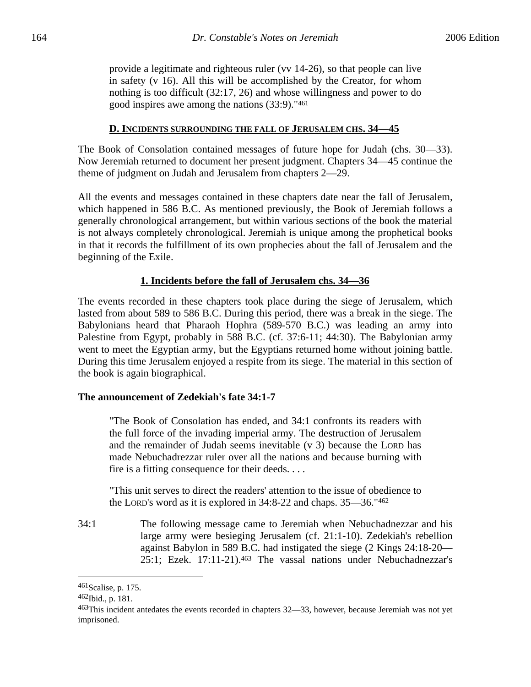provide a legitimate and righteous ruler (vv 14-26), so that people can live in safety (v 16). All this will be accomplished by the Creator, for whom nothing is too difficult (32:17, 26) and whose willingness and power to do good inspires awe among the nations (33:9)."461

#### **D. INCIDENTS SURROUNDING THE FALL OF JERUSALEM CHS. 34—45**

The Book of Consolation contained messages of future hope for Judah (chs. 30—33). Now Jeremiah returned to document her present judgment. Chapters 34—45 continue the theme of judgment on Judah and Jerusalem from chapters 2—29.

All the events and messages contained in these chapters date near the fall of Jerusalem, which happened in 586 B.C. As mentioned previously, the Book of Jeremiah follows a generally chronological arrangement, but within various sections of the book the material is not always completely chronological. Jeremiah is unique among the prophetical books in that it records the fulfillment of its own prophecies about the fall of Jerusalem and the beginning of the Exile.

#### **1. Incidents before the fall of Jerusalem chs. 34—36**

The events recorded in these chapters took place during the siege of Jerusalem, which lasted from about 589 to 586 B.C. During this period, there was a break in the siege. The Babylonians heard that Pharaoh Hophra (589-570 B.C.) was leading an army into Palestine from Egypt, probably in 588 B.C. (cf. 37:6-11; 44:30). The Babylonian army went to meet the Egyptian army, but the Egyptians returned home without joining battle. During this time Jerusalem enjoyed a respite from its siege. The material in this section of the book is again biographical.

#### **The announcement of Zedekiah's fate 34:1-7**

"The Book of Consolation has ended, and 34:1 confronts its readers with the full force of the invading imperial army. The destruction of Jerusalem and the remainder of Judah seems inevitable (v 3) because the LORD has made Nebuchadrezzar ruler over all the nations and because burning with fire is a fitting consequence for their deeds. . . .

"This unit serves to direct the readers' attention to the issue of obedience to the LORD's word as it is explored in 34:8-22 and chaps. 35—36."462

34:1 The following message came to Jeremiah when Nebuchadnezzar and his large army were besieging Jerusalem (cf. 21:1-10). Zedekiah's rebellion against Babylon in 589 B.C. had instigated the siege (2 Kings 24:18-20— 25:1; Ezek. 17:11-21).463 The vassal nations under Nebuchadnezzar's

<sup>461</sup>Scalise, p. 175.

<sup>462</sup>Ibid., p. 181.

<sup>463</sup>This incident antedates the events recorded in chapters 32—33, however, because Jeremiah was not yet imprisoned.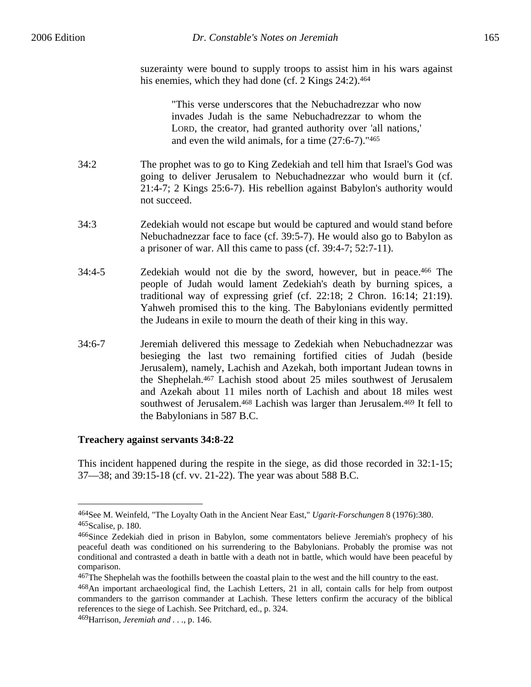suzerainty were bound to supply troops to assist him in his wars against his enemies, which they had done (cf. 2 Kings 24:2).<sup>464</sup>

"This verse underscores that the Nebuchadrezzar who now invades Judah is the same Nebuchadrezzar to whom the LORD, the creator, had granted authority over 'all nations,' and even the wild animals, for a time (27:6-7)."465

- 34:2 The prophet was to go to King Zedekiah and tell him that Israel's God was going to deliver Jerusalem to Nebuchadnezzar who would burn it (cf. 21:4-7; 2 Kings 25:6-7). His rebellion against Babylon's authority would not succeed.
- 34:3 Zedekiah would not escape but would be captured and would stand before Nebuchadnezzar face to face (cf. 39:5-7). He would also go to Babylon as a prisoner of war. All this came to pass (cf. 39:4-7; 52:7-11).
- 34:4-5 Zedekiah would not die by the sword, however, but in peace.466 The people of Judah would lament Zedekiah's death by burning spices, a traditional way of expressing grief (cf. 22:18; 2 Chron. 16:14; 21:19). Yahweh promised this to the king. The Babylonians evidently permitted the Judeans in exile to mourn the death of their king in this way.
- 34:6-7 Jeremiah delivered this message to Zedekiah when Nebuchadnezzar was besieging the last two remaining fortified cities of Judah (beside Jerusalem), namely, Lachish and Azekah, both important Judean towns in the Shephelah.467 Lachish stood about 25 miles southwest of Jerusalem and Azekah about 11 miles north of Lachish and about 18 miles west southwest of Jerusalem.468 Lachish was larger than Jerusalem.469 It fell to the Babylonians in 587 B.C.

# **Treachery against servants 34:8-22**

This incident happened during the respite in the siege, as did those recorded in 32:1-15; 37—38; and 39:15-18 (cf. vv. 21-22). The year was about 588 B.C.

<sup>464</sup>See M. Weinfeld, "The Loyalty Oath in the Ancient Near East," *Ugarit-Forschungen* 8 (1976):380. 465Scalise, p. 180.

<sup>466</sup>Since Zedekiah died in prison in Babylon, some commentators believe Jeremiah's prophecy of his peaceful death was conditioned on his surrendering to the Babylonians. Probably the promise was not conditional and contrasted a death in battle with a death not in battle, which would have been peaceful by comparison.

<sup>&</sup>lt;sup>467</sup>The Shephelah was the foothills between the coastal plain to the west and the hill country to the east.

<sup>468</sup>An important archaeological find, the Lachish Letters, 21 in all, contain calls for help from outpost commanders to the garrison commander at Lachish. These letters confirm the accuracy of the biblical references to the siege of Lachish. See Pritchard, ed., p. 324.

<sup>469</sup>Harrison, *Jeremiah and . . .*, p. 146.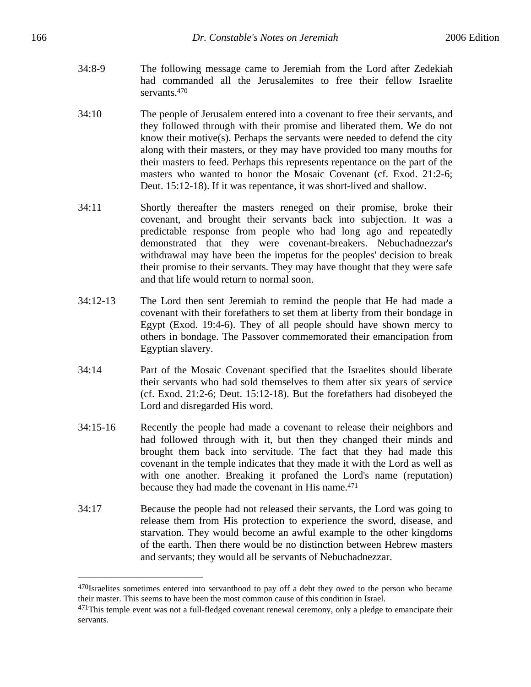- 34:8-9 The following message came to Jeremiah from the Lord after Zedekiah had commanded all the Jerusalemites to free their fellow Israelite servants.<sup>470</sup>
- 34:10 The people of Jerusalem entered into a covenant to free their servants, and they followed through with their promise and liberated them. We do not know their motive(s). Perhaps the servants were needed to defend the city along with their masters, or they may have provided too many mouths for their masters to feed. Perhaps this represents repentance on the part of the masters who wanted to honor the Mosaic Covenant (cf. Exod. 21:2-6; Deut. 15:12-18). If it was repentance, it was short-lived and shallow.
- 34:11 Shortly thereafter the masters reneged on their promise, broke their covenant, and brought their servants back into subjection. It was a predictable response from people who had long ago and repeatedly demonstrated that they were covenant-breakers. Nebuchadnezzar's withdrawal may have been the impetus for the peoples' decision to break their promise to their servants. They may have thought that they were safe and that life would return to normal soon.
- 34:12-13 The Lord then sent Jeremiah to remind the people that He had made a covenant with their forefathers to set them at liberty from their bondage in Egypt (Exod. 19:4-6). They of all people should have shown mercy to others in bondage. The Passover commemorated their emancipation from Egyptian slavery.
- 34:14 Part of the Mosaic Covenant specified that the Israelites should liberate their servants who had sold themselves to them after six years of service (cf. Exod. 21:2-6; Deut. 15:12-18). But the forefathers had disobeyed the Lord and disregarded His word.
- 34:15-16 Recently the people had made a covenant to release their neighbors and had followed through with it, but then they changed their minds and brought them back into servitude. The fact that they had made this covenant in the temple indicates that they made it with the Lord as well as with one another. Breaking it profaned the Lord's name (reputation) because they had made the covenant in His name.471
- 34:17 Because the people had not released their servants, the Lord was going to release them from His protection to experience the sword, disease, and starvation. They would become an awful example to the other kingdoms of the earth. Then there would be no distinction between Hebrew masters and servants; they would all be servants of Nebuchadnezzar.

<sup>&</sup>lt;sup>470</sup>Israelites sometimes entered into servanthood to pay off a debt they owed to the person who became their master. This seems to have been the most common cause of this condition in Israel.

<sup>&</sup>lt;sup>471</sup>This temple event was not a full-fledged covenant renewal ceremony, only a pledge to emancipate their servants.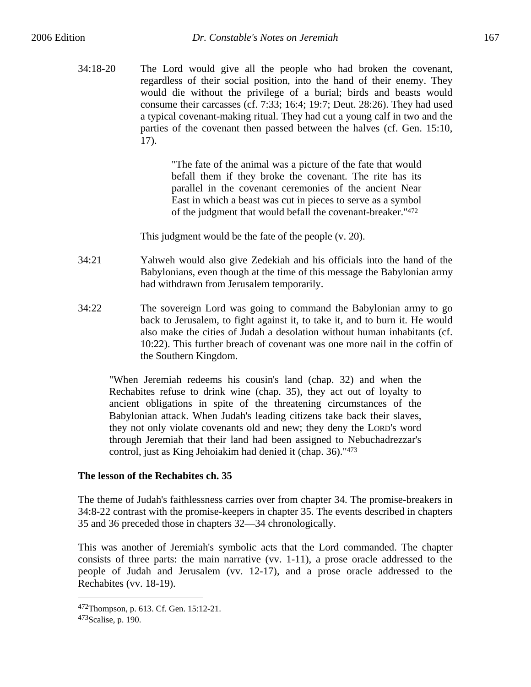34:18-20 The Lord would give all the people who had broken the covenant, regardless of their social position, into the hand of their enemy. They would die without the privilege of a burial; birds and beasts would consume their carcasses (cf. 7:33; 16:4; 19:7; Deut. 28:26). They had used a typical covenant-making ritual. They had cut a young calf in two and the parties of the covenant then passed between the halves (cf. Gen. 15:10, 17).

> "The fate of the animal was a picture of the fate that would befall them if they broke the covenant. The rite has its parallel in the covenant ceremonies of the ancient Near East in which a beast was cut in pieces to serve as a symbol of the judgment that would befall the covenant-breaker."472

This judgment would be the fate of the people (v. 20).

- 34:21 Yahweh would also give Zedekiah and his officials into the hand of the Babylonians, even though at the time of this message the Babylonian army had withdrawn from Jerusalem temporarily.
- 34:22 The sovereign Lord was going to command the Babylonian army to go back to Jerusalem, to fight against it, to take it, and to burn it. He would also make the cities of Judah a desolation without human inhabitants (cf. 10:22). This further breach of covenant was one more nail in the coffin of the Southern Kingdom.

"When Jeremiah redeems his cousin's land (chap. 32) and when the Rechabites refuse to drink wine (chap. 35), they act out of loyalty to ancient obligations in spite of the threatening circumstances of the Babylonian attack. When Judah's leading citizens take back their slaves, they not only violate covenants old and new; they deny the LORD's word through Jeremiah that their land had been assigned to Nebuchadrezzar's control, just as King Jehoiakim had denied it (chap. 36)."473

# **The lesson of the Rechabites ch. 35**

The theme of Judah's faithlessness carries over from chapter 34. The promise-breakers in 34:8-22 contrast with the promise-keepers in chapter 35. The events described in chapters 35 and 36 preceded those in chapters 32—34 chronologically.

This was another of Jeremiah's symbolic acts that the Lord commanded. The chapter consists of three parts: the main narrative (vv. 1-11), a prose oracle addressed to the people of Judah and Jerusalem (vv. 12-17), and a prose oracle addressed to the Rechabites (vv. 18-19).

<sup>472</sup>Thompson, p. 613. Cf. Gen. 15:12-21.

<sup>473</sup> Scalise, p. 190.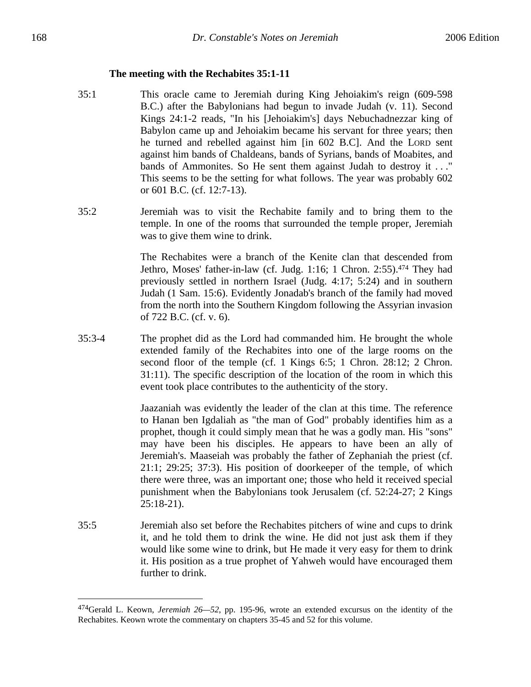#### **The meeting with the Rechabites 35:1-11**

- 35:1 This oracle came to Jeremiah during King Jehoiakim's reign (609-598 B.C.) after the Babylonians had begun to invade Judah (v. 11). Second Kings 24:1-2 reads, "In his [Jehoiakim's] days Nebuchadnezzar king of Babylon came up and Jehoiakim became his servant for three years; then he turned and rebelled against him [in 602 B.C]. And the LORD sent against him bands of Chaldeans, bands of Syrians, bands of Moabites, and bands of Ammonites. So He sent them against Judah to destroy it . . ." This seems to be the setting for what follows. The year was probably 602 or 601 B.C. (cf. 12:7-13).
- 35:2 Jeremiah was to visit the Rechabite family and to bring them to the temple. In one of the rooms that surrounded the temple proper, Jeremiah was to give them wine to drink.

The Rechabites were a branch of the Kenite clan that descended from Jethro, Moses' father-in-law (cf. Judg. 1:16; 1 Chron. 2:55).474 They had previously settled in northern Israel (Judg. 4:17; 5:24) and in southern Judah (1 Sam. 15:6). Evidently Jonadab's branch of the family had moved from the north into the Southern Kingdom following the Assyrian invasion of 722 B.C. (cf. v. 6).

35:3-4 The prophet did as the Lord had commanded him. He brought the whole extended family of the Rechabites into one of the large rooms on the second floor of the temple (cf. 1 Kings 6:5; 1 Chron. 28:12; 2 Chron. 31:11). The specific description of the location of the room in which this event took place contributes to the authenticity of the story.

> Jaazaniah was evidently the leader of the clan at this time. The reference to Hanan ben Igdaliah as "the man of God" probably identifies him as a prophet, though it could simply mean that he was a godly man. His "sons" may have been his disciples. He appears to have been an ally of Jeremiah's. Maaseiah was probably the father of Zephaniah the priest (cf. 21:1; 29:25; 37:3). His position of doorkeeper of the temple, of which there were three, was an important one; those who held it received special punishment when the Babylonians took Jerusalem (cf. 52:24-27; 2 Kings 25:18-21).

35:5 Jeremiah also set before the Rechabites pitchers of wine and cups to drink it, and he told them to drink the wine. He did not just ask them if they would like some wine to drink, but He made it very easy for them to drink it. His position as a true prophet of Yahweh would have encouraged them further to drink.

<sup>474</sup>Gerald L. Keown, *Jeremiah 26—52*, pp. 195-96, wrote an extended excursus on the identity of the Rechabites. Keown wrote the commentary on chapters 35-45 and 52 for this volume.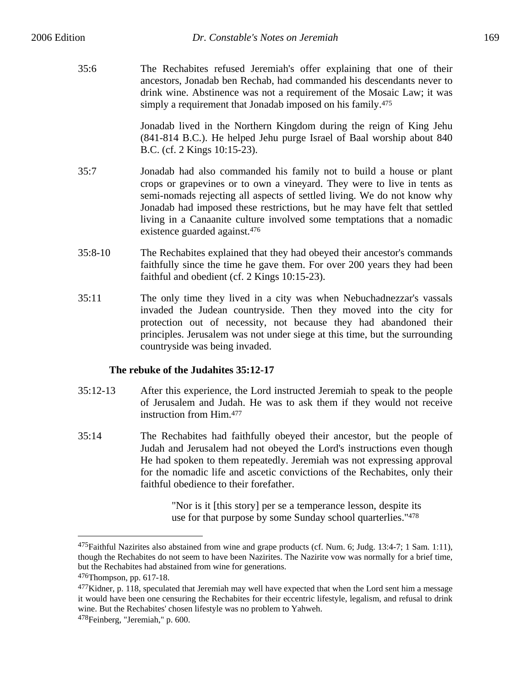35:6 The Rechabites refused Jeremiah's offer explaining that one of their ancestors, Jonadab ben Rechab, had commanded his descendants never to drink wine. Abstinence was not a requirement of the Mosaic Law; it was simply a requirement that Jonadab imposed on his family.<sup>475</sup>

> Jonadab lived in the Northern Kingdom during the reign of King Jehu (841-814 B.C.). He helped Jehu purge Israel of Baal worship about 840 B.C. (cf. 2 Kings 10:15-23).

- 35:7 Jonadab had also commanded his family not to build a house or plant crops or grapevines or to own a vineyard. They were to live in tents as semi-nomads rejecting all aspects of settled living. We do not know why Jonadab had imposed these restrictions, but he may have felt that settled living in a Canaanite culture involved some temptations that a nomadic existence guarded against.476
- 35:8-10 The Rechabites explained that they had obeyed their ancestor's commands faithfully since the time he gave them. For over 200 years they had been faithful and obedient (cf. 2 Kings 10:15-23).
- 35:11 The only time they lived in a city was when Nebuchadnezzar's vassals invaded the Judean countryside. Then they moved into the city for protection out of necessity, not because they had abandoned their principles. Jerusalem was not under siege at this time, but the surrounding countryside was being invaded.

# **The rebuke of the Judahites 35:12-17**

- 35:12-13 After this experience, the Lord instructed Jeremiah to speak to the people of Jerusalem and Judah. He was to ask them if they would not receive instruction from Him.477
- 35:14 The Rechabites had faithfully obeyed their ancestor, but the people of Judah and Jerusalem had not obeyed the Lord's instructions even though He had spoken to them repeatedly. Jeremiah was not expressing approval for the nomadic life and ascetic convictions of the Rechabites, only their faithful obedience to their forefather.

"Nor is it [this story] per se a temperance lesson, despite its use for that purpose by some Sunday school quarterlies."478

<sup>475</sup>Faithful Nazirites also abstained from wine and grape products (cf. Num. 6; Judg. 13:4-7; 1 Sam. 1:11), though the Rechabites do not seem to have been Nazirites. The Nazirite vow was normally for a brief time, but the Rechabites had abstained from wine for generations.

<sup>476</sup>Thompson, pp. 617-18.

 $477$ Kidner, p. 118, speculated that Jeremiah may well have expected that when the Lord sent him a message it would have been one censuring the Rechabites for their eccentric lifestyle, legalism, and refusal to drink wine. But the Rechabites' chosen lifestyle was no problem to Yahweh.

<sup>478</sup>Feinberg, "Jeremiah," p. 600.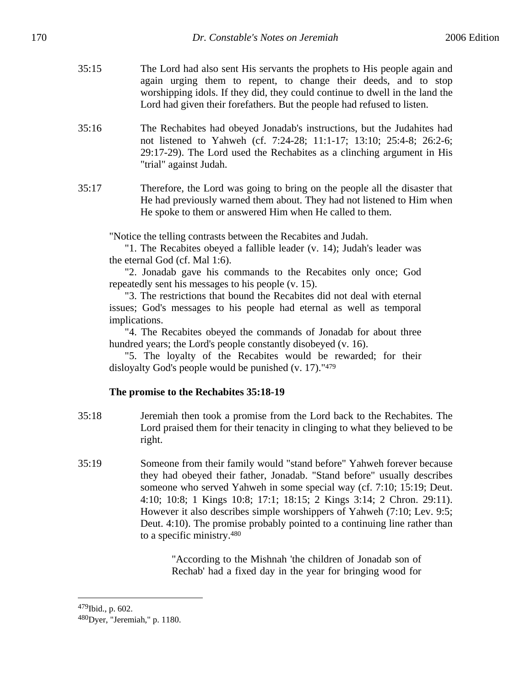- 
- 35:15 The Lord had also sent His servants the prophets to His people again and again urging them to repent, to change their deeds, and to stop worshipping idols. If they did, they could continue to dwell in the land the Lord had given their forefathers. But the people had refused to listen.
- 35:16 The Rechabites had obeyed Jonadab's instructions, but the Judahites had not listened to Yahweh (cf. 7:24-28; 11:1-17; 13:10; 25:4-8; 26:2-6; 29:17-29). The Lord used the Rechabites as a clinching argument in His "trial" against Judah.
- 35:17 Therefore, the Lord was going to bring on the people all the disaster that He had previously warned them about. They had not listened to Him when He spoke to them or answered Him when He called to them.

"Notice the telling contrasts between the Recabites and Judah.

"1. The Recabites obeyed a fallible leader (v. 14); Judah's leader was the eternal God (cf. Mal 1:6).

"2. Jonadab gave his commands to the Recabites only once; God repeatedly sent his messages to his people (v. 15).

"3. The restrictions that bound the Recabites did not deal with eternal issues; God's messages to his people had eternal as well as temporal implications.

"4. The Recabites obeyed the commands of Jonadab for about three hundred years; the Lord's people constantly disobeyed (v. 16).

"5. The loyalty of the Recabites would be rewarded; for their disloyalty God's people would be punished (v. 17)."479

# **The promise to the Rechabites 35:18-19**

- 35:18 Jeremiah then took a promise from the Lord back to the Rechabites. The Lord praised them for their tenacity in clinging to what they believed to be right.
- 35:19 Someone from their family would "stand before" Yahweh forever because they had obeyed their father, Jonadab. "Stand before" usually describes someone who served Yahweh in some special way (cf. 7:10; 15:19; Deut. 4:10; 10:8; 1 Kings 10:8; 17:1; 18:15; 2 Kings 3:14; 2 Chron. 29:11). However it also describes simple worshippers of Yahweh (7:10; Lev. 9:5; Deut. 4:10). The promise probably pointed to a continuing line rather than to a specific ministry.480

"According to the Mishnah 'the children of Jonadab son of Rechab' had a fixed day in the year for bringing wood for

#### 479Ibid., p. 602.

<sup>480</sup>Dyer, "Jeremiah," p. 1180.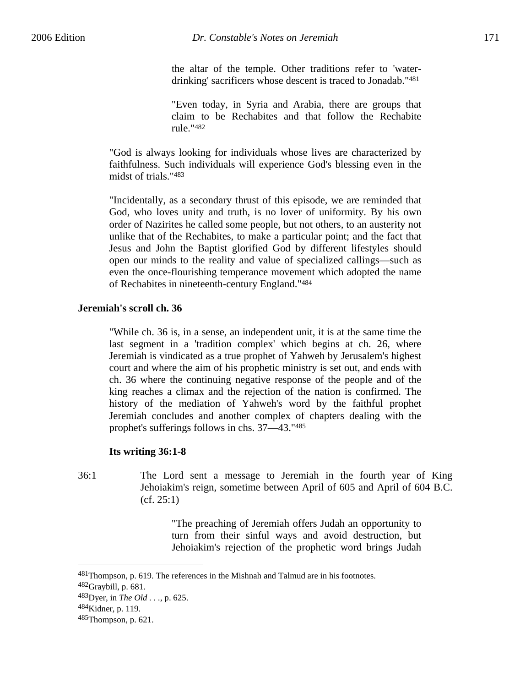the altar of the temple. Other traditions refer to 'waterdrinking' sacrificers whose descent is traced to Jonadab."481

"Even today, in Syria and Arabia, there are groups that claim to be Rechabites and that follow the Rechabite rule."482

"God is always looking for individuals whose lives are characterized by faithfulness. Such individuals will experience God's blessing even in the midst of trials."483

"Incidentally, as a secondary thrust of this episode, we are reminded that God, who loves unity and truth, is no lover of uniformity. By his own order of Nazirites he called some people, but not others, to an austerity not unlike that of the Rechabites, to make a particular point; and the fact that Jesus and John the Baptist glorified God by different lifestyles should open our minds to the reality and value of specialized callings—such as even the once-flourishing temperance movement which adopted the name of Rechabites in nineteenth-century England."484

#### **Jeremiah's scroll ch. 36**

"While ch. 36 is, in a sense, an independent unit, it is at the same time the last segment in a 'tradition complex' which begins at ch. 26, where Jeremiah is vindicated as a true prophet of Yahweh by Jerusalem's highest court and where the aim of his prophetic ministry is set out, and ends with ch. 36 where the continuing negative response of the people and of the king reaches a climax and the rejection of the nation is confirmed. The history of the mediation of Yahweh's word by the faithful prophet Jeremiah concludes and another complex of chapters dealing with the prophet's sufferings follows in chs. 37—43."485

#### **Its writing 36:1-8**

36:1 The Lord sent a message to Jeremiah in the fourth year of King Jehoiakim's reign, sometime between April of 605 and April of 604 B.C. (cf. 25:1)

> "The preaching of Jeremiah offers Judah an opportunity to turn from their sinful ways and avoid destruction, but Jehoiakim's rejection of the prophetic word brings Judah

1

<sup>481</sup>Thompson, p. 619. The references in the Mishnah and Talmud are in his footnotes.

<sup>482</sup>Graybill, p. 681.

<sup>483</sup>Dyer, in *The Old . . .*, p. 625.

<sup>484</sup>Kidner, p. 119.

<sup>485</sup>Thompson, p. 621.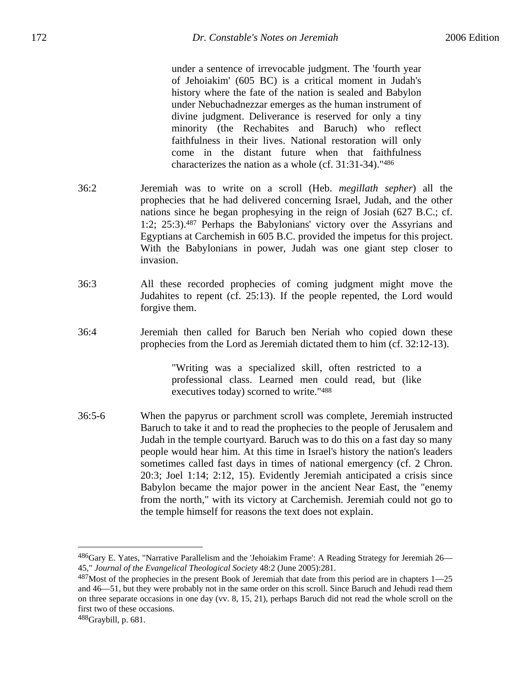under a sentence of irrevocable judgment. The 'fourth year of Jehoiakim' (605 BC) is a critical moment in Judah's history where the fate of the nation is sealed and Babylon under Nebuchadnezzar emerges as the human instrument of divine judgment. Deliverance is reserved for only a tiny minority (the Rechabites and Baruch) who reflect faithfulness in their lives. National restoration will only come in the distant future when that faithfulness characterizes the nation as a whole (cf. 31:31-34)."486

- 36:2 Jeremiah was to write on a scroll (Heb. *megillath sepher*) all the prophecies that he had delivered concerning Israel, Judah, and the other nations since he began prophesying in the reign of Josiah (627 B.C.; cf. 1:2; 25:3).487 Perhaps the Babylonians' victory over the Assyrians and Egyptians at Carchemish in 605 B.C. provided the impetus for this project. With the Babylonians in power, Judah was one giant step closer to invasion.
- 36:3 All these recorded prophecies of coming judgment might move the Judahites to repent (cf. 25:13). If the people repented, the Lord would forgive them.
- 36:4 Jeremiah then called for Baruch ben Neriah who copied down these prophecies from the Lord as Jeremiah dictated them to him (cf. 32:12-13).

"Writing was a specialized skill, often restricted to a professional class. Learned men could read, but (like executives today) scorned to write."488

36:5-6 When the papyrus or parchment scroll was complete, Jeremiah instructed Baruch to take it and to read the prophecies to the people of Jerusalem and Judah in the temple courtyard. Baruch was to do this on a fast day so many people would hear him. At this time in Israel's history the nation's leaders sometimes called fast days in times of national emergency (cf. 2 Chron. 20:3; Joel 1:14; 2:12, 15). Evidently Jeremiah anticipated a crisis since Babylon became the major power in the ancient Near East, the "enemy from the north," with its victory at Carchemish. Jeremiah could not go to the temple himself for reasons the text does not explain.

<sup>486</sup>Gary E. Yates, "Narrative Parallelism and the 'Jehoiakim Frame': A Reading Strategy for Jeremiah 26— 45," *Journal of the Evangelical Theological Society* 48:2 (June 2005):281.

 $487$ Most of the prophecies in the present Book of Jeremiah that date from this period are in chapters 1—25 and 46—51, but they were probably not in the same order on this scroll. Since Baruch and Jehudi read them on three separate occasions in one day (vv. 8, 15, 21), perhaps Baruch did not read the whole scroll on the first two of these occasions.

 $488$ Graybill, p. 681.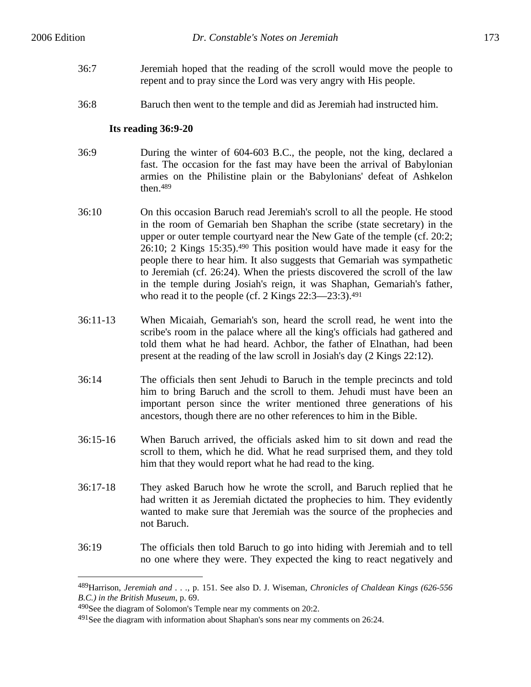- 36:7 Jeremiah hoped that the reading of the scroll would move the people to repent and to pray since the Lord was very angry with His people.
- 36:8 Baruch then went to the temple and did as Jeremiah had instructed him.

### **Its reading 36:9-20**

- 36:9 During the winter of 604-603 B.C., the people, not the king, declared a fast. The occasion for the fast may have been the arrival of Babylonian armies on the Philistine plain or the Babylonians' defeat of Ashkelon then.489
- 36:10 On this occasion Baruch read Jeremiah's scroll to all the people. He stood in the room of Gemariah ben Shaphan the scribe (state secretary) in the upper or outer temple courtyard near the New Gate of the temple (cf. 20:2; 26:10; 2 Kings 15:35).490 This position would have made it easy for the people there to hear him. It also suggests that Gemariah was sympathetic to Jeremiah (cf. 26:24). When the priests discovered the scroll of the law in the temple during Josiah's reign, it was Shaphan, Gemariah's father, who read it to the people (cf. 2 Kings 22:3—23:3).<sup>491</sup>
- 36:11-13 When Micaiah, Gemariah's son, heard the scroll read, he went into the scribe's room in the palace where all the king's officials had gathered and told them what he had heard. Achbor, the father of Elnathan, had been present at the reading of the law scroll in Josiah's day (2 Kings 22:12).
- 36:14 The officials then sent Jehudi to Baruch in the temple precincts and told him to bring Baruch and the scroll to them. Jehudi must have been an important person since the writer mentioned three generations of his ancestors, though there are no other references to him in the Bible.
- 36:15-16 When Baruch arrived, the officials asked him to sit down and read the scroll to them, which he did. What he read surprised them, and they told him that they would report what he had read to the king.
- 36:17-18 They asked Baruch how he wrote the scroll, and Baruch replied that he had written it as Jeremiah dictated the prophecies to him. They evidently wanted to make sure that Jeremiah was the source of the prophecies and not Baruch.
- 36:19 The officials then told Baruch to go into hiding with Jeremiah and to tell no one where they were. They expected the king to react negatively and

<sup>489</sup>Harrison, *Jeremiah and . . .*, p. 151. See also D. J. Wiseman, *Chronicles of Chaldean Kings (626-556 B.C.) in the British Museum*, p. 69.

<sup>490</sup>See the diagram of Solomon's Temple near my comments on 20:2.

 $491$ See the diagram with information about Shaphan's sons near my comments on 26:24.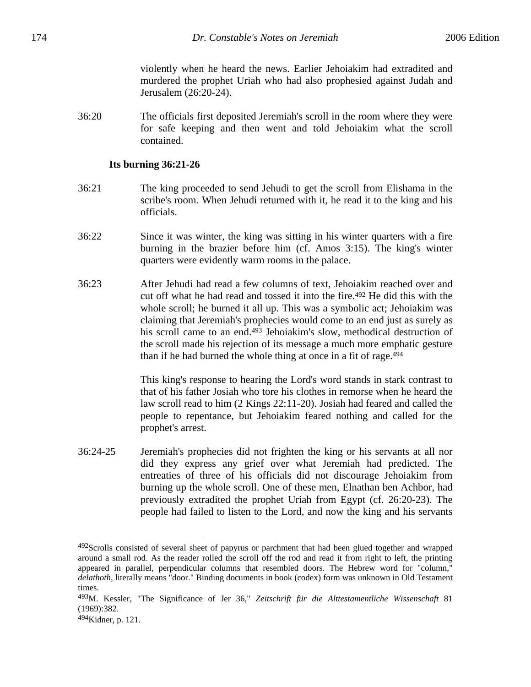violently when he heard the news. Earlier Jehoiakim had extradited and murdered the prophet Uriah who had also prophesied against Judah and Jerusalem (26:20-24).

36:20 The officials first deposited Jeremiah's scroll in the room where they were for safe keeping and then went and told Jehoiakim what the scroll contained.

#### **Its burning 36:21-26**

- 36:21 The king proceeded to send Jehudi to get the scroll from Elishama in the scribe's room. When Jehudi returned with it, he read it to the king and his officials.
- 36:22 Since it was winter, the king was sitting in his winter quarters with a fire burning in the brazier before him (cf. Amos 3:15). The king's winter quarters were evidently warm rooms in the palace.
- 36:23 After Jehudi had read a few columns of text, Jehoiakim reached over and cut off what he had read and tossed it into the fire.492 He did this with the whole scroll; he burned it all up. This was a symbolic act; Jehoiakim was claiming that Jeremiah's prophecies would come to an end just as surely as his scroll came to an end.493 Jehoiakim's slow, methodical destruction of the scroll made his rejection of its message a much more emphatic gesture than if he had burned the whole thing at once in a fit of rage.494

This king's response to hearing the Lord's word stands in stark contrast to that of his father Josiah who tore his clothes in remorse when he heard the law scroll read to him (2 Kings 22:11-20). Josiah had feared and called the people to repentance, but Jehoiakim feared nothing and called for the prophet's arrest.

36:24-25 Jeremiah's prophecies did not frighten the king or his servants at all nor did they express any grief over what Jeremiah had predicted. The entreaties of three of his officials did not discourage Jehoiakim from burning up the whole scroll. One of these men, Elnathan ben Achbor, had previously extradited the prophet Uriah from Egypt (cf. 26:20-23). The people had failed to listen to the Lord, and now the king and his servants

1

<sup>&</sup>lt;sup>492</sup>Scrolls consisted of several sheet of papyrus or parchment that had been glued together and wrapped around a small rod. As the reader rolled the scroll off the rod and read it from right to left, the printing appeared in parallel, perpendicular columns that resembled doors. The Hebrew word for "column," *delathoth*, literally means "door." Binding documents in book (codex) form was unknown in Old Testament times.

<sup>493</sup>M. Kessler, "The Significance of Jer 36," *Zeitschrift für die Alttestamentliche Wissenschaft* 81 (1969):382.

<sup>494</sup>Kidner, p. 121.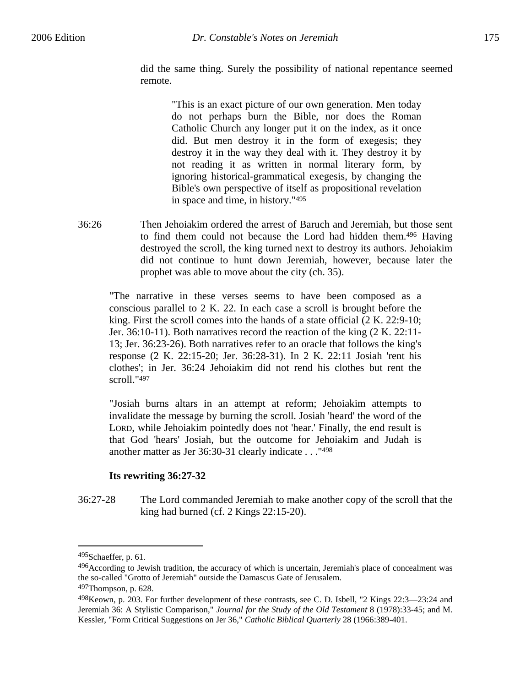did the same thing. Surely the possibility of national repentance seemed remote.

> "This is an exact picture of our own generation. Men today do not perhaps burn the Bible, nor does the Roman Catholic Church any longer put it on the index, as it once did. But men destroy it in the form of exegesis; they destroy it in the way they deal with it. They destroy it by not reading it as written in normal literary form, by ignoring historical-grammatical exegesis, by changing the Bible's own perspective of itself as propositional revelation in space and time, in history."495

36:26 Then Jehoiakim ordered the arrest of Baruch and Jeremiah, but those sent to find them could not because the Lord had hidden them.496 Having destroyed the scroll, the king turned next to destroy its authors. Jehoiakim did not continue to hunt down Jeremiah, however, because later the prophet was able to move about the city (ch. 35).

"The narrative in these verses seems to have been composed as a conscious parallel to 2 K. 22. In each case a scroll is brought before the king. First the scroll comes into the hands of a state official (2 K. 22:9-10; Jer. 36:10-11). Both narratives record the reaction of the king (2 K. 22:11- 13; Jer. 36:23-26). Both narratives refer to an oracle that follows the king's response (2 K. 22:15-20; Jer. 36:28-31). In 2 K. 22:11 Josiah 'rent his clothes'; in Jer. 36:24 Jehoiakim did not rend his clothes but rent the scroll."497

"Josiah burns altars in an attempt at reform; Jehoiakim attempts to invalidate the message by burning the scroll. Josiah 'heard' the word of the LORD, while Jehoiakim pointedly does not 'hear.' Finally, the end result is that God 'hears' Josiah, but the outcome for Jehoiakim and Judah is another matter as Jer 36:30-31 clearly indicate . . ."498

# **Its rewriting 36:27-32**

36:27-28 The Lord commanded Jeremiah to make another copy of the scroll that the king had burned (cf. 2 Kings 22:15-20).

<sup>495</sup>Schaeffer, p. 61.

<sup>496</sup> According to Jewish tradition, the accuracy of which is uncertain, Jeremiah's place of concealment was the so-called "Grotto of Jeremiah" outside the Damascus Gate of Jerusalem.

<sup>497</sup>Thompson, p. 628.

<sup>498</sup>Keown, p. 203. For further development of these contrasts, see C. D. Isbell, "2 Kings 22:3—23:24 and Jeremiah 36: A Stylistic Comparison," *Journal for the Study of the Old Testament* 8 (1978):33-45; and M. Kessler, "Form Critical Suggestions on Jer 36," *Catholic Biblical Quarterly* 28 (1966:389-401.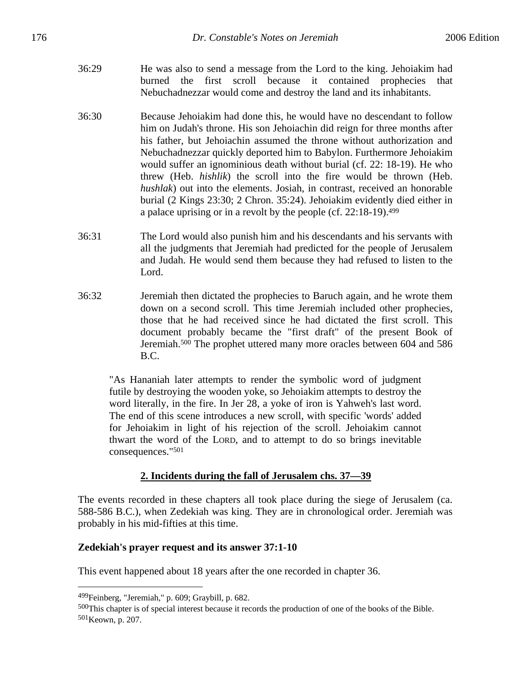- 36:29 He was also to send a message from the Lord to the king. Jehoiakim had burned the first scroll because it contained prophecies that Nebuchadnezzar would come and destroy the land and its inhabitants.
- 36:30 Because Jehoiakim had done this, he would have no descendant to follow him on Judah's throne. His son Jehoiachin did reign for three months after his father, but Jehoiachin assumed the throne without authorization and Nebuchadnezzar quickly deported him to Babylon. Furthermore Jehoiakim would suffer an ignominious death without burial (cf. 22: 18-19). He who threw (Heb. *hishlik*) the scroll into the fire would be thrown (Heb. *hushlak*) out into the elements. Josiah, in contrast, received an honorable burial (2 Kings 23:30; 2 Chron. 35:24). Jehoiakim evidently died either in a palace uprising or in a revolt by the people (cf. 22:18-19).499
- 36:31 The Lord would also punish him and his descendants and his servants with all the judgments that Jeremiah had predicted for the people of Jerusalem and Judah. He would send them because they had refused to listen to the Lord.
- 36:32 Jeremiah then dictated the prophecies to Baruch again, and he wrote them down on a second scroll. This time Jeremiah included other prophecies, those that he had received since he had dictated the first scroll. This document probably became the "first draft" of the present Book of Jeremiah.500 The prophet uttered many more oracles between 604 and 586 B.C.

"As Hananiah later attempts to render the symbolic word of judgment futile by destroying the wooden yoke, so Jehoiakim attempts to destroy the word literally, in the fire. In Jer 28, a yoke of iron is Yahweh's last word. The end of this scene introduces a new scroll, with specific 'words' added for Jehoiakim in light of his rejection of the scroll. Jehoiakim cannot thwart the word of the LORD, and to attempt to do so brings inevitable consequences."501

# **2. Incidents during the fall of Jerusalem chs. 37—39**

The events recorded in these chapters all took place during the siege of Jerusalem (ca. 588-586 B.C.), when Zedekiah was king. They are in chronological order. Jeremiah was probably in his mid-fifties at this time.

# **Zedekiah's prayer request and its answer 37:1-10**

This event happened about 18 years after the one recorded in chapter 36.

<sup>499</sup>Feinberg, "Jeremiah," p. 609; Graybill, p. 682.

<sup>500</sup>This chapter is of special interest because it records the production of one of the books of the Bible. 501Keown, p. 207.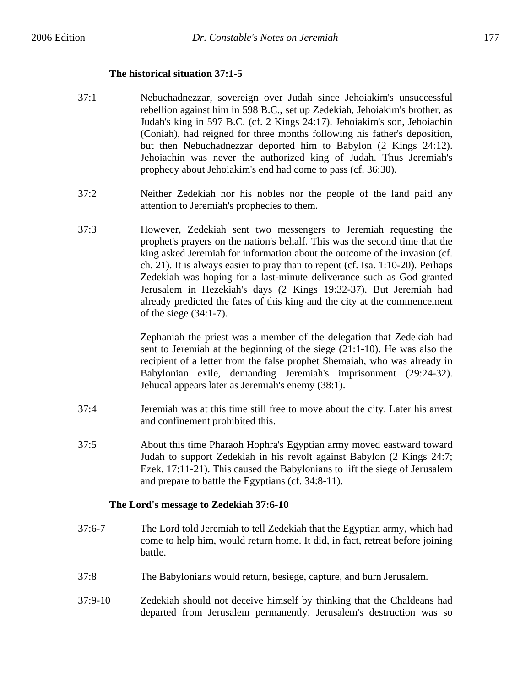# **The historical situation 37:1-5**

- 37:1 Nebuchadnezzar, sovereign over Judah since Jehoiakim's unsuccessful rebellion against him in 598 B.C., set up Zedekiah, Jehoiakim's brother, as Judah's king in 597 B.C. (cf. 2 Kings 24:17). Jehoiakim's son, Jehoiachin (Coniah), had reigned for three months following his father's deposition, but then Nebuchadnezzar deported him to Babylon (2 Kings 24:12). Jehoiachin was never the authorized king of Judah. Thus Jeremiah's prophecy about Jehoiakim's end had come to pass (cf. 36:30).
- 37:2 Neither Zedekiah nor his nobles nor the people of the land paid any attention to Jeremiah's prophecies to them.
- 37:3 However, Zedekiah sent two messengers to Jeremiah requesting the prophet's prayers on the nation's behalf. This was the second time that the king asked Jeremiah for information about the outcome of the invasion (cf. ch. 21). It is always easier to pray than to repent (cf. Isa. 1:10-20). Perhaps Zedekiah was hoping for a last-minute deliverance such as God granted Jerusalem in Hezekiah's days (2 Kings 19:32-37). But Jeremiah had already predicted the fates of this king and the city at the commencement of the siege (34:1-7).

Zephaniah the priest was a member of the delegation that Zedekiah had sent to Jeremiah at the beginning of the siege (21:1-10). He was also the recipient of a letter from the false prophet Shemaiah, who was already in Babylonian exile, demanding Jeremiah's imprisonment (29:24-32). Jehucal appears later as Jeremiah's enemy (38:1).

- 37:4 Jeremiah was at this time still free to move about the city. Later his arrest and confinement prohibited this.
- 37:5 About this time Pharaoh Hophra's Egyptian army moved eastward toward Judah to support Zedekiah in his revolt against Babylon (2 Kings 24:7; Ezek. 17:11-21). This caused the Babylonians to lift the siege of Jerusalem and prepare to battle the Egyptians (cf. 34:8-11).

# **The Lord's message to Zedekiah 37:6-10**

- 37:6-7 The Lord told Jeremiah to tell Zedekiah that the Egyptian army, which had come to help him, would return home. It did, in fact, retreat before joining battle.
- 37:8 The Babylonians would return, besiege, capture, and burn Jerusalem.
- 37:9-10 Zedekiah should not deceive himself by thinking that the Chaldeans had departed from Jerusalem permanently. Jerusalem's destruction was so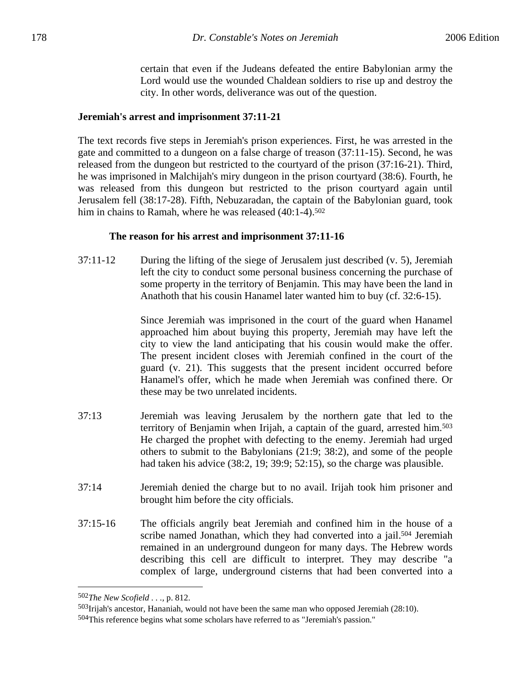certain that even if the Judeans defeated the entire Babylonian army the Lord would use the wounded Chaldean soldiers to rise up and destroy the city. In other words, deliverance was out of the question.

#### **Jeremiah's arrest and imprisonment 37:11-21**

The text records five steps in Jeremiah's prison experiences. First, he was arrested in the gate and committed to a dungeon on a false charge of treason (37:11-15). Second, he was released from the dungeon but restricted to the courtyard of the prison (37:16-21). Third, he was imprisoned in Malchijah's miry dungeon in the prison courtyard (38:6). Fourth, he was released from this dungeon but restricted to the prison courtyard again until Jerusalem fell (38:17-28). Fifth, Nebuzaradan, the captain of the Babylonian guard, took him in chains to Ramah, where he was released (40:1-4).<sup>502</sup>

#### **The reason for his arrest and imprisonment 37:11-16**

37:11-12 During the lifting of the siege of Jerusalem just described (v. 5), Jeremiah left the city to conduct some personal business concerning the purchase of some property in the territory of Benjamin. This may have been the land in Anathoth that his cousin Hanamel later wanted him to buy (cf. 32:6-15).

> Since Jeremiah was imprisoned in the court of the guard when Hanamel approached him about buying this property, Jeremiah may have left the city to view the land anticipating that his cousin would make the offer. The present incident closes with Jeremiah confined in the court of the guard (v. 21). This suggests that the present incident occurred before Hanamel's offer, which he made when Jeremiah was confined there. Or these may be two unrelated incidents.

- 37:13 Jeremiah was leaving Jerusalem by the northern gate that led to the territory of Benjamin when Irijah, a captain of the guard, arrested him.503 He charged the prophet with defecting to the enemy. Jeremiah had urged others to submit to the Babylonians (21:9; 38:2), and some of the people had taken his advice (38:2, 19; 39:9; 52:15), so the charge was plausible.
- 37:14 Jeremiah denied the charge but to no avail. Irijah took him prisoner and brought him before the city officials.
- 37:15-16 The officials angrily beat Jeremiah and confined him in the house of a scribe named Jonathan, which they had converted into a jail.<sup>504</sup> Jeremiah remained in an underground dungeon for many days. The Hebrew words describing this cell are difficult to interpret. They may describe "a complex of large, underground cisterns that had been converted into a

<sup>502</sup>*The New Scofield . . .,* p. 812.

<sup>503</sup>Irijah's ancestor, Hananiah, would not have been the same man who opposed Jeremiah (28:10).

<sup>504</sup>This reference begins what some scholars have referred to as "Jeremiah's passion."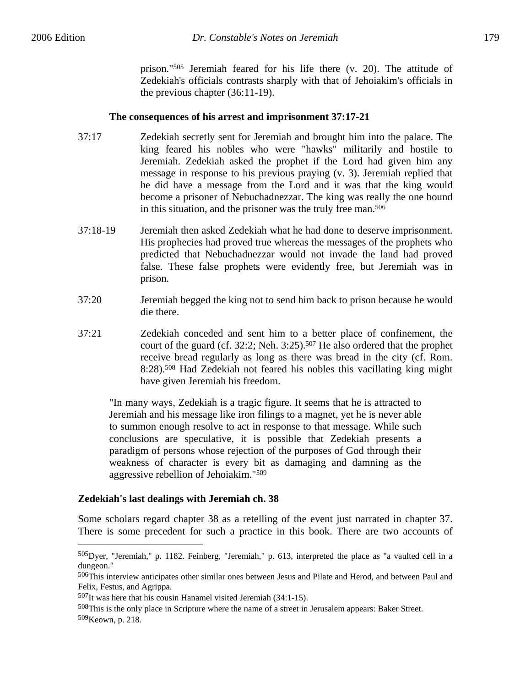prison."505 Jeremiah feared for his life there (v. 20). The attitude of Zedekiah's officials contrasts sharply with that of Jehoiakim's officials in the previous chapter (36:11-19).

# **The consequences of his arrest and imprisonment 37:17-21**

- 37:17 Zedekiah secretly sent for Jeremiah and brought him into the palace. The king feared his nobles who were "hawks" militarily and hostile to Jeremiah. Zedekiah asked the prophet if the Lord had given him any message in response to his previous praying (v. 3). Jeremiah replied that he did have a message from the Lord and it was that the king would become a prisoner of Nebuchadnezzar. The king was really the one bound in this situation, and the prisoner was the truly free man.506
- 37:18-19 Jeremiah then asked Zedekiah what he had done to deserve imprisonment. His prophecies had proved true whereas the messages of the prophets who predicted that Nebuchadnezzar would not invade the land had proved false. These false prophets were evidently free, but Jeremiah was in prison.
- 37:20 Jeremiah begged the king not to send him back to prison because he would die there.
- 37:21 Zedekiah conceded and sent him to a better place of confinement, the court of the guard (cf. 32:2; Neh. 3:25).507 He also ordered that the prophet receive bread regularly as long as there was bread in the city (cf. Rom. 8:28).508 Had Zedekiah not feared his nobles this vacillating king might have given Jeremiah his freedom.

"In many ways, Zedekiah is a tragic figure. It seems that he is attracted to Jeremiah and his message like iron filings to a magnet, yet he is never able to summon enough resolve to act in response to that message. While such conclusions are speculative, it is possible that Zedekiah presents a paradigm of persons whose rejection of the purposes of God through their weakness of character is every bit as damaging and damning as the aggressive rebellion of Jehoiakim."509

# **Zedekiah's last dealings with Jeremiah ch. 38**

 $\overline{a}$ 

Some scholars regard chapter 38 as a retelling of the event just narrated in chapter 37. There is some precedent for such a practice in this book. There are two accounts of

<sup>505</sup>Dyer, "Jeremiah," p. 1182. Feinberg, "Jeremiah," p. 613, interpreted the place as "a vaulted cell in a dungeon."

<sup>506</sup>This interview anticipates other similar ones between Jesus and Pilate and Herod, and between Paul and Felix, Festus, and Agrippa.

<sup>507</sup>It was here that his cousin Hanamel visited Jeremiah (34:1-15).

<sup>508</sup>This is the only place in Scripture where the name of a street in Jerusalem appears: Baker Street. 509Keown, p. 218.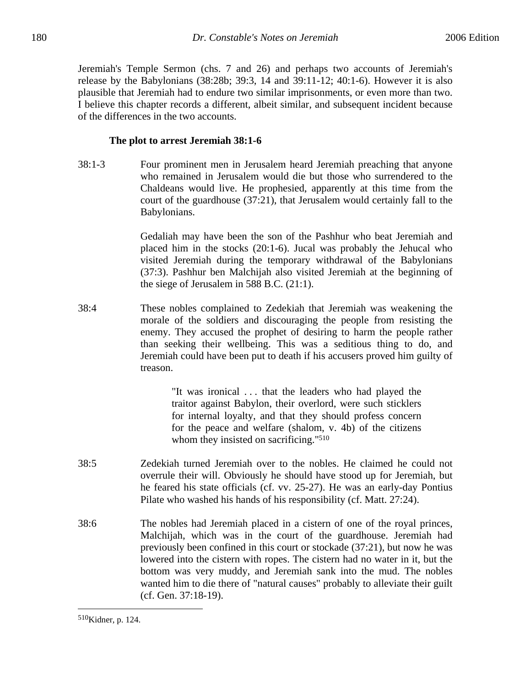Jeremiah's Temple Sermon (chs. 7 and 26) and perhaps two accounts of Jeremiah's release by the Babylonians (38:28b; 39:3, 14 and 39:11-12; 40:1-6). However it is also plausible that Jeremiah had to endure two similar imprisonments, or even more than two. I believe this chapter records a different, albeit similar, and subsequent incident because of the differences in the two accounts.

#### **The plot to arrest Jeremiah 38:1-6**

38:1-3 Four prominent men in Jerusalem heard Jeremiah preaching that anyone who remained in Jerusalem would die but those who surrendered to the Chaldeans would live. He prophesied, apparently at this time from the court of the guardhouse (37:21), that Jerusalem would certainly fall to the Babylonians.

> Gedaliah may have been the son of the Pashhur who beat Jeremiah and placed him in the stocks (20:1-6). Jucal was probably the Jehucal who visited Jeremiah during the temporary withdrawal of the Babylonians (37:3). Pashhur ben Malchijah also visited Jeremiah at the beginning of the siege of Jerusalem in 588 B.C. (21:1).

38:4 These nobles complained to Zedekiah that Jeremiah was weakening the morale of the soldiers and discouraging the people from resisting the enemy. They accused the prophet of desiring to harm the people rather than seeking their wellbeing. This was a seditious thing to do, and Jeremiah could have been put to death if his accusers proved him guilty of treason.

> "It was ironical . . . that the leaders who had played the traitor against Babylon, their overlord, were such sticklers for internal loyalty, and that they should profess concern for the peace and welfare (shalom, v. 4b) of the citizens whom they insisted on sacrificing."<sup>510</sup>

- 38:5 Zedekiah turned Jeremiah over to the nobles. He claimed he could not overrule their will. Obviously he should have stood up for Jeremiah, but he feared his state officials (cf. vv. 25-27). He was an early-day Pontius Pilate who washed his hands of his responsibility (cf. Matt. 27:24).
- 38:6 The nobles had Jeremiah placed in a cistern of one of the royal princes, Malchijah, which was in the court of the guardhouse. Jeremiah had previously been confined in this court or stockade (37:21), but now he was lowered into the cistern with ropes. The cistern had no water in it, but the bottom was very muddy, and Jeremiah sank into the mud. The nobles wanted him to die there of "natural causes" probably to alleviate their guilt (cf. Gen. 37:18-19).

<sup>510</sup>Kidner, p. 124.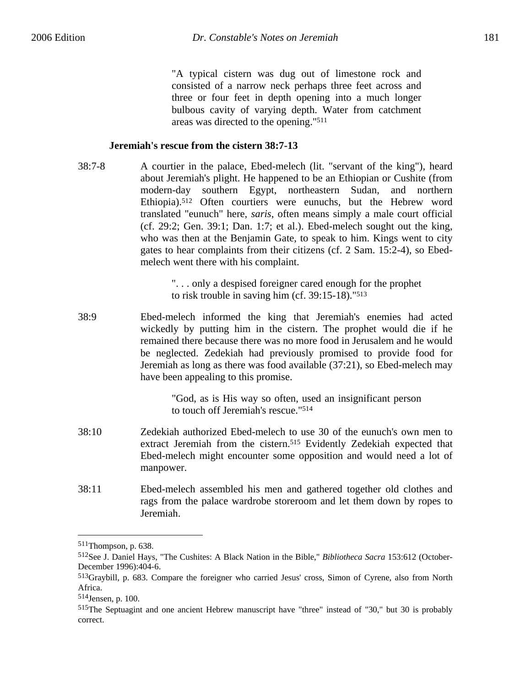"A typical cistern was dug out of limestone rock and consisted of a narrow neck perhaps three feet across and three or four feet in depth opening into a much longer bulbous cavity of varying depth. Water from catchment areas was directed to the opening."511

#### **Jeremiah's rescue from the cistern 38:7-13**

38:7-8 A courtier in the palace, Ebed-melech (lit. "servant of the king"), heard about Jeremiah's plight. He happened to be an Ethiopian or Cushite (from modern-day southern Egypt, northeastern Sudan, and northern Ethiopia).512 Often courtiers were eunuchs, but the Hebrew word translated "eunuch" here, *saris*, often means simply a male court official (cf. 29:2; Gen. 39:1; Dan. 1:7; et al.). Ebed-melech sought out the king, who was then at the Benjamin Gate, to speak to him. Kings went to city gates to hear complaints from their citizens (cf. 2 Sam. 15:2-4), so Ebedmelech went there with his complaint.

> ". . . only a despised foreigner cared enough for the prophet to risk trouble in saving him (cf. 39:15-18)."513

38:9 Ebed-melech informed the king that Jeremiah's enemies had acted wickedly by putting him in the cistern. The prophet would die if he remained there because there was no more food in Jerusalem and he would be neglected. Zedekiah had previously promised to provide food for Jeremiah as long as there was food available (37:21), so Ebed-melech may have been appealing to this promise.

> "God, as is His way so often, used an insignificant person to touch off Jeremiah's rescue."514

- 38:10 Zedekiah authorized Ebed-melech to use 30 of the eunuch's own men to extract Jeremiah from the cistern.515 Evidently Zedekiah expected that Ebed-melech might encounter some opposition and would need a lot of manpower.
- 38:11 Ebed-melech assembled his men and gathered together old clothes and rags from the palace wardrobe storeroom and let them down by ropes to Jeremiah.

<sup>511</sup>Thompson, p. 638.

<sup>512</sup>See J. Daniel Hays, "The Cushites: A Black Nation in the Bible," *Bibliotheca Sacra* 153:612 (October-December 1996):404-6.

<sup>513</sup>Graybill, p. 683. Compare the foreigner who carried Jesus' cross, Simon of Cyrene, also from North Africa.

<sup>514</sup>Jensen, p. 100.

<sup>&</sup>lt;sup>515</sup>The Septuagint and one ancient Hebrew manuscript have "three" instead of "30," but 30 is probably correct.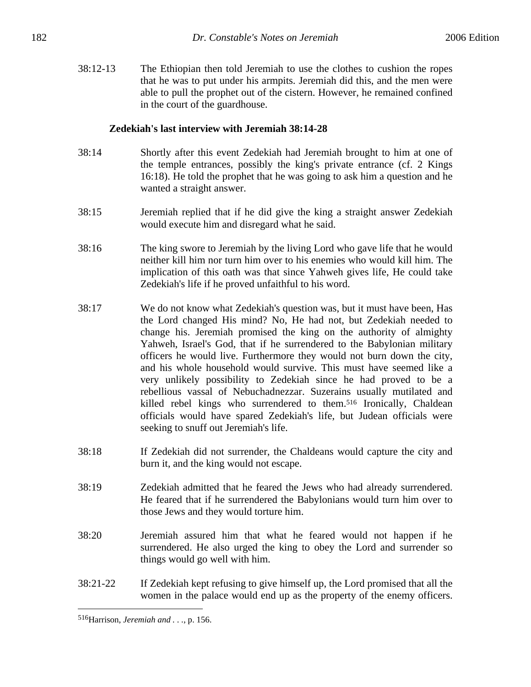38:12-13 The Ethiopian then told Jeremiah to use the clothes to cushion the ropes that he was to put under his armpits. Jeremiah did this, and the men were able to pull the prophet out of the cistern. However, he remained confined in the court of the guardhouse.

### **Zedekiah's last interview with Jeremiah 38:14-28**

- 38:14 Shortly after this event Zedekiah had Jeremiah brought to him at one of the temple entrances, possibly the king's private entrance (cf. 2 Kings 16:18). He told the prophet that he was going to ask him a question and he wanted a straight answer.
- 38:15 Jeremiah replied that if he did give the king a straight answer Zedekiah would execute him and disregard what he said.
- 38:16 The king swore to Jeremiah by the living Lord who gave life that he would neither kill him nor turn him over to his enemies who would kill him. The implication of this oath was that since Yahweh gives life, He could take Zedekiah's life if he proved unfaithful to his word.
- 38:17 We do not know what Zedekiah's question was, but it must have been, Has the Lord changed His mind? No, He had not, but Zedekiah needed to change his. Jeremiah promised the king on the authority of almighty Yahweh, Israel's God, that if he surrendered to the Babylonian military officers he would live. Furthermore they would not burn down the city, and his whole household would survive. This must have seemed like a very unlikely possibility to Zedekiah since he had proved to be a rebellious vassal of Nebuchadnezzar. Suzerains usually mutilated and killed rebel kings who surrendered to them.516 Ironically, Chaldean officials would have spared Zedekiah's life, but Judean officials were seeking to snuff out Jeremiah's life.
- 38:18 If Zedekiah did not surrender, the Chaldeans would capture the city and burn it, and the king would not escape.
- 38:19 Zedekiah admitted that he feared the Jews who had already surrendered. He feared that if he surrendered the Babylonians would turn him over to those Jews and they would torture him.
- 38:20 Jeremiah assured him that what he feared would not happen if he surrendered. He also urged the king to obey the Lord and surrender so things would go well with him.
- 38:21-22 If Zedekiah kept refusing to give himself up, the Lord promised that all the women in the palace would end up as the property of the enemy officers.

<u>.</u>

<sup>516</sup>Harrison, *Jeremiah and . . .*, p. 156.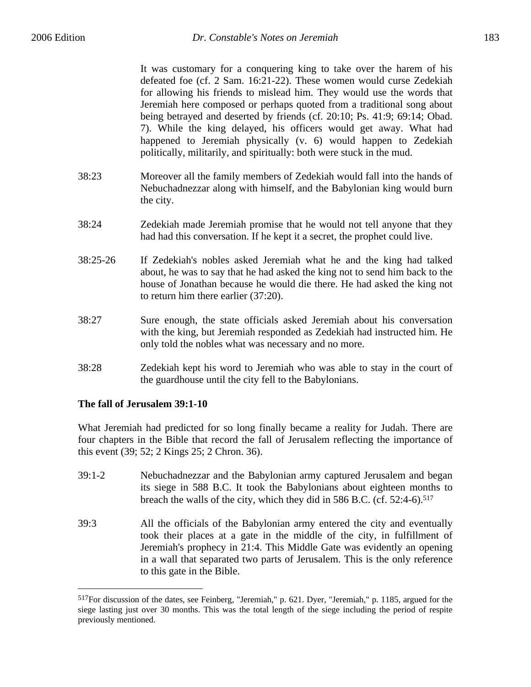It was customary for a conquering king to take over the harem of his defeated foe (cf. 2 Sam. 16:21-22). These women would curse Zedekiah for allowing his friends to mislead him. They would use the words that Jeremiah here composed or perhaps quoted from a traditional song about being betrayed and deserted by friends (cf. 20:10; Ps. 41:9; 69:14; Obad. 7). While the king delayed, his officers would get away. What had happened to Jeremiah physically (v. 6) would happen to Zedekiah politically, militarily, and spiritually: both were stuck in the mud.

- 38:23 Moreover all the family members of Zedekiah would fall into the hands of Nebuchadnezzar along with himself, and the Babylonian king would burn the city.
- 38:24 Zedekiah made Jeremiah promise that he would not tell anyone that they had had this conversation. If he kept it a secret, the prophet could live.
- 38:25-26 If Zedekiah's nobles asked Jeremiah what he and the king had talked about, he was to say that he had asked the king not to send him back to the house of Jonathan because he would die there. He had asked the king not to return him there earlier (37:20).
- 38:27 Sure enough, the state officials asked Jeremiah about his conversation with the king, but Jeremiah responded as Zedekiah had instructed him. He only told the nobles what was necessary and no more.
- 38:28 Zedekiah kept his word to Jeremiah who was able to stay in the court of the guardhouse until the city fell to the Babylonians.

## **The fall of Jerusalem 39:1-10**

1

What Jeremiah had predicted for so long finally became a reality for Judah. There are four chapters in the Bible that record the fall of Jerusalem reflecting the importance of this event (39; 52; 2 Kings 25; 2 Chron. 36).

- 39:1-2 Nebuchadnezzar and the Babylonian army captured Jerusalem and began its siege in 588 B.C. It took the Babylonians about eighteen months to breach the walls of the city, which they did in 586 B.C. (cf. 52:4-6).517
- 39:3 All the officials of the Babylonian army entered the city and eventually took their places at a gate in the middle of the city, in fulfillment of Jeremiah's prophecy in 21:4. This Middle Gate was evidently an opening in a wall that separated two parts of Jerusalem. This is the only reference to this gate in the Bible.

<sup>517</sup>For discussion of the dates, see Feinberg, "Jeremiah," p. 621. Dyer, "Jeremiah," p. 1185, argued for the siege lasting just over 30 months. This was the total length of the siege including the period of respite previously mentioned.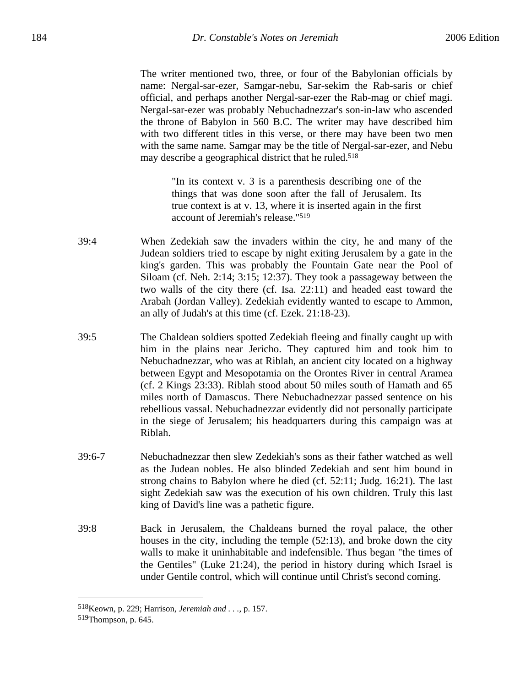The writer mentioned two, three, or four of the Babylonian officials by name: Nergal-sar-ezer, Samgar-nebu, Sar-sekim the Rab-saris or chief official, and perhaps another Nergal-sar-ezer the Rab-mag or chief magi. Nergal-sar-ezer was probably Nebuchadnezzar's son-in-law who ascended the throne of Babylon in 560 B.C. The writer may have described him with two different titles in this verse, or there may have been two men with the same name. Samgar may be the title of Nergal-sar-ezer, and Nebu may describe a geographical district that he ruled.518

> "In its context v. 3 is a parenthesis describing one of the things that was done soon after the fall of Jerusalem. Its true context is at v. 13, where it is inserted again in the first account of Jeremiah's release."519

- 39:4 When Zedekiah saw the invaders within the city, he and many of the Judean soldiers tried to escape by night exiting Jerusalem by a gate in the king's garden. This was probably the Fountain Gate near the Pool of Siloam (cf. Neh. 2:14; 3:15; 12:37). They took a passageway between the two walls of the city there (cf. Isa. 22:11) and headed east toward the Arabah (Jordan Valley). Zedekiah evidently wanted to escape to Ammon, an ally of Judah's at this time (cf. Ezek. 21:18-23).
- 39:5 The Chaldean soldiers spotted Zedekiah fleeing and finally caught up with him in the plains near Jericho. They captured him and took him to Nebuchadnezzar, who was at Riblah, an ancient city located on a highway between Egypt and Mesopotamia on the Orontes River in central Aramea (cf. 2 Kings 23:33). Riblah stood about 50 miles south of Hamath and 65 miles north of Damascus. There Nebuchadnezzar passed sentence on his rebellious vassal. Nebuchadnezzar evidently did not personally participate in the siege of Jerusalem; his headquarters during this campaign was at Riblah.
- 39:6-7 Nebuchadnezzar then slew Zedekiah's sons as their father watched as well as the Judean nobles. He also blinded Zedekiah and sent him bound in strong chains to Babylon where he died (cf. 52:11; Judg. 16:21). The last sight Zedekiah saw was the execution of his own children. Truly this last king of David's line was a pathetic figure.
- 39:8 Back in Jerusalem, the Chaldeans burned the royal palace, the other houses in the city, including the temple (52:13), and broke down the city walls to make it uninhabitable and indefensible. Thus began "the times of the Gentiles" (Luke 21:24), the period in history during which Israel is under Gentile control, which will continue until Christ's second coming.

<sup>518</sup>Keown, p. 229; Harrison, *Jeremiah and . . .*, p. 157.

<sup>519</sup>Thompson, p. 645.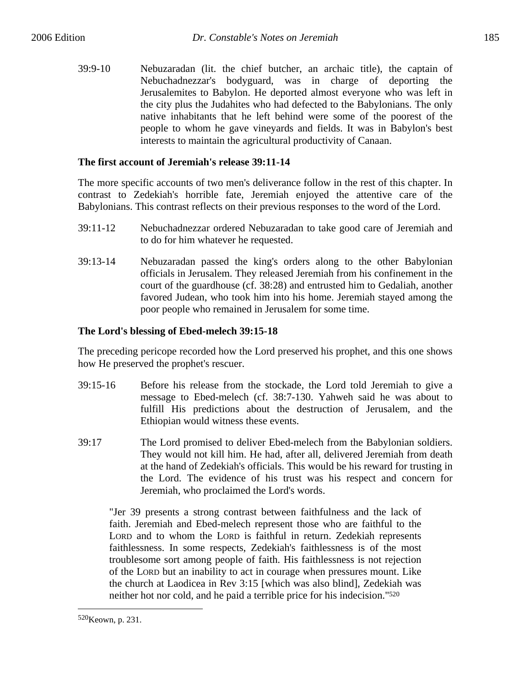39:9-10 Nebuzaradan (lit. the chief butcher, an archaic title), the captain of Nebuchadnezzar's bodyguard, was in charge of deporting the Jerusalemites to Babylon. He deported almost everyone who was left in the city plus the Judahites who had defected to the Babylonians. The only native inhabitants that he left behind were some of the poorest of the people to whom he gave vineyards and fields. It was in Babylon's best interests to maintain the agricultural productivity of Canaan.

## **The first account of Jeremiah's release 39:11-14**

The more specific accounts of two men's deliverance follow in the rest of this chapter. In contrast to Zedekiah's horrible fate, Jeremiah enjoyed the attentive care of the Babylonians. This contrast reflects on their previous responses to the word of the Lord.

- 39:11-12 Nebuchadnezzar ordered Nebuzaradan to take good care of Jeremiah and to do for him whatever he requested.
- 39:13-14 Nebuzaradan passed the king's orders along to the other Babylonian officials in Jerusalem. They released Jeremiah from his confinement in the court of the guardhouse (cf. 38:28) and entrusted him to Gedaliah, another favored Judean, who took him into his home. Jeremiah stayed among the poor people who remained in Jerusalem for some time.

## **The Lord's blessing of Ebed-melech 39:15-18**

The preceding pericope recorded how the Lord preserved his prophet, and this one shows how He preserved the prophet's rescuer.

- 39:15-16 Before his release from the stockade, the Lord told Jeremiah to give a message to Ebed-melech (cf. 38:7-130. Yahweh said he was about to fulfill His predictions about the destruction of Jerusalem, and the Ethiopian would witness these events.
- 39:17 The Lord promised to deliver Ebed-melech from the Babylonian soldiers. They would not kill him. He had, after all, delivered Jeremiah from death at the hand of Zedekiah's officials. This would be his reward for trusting in the Lord. The evidence of his trust was his respect and concern for Jeremiah, who proclaimed the Lord's words.

"Jer 39 presents a strong contrast between faithfulness and the lack of faith. Jeremiah and Ebed-melech represent those who are faithful to the LORD and to whom the LORD is faithful in return. Zedekiah represents faithlessness. In some respects, Zedekiah's faithlessness is of the most troublesome sort among people of faith. His faithlessness is not rejection of the LORD but an inability to act in courage when pressures mount. Like the church at Laodicea in Rev 3:15 [which was also blind], Zedekiah was neither hot nor cold, and he paid a terrible price for his indecision."520

<sup>520</sup>Keown, p. 231.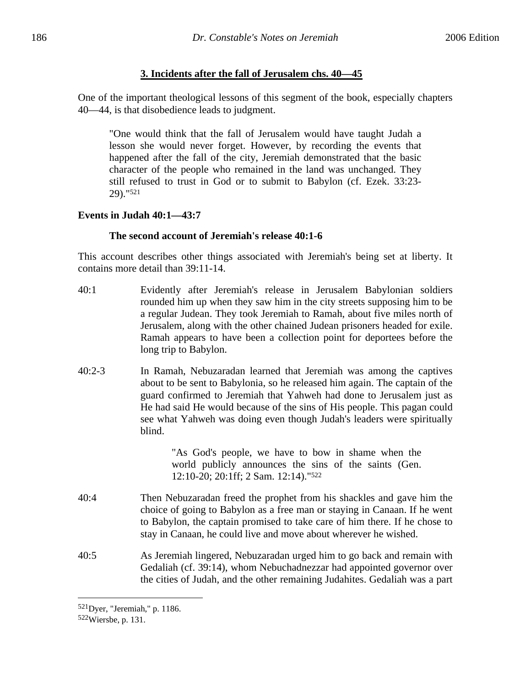# **3. Incidents after the fall of Jerusalem chs. 40—45**

One of the important theological lessons of this segment of the book, especially chapters 40—44, is that disobedience leads to judgment.

"One would think that the fall of Jerusalem would have taught Judah a lesson she would never forget. However, by recording the events that happened after the fall of the city, Jeremiah demonstrated that the basic character of the people who remained in the land was unchanged. They still refused to trust in God or to submit to Babylon (cf. Ezek. 33:23- 29)."521

## **Events in Judah 40:1—43:7**

#### **The second account of Jeremiah's release 40:1-6**

This account describes other things associated with Jeremiah's being set at liberty. It contains more detail than 39:11-14.

- 40:1 Evidently after Jeremiah's release in Jerusalem Babylonian soldiers rounded him up when they saw him in the city streets supposing him to be a regular Judean. They took Jeremiah to Ramah, about five miles north of Jerusalem, along with the other chained Judean prisoners headed for exile. Ramah appears to have been a collection point for deportees before the long trip to Babylon.
- 40:2-3 In Ramah, Nebuzaradan learned that Jeremiah was among the captives about to be sent to Babylonia, so he released him again. The captain of the guard confirmed to Jeremiah that Yahweh had done to Jerusalem just as He had said He would because of the sins of His people. This pagan could see what Yahweh was doing even though Judah's leaders were spiritually blind.

"As God's people, we have to bow in shame when the world publicly announces the sins of the saints (Gen. 12:10-20; 20:1ff; 2 Sam. 12:14)."522

- 40:4 Then Nebuzaradan freed the prophet from his shackles and gave him the choice of going to Babylon as a free man or staying in Canaan. If he went to Babylon, the captain promised to take care of him there. If he chose to stay in Canaan, he could live and move about wherever he wished.
- 40:5 As Jeremiah lingered, Nebuzaradan urged him to go back and remain with Gedaliah (cf. 39:14), whom Nebuchadnezzar had appointed governor over the cities of Judah, and the other remaining Judahites. Gedaliah was a part

1

<sup>521</sup>Dyer, "Jeremiah," p. 1186.

<sup>522</sup>Wiersbe, p. 131.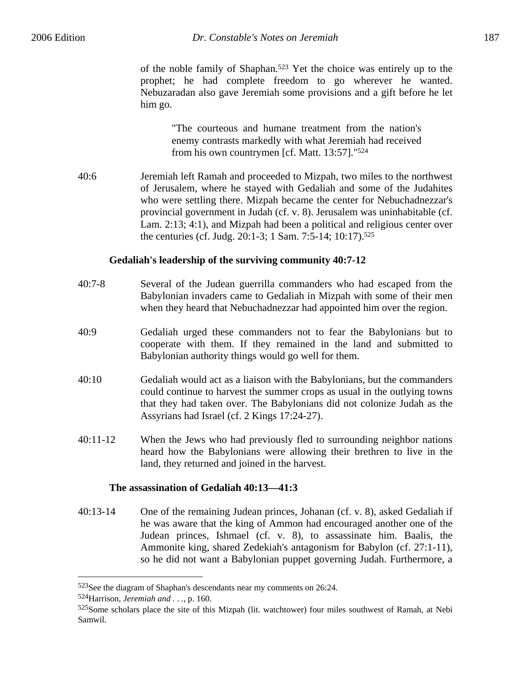of the noble family of Shaphan.523 Yet the choice was entirely up to the prophet; he had complete freedom to go wherever he wanted. Nebuzaradan also gave Jeremiah some provisions and a gift before he let him go.

> "The courteous and humane treatment from the nation's enemy contrasts markedly with what Jeremiah had received from his own countrymen [cf. Matt. 13:57]."524

40:6 Jeremiah left Ramah and proceeded to Mizpah, two miles to the northwest of Jerusalem, where he stayed with Gedaliah and some of the Judahites who were settling there. Mizpah became the center for Nebuchadnezzar's provincial government in Judah (cf. v. 8). Jerusalem was uninhabitable (cf. Lam. 2:13; 4:1), and Mizpah had been a political and religious center over the centuries (cf. Judg. 20:1-3; 1 Sam. 7:5-14; 10:17).525

#### **Gedaliah's leadership of the surviving community 40:7-12**

| $40:7 - 8$ | Several of the Judean guerrilla commanders who had escaped from the    |
|------------|------------------------------------------------------------------------|
|            | Babylonian invaders came to Gedaliah in Mizpah with some of their men  |
|            | when they heard that Nebuchadnezzar had appointed him over the region. |

- 40:9 Gedaliah urged these commanders not to fear the Babylonians but to cooperate with them. If they remained in the land and submitted to Babylonian authority things would go well for them.
- 40:10 Gedaliah would act as a liaison with the Babylonians, but the commanders could continue to harvest the summer crops as usual in the outlying towns that they had taken over. The Babylonians did not colonize Judah as the Assyrians had Israel (cf. 2 Kings 17:24-27).
- 40:11-12 When the Jews who had previously fled to surrounding neighbor nations heard how the Babylonians were allowing their brethren to live in the land, they returned and joined in the harvest.

#### **The assassination of Gedaliah 40:13—41:3**

40:13-14 One of the remaining Judean princes, Johanan (cf. v. 8), asked Gedaliah if he was aware that the king of Ammon had encouraged another one of the Judean princes, Ishmael (cf. v. 8), to assassinate him. Baalis, the Ammonite king, shared Zedekiah's antagonism for Babylon (cf. 27:1-11), so he did not want a Babylonian puppet governing Judah. Furthermore, a

<sup>523</sup>See the diagram of Shaphan's descendants near my comments on 26:24.

<sup>524</sup>Harrison, *Jeremiah and . . .*, p. 160.

<sup>525</sup>Some scholars place the site of this Mizpah (lit. watchtower) four miles southwest of Ramah, at Nebi Samwil.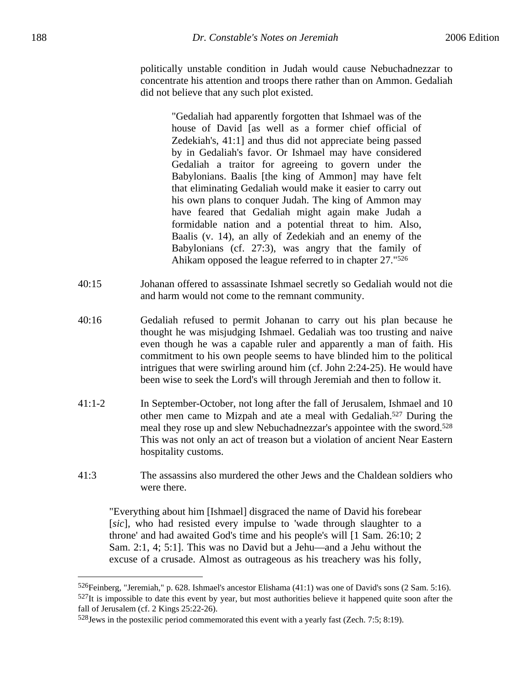politically unstable condition in Judah would cause Nebuchadnezzar to concentrate his attention and troops there rather than on Ammon. Gedaliah did not believe that any such plot existed.

> "Gedaliah had apparently forgotten that Ishmael was of the house of David [as well as a former chief official of Zedekiah's, 41:1] and thus did not appreciate being passed by in Gedaliah's favor. Or Ishmael may have considered Gedaliah a traitor for agreeing to govern under the Babylonians. Baalis [the king of Ammon] may have felt that eliminating Gedaliah would make it easier to carry out his own plans to conquer Judah. The king of Ammon may have feared that Gedaliah might again make Judah a formidable nation and a potential threat to him. Also, Baalis (v. 14), an ally of Zedekiah and an enemy of the Babylonians (cf. 27:3), was angry that the family of Ahikam opposed the league referred to in chapter 27."526

- 40:15 Johanan offered to assassinate Ishmael secretly so Gedaliah would not die and harm would not come to the remnant community.
- 40:16 Gedaliah refused to permit Johanan to carry out his plan because he thought he was misjudging Ishmael. Gedaliah was too trusting and naive even though he was a capable ruler and apparently a man of faith. His commitment to his own people seems to have blinded him to the political intrigues that were swirling around him (cf. John 2:24-25). He would have been wise to seek the Lord's will through Jeremiah and then to follow it.
- 41:1-2 In September-October, not long after the fall of Jerusalem, Ishmael and 10 other men came to Mizpah and ate a meal with Gedaliah.527 During the meal they rose up and slew Nebuchadnezzar's appointee with the sword.528 This was not only an act of treason but a violation of ancient Near Eastern hospitality customs.
- 41:3 The assassins also murdered the other Jews and the Chaldean soldiers who were there.

"Everything about him [Ishmael] disgraced the name of David his forebear [*sic*], who had resisted every impulse to 'wade through slaughter to a throne' and had awaited God's time and his people's will [1 Sam. 26:10; 2 Sam. 2:1, 4; 5:1]. This was no David but a Jehu—and a Jehu without the excuse of a crusade. Almost as outrageous as his treachery was his folly,

<u>.</u>

<sup>526</sup>Feinberg, "Jeremiah," p. 628. Ishmael's ancestor Elishama (41:1) was one of David's sons (2 Sam. 5:16). 527It is impossible to date this event by year, but most authorities believe it happened quite soon after the fall of Jerusalem (cf. 2 Kings 25:22-26).

 $528$  Jews in the postexilic period commemorated this event with a yearly fast (Zech. 7:5; 8:19).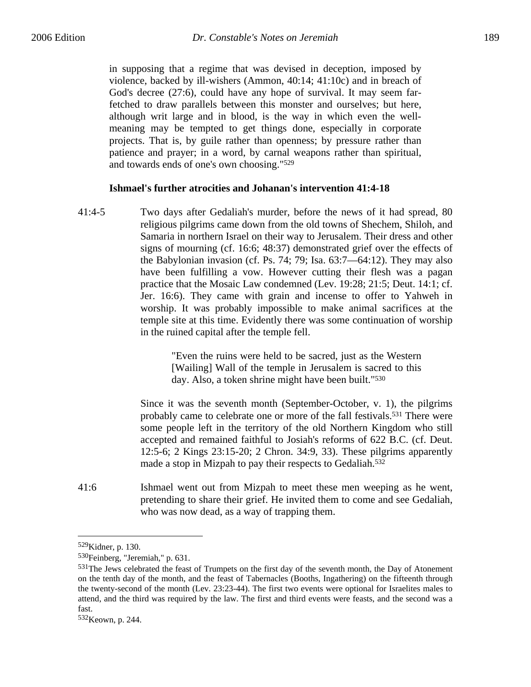in supposing that a regime that was devised in deception, imposed by violence, backed by ill-wishers (Ammon, 40:14; 41:10c) and in breach of God's decree (27:6), could have any hope of survival. It may seem farfetched to draw parallels between this monster and ourselves; but here, although writ large and in blood, is the way in which even the wellmeaning may be tempted to get things done, especially in corporate projects. That is, by guile rather than openness; by pressure rather than patience and prayer; in a word, by carnal weapons rather than spiritual, and towards ends of one's own choosing."529

#### **Ishmael's further atrocities and Johanan's intervention 41:4-18**

41:4-5 Two days after Gedaliah's murder, before the news of it had spread, 80 religious pilgrims came down from the old towns of Shechem, Shiloh, and Samaria in northern Israel on their way to Jerusalem. Their dress and other signs of mourning (cf. 16:6; 48:37) demonstrated grief over the effects of the Babylonian invasion (cf. Ps. 74; 79; Isa. 63:7—64:12). They may also have been fulfilling a vow. However cutting their flesh was a pagan practice that the Mosaic Law condemned (Lev. 19:28; 21:5; Deut. 14:1; cf. Jer. 16:6). They came with grain and incense to offer to Yahweh in worship. It was probably impossible to make animal sacrifices at the temple site at this time. Evidently there was some continuation of worship in the ruined capital after the temple fell.

> "Even the ruins were held to be sacred, just as the Western [Wailing] Wall of the temple in Jerusalem is sacred to this day. Also, a token shrine might have been built."530

Since it was the seventh month (September-October, v. 1), the pilgrims probably came to celebrate one or more of the fall festivals.531 There were some people left in the territory of the old Northern Kingdom who still accepted and remained faithful to Josiah's reforms of 622 B.C. (cf. Deut. 12:5-6; 2 Kings 23:15-20; 2 Chron. 34:9, 33). These pilgrims apparently made a stop in Mizpah to pay their respects to Gedaliah.532

41:6 Ishmael went out from Mizpah to meet these men weeping as he went, pretending to share their grief. He invited them to come and see Gedaliah, who was now dead, as a way of trapping them.

1

<sup>529</sup>Kidner, p. 130.

<sup>530</sup>Feinberg, "Jeremiah," p. 631.

<sup>53&</sup>lt;sup>1</sup>The Jews celebrated the feast of Trumpets on the first day of the seventh month, the Day of Atonement on the tenth day of the month, and the feast of Tabernacles (Booths, Ingathering) on the fifteenth through the twenty-second of the month (Lev. 23:23-44). The first two events were optional for Israelites males to attend, and the third was required by the law. The first and third events were feasts, and the second was a fast.

<sup>532</sup>Keown, p. 244.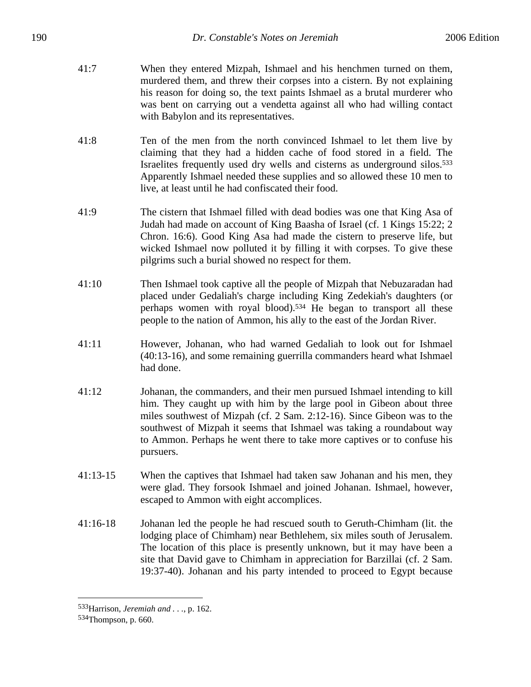- 41:7 When they entered Mizpah, Ishmael and his henchmen turned on them, murdered them, and threw their corpses into a cistern. By not explaining his reason for doing so, the text paints Ishmael as a brutal murderer who was bent on carrying out a vendetta against all who had willing contact with Babylon and its representatives.
- 41:8 Ten of the men from the north convinced Ishmael to let them live by claiming that they had a hidden cache of food stored in a field. The Israelites frequently used dry wells and cisterns as underground silos.533 Apparently Ishmael needed these supplies and so allowed these 10 men to live, at least until he had confiscated their food.
- 41:9 The cistern that Ishmael filled with dead bodies was one that King Asa of Judah had made on account of King Baasha of Israel (cf. 1 Kings 15:22; 2 Chron. 16:6). Good King Asa had made the cistern to preserve life, but wicked Ishmael now polluted it by filling it with corpses. To give these pilgrims such a burial showed no respect for them.
- 41:10 Then Ishmael took captive all the people of Mizpah that Nebuzaradan had placed under Gedaliah's charge including King Zedekiah's daughters (or perhaps women with royal blood).534 He began to transport all these people to the nation of Ammon, his ally to the east of the Jordan River.
- 41:11 However, Johanan, who had warned Gedaliah to look out for Ishmael (40:13-16), and some remaining guerrilla commanders heard what Ishmael had done.
- 41:12 Johanan, the commanders, and their men pursued Ishmael intending to kill him. They caught up with him by the large pool in Gibeon about three miles southwest of Mizpah (cf. 2 Sam. 2:12-16). Since Gibeon was to the southwest of Mizpah it seems that Ishmael was taking a roundabout way to Ammon. Perhaps he went there to take more captives or to confuse his pursuers.
- 41:13-15 When the captives that Ishmael had taken saw Johanan and his men, they were glad. They forsook Ishmael and joined Johanan. Ishmael, however, escaped to Ammon with eight accomplices.
- 41:16-18 Johanan led the people he had rescued south to Geruth-Chimham (lit. the lodging place of Chimham) near Bethlehem, six miles south of Jerusalem. The location of this place is presently unknown, but it may have been a site that David gave to Chimham in appreciation for Barzillai (cf. 2 Sam. 19:37-40). Johanan and his party intended to proceed to Egypt because

<sup>533</sup>Harrison, *Jeremiah and . . .*, p. 162.

<sup>534</sup>Thompson, p. 660.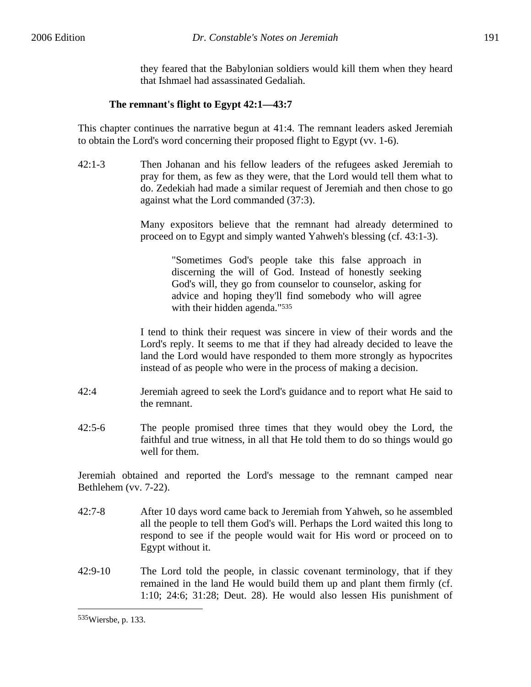they feared that the Babylonian soldiers would kill them when they heard that Ishmael had assassinated Gedaliah.

## **The remnant's flight to Egypt 42:1—43:7**

This chapter continues the narrative begun at 41:4. The remnant leaders asked Jeremiah to obtain the Lord's word concerning their proposed flight to Egypt (vv. 1-6).

42:1-3 Then Johanan and his fellow leaders of the refugees asked Jeremiah to pray for them, as few as they were, that the Lord would tell them what to do. Zedekiah had made a similar request of Jeremiah and then chose to go against what the Lord commanded (37:3).

> Many expositors believe that the remnant had already determined to proceed on to Egypt and simply wanted Yahweh's blessing (cf. 43:1-3).

> > "Sometimes God's people take this false approach in discerning the will of God. Instead of honestly seeking God's will, they go from counselor to counselor, asking for advice and hoping they'll find somebody who will agree with their hidden agenda."<sup>535</sup>

I tend to think their request was sincere in view of their words and the Lord's reply. It seems to me that if they had already decided to leave the land the Lord would have responded to them more strongly as hypocrites instead of as people who were in the process of making a decision.

- 42:4 Jeremiah agreed to seek the Lord's guidance and to report what He said to the remnant.
- 42:5-6 The people promised three times that they would obey the Lord, the faithful and true witness, in all that He told them to do so things would go well for them.

Jeremiah obtained and reported the Lord's message to the remnant camped near Bethlehem (vv. 7-22).

- 42:7-8 After 10 days word came back to Jeremiah from Yahweh, so he assembled all the people to tell them God's will. Perhaps the Lord waited this long to respond to see if the people would wait for His word or proceed on to Egypt without it.
- 42:9-10 The Lord told the people, in classic covenant terminology, that if they remained in the land He would build them up and plant them firmly (cf. 1:10; 24:6; 31:28; Deut. 28). He would also lessen His punishment of

<sup>535</sup>Wiersbe, p. 133.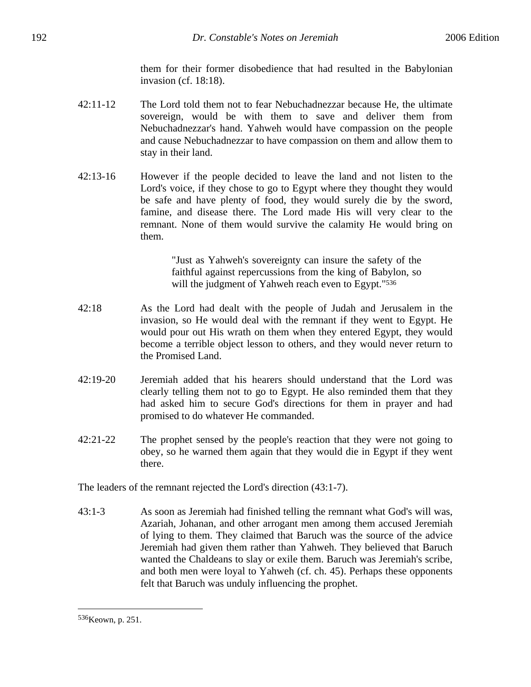them for their former disobedience that had resulted in the Babylonian invasion (cf. 18:18).

- 42:11-12 The Lord told them not to fear Nebuchadnezzar because He, the ultimate sovereign, would be with them to save and deliver them from Nebuchadnezzar's hand. Yahweh would have compassion on the people and cause Nebuchadnezzar to have compassion on them and allow them to stay in their land.
- 42:13-16 However if the people decided to leave the land and not listen to the Lord's voice, if they chose to go to Egypt where they thought they would be safe and have plenty of food, they would surely die by the sword, famine, and disease there. The Lord made His will very clear to the remnant. None of them would survive the calamity He would bring on them.

"Just as Yahweh's sovereignty can insure the safety of the faithful against repercussions from the king of Babylon, so will the judgment of Yahweh reach even to Egypt."<sup>536</sup>

- 42:18 As the Lord had dealt with the people of Judah and Jerusalem in the invasion, so He would deal with the remnant if they went to Egypt. He would pour out His wrath on them when they entered Egypt, they would become a terrible object lesson to others, and they would never return to the Promised Land.
- 42:19-20 Jeremiah added that his hearers should understand that the Lord was clearly telling them not to go to Egypt. He also reminded them that they had asked him to secure God's directions for them in prayer and had promised to do whatever He commanded.
- 42:21-22 The prophet sensed by the people's reaction that they were not going to obey, so he warned them again that they would die in Egypt if they went there.

The leaders of the remnant rejected the Lord's direction (43:1-7).

43:1-3 As soon as Jeremiah had finished telling the remnant what God's will was, Azariah, Johanan, and other arrogant men among them accused Jeremiah of lying to them. They claimed that Baruch was the source of the advice Jeremiah had given them rather than Yahweh. They believed that Baruch wanted the Chaldeans to slay or exile them. Baruch was Jeremiah's scribe, and both men were loyal to Yahweh (cf. ch. 45). Perhaps these opponents felt that Baruch was unduly influencing the prophet.

<sup>536</sup>Keown, p. 251.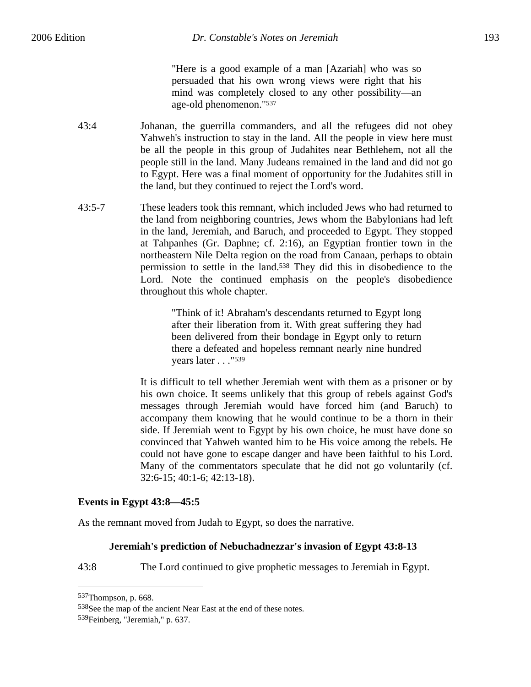"Here is a good example of a man [Azariah] who was so persuaded that his own wrong views were right that his mind was completely closed to any other possibility—an age-old phenomenon."537

- 43:4 Johanan, the guerrilla commanders, and all the refugees did not obey Yahweh's instruction to stay in the land. All the people in view here must be all the people in this group of Judahites near Bethlehem, not all the people still in the land. Many Judeans remained in the land and did not go to Egypt. Here was a final moment of opportunity for the Judahites still in the land, but they continued to reject the Lord's word.
- 43:5-7 These leaders took this remnant, which included Jews who had returned to the land from neighboring countries, Jews whom the Babylonians had left in the land, Jeremiah, and Baruch, and proceeded to Egypt. They stopped at Tahpanhes (Gr. Daphne; cf. 2:16), an Egyptian frontier town in the northeastern Nile Delta region on the road from Canaan, perhaps to obtain permission to settle in the land.538 They did this in disobedience to the Lord. Note the continued emphasis on the people's disobedience throughout this whole chapter.

"Think of it! Abraham's descendants returned to Egypt long after their liberation from it. With great suffering they had been delivered from their bondage in Egypt only to return there a defeated and hopeless remnant nearly nine hundred years later . . . "<sup>539</sup>

It is difficult to tell whether Jeremiah went with them as a prisoner or by his own choice. It seems unlikely that this group of rebels against God's messages through Jeremiah would have forced him (and Baruch) to accompany them knowing that he would continue to be a thorn in their side. If Jeremiah went to Egypt by his own choice, he must have done so convinced that Yahweh wanted him to be His voice among the rebels. He could not have gone to escape danger and have been faithful to his Lord. Many of the commentators speculate that he did not go voluntarily (cf. 32:6-15; 40:1-6; 42:13-18).

## **Events in Egypt 43:8—45:5**

As the remnant moved from Judah to Egypt, so does the narrative.

#### **Jeremiah's prediction of Nebuchadnezzar's invasion of Egypt 43:8-13**

43:8 The Lord continued to give prophetic messages to Jeremiah in Egypt.

<sup>537</sup>Thompson, p. 668.

<sup>538</sup>See the map of the ancient Near East at the end of these notes.

<sup>539</sup>Feinberg, "Jeremiah," p. 637.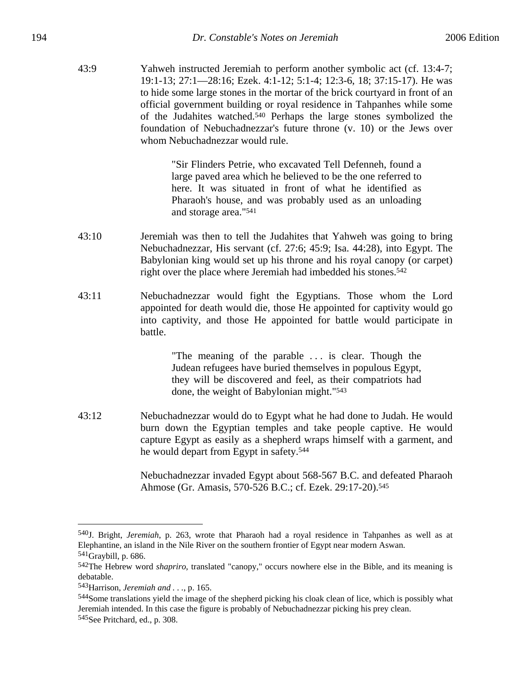43:9 Yahweh instructed Jeremiah to perform another symbolic act (cf. 13:4-7; 19:1-13; 27:1—28:16; Ezek. 4:1-12; 5:1-4; 12:3-6, 18; 37:15-17). He was to hide some large stones in the mortar of the brick courtyard in front of an official government building or royal residence in Tahpanhes while some of the Judahites watched.540 Perhaps the large stones symbolized the foundation of Nebuchadnezzar's future throne (v. 10) or the Jews over whom Nebuchadnezzar would rule.

> "Sir Flinders Petrie, who excavated Tell Defenneh, found a large paved area which he believed to be the one referred to here. It was situated in front of what he identified as Pharaoh's house, and was probably used as an unloading and storage area."541

- 43:10 Jeremiah was then to tell the Judahites that Yahweh was going to bring Nebuchadnezzar, His servant (cf. 27:6; 45:9; Isa. 44:28), into Egypt. The Babylonian king would set up his throne and his royal canopy (or carpet) right over the place where Jeremiah had imbedded his stones.<sup>542</sup>
- 43:11 Nebuchadnezzar would fight the Egyptians. Those whom the Lord appointed for death would die, those He appointed for captivity would go into captivity, and those He appointed for battle would participate in battle.

"The meaning of the parable . . . is clear. Though the Judean refugees have buried themselves in populous Egypt, they will be discovered and feel, as their compatriots had done, the weight of Babylonian might."543

43:12 Nebuchadnezzar would do to Egypt what he had done to Judah. He would burn down the Egyptian temples and take people captive. He would capture Egypt as easily as a shepherd wraps himself with a garment, and he would depart from Egypt in safety.544

> Nebuchadnezzar invaded Egypt about 568-567 B.C. and defeated Pharaoh Ahmose (Gr. Amasis, 570-526 B.C.; cf. Ezek. 29:17-20).545

<sup>540</sup>J. Bright, *Jeremiah*, p. 263, wrote that Pharaoh had a royal residence in Tahpanhes as well as at Elephantine, an island in the Nile River on the southern frontier of Egypt near modern Aswan.

<sup>541</sup>Graybill, p. 686.

<sup>542</sup>The Hebrew word *shapriro*, translated "canopy," occurs nowhere else in the Bible, and its meaning is debatable.

<sup>543</sup>Harrison, *Jeremiah and . . .*, p. 165.

<sup>544</sup>Some translations yield the image of the shepherd picking his cloak clean of lice, which is possibly what Jeremiah intended. In this case the figure is probably of Nebuchadnezzar picking his prey clean. 545See Pritchard, ed., p. 308.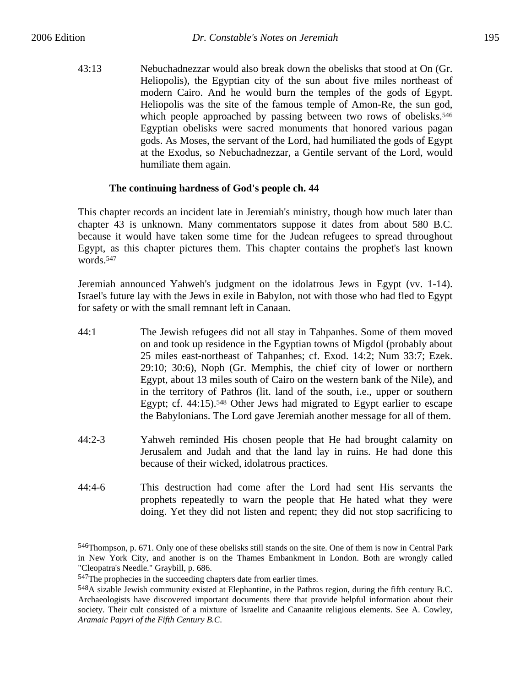$\overline{a}$ 

43:13 Nebuchadnezzar would also break down the obelisks that stood at On (Gr. Heliopolis), the Egyptian city of the sun about five miles northeast of modern Cairo. And he would burn the temples of the gods of Egypt. Heliopolis was the site of the famous temple of Amon-Re, the sun god, which people approached by passing between two rows of obelisks.<sup>546</sup> Egyptian obelisks were sacred monuments that honored various pagan gods. As Moses, the servant of the Lord, had humiliated the gods of Egypt at the Exodus, so Nebuchadnezzar, a Gentile servant of the Lord, would humiliate them again.

## **The continuing hardness of God's people ch. 44**

This chapter records an incident late in Jeremiah's ministry, though how much later than chapter 43 is unknown. Many commentators suppose it dates from about 580 B.C. because it would have taken some time for the Judean refugees to spread throughout Egypt, as this chapter pictures them. This chapter contains the prophet's last known words.547

Jeremiah announced Yahweh's judgment on the idolatrous Jews in Egypt (vv. 1-14). Israel's future lay with the Jews in exile in Babylon, not with those who had fled to Egypt for safety or with the small remnant left in Canaan.

- 44:1 The Jewish refugees did not all stay in Tahpanhes. Some of them moved on and took up residence in the Egyptian towns of Migdol (probably about 25 miles east-northeast of Tahpanhes; cf. Exod. 14:2; Num 33:7; Ezek. 29:10; 30:6), Noph (Gr. Memphis, the chief city of lower or northern Egypt, about 13 miles south of Cairo on the western bank of the Nile), and in the territory of Pathros (lit. land of the south, i.e., upper or southern Egypt; cf. 44:15).548 Other Jews had migrated to Egypt earlier to escape the Babylonians. The Lord gave Jeremiah another message for all of them.
- 44:2-3 Yahweh reminded His chosen people that He had brought calamity on Jerusalem and Judah and that the land lay in ruins. He had done this because of their wicked, idolatrous practices.
- 44:4-6 This destruction had come after the Lord had sent His servants the prophets repeatedly to warn the people that He hated what they were doing. Yet they did not listen and repent; they did not stop sacrificing to

<sup>546</sup>Thompson, p. 671. Only one of these obelisks still stands on the site. One of them is now in Central Park in New York City, and another is on the Thames Embankment in London. Both are wrongly called "Cleopatra's Needle." Graybill, p. 686.

<sup>547</sup>The prophecies in the succeeding chapters date from earlier times.

<sup>548</sup>A sizable Jewish community existed at Elephantine, in the Pathros region, during the fifth century B.C. Archaeologists have discovered important documents there that provide helpful information about their society. Their cult consisted of a mixture of Israelite and Canaanite religious elements. See A. Cowley, *Aramaic Papyri of the Fifth Century B.C*.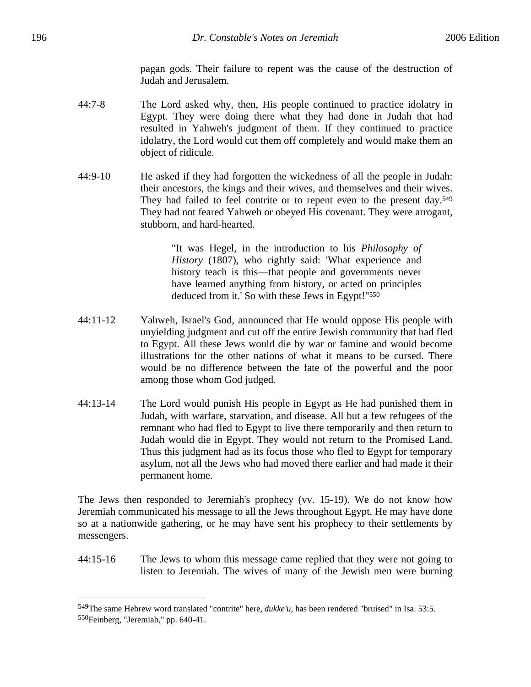pagan gods. Their failure to repent was the cause of the destruction of Judah and Jerusalem.

- 44:7-8 The Lord asked why, then, His people continued to practice idolatry in Egypt. They were doing there what they had done in Judah that had resulted in Yahweh's judgment of them. If they continued to practice idolatry, the Lord would cut them off completely and would make them an object of ridicule.
- 44:9-10 He asked if they had forgotten the wickedness of all the people in Judah: their ancestors, the kings and their wives, and themselves and their wives. They had failed to feel contrite or to repent even to the present day.<sup>549</sup> They had not feared Yahweh or obeyed His covenant. They were arrogant, stubborn, and hard-hearted.

"It was Hegel, in the introduction to his *Philosophy of History* (1807), who rightly said: 'What experience and history teach is this—that people and governments never have learned anything from history, or acted on principles deduced from it.' So with these Jews in Egypt!"<sup>550</sup>

- 44:11-12 Yahweh, Israel's God, announced that He would oppose His people with unyielding judgment and cut off the entire Jewish community that had fled to Egypt. All these Jews would die by war or famine and would become illustrations for the other nations of what it means to be cursed. There would be no difference between the fate of the powerful and the poor among those whom God judged.
- 44:13-14 The Lord would punish His people in Egypt as He had punished them in Judah, with warfare, starvation, and disease. All but a few refugees of the remnant who had fled to Egypt to live there temporarily and then return to Judah would die in Egypt. They would not return to the Promised Land. Thus this judgment had as its focus those who fled to Egypt for temporary asylum, not all the Jews who had moved there earlier and had made it their permanent home.

The Jews then responded to Jeremiah's prophecy (vv. 15-19). We do not know how Jeremiah communicated his message to all the Jews throughout Egypt. He may have done so at a nationwide gathering, or he may have sent his prophecy to their settlements by messengers.

44:15-16 The Jews to whom this message came replied that they were not going to listen to Jeremiah. The wives of many of the Jewish men were burning

<sup>549</sup>The same Hebrew word translated "contrite" here, *dukke'u*, has been rendered "bruised" in Isa. 53:5. 550Feinberg, "Jeremiah," pp. 640-41.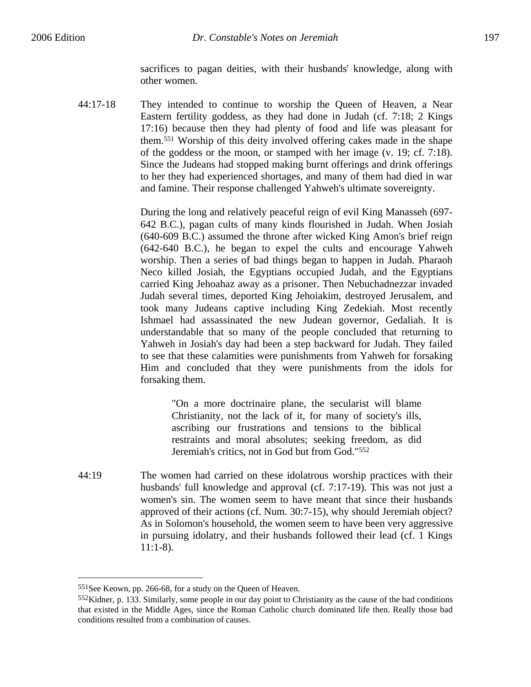44:17-18 They intended to continue to worship the Queen of Heaven, a Near Eastern fertility goddess, as they had done in Judah (cf. 7:18; 2 Kings 17:16) because then they had plenty of food and life was pleasant for them.551 Worship of this deity involved offering cakes made in the shape of the goddess or the moon, or stamped with her image (v. 19; cf. 7:18). Since the Judeans had stopped making burnt offerings and drink offerings to her they had experienced shortages, and many of them had died in war and famine. Their response challenged Yahweh's ultimate sovereignty.

> During the long and relatively peaceful reign of evil King Manasseh (697- 642 B.C.), pagan cults of many kinds flourished in Judah. When Josiah (640-609 B.C.) assumed the throne after wicked King Amon's brief reign (642-640 B.C.), he began to expel the cults and encourage Yahweh worship. Then a series of bad things began to happen in Judah. Pharaoh Neco killed Josiah, the Egyptians occupied Judah, and the Egyptians carried King Jehoahaz away as a prisoner. Then Nebuchadnezzar invaded Judah several times, deported King Jehoiakim, destroyed Jerusalem, and took many Judeans captive including King Zedekiah. Most recently Ishmael had assassinated the new Judean governor, Gedaliah. It is understandable that so many of the people concluded that returning to Yahweh in Josiah's day had been a step backward for Judah. They failed to see that these calamities were punishments from Yahweh for forsaking Him and concluded that they were punishments from the idols for forsaking them.

> > "On a more doctrinaire plane, the secularist will blame Christianity, not the lack of it, for many of society's ills, ascribing our frustrations and tensions to the biblical restraints and moral absolutes; seeking freedom, as did Jeremiah's critics, not in God but from God."552

44:19 The women had carried on these idolatrous worship practices with their husbands' full knowledge and approval (cf. 7:17-19). This was not just a women's sin. The women seem to have meant that since their husbands approved of their actions (cf. Num. 30:7-15), why should Jeremiah object? As in Solomon's household, the women seem to have been very aggressive in pursuing idolatry, and their husbands followed their lead (cf. 1 Kings 11:1-8).

<sup>551</sup>See Keown, pp. 266-68, for a study on the Queen of Heaven.

<sup>552</sup>Kidner, p. 133. Similarly, some people in our day point to Christianity as the cause of the bad conditions that existed in the Middle Ages, since the Roman Catholic church dominated life then. Really those bad conditions resulted from a combination of causes.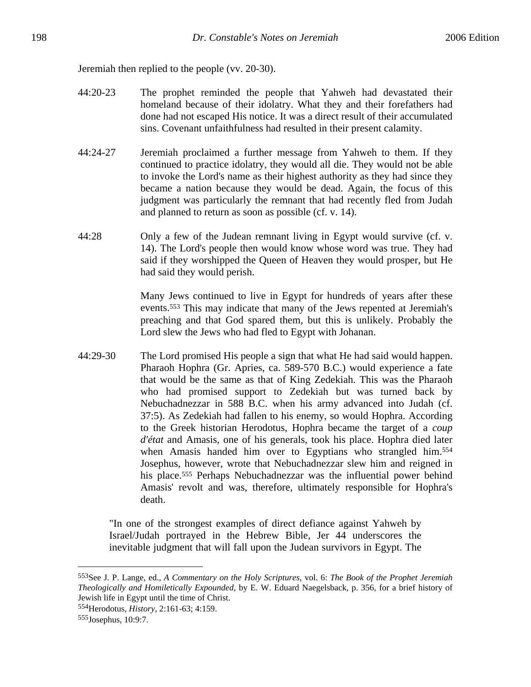Jeremiah then replied to the people (vv. 20-30).

- 44:20-23 The prophet reminded the people that Yahweh had devastated their homeland because of their idolatry. What they and their forefathers had done had not escaped His notice. It was a direct result of their accumulated sins. Covenant unfaithfulness had resulted in their present calamity.
- 44:24-27 Jeremiah proclaimed a further message from Yahweh to them. If they continued to practice idolatry, they would all die. They would not be able to invoke the Lord's name as their highest authority as they had since they became a nation because they would be dead. Again, the focus of this judgment was particularly the remnant that had recently fled from Judah and planned to return as soon as possible (cf. v. 14).
- 44:28 Only a few of the Judean remnant living in Egypt would survive (cf. v. 14). The Lord's people then would know whose word was true. They had said if they worshipped the Queen of Heaven they would prosper, but He had said they would perish.

Many Jews continued to live in Egypt for hundreds of years after these events.553 This may indicate that many of the Jews repented at Jeremiah's preaching and that God spared them, but this is unlikely. Probably the Lord slew the Jews who had fled to Egypt with Johanan.

44:29-30 The Lord promised His people a sign that what He had said would happen. Pharaoh Hophra (Gr. Apries, ca. 589-570 B.C.) would experience a fate that would be the same as that of King Zedekiah. This was the Pharaoh who had promised support to Zedekiah but was turned back by Nebuchadnezzar in 588 B.C. when his army advanced into Judah (cf. 37:5). As Zedekiah had fallen to his enemy, so would Hophra. According to the Greek historian Herodotus, Hophra became the target of a *coup d'état* and Amasis, one of his generals, took his place. Hophra died later when Amasis handed him over to Egyptians who strangled him.<sup>554</sup> Josephus, however, wrote that Nebuchadnezzar slew him and reigned in his place.555 Perhaps Nebuchadnezzar was the influential power behind Amasis' revolt and was, therefore, ultimately responsible for Hophra's death.

"In one of the strongest examples of direct defiance against Yahweh by Israel/Judah portrayed in the Hebrew Bible, Jer 44 underscores the inevitable judgment that will fall upon the Judean survivors in Egypt. The

<sup>553</sup>See J. P. Lange, ed., *A Commentary on the Holy Scriptures*, vol. 6: *The Book of the Prophet Jeremiah Theologically and Homiletically Expounded*, by E. W. Eduard Naegelsback, p. 356, for a brief history of Jewish life in Egypt until the time of Christ.

<sup>554</sup>Herodotus, *History*, 2:161-63; 4:159.

<sup>555</sup>Josephus, 10:9:7.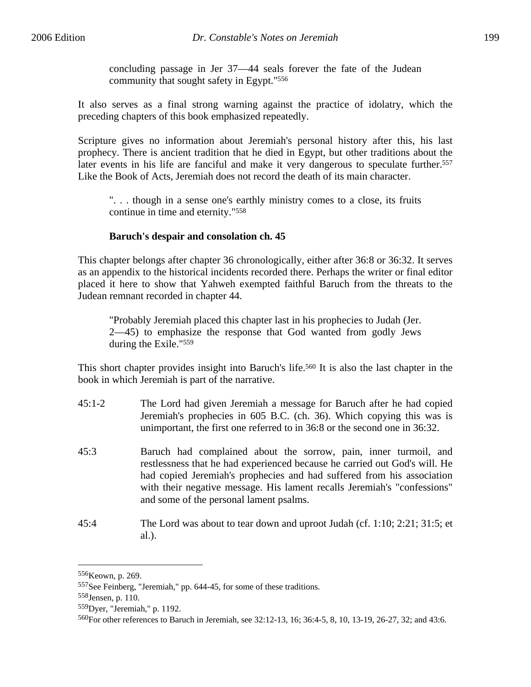It also serves as a final strong warning against the practice of idolatry, which the preceding chapters of this book emphasized repeatedly.

Scripture gives no information about Jeremiah's personal history after this, his last prophecy. There is ancient tradition that he died in Egypt, but other traditions about the later events in his life are fanciful and make it very dangerous to speculate further.<sup>557</sup> Like the Book of Acts, Jeremiah does not record the death of its main character.

". . . though in a sense one's earthly ministry comes to a close, its fruits continue in time and eternity."558

## **Baruch's despair and consolation ch. 45**

community that sought safety in Egypt."556

This chapter belongs after chapter 36 chronologically, either after 36:8 or 36:32. It serves as an appendix to the historical incidents recorded there. Perhaps the writer or final editor placed it here to show that Yahweh exempted faithful Baruch from the threats to the Judean remnant recorded in chapter 44.

"Probably Jeremiah placed this chapter last in his prophecies to Judah (Jer. 2—45) to emphasize the response that God wanted from godly Jews during the Exile."559

This short chapter provides insight into Baruch's life.560 It is also the last chapter in the book in which Jeremiah is part of the narrative.

- 45:1-2 The Lord had given Jeremiah a message for Baruch after he had copied Jeremiah's prophecies in 605 B.C. (ch. 36). Which copying this was is unimportant, the first one referred to in 36:8 or the second one in 36:32.
- 45:3 Baruch had complained about the sorrow, pain, inner turmoil, and restlessness that he had experienced because he carried out God's will. He had copied Jeremiah's prophecies and had suffered from his association with their negative message. His lament recalls Jeremiah's "confessions" and some of the personal lament psalms.
- 45:4 The Lord was about to tear down and uproot Judah (cf. 1:10; 2:21; 31:5; et al.).

1

<sup>556</sup>Keown, p. 269.

<sup>557</sup>See Feinberg, "Jeremiah," pp. 644-45, for some of these traditions.

<sup>558</sup>Jensen, p. 110.

<sup>559</sup>Dyer, "Jeremiah," p. 1192.

<sup>560</sup>For other references to Baruch in Jeremiah, see 32:12-13, 16; 36:4-5, 8, 10, 13-19, 26-27, 32; and 43:6.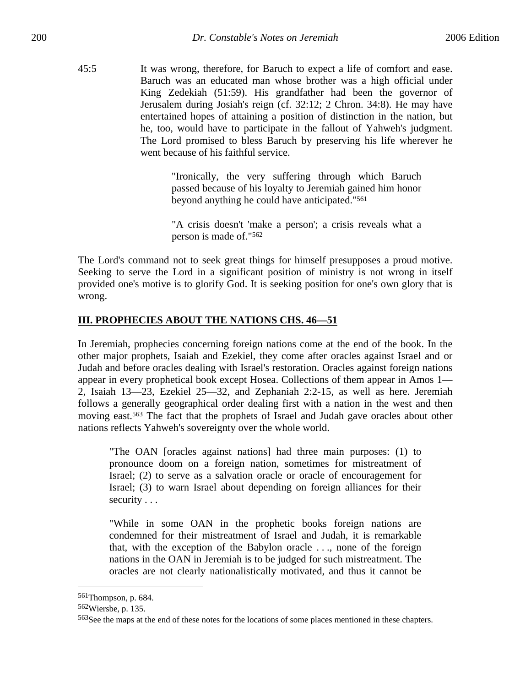45:5 It was wrong, therefore, for Baruch to expect a life of comfort and ease. Baruch was an educated man whose brother was a high official under King Zedekiah (51:59). His grandfather had been the governor of Jerusalem during Josiah's reign (cf. 32:12; 2 Chron. 34:8). He may have entertained hopes of attaining a position of distinction in the nation, but he, too, would have to participate in the fallout of Yahweh's judgment. The Lord promised to bless Baruch by preserving his life wherever he went because of his faithful service.

> "Ironically, the very suffering through which Baruch passed because of his loyalty to Jeremiah gained him honor beyond anything he could have anticipated."561

> "A crisis doesn't 'make a person'; a crisis reveals what a person is made of."562

The Lord's command not to seek great things for himself presupposes a proud motive. Seeking to serve the Lord in a significant position of ministry is not wrong in itself provided one's motive is to glorify God. It is seeking position for one's own glory that is wrong.

## **III. PROPHECIES ABOUT THE NATIONS CHS. 46—51**

In Jeremiah, prophecies concerning foreign nations come at the end of the book. In the other major prophets, Isaiah and Ezekiel, they come after oracles against Israel and or Judah and before oracles dealing with Israel's restoration. Oracles against foreign nations appear in every prophetical book except Hosea. Collections of them appear in Amos 1— 2, Isaiah 13—23, Ezekiel 25—32, and Zephaniah 2:2-15, as well as here. Jeremiah follows a generally geographical order dealing first with a nation in the west and then moving east.563 The fact that the prophets of Israel and Judah gave oracles about other nations reflects Yahweh's sovereignty over the whole world.

"The OAN [oracles against nations] had three main purposes: (1) to pronounce doom on a foreign nation, sometimes for mistreatment of Israel; (2) to serve as a salvation oracle or oracle of encouragement for Israel; (3) to warn Israel about depending on foreign alliances for their security . . .

"While in some OAN in the prophetic books foreign nations are condemned for their mistreatment of Israel and Judah, it is remarkable that, with the exception of the Babylon oracle . . ., none of the foreign nations in the OAN in Jeremiah is to be judged for such mistreatment. The oracles are not clearly nationalistically motivated, and thus it cannot be

<sup>561</sup>Thompson, p. 684.

<sup>562</sup>Wiersbe, p. 135.

<sup>563</sup>See the maps at the end of these notes for the locations of some places mentioned in these chapters.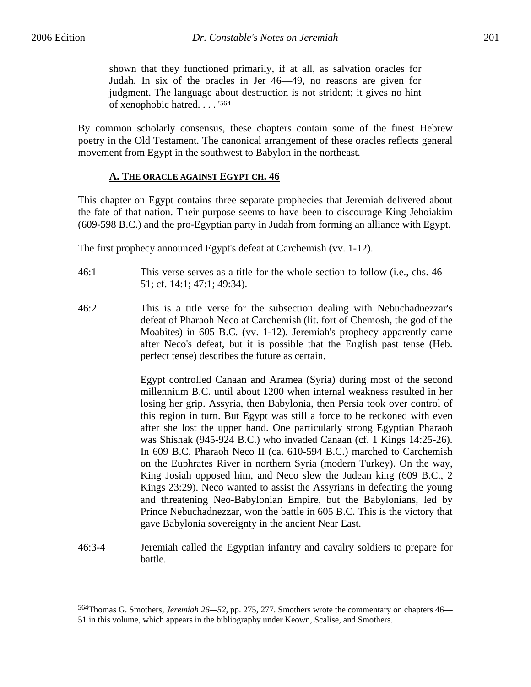$\overline{a}$ 

shown that they functioned primarily, if at all, as salvation oracles for Judah. In six of the oracles in Jer 46—49, no reasons are given for judgment. The language about destruction is not strident; it gives no hint of xenophobic hatred. . . ."564

By common scholarly consensus, these chapters contain some of the finest Hebrew poetry in the Old Testament. The canonical arrangement of these oracles reflects general movement from Egypt in the southwest to Babylon in the northeast.

#### **A. THE ORACLE AGAINST EGYPT CH. 46**

This chapter on Egypt contains three separate prophecies that Jeremiah delivered about the fate of that nation. Their purpose seems to have been to discourage King Jehoiakim (609-598 B.C.) and the pro-Egyptian party in Judah from forming an alliance with Egypt.

The first prophecy announced Egypt's defeat at Carchemish (vv. 1-12).

- 46:1 This verse serves as a title for the whole section to follow (i.e., chs. 46— 51; cf. 14:1; 47:1; 49:34).
- 46:2 This is a title verse for the subsection dealing with Nebuchadnezzar's defeat of Pharaoh Neco at Carchemish (lit. fort of Chemosh, the god of the Moabites) in 605 B.C. (vv. 1-12). Jeremiah's prophecy apparently came after Neco's defeat, but it is possible that the English past tense (Heb. perfect tense) describes the future as certain.

Egypt controlled Canaan and Aramea (Syria) during most of the second millennium B.C. until about 1200 when internal weakness resulted in her losing her grip. Assyria, then Babylonia, then Persia took over control of this region in turn. But Egypt was still a force to be reckoned with even after she lost the upper hand. One particularly strong Egyptian Pharaoh was Shishak (945-924 B.C.) who invaded Canaan (cf. 1 Kings 14:25-26). In 609 B.C. Pharaoh Neco II (ca. 610-594 B.C.) marched to Carchemish on the Euphrates River in northern Syria (modern Turkey). On the way, King Josiah opposed him, and Neco slew the Judean king (609 B.C., 2 Kings 23:29). Neco wanted to assist the Assyrians in defeating the young and threatening Neo-Babylonian Empire, but the Babylonians, led by Prince Nebuchadnezzar, won the battle in 605 B.C. This is the victory that gave Babylonia sovereignty in the ancient Near East.

46:3-4 Jeremiah called the Egyptian infantry and cavalry soldiers to prepare for battle.

<sup>564</sup>Thomas G. Smothers, *Jeremiah 26—52*, pp. 275, 277. Smothers wrote the commentary on chapters 46— 51 in this volume, which appears in the bibliography under Keown, Scalise, and Smothers.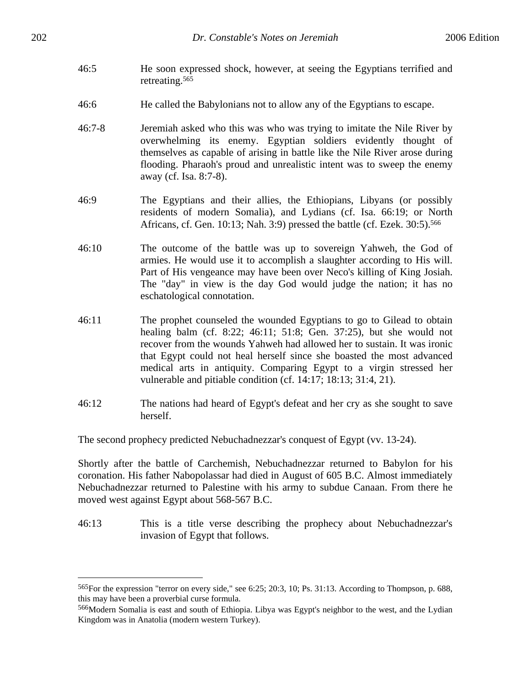- 46:5 He soon expressed shock, however, at seeing the Egyptians terrified and retreating.565
- 46:6 He called the Babylonians not to allow any of the Egyptians to escape.
- 46:7-8 Jeremiah asked who this was who was trying to imitate the Nile River by overwhelming its enemy. Egyptian soldiers evidently thought of themselves as capable of arising in battle like the Nile River arose during flooding. Pharaoh's proud and unrealistic intent was to sweep the enemy away (cf. Isa. 8:7-8).
- 46:9 The Egyptians and their allies, the Ethiopians, Libyans (or possibly residents of modern Somalia), and Lydians (cf. Isa. 66:19; or North Africans, cf. Gen. 10:13; Nah. 3:9) pressed the battle (cf. Ezek. 30:5).566
- 46:10 The outcome of the battle was up to sovereign Yahweh, the God of armies. He would use it to accomplish a slaughter according to His will. Part of His vengeance may have been over Neco's killing of King Josiah. The "day" in view is the day God would judge the nation; it has no eschatological connotation.
- 46:11 The prophet counseled the wounded Egyptians to go to Gilead to obtain healing balm (cf. 8:22; 46:11; 51:8; Gen. 37:25), but she would not recover from the wounds Yahweh had allowed her to sustain. It was ironic that Egypt could not heal herself since she boasted the most advanced medical arts in antiquity. Comparing Egypt to a virgin stressed her vulnerable and pitiable condition (cf. 14:17; 18:13; 31:4, 21).
- 46:12 The nations had heard of Egypt's defeat and her cry as she sought to save herself.

The second prophecy predicted Nebuchadnezzar's conquest of Egypt (vv. 13-24).

Shortly after the battle of Carchemish, Nebuchadnezzar returned to Babylon for his coronation. His father Nabopolassar had died in August of 605 B.C. Almost immediately Nebuchadnezzar returned to Palestine with his army to subdue Canaan. From there he moved west against Egypt about 568-567 B.C.

46:13 This is a title verse describing the prophecy about Nebuchadnezzar's invasion of Egypt that follows.

<u>.</u>

<sup>565</sup>For the expression "terror on every side," see 6:25; 20:3, 10; Ps. 31:13. According to Thompson, p. 688, this may have been a proverbial curse formula.

<sup>566</sup>Modern Somalia is east and south of Ethiopia. Libya was Egypt's neighbor to the west, and the Lydian Kingdom was in Anatolia (modern western Turkey).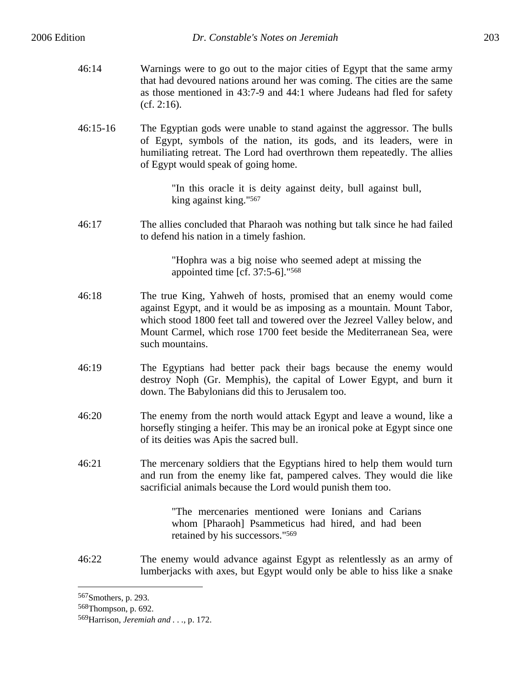- 46:14 Warnings were to go out to the major cities of Egypt that the same army that had devoured nations around her was coming. The cities are the same as those mentioned in 43:7-9 and 44:1 where Judeans had fled for safety (cf. 2:16).
- 46:15-16 The Egyptian gods were unable to stand against the aggressor. The bulls of Egypt, symbols of the nation, its gods, and its leaders, were in humiliating retreat. The Lord had overthrown them repeatedly. The allies of Egypt would speak of going home.

"In this oracle it is deity against deity, bull against bull, king against king."567

46:17 The allies concluded that Pharaoh was nothing but talk since he had failed to defend his nation in a timely fashion.

> "Hophra was a big noise who seemed adept at missing the appointed time [cf. 37:5-6]."568

- 46:18 The true King, Yahweh of hosts, promised that an enemy would come against Egypt, and it would be as imposing as a mountain. Mount Tabor, which stood 1800 feet tall and towered over the Jezreel Valley below, and Mount Carmel, which rose 1700 feet beside the Mediterranean Sea, were such mountains.
- 46:19 The Egyptians had better pack their bags because the enemy would destroy Noph (Gr. Memphis), the capital of Lower Egypt, and burn it down. The Babylonians did this to Jerusalem too.
- 46:20 The enemy from the north would attack Egypt and leave a wound, like a horsefly stinging a heifer. This may be an ironical poke at Egypt since one of its deities was Apis the sacred bull.
- 46:21 The mercenary soldiers that the Egyptians hired to help them would turn and run from the enemy like fat, pampered calves. They would die like sacrificial animals because the Lord would punish them too.

"The mercenaries mentioned were Ionians and Carians whom [Pharaoh] Psammeticus had hired, and had been retained by his successors."569

46:22 The enemy would advance against Egypt as relentlessly as an army of lumberjacks with axes, but Egypt would only be able to hiss like a snake

<sup>567</sup>Smothers, p. 293.

<sup>568</sup>Thompson, p. 692.

<sup>569</sup>Harrison, *Jeremiah and . . .*, p. 172.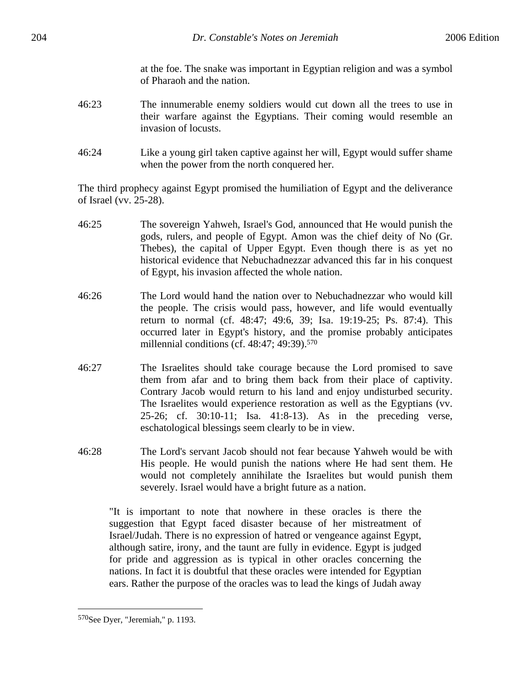at the foe. The snake was important in Egyptian religion and was a symbol of Pharaoh and the nation.

- 46:23 The innumerable enemy soldiers would cut down all the trees to use in their warfare against the Egyptians. Their coming would resemble an invasion of locusts.
- 46:24 Like a young girl taken captive against her will, Egypt would suffer shame when the power from the north conquered her.

The third prophecy against Egypt promised the humiliation of Egypt and the deliverance of Israel (vv. 25-28).

- 46:25 The sovereign Yahweh, Israel's God, announced that He would punish the gods, rulers, and people of Egypt. Amon was the chief deity of No (Gr. Thebes), the capital of Upper Egypt. Even though there is as yet no historical evidence that Nebuchadnezzar advanced this far in his conquest of Egypt, his invasion affected the whole nation.
- 46:26 The Lord would hand the nation over to Nebuchadnezzar who would kill the people. The crisis would pass, however, and life would eventually return to normal (cf. 48:47; 49:6, 39; Isa. 19:19-25; Ps. 87:4). This occurred later in Egypt's history, and the promise probably anticipates millennial conditions (cf. 48:47; 49:39).<sup>570</sup>
- 46:27 The Israelites should take courage because the Lord promised to save them from afar and to bring them back from their place of captivity. Contrary Jacob would return to his land and enjoy undisturbed security. The Israelites would experience restoration as well as the Egyptians (vv. 25-26; cf. 30:10-11; Isa. 41:8-13). As in the preceding verse, eschatological blessings seem clearly to be in view.
- 46:28 The Lord's servant Jacob should not fear because Yahweh would be with His people. He would punish the nations where He had sent them. He would not completely annihilate the Israelites but would punish them severely. Israel would have a bright future as a nation.

"It is important to note that nowhere in these oracles is there the suggestion that Egypt faced disaster because of her mistreatment of Israel/Judah. There is no expression of hatred or vengeance against Egypt, although satire, irony, and the taunt are fully in evidence. Egypt is judged for pride and aggression as is typical in other oracles concerning the nations. In fact it is doubtful that these oracles were intended for Egyptian ears. Rather the purpose of the oracles was to lead the kings of Judah away

<sup>570</sup>See Dyer, "Jeremiah," p. 1193.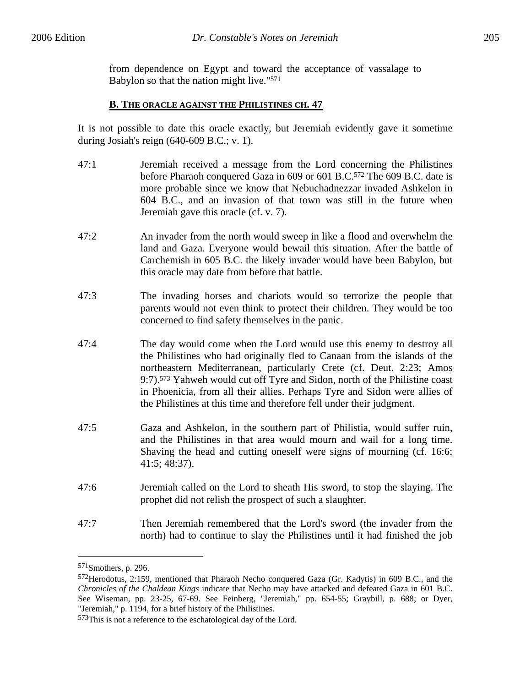from dependence on Egypt and toward the acceptance of vassalage to Babylon so that the nation might live."571

#### **B. THE ORACLE AGAINST THE PHILISTINES CH. 47**

It is not possible to date this oracle exactly, but Jeremiah evidently gave it sometime during Josiah's reign (640-609 B.C.; v. 1).

- 47:1 Jeremiah received a message from the Lord concerning the Philistines before Pharaoh conquered Gaza in 609 or 601 B.C.572 The 609 B.C. date is more probable since we know that Nebuchadnezzar invaded Ashkelon in 604 B.C., and an invasion of that town was still in the future when Jeremiah gave this oracle (cf. v. 7).
- 47:2 An invader from the north would sweep in like a flood and overwhelm the land and Gaza. Everyone would bewail this situation. After the battle of Carchemish in 605 B.C. the likely invader would have been Babylon, but this oracle may date from before that battle.
- 47:3 The invading horses and chariots would so terrorize the people that parents would not even think to protect their children. They would be too concerned to find safety themselves in the panic.
- 47:4 The day would come when the Lord would use this enemy to destroy all the Philistines who had originally fled to Canaan from the islands of the northeastern Mediterranean, particularly Crete (cf. Deut. 2:23; Amos 9:7).573 Yahweh would cut off Tyre and Sidon, north of the Philistine coast in Phoenicia, from all their allies. Perhaps Tyre and Sidon were allies of the Philistines at this time and therefore fell under their judgment.
- 47:5 Gaza and Ashkelon, in the southern part of Philistia, would suffer ruin, and the Philistines in that area would mourn and wail for a long time. Shaving the head and cutting oneself were signs of mourning (cf. 16:6; 41:5; 48:37).
- 47:6 Jeremiah called on the Lord to sheath His sword, to stop the slaying. The prophet did not relish the prospect of such a slaughter.
- 47:7 Then Jeremiah remembered that the Lord's sword (the invader from the north) had to continue to slay the Philistines until it had finished the job

<sup>571</sup>Smothers, p. 296.

<sup>572</sup>Herodotus, 2:159, mentioned that Pharaoh Necho conquered Gaza (Gr. Kadytis) in 609 B.C., and the *Chronicles of the Chaldean Kings* indicate that Necho may have attacked and defeated Gaza in 601 B.C. See Wiseman, pp. 23-25, 67-69. See Feinberg, "Jeremiah," pp. 654-55; Graybill, p. 688; or Dyer, "Jeremiah," p. 1194, for a brief history of the Philistines.

<sup>573</sup>This is not a reference to the eschatological day of the Lord.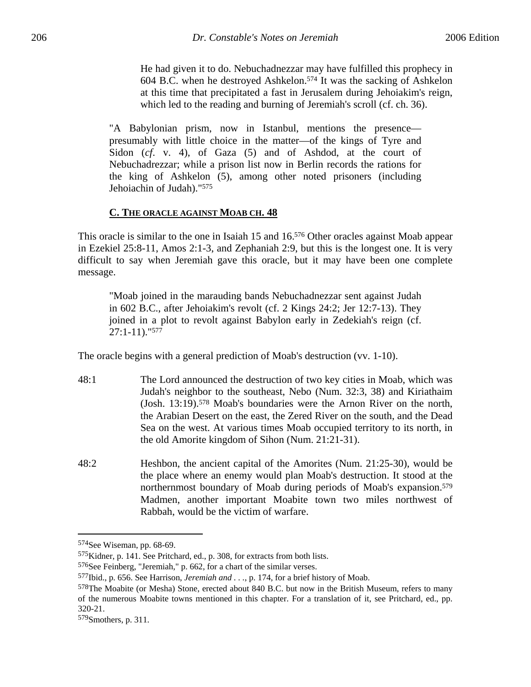He had given it to do. Nebuchadnezzar may have fulfilled this prophecy in 604 B.C. when he destroyed Ashkelon.574 It was the sacking of Ashkelon at this time that precipitated a fast in Jerusalem during Jehoiakim's reign, which led to the reading and burning of Jeremiah's scroll (cf. ch. 36).

"A Babylonian prism, now in Istanbul, mentions the presence presumably with little choice in the matter—of the kings of Tyre and Sidon (*cf*. v. 4), of Gaza (5) and of Ashdod, at the court of Nebuchadrezzar; while a prison list now in Berlin records the rations for the king of Ashkelon (5), among other noted prisoners (including Jehoiachin of Judah)."575

## **C. THE ORACLE AGAINST MOAB CH. 48**

This oracle is similar to the one in Isaiah 15 and 16.<sup>576</sup> Other oracles against Moab appear in Ezekiel 25:8-11, Amos 2:1-3, and Zephaniah 2:9, but this is the longest one. It is very difficult to say when Jeremiah gave this oracle, but it may have been one complete message.

"Moab joined in the marauding bands Nebuchadnezzar sent against Judah in 602 B.C., after Jehoiakim's revolt (cf. 2 Kings 24:2; Jer 12:7-13). They joined in a plot to revolt against Babylon early in Zedekiah's reign (cf. 27:1-11)."577

The oracle begins with a general prediction of Moab's destruction (vv. 1-10).

- 48:1 The Lord announced the destruction of two key cities in Moab, which was Judah's neighbor to the southeast, Nebo (Num. 32:3, 38) and Kiriathaim (Josh. 13:19).578 Moab's boundaries were the Arnon River on the north, the Arabian Desert on the east, the Zered River on the south, and the Dead Sea on the west. At various times Moab occupied territory to its north, in the old Amorite kingdom of Sihon (Num. 21:21-31).
- 48:2 Heshbon, the ancient capital of the Amorites (Num. 21:25-30), would be the place where an enemy would plan Moab's destruction. It stood at the northernmost boundary of Moab during periods of Moab's expansion.579 Madmen, another important Moabite town two miles northwest of Rabbah, would be the victim of warfare.

1

<sup>574</sup>See Wiseman, pp. 68-69.

<sup>575</sup>Kidner, p. 141. See Pritchard, ed., p. 308, for extracts from both lists.

<sup>576</sup>See Feinberg, "Jeremiah," p. 662, for a chart of the similar verses.

<sup>577</sup>Ibid., p. 656. See Harrison, *Jeremiah and . . .*, p. 174, for a brief history of Moab.

<sup>578</sup>The Moabite (or Mesha) Stone, erected about 840 B.C. but now in the British Museum, refers to many of the numerous Moabite towns mentioned in this chapter. For a translation of it, see Pritchard, ed., pp. 320-21.

<sup>579</sup>Smothers, p. 311.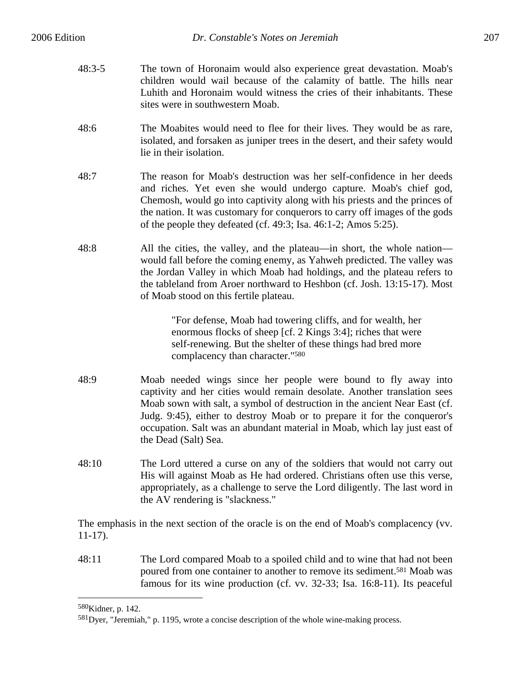- 48:3-5 The town of Horonaim would also experience great devastation. Moab's children would wail because of the calamity of battle. The hills near Luhith and Horonaim would witness the cries of their inhabitants. These sites were in southwestern Moab.
- 48:6 The Moabites would need to flee for their lives. They would be as rare, isolated, and forsaken as juniper trees in the desert, and their safety would lie in their isolation.
- 48:7 The reason for Moab's destruction was her self-confidence in her deeds and riches. Yet even she would undergo capture. Moab's chief god, Chemosh, would go into captivity along with his priests and the princes of the nation. It was customary for conquerors to carry off images of the gods of the people they defeated (cf. 49:3; Isa. 46:1-2; Amos 5:25).
- 48:8 All the cities, the valley, and the plateau—in short, the whole nation would fall before the coming enemy, as Yahweh predicted. The valley was the Jordan Valley in which Moab had holdings, and the plateau refers to the tableland from Aroer northward to Heshbon (cf. Josh. 13:15-17). Most of Moab stood on this fertile plateau.

"For defense, Moab had towering cliffs, and for wealth, her enormous flocks of sheep [cf. 2 Kings 3:4]; riches that were self-renewing. But the shelter of these things had bred more complacency than character."580

- 48:9 Moab needed wings since her people were bound to fly away into captivity and her cities would remain desolate. Another translation sees Moab sown with salt, a symbol of destruction in the ancient Near East (cf. Judg. 9:45), either to destroy Moab or to prepare it for the conqueror's occupation. Salt was an abundant material in Moab, which lay just east of the Dead (Salt) Sea.
- 48:10 The Lord uttered a curse on any of the soldiers that would not carry out His will against Moab as He had ordered. Christians often use this verse, appropriately, as a challenge to serve the Lord diligently. The last word in the AV rendering is "slackness."

The emphasis in the next section of the oracle is on the end of Moab's complacency (vv. 11-17).

48:11 The Lord compared Moab to a spoiled child and to wine that had not been poured from one container to another to remove its sediment.581 Moab was famous for its wine production (cf. vv. 32-33; Isa. 16:8-11). Its peaceful

<sup>580</sup>Kidner, p. 142.

<sup>581</sup>Dyer, "Jeremiah," p. 1195, wrote a concise description of the whole wine-making process.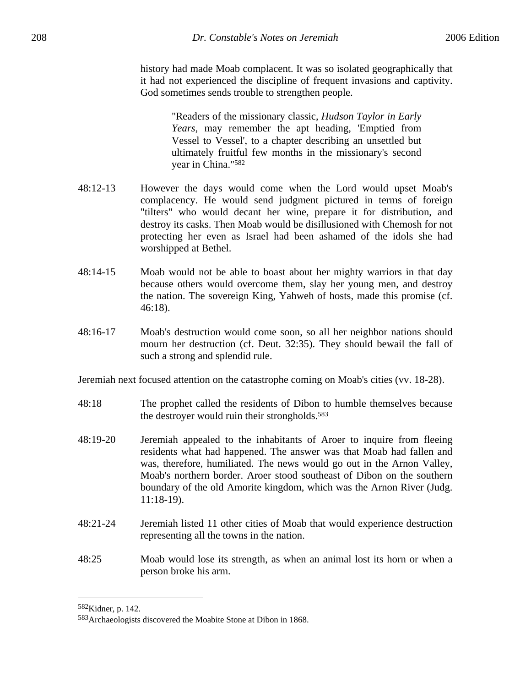history had made Moab complacent. It was so isolated geographically that it had not experienced the discipline of frequent invasions and captivity. God sometimes sends trouble to strengthen people.

> "Readers of the missionary classic, *Hudson Taylor in Early Years*, may remember the apt heading, 'Emptied from Vessel to Vessel', to a chapter describing an unsettled but ultimately fruitful few months in the missionary's second year in China."582

- 48:12-13 However the days would come when the Lord would upset Moab's complacency. He would send judgment pictured in terms of foreign "tilters" who would decant her wine, prepare it for distribution, and destroy its casks. Then Moab would be disillusioned with Chemosh for not protecting her even as Israel had been ashamed of the idols she had worshipped at Bethel.
- 48:14-15 Moab would not be able to boast about her mighty warriors in that day because others would overcome them, slay her young men, and destroy the nation. The sovereign King, Yahweh of hosts, made this promise (cf. 46:18).
- 48:16-17 Moab's destruction would come soon, so all her neighbor nations should mourn her destruction (cf. Deut. 32:35). They should bewail the fall of such a strong and splendid rule.

Jeremiah next focused attention on the catastrophe coming on Moab's cities (vv. 18-28).

- 48:18 The prophet called the residents of Dibon to humble themselves because the destroyer would ruin their strongholds.583
- 48:19-20 Jeremiah appealed to the inhabitants of Aroer to inquire from fleeing residents what had happened. The answer was that Moab had fallen and was, therefore, humiliated. The news would go out in the Arnon Valley, Moab's northern border. Aroer stood southeast of Dibon on the southern boundary of the old Amorite kingdom, which was the Arnon River (Judg. 11:18-19).
- 48:21-24 Jeremiah listed 11 other cities of Moab that would experience destruction representing all the towns in the nation.
- 48:25 Moab would lose its strength, as when an animal lost its horn or when a person broke his arm.

<sup>582</sup>Kidner, p. 142.

<sup>583</sup>Archaeologists discovered the Moabite Stone at Dibon in 1868.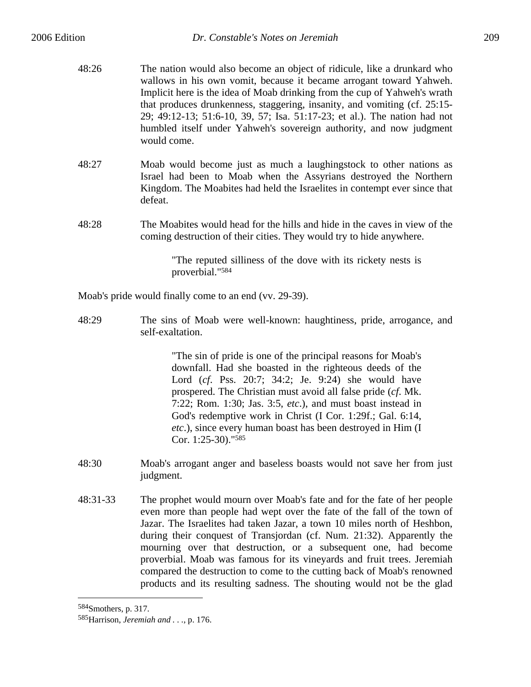- 48:26 The nation would also become an object of ridicule, like a drunkard who wallows in his own vomit, because it became arrogant toward Yahweh. Implicit here is the idea of Moab drinking from the cup of Yahweh's wrath that produces drunkenness, staggering, insanity, and vomiting (cf. 25:15- 29; 49:12-13; 51:6-10, 39, 57; Isa. 51:17-23; et al.). The nation had not humbled itself under Yahweh's sovereign authority, and now judgment would come.
- 48:27 Moab would become just as much a laughingstock to other nations as Israel had been to Moab when the Assyrians destroyed the Northern Kingdom. The Moabites had held the Israelites in contempt ever since that defeat.
- 48:28 The Moabites would head for the hills and hide in the caves in view of the coming destruction of their cities. They would try to hide anywhere.

"The reputed silliness of the dove with its rickety nests is proverbial."584

Moab's pride would finally come to an end (vv. 29-39).

48:29 The sins of Moab were well-known: haughtiness, pride, arrogance, and self-exaltation.

> "The sin of pride is one of the principal reasons for Moab's downfall. Had she boasted in the righteous deeds of the Lord (*cf*. Pss. 20:7; 34:2; Je. 9:24) she would have prospered. The Christian must avoid all false pride (*cf*. Mk. 7:22; Rom. 1:30; Jas. 3:5, *etc*.), and must boast instead in God's redemptive work in Christ (I Cor. 1:29f.; Gal. 6:14, *etc*.), since every human boast has been destroyed in Him (I Cor. 1:25-30)."585

- 48:30 Moab's arrogant anger and baseless boasts would not save her from just judgment.
- 48:31-33 The prophet would mourn over Moab's fate and for the fate of her people even more than people had wept over the fate of the fall of the town of Jazar. The Israelites had taken Jazar, a town 10 miles north of Heshbon, during their conquest of Transjordan (cf. Num. 21:32). Apparently the mourning over that destruction, or a subsequent one, had become proverbial. Moab was famous for its vineyards and fruit trees. Jeremiah compared the destruction to come to the cutting back of Moab's renowned products and its resulting sadness. The shouting would not be the glad

<sup>584</sup>Smothers, p. 317.

<sup>585</sup>Harrison, *Jeremiah and . . .*, p. 176.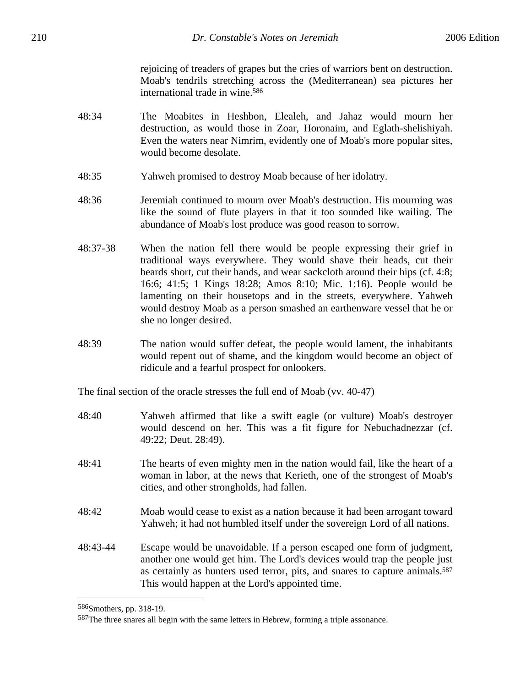rejoicing of treaders of grapes but the cries of warriors bent on destruction. Moab's tendrils stretching across the (Mediterranean) sea pictures her international trade in wine.586

- 48:34 The Moabites in Heshbon, Elealeh, and Jahaz would mourn her destruction, as would those in Zoar, Horonaim, and Eglath-shelishiyah. Even the waters near Nimrim, evidently one of Moab's more popular sites, would become desolate.
- 48:35 Yahweh promised to destroy Moab because of her idolatry.
- 48:36 Jeremiah continued to mourn over Moab's destruction. His mourning was like the sound of flute players in that it too sounded like wailing. The abundance of Moab's lost produce was good reason to sorrow.
- 48:37-38 When the nation fell there would be people expressing their grief in traditional ways everywhere. They would shave their heads, cut their beards short, cut their hands, and wear sackcloth around their hips (cf. 4:8; 16:6; 41:5; 1 Kings 18:28; Amos 8:10; Mic. 1:16). People would be lamenting on their housetops and in the streets, everywhere. Yahweh would destroy Moab as a person smashed an earthenware vessel that he or she no longer desired.
- 48:39 The nation would suffer defeat, the people would lament, the inhabitants would repent out of shame, and the kingdom would become an object of ridicule and a fearful prospect for onlookers.

The final section of the oracle stresses the full end of Moab (vv. 40-47)

- 48:40 Yahweh affirmed that like a swift eagle (or vulture) Moab's destroyer would descend on her. This was a fit figure for Nebuchadnezzar (cf. 49:22; Deut. 28:49).
- 48:41 The hearts of even mighty men in the nation would fail, like the heart of a woman in labor, at the news that Kerieth, one of the strongest of Moab's cities, and other strongholds, had fallen.
- 48:42 Moab would cease to exist as a nation because it had been arrogant toward Yahweh; it had not humbled itself under the sovereign Lord of all nations.
- 48:43-44 Escape would be unavoidable. If a person escaped one form of judgment, another one would get him. The Lord's devices would trap the people just as certainly as hunters used terror, pits, and snares to capture animals.587 This would happen at the Lord's appointed time.

1

<sup>586</sup>Smothers, pp. 318-19.

<sup>587</sup>The three snares all begin with the same letters in Hebrew, forming a triple assonance.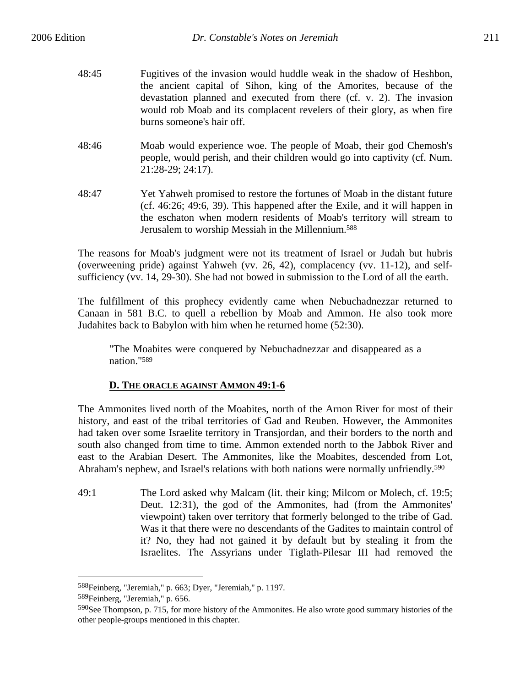- 48:45 Fugitives of the invasion would huddle weak in the shadow of Heshbon, the ancient capital of Sihon, king of the Amorites, because of the devastation planned and executed from there (cf. v. 2). The invasion would rob Moab and its complacent revelers of their glory, as when fire burns someone's hair off.
- 48:46 Moab would experience woe. The people of Moab, their god Chemosh's people, would perish, and their children would go into captivity (cf. Num. 21:28-29; 24:17).
- 48:47 Yet Yahweh promised to restore the fortunes of Moab in the distant future (cf. 46:26; 49:6, 39). This happened after the Exile, and it will happen in the eschaton when modern residents of Moab's territory will stream to Jerusalem to worship Messiah in the Millennium.588

The reasons for Moab's judgment were not its treatment of Israel or Judah but hubris (overweening pride) against Yahweh (vv. 26, 42), complacency (vv. 11-12), and selfsufficiency (vv. 14, 29-30). She had not bowed in submission to the Lord of all the earth.

The fulfillment of this prophecy evidently came when Nebuchadnezzar returned to Canaan in 581 B.C. to quell a rebellion by Moab and Ammon. He also took more Judahites back to Babylon with him when he returned home (52:30).

"The Moabites were conquered by Nebuchadnezzar and disappeared as a nation."589

# **D. THE ORACLE AGAINST AMMON 49:1-6**

The Ammonites lived north of the Moabites, north of the Arnon River for most of their history, and east of the tribal territories of Gad and Reuben. However, the Ammonites had taken over some Israelite territory in Transjordan, and their borders to the north and south also changed from time to time. Ammon extended north to the Jabbok River and east to the Arabian Desert. The Ammonites, like the Moabites, descended from Lot, Abraham's nephew, and Israel's relations with both nations were normally unfriendly.<sup>590</sup>

49:1 The Lord asked why Malcam (lit. their king; Milcom or Molech, cf. 19:5; Deut. 12:31), the god of the Ammonites, had (from the Ammonites' viewpoint) taken over territory that formerly belonged to the tribe of Gad. Was it that there were no descendants of the Gadites to maintain control of it? No, they had not gained it by default but by stealing it from the Israelites. The Assyrians under Tiglath-Pilesar III had removed the

<u>.</u>

<sup>588</sup>Feinberg, "Jeremiah," p. 663; Dyer, "Jeremiah," p. 1197.

<sup>589</sup>Feinberg, "Jeremiah," p. 656.

<sup>590</sup>See Thompson, p. 715, for more history of the Ammonites. He also wrote good summary histories of the other people-groups mentioned in this chapter.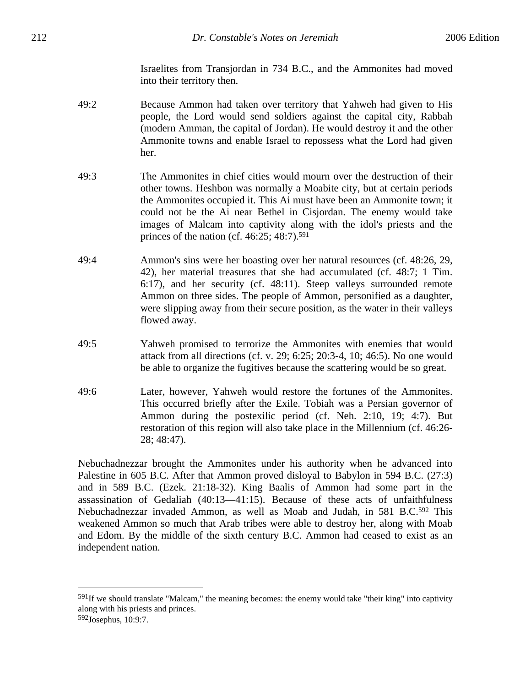Israelites from Transjordan in 734 B.C., and the Ammonites had moved into their territory then.

- 49:2 Because Ammon had taken over territory that Yahweh had given to His people, the Lord would send soldiers against the capital city, Rabbah (modern Amman, the capital of Jordan). He would destroy it and the other Ammonite towns and enable Israel to repossess what the Lord had given her.
- 49:3 The Ammonites in chief cities would mourn over the destruction of their other towns. Heshbon was normally a Moabite city, but at certain periods the Ammonites occupied it. This Ai must have been an Ammonite town; it could not be the Ai near Bethel in Cisjordan. The enemy would take images of Malcam into captivity along with the idol's priests and the princes of the nation (cf. 46:25; 48:7).591
- 49:4 Ammon's sins were her boasting over her natural resources (cf. 48:26, 29, 42), her material treasures that she had accumulated (cf. 48:7; 1 Tim. 6:17), and her security (cf. 48:11). Steep valleys surrounded remote Ammon on three sides. The people of Ammon, personified as a daughter, were slipping away from their secure position, as the water in their valleys flowed away.
- 49:5 Yahweh promised to terrorize the Ammonites with enemies that would attack from all directions (cf. v. 29; 6:25; 20:3-4, 10; 46:5). No one would be able to organize the fugitives because the scattering would be so great.
- 49:6 Later, however, Yahweh would restore the fortunes of the Ammonites. This occurred briefly after the Exile. Tobiah was a Persian governor of Ammon during the postexilic period (cf. Neh. 2:10, 19; 4:7). But restoration of this region will also take place in the Millennium (cf. 46:26- 28; 48:47).

Nebuchadnezzar brought the Ammonites under his authority when he advanced into Palestine in 605 B.C. After that Ammon proved disloyal to Babylon in 594 B.C. (27:3) and in 589 B.C. (Ezek. 21:18-32). King Baalis of Ammon had some part in the assassination of Gedaliah (40:13—41:15). Because of these acts of unfaithfulness Nebuchadnezzar invaded Ammon, as well as Moab and Judah, in 581 B.C.592 This weakened Ammon so much that Arab tribes were able to destroy her, along with Moab and Edom. By the middle of the sixth century B.C. Ammon had ceased to exist as an independent nation.

<sup>591</sup>If we should translate "Malcam," the meaning becomes: the enemy would take "their king" into captivity along with his priests and princes.

<sup>592</sup>Josephus, 10:9:7.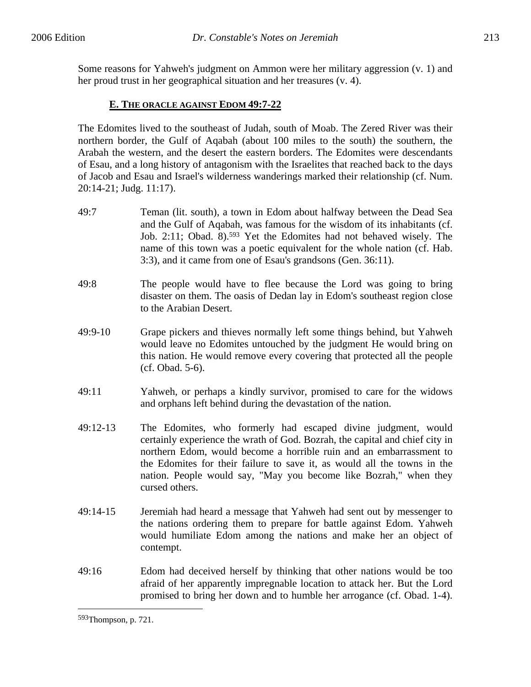Some reasons for Yahweh's judgment on Ammon were her military aggression (v. 1) and her proud trust in her geographical situation and her treasures (v. 4).

# **E. THE ORACLE AGAINST EDOM 49:7-22**

The Edomites lived to the southeast of Judah, south of Moab. The Zered River was their northern border, the Gulf of Aqabah (about 100 miles to the south) the southern, the Arabah the western, and the desert the eastern borders. The Edomites were descendants of Esau, and a long history of antagonism with the Israelites that reached back to the days of Jacob and Esau and Israel's wilderness wanderings marked their relationship (cf. Num. 20:14-21; Judg. 11:17).

- 49:7 Teman (lit. south), a town in Edom about halfway between the Dead Sea and the Gulf of Aqabah, was famous for the wisdom of its inhabitants (cf. Job. 2:11; Obad. 8).593 Yet the Edomites had not behaved wisely. The name of this town was a poetic equivalent for the whole nation (cf. Hab. 3:3), and it came from one of Esau's grandsons (Gen. 36:11).
- 49:8 The people would have to flee because the Lord was going to bring disaster on them. The oasis of Dedan lay in Edom's southeast region close to the Arabian Desert.
- 49:9-10 Grape pickers and thieves normally left some things behind, but Yahweh would leave no Edomites untouched by the judgment He would bring on this nation. He would remove every covering that protected all the people (cf. Obad. 5-6).
- 49:11 Yahweh, or perhaps a kindly survivor, promised to care for the widows and orphans left behind during the devastation of the nation.
- 49:12-13 The Edomites, who formerly had escaped divine judgment, would certainly experience the wrath of God. Bozrah, the capital and chief city in northern Edom, would become a horrible ruin and an embarrassment to the Edomites for their failure to save it, as would all the towns in the nation. People would say, "May you become like Bozrah," when they cursed others.
- 49:14-15 Jeremiah had heard a message that Yahweh had sent out by messenger to the nations ordering them to prepare for battle against Edom. Yahweh would humiliate Edom among the nations and make her an object of contempt.
- 49:16 Edom had deceived herself by thinking that other nations would be too afraid of her apparently impregnable location to attack her. But the Lord promised to bring her down and to humble her arrogance (cf. Obad. 1-4).

<u>.</u>

<sup>593</sup>Thompson, p. 721.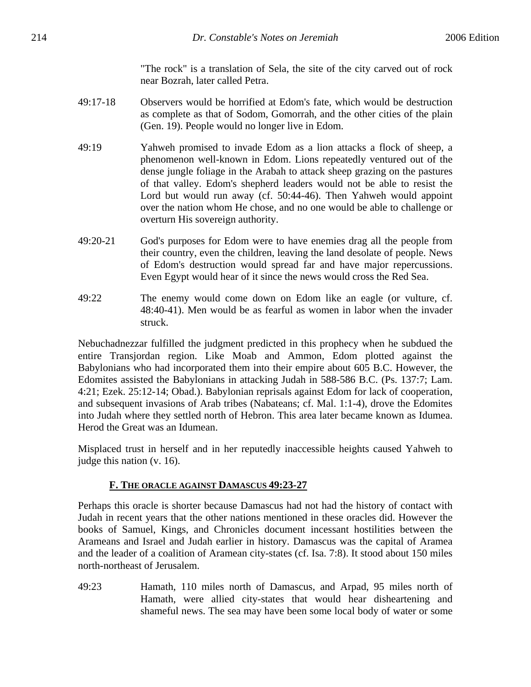"The rock" is a translation of Sela, the site of the city carved out of rock near Bozrah, later called Petra.

- 49:17-18 Observers would be horrified at Edom's fate, which would be destruction as complete as that of Sodom, Gomorrah, and the other cities of the plain (Gen. 19). People would no longer live in Edom.
- 49:19 Yahweh promised to invade Edom as a lion attacks a flock of sheep, a phenomenon well-known in Edom. Lions repeatedly ventured out of the dense jungle foliage in the Arabah to attack sheep grazing on the pastures of that valley. Edom's shepherd leaders would not be able to resist the Lord but would run away (cf. 50:44-46). Then Yahweh would appoint over the nation whom He chose, and no one would be able to challenge or overturn His sovereign authority.
- 49:20-21 God's purposes for Edom were to have enemies drag all the people from their country, even the children, leaving the land desolate of people. News of Edom's destruction would spread far and have major repercussions. Even Egypt would hear of it since the news would cross the Red Sea.
- 49:22 The enemy would come down on Edom like an eagle (or vulture, cf. 48:40-41). Men would be as fearful as women in labor when the invader struck.

Nebuchadnezzar fulfilled the judgment predicted in this prophecy when he subdued the entire Transjordan region. Like Moab and Ammon, Edom plotted against the Babylonians who had incorporated them into their empire about 605 B.C. However, the Edomites assisted the Babylonians in attacking Judah in 588-586 B.C. (Ps. 137:7; Lam. 4:21; Ezek. 25:12-14; Obad.). Babylonian reprisals against Edom for lack of cooperation, and subsequent invasions of Arab tribes (Nabateans; cf. Mal. 1:1-4), drove the Edomites into Judah where they settled north of Hebron. This area later became known as Idumea. Herod the Great was an Idumean.

Misplaced trust in herself and in her reputedly inaccessible heights caused Yahweh to judge this nation (v. 16).

#### **F. THE ORACLE AGAINST DAMASCUS 49:23-27**

Perhaps this oracle is shorter because Damascus had not had the history of contact with Judah in recent years that the other nations mentioned in these oracles did. However the books of Samuel, Kings, and Chronicles document incessant hostilities between the Arameans and Israel and Judah earlier in history. Damascus was the capital of Aramea and the leader of a coalition of Aramean city-states (cf. Isa. 7:8). It stood about 150 miles north-northeast of Jerusalem.

49:23 Hamath, 110 miles north of Damascus, and Arpad, 95 miles north of Hamath, were allied city-states that would hear disheartening and shameful news. The sea may have been some local body of water or some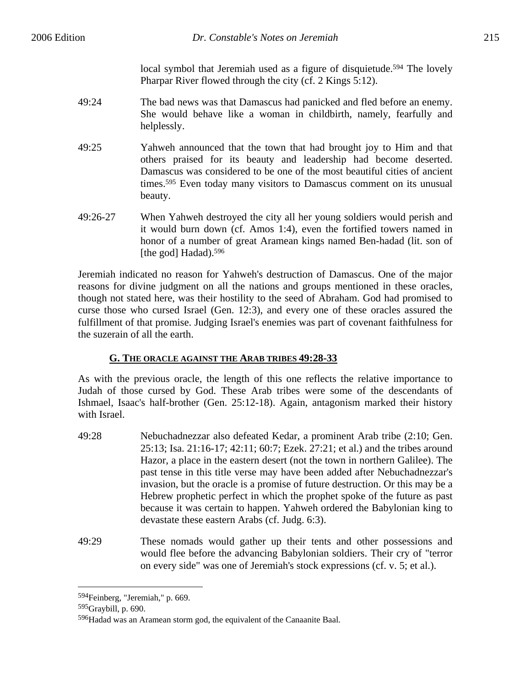local symbol that Jeremiah used as a figure of disquietude.<sup>594</sup> The lovely Pharpar River flowed through the city (cf. 2 Kings 5:12).

- 49:24 The bad news was that Damascus had panicked and fled before an enemy. She would behave like a woman in childbirth, namely, fearfully and helplessly.
- 49:25 Yahweh announced that the town that had brought joy to Him and that others praised for its beauty and leadership had become deserted. Damascus was considered to be one of the most beautiful cities of ancient times.595 Even today many visitors to Damascus comment on its unusual beauty.
- 49:26-27 When Yahweh destroyed the city all her young soldiers would perish and it would burn down (cf. Amos 1:4), even the fortified towers named in honor of a number of great Aramean kings named Ben-hadad (lit. son of [the god] Hadad).<sup>596</sup>

Jeremiah indicated no reason for Yahweh's destruction of Damascus. One of the major reasons for divine judgment on all the nations and groups mentioned in these oracles, though not stated here, was their hostility to the seed of Abraham. God had promised to curse those who cursed Israel (Gen. 12:3), and every one of these oracles assured the fulfillment of that promise. Judging Israel's enemies was part of covenant faithfulness for the suzerain of all the earth.

# **G. THE ORACLE AGAINST THE ARAB TRIBES 49:28-33**

As with the previous oracle, the length of this one reflects the relative importance to Judah of those cursed by God. These Arab tribes were some of the descendants of Ishmael, Isaac's half-brother (Gen. 25:12-18). Again, antagonism marked their history with Israel.

- 49:28 Nebuchadnezzar also defeated Kedar, a prominent Arab tribe (2:10; Gen. 25:13; Isa. 21:16-17; 42:11; 60:7; Ezek. 27:21; et al.) and the tribes around Hazor, a place in the eastern desert (not the town in northern Galilee). The past tense in this title verse may have been added after Nebuchadnezzar's invasion, but the oracle is a promise of future destruction. Or this may be a Hebrew prophetic perfect in which the prophet spoke of the future as past because it was certain to happen. Yahweh ordered the Babylonian king to devastate these eastern Arabs (cf. Judg. 6:3).
- 49:29 These nomads would gather up their tents and other possessions and would flee before the advancing Babylonian soldiers. Their cry of "terror on every side" was one of Jeremiah's stock expressions (cf. v. 5; et al.).

1

<sup>594</sup>Feinberg, "Jeremiah," p. 669.

<sup>595</sup>Graybill, p. 690.

<sup>596</sup>Hadad was an Aramean storm god, the equivalent of the Canaanite Baal.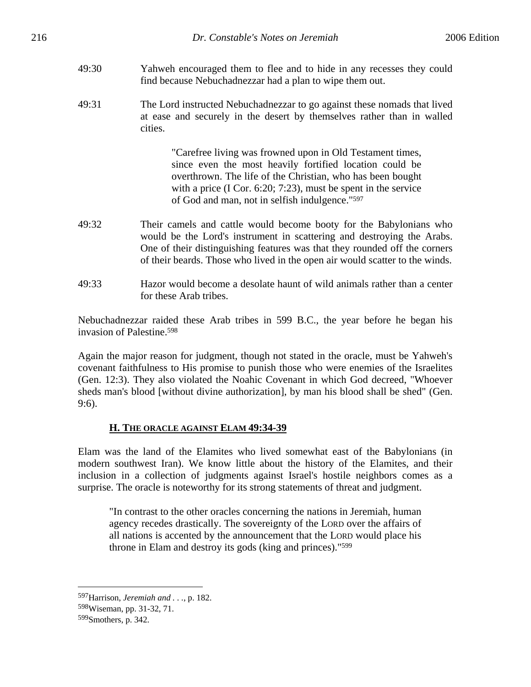- 49:30 Yahweh encouraged them to flee and to hide in any recesses they could find because Nebuchadnezzar had a plan to wipe them out.
- 49:31 The Lord instructed Nebuchadnezzar to go against these nomads that lived at ease and securely in the desert by themselves rather than in walled cities.

"Carefree living was frowned upon in Old Testament times, since even the most heavily fortified location could be overthrown. The life of the Christian, who has been bought with a price (I Cor. 6:20; 7:23), must be spent in the service of God and man, not in selfish indulgence."597

- 49:32 Their camels and cattle would become booty for the Babylonians who would be the Lord's instrument in scattering and destroying the Arabs. One of their distinguishing features was that they rounded off the corners of their beards. Those who lived in the open air would scatter to the winds.
- 49:33 Hazor would become a desolate haunt of wild animals rather than a center for these Arab tribes.

Nebuchadnezzar raided these Arab tribes in 599 B.C., the year before he began his invasion of Palestine.598

Again the major reason for judgment, though not stated in the oracle, must be Yahweh's covenant faithfulness to His promise to punish those who were enemies of the Israelites (Gen. 12:3). They also violated the Noahic Covenant in which God decreed, "Whoever sheds man's blood [without divine authorization], by man his blood shall be shed" (Gen. 9:6).

#### **H. THE ORACLE AGAINST ELAM 49:34-39**

Elam was the land of the Elamites who lived somewhat east of the Babylonians (in modern southwest Iran). We know little about the history of the Elamites, and their inclusion in a collection of judgments against Israel's hostile neighbors comes as a surprise. The oracle is noteworthy for its strong statements of threat and judgment.

"In contrast to the other oracles concerning the nations in Jeremiah, human agency recedes drastically. The sovereignty of the LORD over the affairs of all nations is accented by the announcement that the LORD would place his throne in Elam and destroy its gods (king and princes)."599

<sup>597</sup>Harrison, *Jeremiah and . . .*, p. 182.

<sup>598</sup>Wiseman, pp. 31-32, 71.

<sup>599</sup>S mothers, p. 342.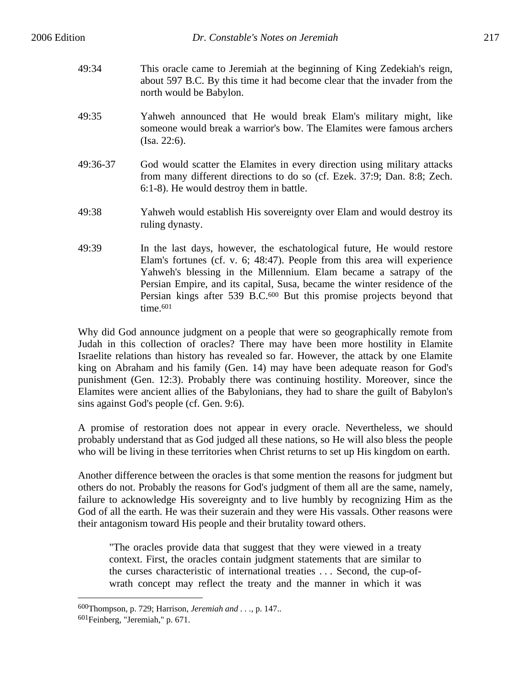- 49:34 This oracle came to Jeremiah at the beginning of King Zedekiah's reign, about 597 B.C. By this time it had become clear that the invader from the north would be Babylon.
- 49:35 Yahweh announced that He would break Elam's military might, like someone would break a warrior's bow. The Elamites were famous archers (Isa. 22:6).
- 49:36-37 God would scatter the Elamites in every direction using military attacks from many different directions to do so (cf. Ezek. 37:9; Dan. 8:8; Zech. 6:1-8). He would destroy them in battle.
- 49:38 Yahweh would establish His sovereignty over Elam and would destroy its ruling dynasty.
- 49:39 In the last days, however, the eschatological future, He would restore Elam's fortunes (cf. v. 6; 48:47). People from this area will experience Yahweh's blessing in the Millennium. Elam became a satrapy of the Persian Empire, and its capital, Susa, became the winter residence of the Persian kings after 539 B.C.600 But this promise projects beyond that time.<sup>601</sup>

Why did God announce judgment on a people that were so geographically remote from Judah in this collection of oracles? There may have been more hostility in Elamite Israelite relations than history has revealed so far. However, the attack by one Elamite king on Abraham and his family (Gen. 14) may have been adequate reason for God's punishment (Gen. 12:3). Probably there was continuing hostility. Moreover, since the Elamites were ancient allies of the Babylonians, they had to share the guilt of Babylon's sins against God's people (cf. Gen. 9:6).

A promise of restoration does not appear in every oracle. Nevertheless, we should probably understand that as God judged all these nations, so He will also bless the people who will be living in these territories when Christ returns to set up His kingdom on earth.

Another difference between the oracles is that some mention the reasons for judgment but others do not. Probably the reasons for God's judgment of them all are the same, namely, failure to acknowledge His sovereignty and to live humbly by recognizing Him as the God of all the earth. He was their suzerain and they were His vassals. Other reasons were their antagonism toward His people and their brutality toward others.

"The oracles provide data that suggest that they were viewed in a treaty context. First, the oracles contain judgment statements that are similar to the curses characteristic of international treaties . . . Second, the cup-ofwrath concept may reflect the treaty and the manner in which it was

<sup>600</sup>Thompson, p. 729; Harrison, *Jeremiah and . . .*, p. 147..

<sup>601</sup>Feinberg, "Jeremiah," p. 671.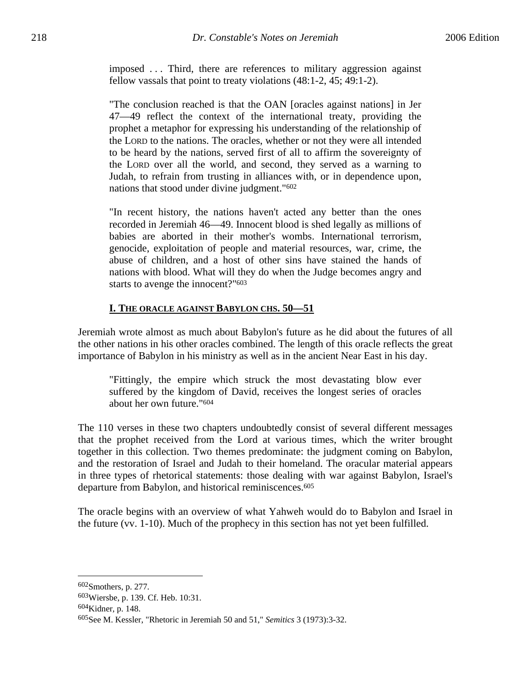imposed . . . Third, there are references to military aggression against fellow vassals that point to treaty violations (48:1-2, 45; 49:1-2).

"The conclusion reached is that the OAN [oracles against nations] in Jer 47—49 reflect the context of the international treaty, providing the prophet a metaphor for expressing his understanding of the relationship of the LORD to the nations. The oracles, whether or not they were all intended to be heard by the nations, served first of all to affirm the sovereignty of the LORD over all the world, and second, they served as a warning to Judah, to refrain from trusting in alliances with, or in dependence upon, nations that stood under divine judgment."602

"In recent history, the nations haven't acted any better than the ones recorded in Jeremiah 46—49. Innocent blood is shed legally as millions of babies are aborted in their mother's wombs. International terrorism, genocide, exploitation of people and material resources, war, crime, the abuse of children, and a host of other sins have stained the hands of nations with blood. What will they do when the Judge becomes angry and starts to avenge the innocent?"603

## **I. THE ORACLE AGAINST BABYLON CHS. 50—51**

Jeremiah wrote almost as much about Babylon's future as he did about the futures of all the other nations in his other oracles combined. The length of this oracle reflects the great importance of Babylon in his ministry as well as in the ancient Near East in his day.

"Fittingly, the empire which struck the most devastating blow ever suffered by the kingdom of David, receives the longest series of oracles about her own future."604

The 110 verses in these two chapters undoubtedly consist of several different messages that the prophet received from the Lord at various times, which the writer brought together in this collection. Two themes predominate: the judgment coming on Babylon, and the restoration of Israel and Judah to their homeland. The oracular material appears in three types of rhetorical statements: those dealing with war against Babylon, Israel's departure from Babylon, and historical reminiscences.<sup>605</sup>

The oracle begins with an overview of what Yahweh would do to Babylon and Israel in the future (vv. 1-10). Much of the prophecy in this section has not yet been fulfilled.

<sup>602</sup>Smothers, p. 277.

<sup>603</sup>Wiersbe, p. 139. Cf. Heb. 10:31.

<sup>604</sup>Kidner, p. 148.

<sup>605</sup>See M. Kessler, "Rhetoric in Jeremiah 50 and 51," *Semitics* 3 (1973):3-32.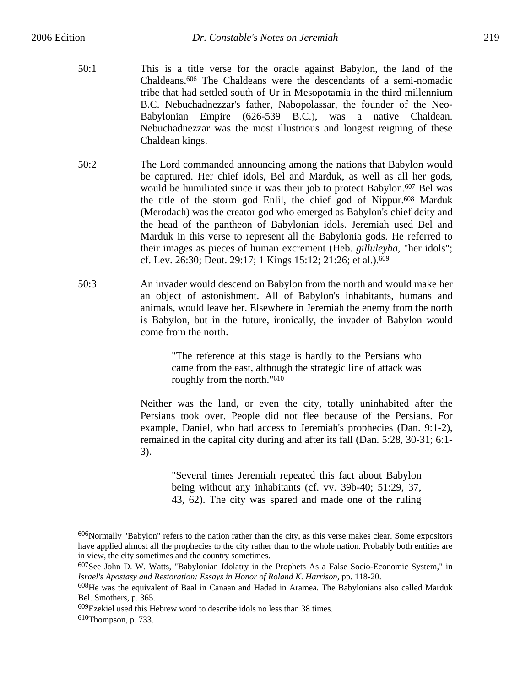- 50:1 This is a title verse for the oracle against Babylon, the land of the Chaldeans.606 The Chaldeans were the descendants of a semi-nomadic tribe that had settled south of Ur in Mesopotamia in the third millennium B.C. Nebuchadnezzar's father, Nabopolassar, the founder of the Neo-Babylonian Empire (626-539 B.C.), was a native Chaldean. Nebuchadnezzar was the most illustrious and longest reigning of these Chaldean kings.
- 50:2 The Lord commanded announcing among the nations that Babylon would be captured. Her chief idols, Bel and Marduk, as well as all her gods, would be humiliated since it was their job to protect Babylon.<sup>607</sup> Bel was the title of the storm god Enlil, the chief god of Nippur.608 Marduk (Merodach) was the creator god who emerged as Babylon's chief deity and the head of the pantheon of Babylonian idols. Jeremiah used Bel and Marduk in this verse to represent all the Babylonia gods. He referred to their images as pieces of human excrement (Heb. *gilluleyha*, "her idols"; cf. Lev. 26:30; Deut. 29:17; 1 Kings 15:12; 21:26; et al.).609
- 50:3 An invader would descend on Babylon from the north and would make her an object of astonishment. All of Babylon's inhabitants, humans and animals, would leave her. Elsewhere in Jeremiah the enemy from the north is Babylon, but in the future, ironically, the invader of Babylon would come from the north.

"The reference at this stage is hardly to the Persians who came from the east, although the strategic line of attack was roughly from the north."610

Neither was the land, or even the city, totally uninhabited after the Persians took over. People did not flee because of the Persians. For example, Daniel, who had access to Jeremiah's prophecies (Dan. 9:1-2), remained in the capital city during and after its fall (Dan. 5:28, 30-31; 6:1- 3).

> "Several times Jeremiah repeated this fact about Babylon being without any inhabitants (cf. vv. 39b-40; 51:29, 37, 43, 62). The city was spared and made one of the ruling

609Ezekiel used this Hebrew word to describe idols no less than 38 times.

<sup>606</sup>Normally "Babylon" refers to the nation rather than the city, as this verse makes clear. Some expositors have applied almost all the prophecies to the city rather than to the whole nation. Probably both entities are in view, the city sometimes and the country sometimes.

<sup>607</sup>See John D. W. Watts, "Babylonian Idolatry in the Prophets As a False Socio-Economic System," in *Israel's Apostasy and Restoration: Essays in Honor of Roland K. Harrison*, pp. 118-20.

<sup>608</sup>He was the equivalent of Baal in Canaan and Hadad in Aramea. The Babylonians also called Marduk Bel. Smothers, p. 365.

<sup>610</sup>Thompson, p. 733.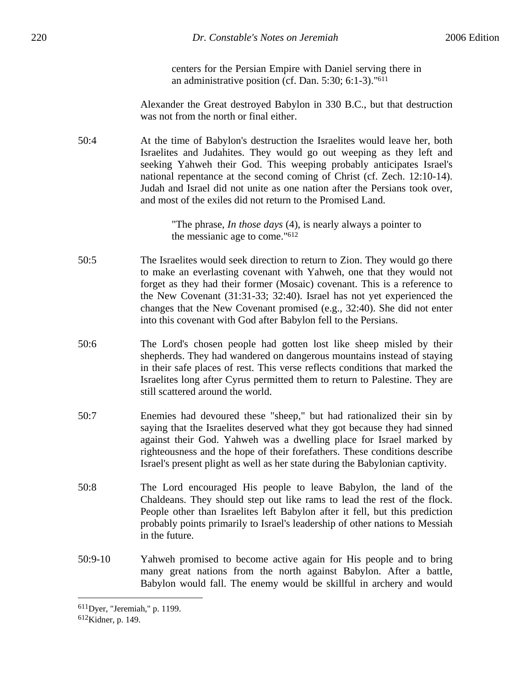centers for the Persian Empire with Daniel serving there in an administrative position (cf. Dan. 5:30; 6:1-3)."611

Alexander the Great destroyed Babylon in 330 B.C., but that destruction was not from the north or final either.

50:4 At the time of Babylon's destruction the Israelites would leave her, both Israelites and Judahites. They would go out weeping as they left and seeking Yahweh their God. This weeping probably anticipates Israel's national repentance at the second coming of Christ (cf. Zech. 12:10-14). Judah and Israel did not unite as one nation after the Persians took over, and most of the exiles did not return to the Promised Land.

> "The phrase, *In those days* (4), is nearly always a pointer to the messianic age to come."612

- 50:5 The Israelites would seek direction to return to Zion. They would go there to make an everlasting covenant with Yahweh, one that they would not forget as they had their former (Mosaic) covenant. This is a reference to the New Covenant (31:31-33; 32:40). Israel has not yet experienced the changes that the New Covenant promised (e.g., 32:40). She did not enter into this covenant with God after Babylon fell to the Persians.
- 50:6 The Lord's chosen people had gotten lost like sheep misled by their shepherds. They had wandered on dangerous mountains instead of staying in their safe places of rest. This verse reflects conditions that marked the Israelites long after Cyrus permitted them to return to Palestine. They are still scattered around the world.
- 50:7 Enemies had devoured these "sheep," but had rationalized their sin by saying that the Israelites deserved what they got because they had sinned against their God. Yahweh was a dwelling place for Israel marked by righteousness and the hope of their forefathers. These conditions describe Israel's present plight as well as her state during the Babylonian captivity.
- 50:8 The Lord encouraged His people to leave Babylon, the land of the Chaldeans. They should step out like rams to lead the rest of the flock. People other than Israelites left Babylon after it fell, but this prediction probably points primarily to Israel's leadership of other nations to Messiah in the future.
- 50:9-10 Yahweh promised to become active again for His people and to bring many great nations from the north against Babylon. After a battle, Babylon would fall. The enemy would be skillful in archery and would

<sup>611</sup>Dyer, "Jeremiah," p. 1199.

<sup>612</sup>Kidner, p. 149.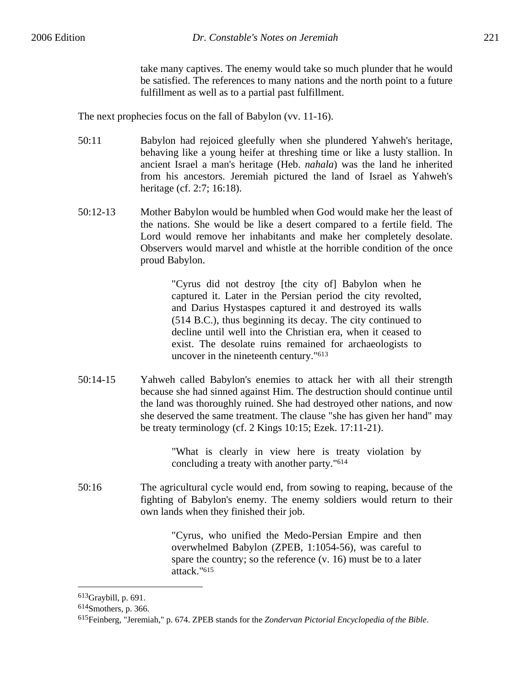take many captives. The enemy would take so much plunder that he would be satisfied. The references to many nations and the north point to a future fulfillment as well as to a partial past fulfillment.

The next prophecies focus on the fall of Babylon (vv. 11-16).

- 50:11 Babylon had rejoiced gleefully when she plundered Yahweh's heritage, behaving like a young heifer at threshing time or like a lusty stallion. In ancient Israel a man's heritage (Heb. *nahala*) was the land he inherited from his ancestors. Jeremiah pictured the land of Israel as Yahweh's heritage (cf. 2:7; 16:18).
- 50:12-13 Mother Babylon would be humbled when God would make her the least of the nations. She would be like a desert compared to a fertile field. The Lord would remove her inhabitants and make her completely desolate. Observers would marvel and whistle at the horrible condition of the once proud Babylon.

"Cyrus did not destroy [the city of] Babylon when he captured it. Later in the Persian period the city revolted, and Darius Hystaspes captured it and destroyed its walls (514 B.C.), thus beginning its decay. The city continued to decline until well into the Christian era, when it ceased to exist. The desolate ruins remained for archaeologists to uncover in the nineteenth century."613

50:14-15 Yahweh called Babylon's enemies to attack her with all their strength because she had sinned against Him. The destruction should continue until the land was thoroughly ruined. She had destroyed other nations, and now she deserved the same treatment. The clause "she has given her hand" may be treaty terminology (cf. 2 Kings 10:15; Ezek. 17:11-21).

> "What is clearly in view here is treaty violation by concluding a treaty with another party."614

50:16 The agricultural cycle would end, from sowing to reaping, because of the fighting of Babylon's enemy. The enemy soldiers would return to their own lands when they finished their job.

> "Cyrus, who unified the Medo-Persian Empire and then overwhelmed Babylon (ZPEB, 1:1054-56), was careful to spare the country; so the reference (v. 16) must be to a later attack."615

<sup>613</sup>Graybill, p. 691.

<sup>614</sup>Smothers, p. 366.

<sup>615</sup>Feinberg, "Jeremiah," p. 674. ZPEB stands for the *Zondervan Pictorial Encyclopedia of the Bible*.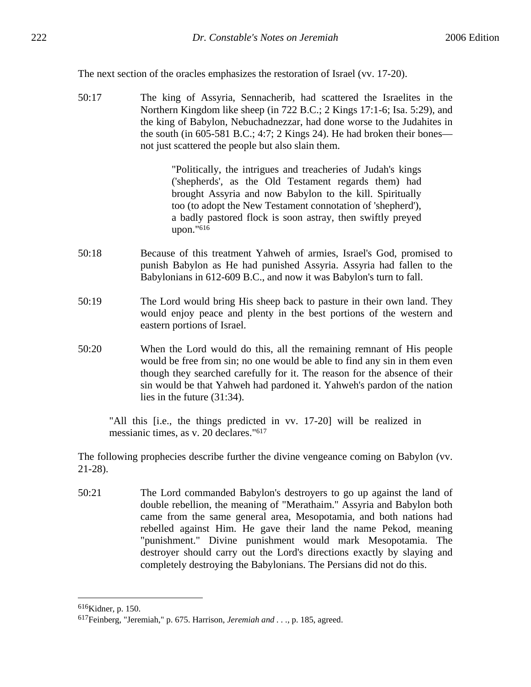The next section of the oracles emphasizes the restoration of Israel (vv. 17-20).

50:17 The king of Assyria, Sennacherib, had scattered the Israelites in the Northern Kingdom like sheep (in 722 B.C.; 2 Kings 17:1-6; Isa. 5:29), and the king of Babylon, Nebuchadnezzar, had done worse to the Judahites in the south (in 605-581 B.C.; 4:7; 2 Kings 24). He had broken their bones not just scattered the people but also slain them.

> "Politically, the intrigues and treacheries of Judah's kings ('shepherds', as the Old Testament regards them) had brought Assyria and now Babylon to the kill. Spiritually too (to adopt the New Testament connotation of 'shepherd'), a badly pastored flock is soon astray, then swiftly preyed upon."616

- 50:18 Because of this treatment Yahweh of armies, Israel's God, promised to punish Babylon as He had punished Assyria. Assyria had fallen to the Babylonians in 612-609 B.C., and now it was Babylon's turn to fall.
- 50:19 The Lord would bring His sheep back to pasture in their own land. They would enjoy peace and plenty in the best portions of the western and eastern portions of Israel.
- 50:20 When the Lord would do this, all the remaining remnant of His people would be free from sin; no one would be able to find any sin in them even though they searched carefully for it. The reason for the absence of their sin would be that Yahweh had pardoned it. Yahweh's pardon of the nation lies in the future (31:34).

"All this [i.e., the things predicted in vv. 17-20] will be realized in messianic times, as v. 20 declares."617

The following prophecies describe further the divine vengeance coming on Babylon (vv. 21-28).

50:21 The Lord commanded Babylon's destroyers to go up against the land of double rebellion, the meaning of "Merathaim." Assyria and Babylon both came from the same general area, Mesopotamia, and both nations had rebelled against Him. He gave their land the name Pekod, meaning "punishment." Divine punishment would mark Mesopotamia. The destroyer should carry out the Lord's directions exactly by slaying and completely destroying the Babylonians. The Persians did not do this.

<sup>616</sup>Kidner, p. 150.

<sup>617</sup>Feinberg, "Jeremiah," p. 675. Harrison, *Jeremiah and . . .*, p. 185, agreed.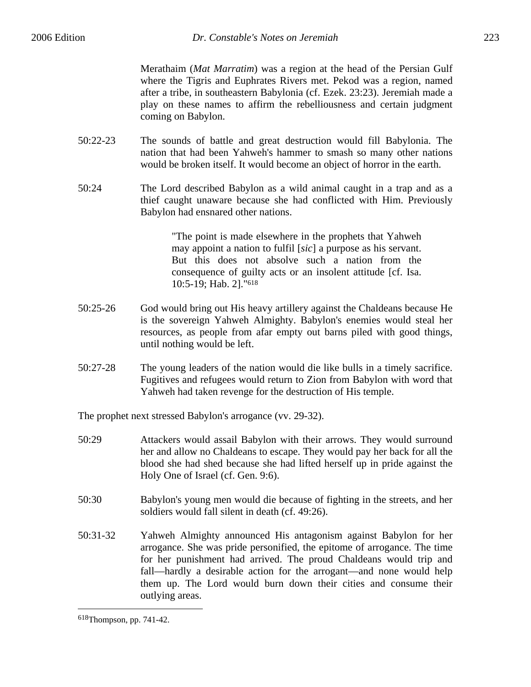Merathaim (*Mat Marratim*) was a region at the head of the Persian Gulf where the Tigris and Euphrates Rivers met. Pekod was a region, named after a tribe, in southeastern Babylonia (cf. Ezek. 23:23). Jeremiah made a play on these names to affirm the rebelliousness and certain judgment coming on Babylon.

- 50:22-23 The sounds of battle and great destruction would fill Babylonia. The nation that had been Yahweh's hammer to smash so many other nations would be broken itself. It would become an object of horror in the earth.
- 50:24 The Lord described Babylon as a wild animal caught in a trap and as a thief caught unaware because she had conflicted with Him. Previously Babylon had ensnared other nations.

"The point is made elsewhere in the prophets that Yahweh may appoint a nation to fulfil [*sic*] a purpose as his servant. But this does not absolve such a nation from the consequence of guilty acts or an insolent attitude [cf. Isa. 10:5-19; Hab. 2]."618

- 50:25-26 God would bring out His heavy artillery against the Chaldeans because He is the sovereign Yahweh Almighty. Babylon's enemies would steal her resources, as people from afar empty out barns piled with good things, until nothing would be left.
- 50:27-28 The young leaders of the nation would die like bulls in a timely sacrifice. Fugitives and refugees would return to Zion from Babylon with word that Yahweh had taken revenge for the destruction of His temple.

The prophet next stressed Babylon's arrogance (vv. 29-32).

- 50:29 Attackers would assail Babylon with their arrows. They would surround her and allow no Chaldeans to escape. They would pay her back for all the blood she had shed because she had lifted herself up in pride against the Holy One of Israel (cf. Gen. 9:6).
- 50:30 Babylon's young men would die because of fighting in the streets, and her soldiers would fall silent in death (cf. 49:26).
- 50:31-32 Yahweh Almighty announced His antagonism against Babylon for her arrogance. She was pride personified, the epitome of arrogance. The time for her punishment had arrived. The proud Chaldeans would trip and fall—hardly a desirable action for the arrogant—and none would help them up. The Lord would burn down their cities and consume their outlying areas.

<sup>618</sup>Thompson, pp. 741-42.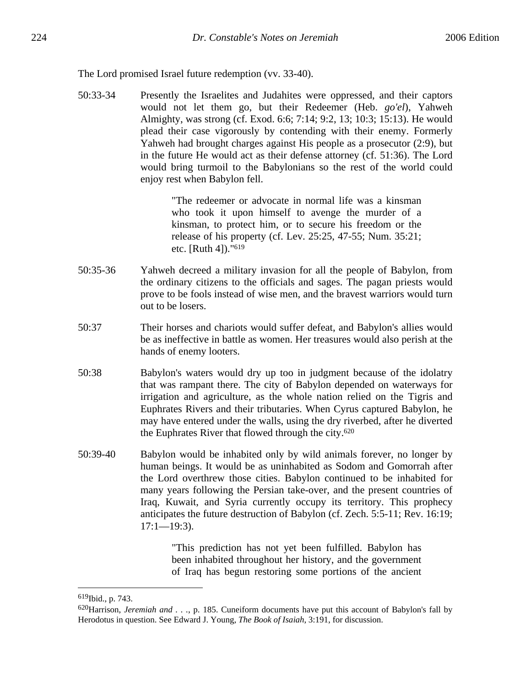The Lord promised Israel future redemption (vv. 33-40).

50:33-34 Presently the Israelites and Judahites were oppressed, and their captors would not let them go, but their Redeemer (Heb. *go'el*), Yahweh Almighty, was strong (cf. Exod. 6:6; 7:14; 9:2, 13; 10:3; 15:13). He would plead their case vigorously by contending with their enemy. Formerly Yahweh had brought charges against His people as a prosecutor (2:9), but in the future He would act as their defense attorney (cf. 51:36). The Lord would bring turmoil to the Babylonians so the rest of the world could enjoy rest when Babylon fell.

> "The redeemer or advocate in normal life was a kinsman who took it upon himself to avenge the murder of a kinsman, to protect him, or to secure his freedom or the release of his property (cf. Lev. 25:25, 47-55; Num. 35:21; etc. [Ruth 4])."619

- 50:35-36 Yahweh decreed a military invasion for all the people of Babylon, from the ordinary citizens to the officials and sages. The pagan priests would prove to be fools instead of wise men, and the bravest warriors would turn out to be losers.
- 50:37 Their horses and chariots would suffer defeat, and Babylon's allies would be as ineffective in battle as women. Her treasures would also perish at the hands of enemy looters.
- 50:38 Babylon's waters would dry up too in judgment because of the idolatry that was rampant there. The city of Babylon depended on waterways for irrigation and agriculture, as the whole nation relied on the Tigris and Euphrates Rivers and their tributaries. When Cyrus captured Babylon, he may have entered under the walls, using the dry riverbed, after he diverted the Euphrates River that flowed through the city.620
- 50:39-40 Babylon would be inhabited only by wild animals forever, no longer by human beings. It would be as uninhabited as Sodom and Gomorrah after the Lord overthrew those cities. Babylon continued to be inhabited for many years following the Persian take-over, and the present countries of Iraq, Kuwait, and Syria currently occupy its territory. This prophecy anticipates the future destruction of Babylon (cf. Zech. 5:5-11; Rev. 16:19;  $17:1 - 19:3$ .

"This prediction has not yet been fulfilled. Babylon has been inhabited throughout her history, and the government of Iraq has begun restoring some portions of the ancient

<sup>619</sup>Ibid., p. 743.

<sup>620</sup>Harrison, *Jeremiah and . . .*, p. 185. Cuneiform documents have put this account of Babylon's fall by Herodotus in question. See Edward J. Young, *The Book of Isaiah*, 3:191, for discussion.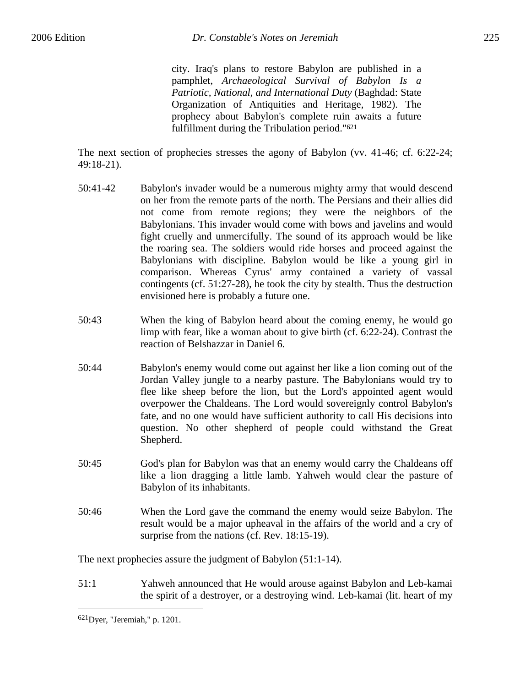city. Iraq's plans to restore Babylon are published in a pamphlet, *Archaeological Survival of Babylon Is a Patriotic, National, and International Duty* (Baghdad: State Organization of Antiquities and Heritage, 1982). The prophecy about Babylon's complete ruin awaits a future fulfillment during the Tribulation period."621

The next section of prophecies stresses the agony of Babylon (vv. 41-46; cf. 6:22-24; 49:18-21).

- 50:41-42 Babylon's invader would be a numerous mighty army that would descend on her from the remote parts of the north. The Persians and their allies did not come from remote regions; they were the neighbors of the Babylonians. This invader would come with bows and javelins and would fight cruelly and unmercifully. The sound of its approach would be like the roaring sea. The soldiers would ride horses and proceed against the Babylonians with discipline. Babylon would be like a young girl in comparison. Whereas Cyrus' army contained a variety of vassal contingents (cf. 51:27-28), he took the city by stealth. Thus the destruction envisioned here is probably a future one.
- 50:43 When the king of Babylon heard about the coming enemy, he would go limp with fear, like a woman about to give birth (cf. 6:22-24). Contrast the reaction of Belshazzar in Daniel 6.
- 50:44 Babylon's enemy would come out against her like a lion coming out of the Jordan Valley jungle to a nearby pasture. The Babylonians would try to flee like sheep before the lion, but the Lord's appointed agent would overpower the Chaldeans. The Lord would sovereignly control Babylon's fate, and no one would have sufficient authority to call His decisions into question. No other shepherd of people could withstand the Great Shepherd.
- 50:45 God's plan for Babylon was that an enemy would carry the Chaldeans off like a lion dragging a little lamb. Yahweh would clear the pasture of Babylon of its inhabitants.
- 50:46 When the Lord gave the command the enemy would seize Babylon. The result would be a major upheaval in the affairs of the world and a cry of surprise from the nations (cf. Rev. 18:15-19).

The next prophecies assure the judgment of Babylon (51:1-14).

51:1 Yahweh announced that He would arouse against Babylon and Leb-kamai the spirit of a destroyer, or a destroying wind. Leb-kamai (lit. heart of my

<u>.</u>

<sup>621</sup>Dyer, "Jeremiah," p. 1201.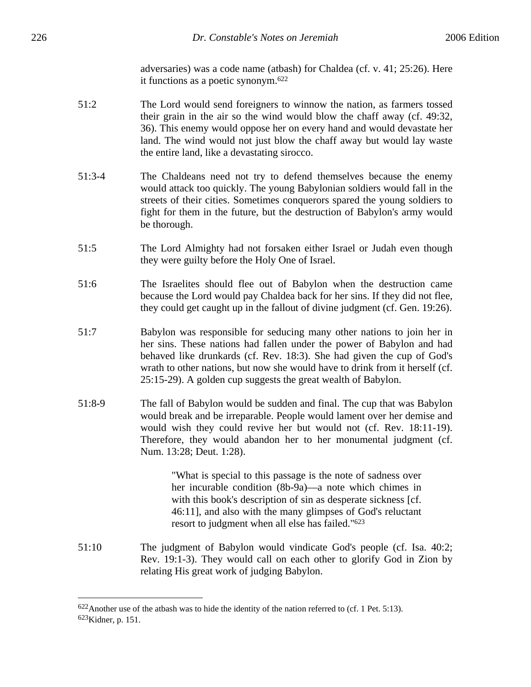adversaries) was a code name (atbash) for Chaldea (cf. v. 41; 25:26). Here it functions as a poetic synonym.622

- 51:2 The Lord would send foreigners to winnow the nation, as farmers tossed their grain in the air so the wind would blow the chaff away (cf. 49:32, 36). This enemy would oppose her on every hand and would devastate her land. The wind would not just blow the chaff away but would lay waste the entire land, like a devastating sirocco.
- 51:3-4 The Chaldeans need not try to defend themselves because the enemy would attack too quickly. The young Babylonian soldiers would fall in the streets of their cities. Sometimes conquerors spared the young soldiers to fight for them in the future, but the destruction of Babylon's army would be thorough.
- 51:5 The Lord Almighty had not forsaken either Israel or Judah even though they were guilty before the Holy One of Israel.
- 51:6 The Israelites should flee out of Babylon when the destruction came because the Lord would pay Chaldea back for her sins. If they did not flee, they could get caught up in the fallout of divine judgment (cf. Gen. 19:26).
- 51:7 Babylon was responsible for seducing many other nations to join her in her sins. These nations had fallen under the power of Babylon and had behaved like drunkards (cf. Rev. 18:3). She had given the cup of God's wrath to other nations, but now she would have to drink from it herself (cf. 25:15-29). A golden cup suggests the great wealth of Babylon.
- 51:8-9 The fall of Babylon would be sudden and final. The cup that was Babylon would break and be irreparable. People would lament over her demise and would wish they could revive her but would not (cf. Rev. 18:11-19). Therefore, they would abandon her to her monumental judgment (cf. Num. 13:28; Deut. 1:28).

"What is special to this passage is the note of sadness over her incurable condition (8b-9a)—a note which chimes in with this book's description of sin as desperate sickness [cf.] 46:11], and also with the many glimpses of God's reluctant resort to judgment when all else has failed."623

51:10 The judgment of Babylon would vindicate God's people (cf. Isa. 40:2; Rev. 19:1-3). They would call on each other to glorify God in Zion by relating His great work of judging Babylon.

 $622$ Another use of the atbash was to hide the identity of the nation referred to (cf. 1 Pet. 5:13). 623Kidner, p. 151.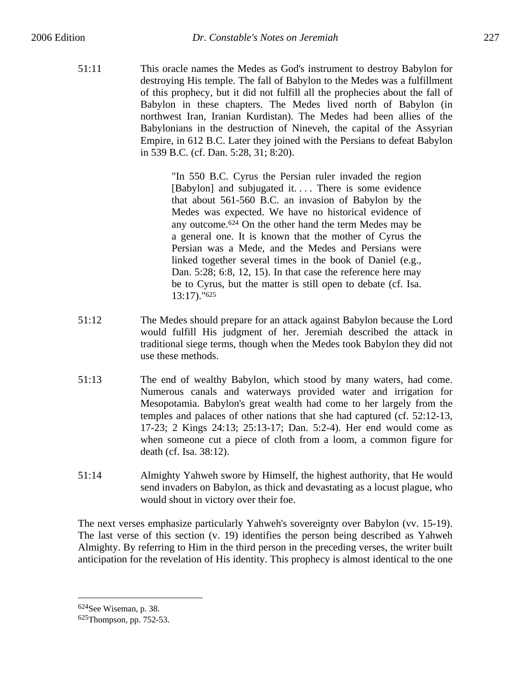51:11 This oracle names the Medes as God's instrument to destroy Babylon for destroying His temple. The fall of Babylon to the Medes was a fulfillment of this prophecy, but it did not fulfill all the prophecies about the fall of Babylon in these chapters. The Medes lived north of Babylon (in northwest Iran, Iranian Kurdistan). The Medes had been allies of the Babylonians in the destruction of Nineveh, the capital of the Assyrian Empire, in 612 B.C. Later they joined with the Persians to defeat Babylon in 539 B.C. (cf. Dan. 5:28, 31; 8:20).

> "In 550 B.C. Cyrus the Persian ruler invaded the region [Babylon] and subjugated it.... There is some evidence that about 561-560 B.C. an invasion of Babylon by the Medes was expected. We have no historical evidence of any outcome.624 On the other hand the term Medes may be a general one. It is known that the mother of Cyrus the Persian was a Mede, and the Medes and Persians were linked together several times in the book of Daniel (e.g., Dan. 5:28; 6:8, 12, 15). In that case the reference here may be to Cyrus, but the matter is still open to debate (cf. Isa. 13:17)."625

- 51:12 The Medes should prepare for an attack against Babylon because the Lord would fulfill His judgment of her. Jeremiah described the attack in traditional siege terms, though when the Medes took Babylon they did not use these methods.
- 51:13 The end of wealthy Babylon, which stood by many waters, had come. Numerous canals and waterways provided water and irrigation for Mesopotamia. Babylon's great wealth had come to her largely from the temples and palaces of other nations that she had captured (cf. 52:12-13, 17-23; 2 Kings 24:13; 25:13-17; Dan. 5:2-4). Her end would come as when someone cut a piece of cloth from a loom, a common figure for death (cf. Isa. 38:12).
- 51:14 Almighty Yahweh swore by Himself, the highest authority, that He would send invaders on Babylon, as thick and devastating as a locust plague, who would shout in victory over their foe.

The next verses emphasize particularly Yahweh's sovereignty over Babylon (vv. 15-19). The last verse of this section (v. 19) identifies the person being described as Yahweh Almighty. By referring to Him in the third person in the preceding verses, the writer built anticipation for the revelation of His identity. This prophecy is almost identical to the one

<sup>624</sup>See Wiseman, p. 38.

<sup>625</sup>Thompson, pp. 752-53.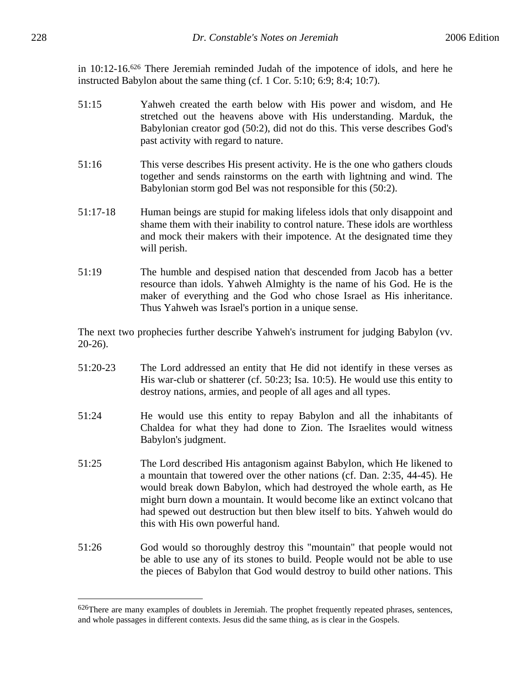in 10:12-16.626 There Jeremiah reminded Judah of the impotence of idols, and here he instructed Babylon about the same thing (cf. 1 Cor. 5:10; 6:9; 8:4; 10:7).

- 51:15 Yahweh created the earth below with His power and wisdom, and He stretched out the heavens above with His understanding. Marduk, the Babylonian creator god (50:2), did not do this. This verse describes God's past activity with regard to nature.
- 51:16 This verse describes His present activity. He is the one who gathers clouds together and sends rainstorms on the earth with lightning and wind. The Babylonian storm god Bel was not responsible for this (50:2).
- 51:17-18 Human beings are stupid for making lifeless idols that only disappoint and shame them with their inability to control nature. These idols are worthless and mock their makers with their impotence. At the designated time they will perish.
- 51:19 The humble and despised nation that descended from Jacob has a better resource than idols. Yahweh Almighty is the name of his God. He is the maker of everything and the God who chose Israel as His inheritance. Thus Yahweh was Israel's portion in a unique sense.

The next two prophecies further describe Yahweh's instrument for judging Babylon (vv. 20-26).

- 51:20-23 The Lord addressed an entity that He did not identify in these verses as His war-club or shatterer (cf. 50:23; Isa. 10:5). He would use this entity to destroy nations, armies, and people of all ages and all types.
- 51:24 He would use this entity to repay Babylon and all the inhabitants of Chaldea for what they had done to Zion. The Israelites would witness Babylon's judgment.
- 51:25 The Lord described His antagonism against Babylon, which He likened to a mountain that towered over the other nations (cf. Dan. 2:35, 44-45). He would break down Babylon, which had destroyed the whole earth, as He might burn down a mountain. It would become like an extinct volcano that had spewed out destruction but then blew itself to bits. Yahweh would do this with His own powerful hand.
- 51:26 God would so thoroughly destroy this "mountain" that people would not be able to use any of its stones to build. People would not be able to use the pieces of Babylon that God would destroy to build other nations. This

<sup>626</sup>There are many examples of doublets in Jeremiah. The prophet frequently repeated phrases, sentences, and whole passages in different contexts. Jesus did the same thing, as is clear in the Gospels.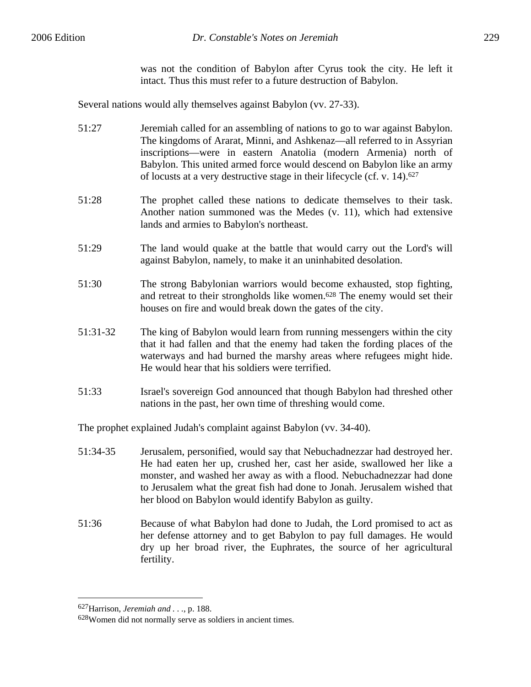was not the condition of Babylon after Cyrus took the city. He left it intact. Thus this must refer to a future destruction of Babylon.

Several nations would ally themselves against Babylon (vv. 27-33).

- 51:27 Jeremiah called for an assembling of nations to go to war against Babylon. The kingdoms of Ararat, Minni, and Ashkenaz—all referred to in Assyrian inscriptions—were in eastern Anatolia (modern Armenia) north of Babylon. This united armed force would descend on Babylon like an army of locusts at a very destructive stage in their lifecycle (cf. v. 14).627
- 51:28 The prophet called these nations to dedicate themselves to their task. Another nation summoned was the Medes (v. 11), which had extensive lands and armies to Babylon's northeast.
- 51:29 The land would quake at the battle that would carry out the Lord's will against Babylon, namely, to make it an uninhabited desolation.
- 51:30 The strong Babylonian warriors would become exhausted, stop fighting, and retreat to their strongholds like women.628 The enemy would set their houses on fire and would break down the gates of the city.
- 51:31-32 The king of Babylon would learn from running messengers within the city that it had fallen and that the enemy had taken the fording places of the waterways and had burned the marshy areas where refugees might hide. He would hear that his soldiers were terrified.
- 51:33 Israel's sovereign God announced that though Babylon had threshed other nations in the past, her own time of threshing would come.

The prophet explained Judah's complaint against Babylon (vv. 34-40).

- 51:34-35 Jerusalem, personified, would say that Nebuchadnezzar had destroyed her. He had eaten her up, crushed her, cast her aside, swallowed her like a monster, and washed her away as with a flood. Nebuchadnezzar had done to Jerusalem what the great fish had done to Jonah. Jerusalem wished that her blood on Babylon would identify Babylon as guilty.
- 51:36 Because of what Babylon had done to Judah, the Lord promised to act as her defense attorney and to get Babylon to pay full damages. He would dry up her broad river, the Euphrates, the source of her agricultural fertility.

<sup>627</sup>Harrison, *Jeremiah and . . .*, p. 188.

<sup>628</sup>Women did not normally serve as soldiers in ancient times.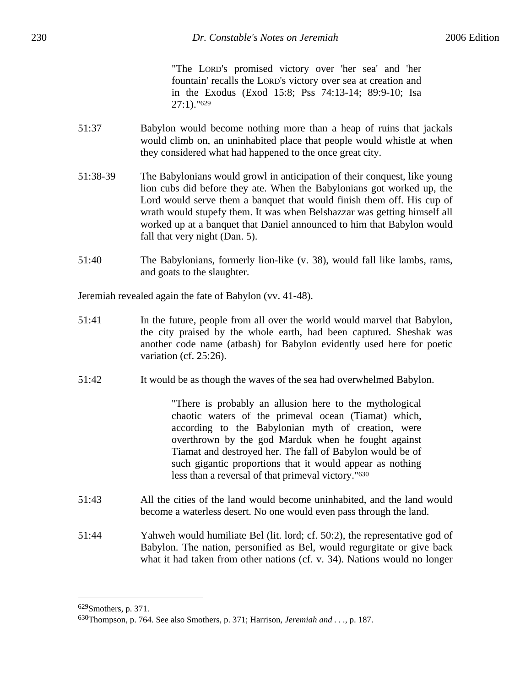"The LORD's promised victory over 'her sea' and 'her fountain' recalls the LORD's victory over sea at creation and in the Exodus (Exod 15:8; Pss 74:13-14; 89:9-10; Isa 27:1)."629

- 51:37 Babylon would become nothing more than a heap of ruins that jackals would climb on, an uninhabited place that people would whistle at when they considered what had happened to the once great city.
- 51:38-39 The Babylonians would growl in anticipation of their conquest, like young lion cubs did before they ate. When the Babylonians got worked up, the Lord would serve them a banquet that would finish them off. His cup of wrath would stupefy them. It was when Belshazzar was getting himself all worked up at a banquet that Daniel announced to him that Babylon would fall that very night (Dan. 5).
- 51:40 The Babylonians, formerly lion-like (v. 38), would fall like lambs, rams, and goats to the slaughter.

Jeremiah revealed again the fate of Babylon (vv. 41-48).

- 51:41 In the future, people from all over the world would marvel that Babylon, the city praised by the whole earth, had been captured. Sheshak was another code name (atbash) for Babylon evidently used here for poetic variation (cf. 25:26).
- 51:42 It would be as though the waves of the sea had overwhelmed Babylon.

"There is probably an allusion here to the mythological chaotic waters of the primeval ocean (Tiamat) which, according to the Babylonian myth of creation, were overthrown by the god Marduk when he fought against Tiamat and destroyed her. The fall of Babylon would be of such gigantic proportions that it would appear as nothing less than a reversal of that primeval victory."630

- 51:43 All the cities of the land would become uninhabited, and the land would become a waterless desert. No one would even pass through the land.
- 51:44 Yahweh would humiliate Bel (lit. lord; cf. 50:2), the representative god of Babylon. The nation, personified as Bel, would regurgitate or give back what it had taken from other nations (cf. v. 34). Nations would no longer

1

<sup>629</sup>Smothers, p. 371.

<sup>630</sup>Thompson, p. 764. See also Smothers, p. 371; Harrison, *Jeremiah and . . .*, p. 187.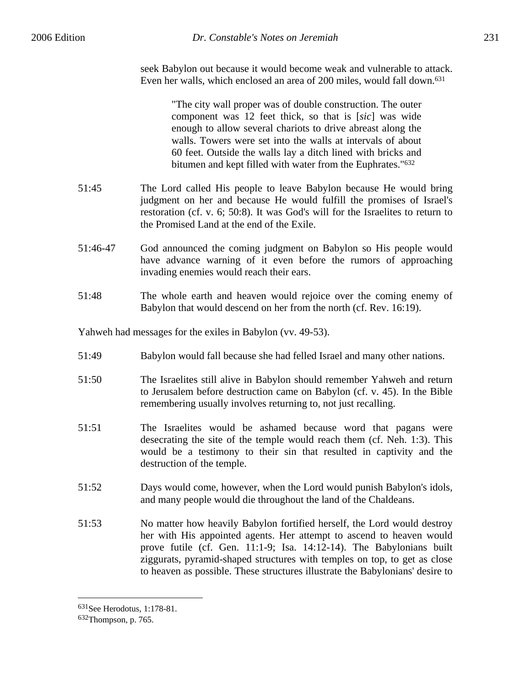seek Babylon out because it would become weak and vulnerable to attack. Even her walls, which enclosed an area of 200 miles, would fall down.631

"The city wall proper was of double construction. The outer component was 12 feet thick, so that is [*sic*] was wide enough to allow several chariots to drive abreast along the walls. Towers were set into the walls at intervals of about 60 feet. Outside the walls lay a ditch lined with bricks and bitumen and kept filled with water from the Euphrates."632

- 51:45 The Lord called His people to leave Babylon because He would bring judgment on her and because He would fulfill the promises of Israel's restoration (cf. v. 6; 50:8). It was God's will for the Israelites to return to the Promised Land at the end of the Exile.
- 51:46-47 God announced the coming judgment on Babylon so His people would have advance warning of it even before the rumors of approaching invading enemies would reach their ears.
- 51:48 The whole earth and heaven would rejoice over the coming enemy of Babylon that would descend on her from the north (cf. Rev. 16:19).

Yahweh had messages for the exiles in Babylon (vv. 49-53).

- 51:49 Babylon would fall because she had felled Israel and many other nations.
- 51:50 The Israelites still alive in Babylon should remember Yahweh and return to Jerusalem before destruction came on Babylon (cf. v. 45). In the Bible remembering usually involves returning to, not just recalling.
- 51:51 The Israelites would be ashamed because word that pagans were desecrating the site of the temple would reach them (cf. Neh. 1:3). This would be a testimony to their sin that resulted in captivity and the destruction of the temple.
- 51:52 Days would come, however, when the Lord would punish Babylon's idols, and many people would die throughout the land of the Chaldeans.
- 51:53 No matter how heavily Babylon fortified herself, the Lord would destroy her with His appointed agents. Her attempt to ascend to heaven would prove futile (cf. Gen. 11:1-9; Isa. 14:12-14). The Babylonians built ziggurats, pyramid-shaped structures with temples on top, to get as close to heaven as possible. These structures illustrate the Babylonians' desire to

<sup>631</sup>See Herodotus, 1:178-81.

<sup>632</sup>Thompson, p. 765.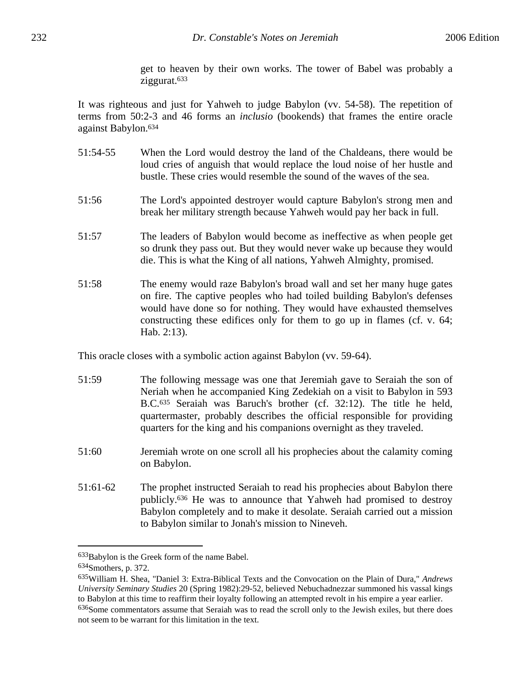get to heaven by their own works. The tower of Babel was probably a ziggurat.633

It was righteous and just for Yahweh to judge Babylon (vv. 54-58). The repetition of terms from 50:2-3 and 46 forms an *inclusio* (bookends) that frames the entire oracle against Babylon.634

- 51:54-55 When the Lord would destroy the land of the Chaldeans, there would be loud cries of anguish that would replace the loud noise of her hustle and bustle. These cries would resemble the sound of the waves of the sea.
- 51:56 The Lord's appointed destroyer would capture Babylon's strong men and break her military strength because Yahweh would pay her back in full.
- 51:57 The leaders of Babylon would become as ineffective as when people get so drunk they pass out. But they would never wake up because they would die. This is what the King of all nations, Yahweh Almighty, promised.
- 51:58 The enemy would raze Babylon's broad wall and set her many huge gates on fire. The captive peoples who had toiled building Babylon's defenses would have done so for nothing. They would have exhausted themselves constructing these edifices only for them to go up in flames (cf. v. 64; Hab. 2:13).

This oracle closes with a symbolic action against Babylon (vv. 59-64).

- 51:59 The following message was one that Jeremiah gave to Seraiah the son of Neriah when he accompanied King Zedekiah on a visit to Babylon in 593 B.C.635 Seraiah was Baruch's brother (cf. 32:12). The title he held, quartermaster, probably describes the official responsible for providing quarters for the king and his companions overnight as they traveled.
- 51:60 Jeremiah wrote on one scroll all his prophecies about the calamity coming on Babylon.
- 51:61-62 The prophet instructed Seraiah to read his prophecies about Babylon there publicly.636 He was to announce that Yahweh had promised to destroy Babylon completely and to make it desolate. Seraiah carried out a mission to Babylon similar to Jonah's mission to Nineveh.

<sup>633</sup>Babylon is the Greek form of the name Babel. 634Smothers, p. 372.

<sup>635</sup>William H. Shea, "Daniel 3: Extra-Biblical Texts and the Convocation on the Plain of Dura," *Andrews University Seminary Studies* 20 (Spring 1982):29-52, believed Nebuchadnezzar summoned his vassal kings to Babylon at this time to reaffirm their loyalty following an attempted revolt in his empire a year earlier. 636Some commentators assume that Seraiah was to read the scroll only to the Jewish exiles, but there does not seem to be warrant for this limitation in the text.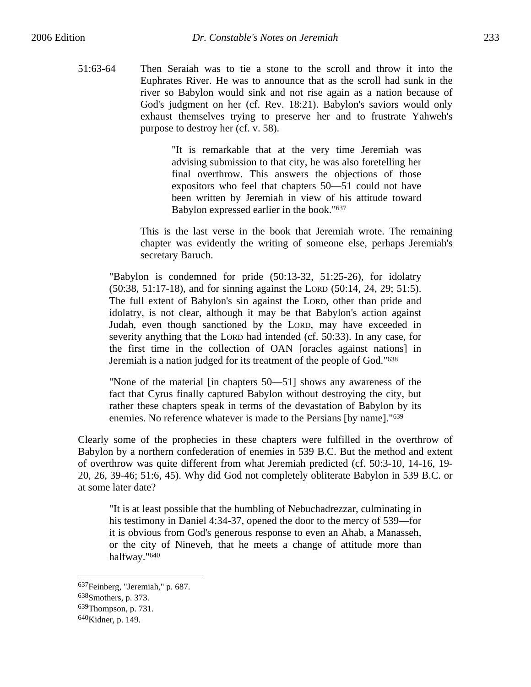51:63-64 Then Seraiah was to tie a stone to the scroll and throw it into the Euphrates River. He was to announce that as the scroll had sunk in the river so Babylon would sink and not rise again as a nation because of God's judgment on her (cf. Rev. 18:21). Babylon's saviors would only exhaust themselves trying to preserve her and to frustrate Yahweh's purpose to destroy her (cf. v. 58).

> "It is remarkable that at the very time Jeremiah was advising submission to that city, he was also foretelling her final overthrow. This answers the objections of those expositors who feel that chapters 50—51 could not have been written by Jeremiah in view of his attitude toward Babylon expressed earlier in the book."637

This is the last verse in the book that Jeremiah wrote. The remaining chapter was evidently the writing of someone else, perhaps Jeremiah's secretary Baruch.

"Babylon is condemned for pride (50:13-32, 51:25-26), for idolatry (50:38, 51:17-18), and for sinning against the LORD (50:14, 24, 29; 51:5). The full extent of Babylon's sin against the LORD, other than pride and idolatry, is not clear, although it may be that Babylon's action against Judah, even though sanctioned by the LORD, may have exceeded in severity anything that the LORD had intended (cf. 50:33). In any case, for the first time in the collection of OAN [oracles against nations] in Jeremiah is a nation judged for its treatment of the people of God."638

"None of the material [in chapters 50—51] shows any awareness of the fact that Cyrus finally captured Babylon without destroying the city, but rather these chapters speak in terms of the devastation of Babylon by its enemies. No reference whatever is made to the Persians [by name]."639

Clearly some of the prophecies in these chapters were fulfilled in the overthrow of Babylon by a northern confederation of enemies in 539 B.C. But the method and extent of overthrow was quite different from what Jeremiah predicted (cf. 50:3-10, 14-16, 19- 20, 26, 39-46; 51:6, 45). Why did God not completely obliterate Babylon in 539 B.C. or at some later date?

"It is at least possible that the humbling of Nebuchadrezzar, culminating in his testimony in Daniel 4:34-37, opened the door to the mercy of 539—for it is obvious from God's generous response to even an Ahab, a Manasseh, or the city of Nineveh, that he meets a change of attitude more than halfway."640

<sup>637</sup>Feinberg, "Jeremiah," p. 687.

<sup>638</sup>Smothers, p. 373.

<sup>639</sup>Thompson, p. 731.

<sup>640</sup>Kidner, p. 149.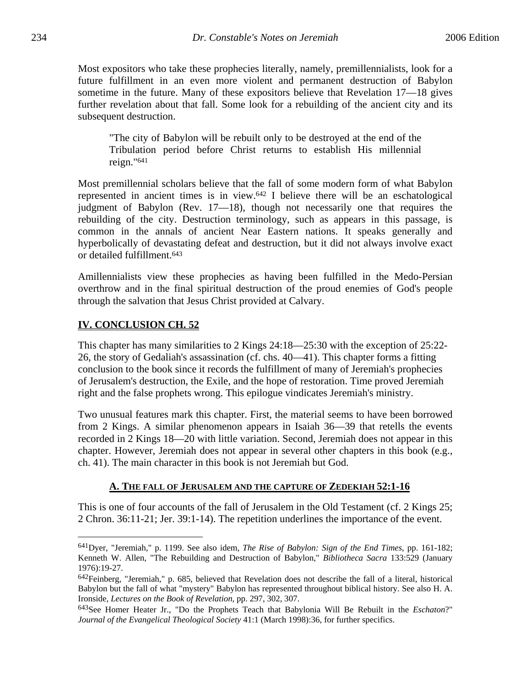Most expositors who take these prophecies literally, namely, premillennialists, look for a future fulfillment in an even more violent and permanent destruction of Babylon sometime in the future. Many of these expositors believe that Revelation 17—18 gives further revelation about that fall. Some look for a rebuilding of the ancient city and its subsequent destruction.

"The city of Babylon will be rebuilt only to be destroyed at the end of the Tribulation period before Christ returns to establish His millennial reign."641

Most premillennial scholars believe that the fall of some modern form of what Babylon represented in ancient times is in view.642 I believe there will be an eschatological judgment of Babylon (Rev. 17—18), though not necessarily one that requires the rebuilding of the city. Destruction terminology, such as appears in this passage, is common in the annals of ancient Near Eastern nations. It speaks generally and hyperbolically of devastating defeat and destruction, but it did not always involve exact or detailed fulfillment.643

Amillennialists view these prophecies as having been fulfilled in the Medo-Persian overthrow and in the final spiritual destruction of the proud enemies of God's people through the salvation that Jesus Christ provided at Calvary.

## **IV. CONCLUSION CH. 52**

 $\overline{a}$ 

This chapter has many similarities to 2 Kings 24:18—25:30 with the exception of 25:22- 26, the story of Gedaliah's assassination (cf. chs. 40—41). This chapter forms a fitting conclusion to the book since it records the fulfillment of many of Jeremiah's prophecies of Jerusalem's destruction, the Exile, and the hope of restoration. Time proved Jeremiah right and the false prophets wrong. This epilogue vindicates Jeremiah's ministry.

Two unusual features mark this chapter. First, the material seems to have been borrowed from 2 Kings. A similar phenomenon appears in Isaiah 36—39 that retells the events recorded in 2 Kings 18—20 with little variation. Second, Jeremiah does not appear in this chapter. However, Jeremiah does not appear in several other chapters in this book (e.g., ch. 41). The main character in this book is not Jeremiah but God.

## **A. THE FALL OF JERUSALEM AND THE CAPTURE OF ZEDEKIAH 52:1-16**

This is one of four accounts of the fall of Jerusalem in the Old Testament (cf. 2 Kings 25; 2 Chron. 36:11-21; Jer. 39:1-14). The repetition underlines the importance of the event.

<sup>641</sup>Dyer, "Jeremiah," p. 1199. See also idem, *The Rise of Babylon: Sign of the End Times*, pp. 161-182; Kenneth W. Allen, "The Rebuilding and Destruction of Babylon," *Bibliotheca Sacra* 133:529 (January 1976):19-27.

 $642$ Feinberg, "Jeremiah," p. 685, believed that Revelation does not describe the fall of a literal, historical Babylon but the fall of what "mystery" Babylon has represented throughout biblical history. See also H. A. Ironside, *Lectures on the Book of Revelation*, pp. 297, 302, 307.

<sup>643</sup>See Homer Heater Jr., "Do the Prophets Teach that Babylonia Will Be Rebuilt in the *Eschaton*?" *Journal of the Evangelical Theological Society* 41:1 (March 1998):36, for further specifics.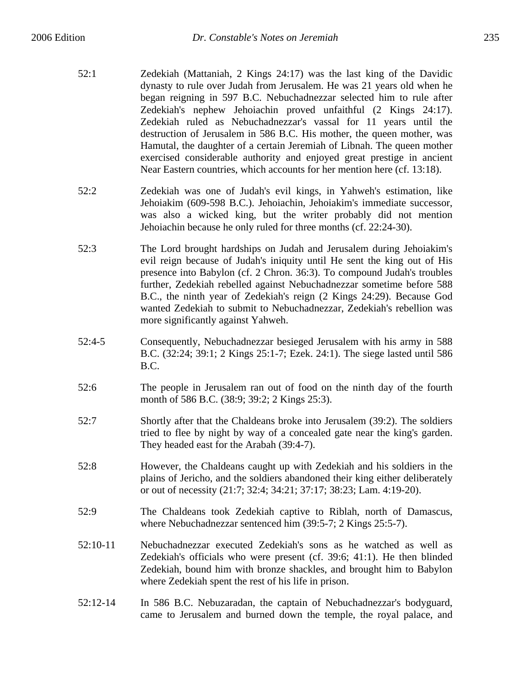- 52:1 Zedekiah (Mattaniah, 2 Kings 24:17) was the last king of the Davidic dynasty to rule over Judah from Jerusalem. He was 21 years old when he began reigning in 597 B.C. Nebuchadnezzar selected him to rule after Zedekiah's nephew Jehoiachin proved unfaithful (2 Kings 24:17). Zedekiah ruled as Nebuchadnezzar's vassal for 11 years until the destruction of Jerusalem in 586 B.C. His mother, the queen mother, was Hamutal, the daughter of a certain Jeremiah of Libnah. The queen mother exercised considerable authority and enjoyed great prestige in ancient Near Eastern countries, which accounts for her mention here (cf. 13:18).
- 52:2 Zedekiah was one of Judah's evil kings, in Yahweh's estimation, like Jehoiakim (609-598 B.C.). Jehoiachin, Jehoiakim's immediate successor, was also a wicked king, but the writer probably did not mention Jehoiachin because he only ruled for three months (cf. 22:24-30).
- 52:3 The Lord brought hardships on Judah and Jerusalem during Jehoiakim's evil reign because of Judah's iniquity until He sent the king out of His presence into Babylon (cf. 2 Chron. 36:3). To compound Judah's troubles further, Zedekiah rebelled against Nebuchadnezzar sometime before 588 B.C., the ninth year of Zedekiah's reign (2 Kings 24:29). Because God wanted Zedekiah to submit to Nebuchadnezzar, Zedekiah's rebellion was more significantly against Yahweh.
- 52:4-5 Consequently, Nebuchadnezzar besieged Jerusalem with his army in 588 B.C. (32:24; 39:1; 2 Kings 25:1-7; Ezek. 24:1). The siege lasted until 586 B.C.
- 52:6 The people in Jerusalem ran out of food on the ninth day of the fourth month of 586 B.C. (38:9; 39:2; 2 Kings 25:3).
- 52:7 Shortly after that the Chaldeans broke into Jerusalem (39:2). The soldiers tried to flee by night by way of a concealed gate near the king's garden. They headed east for the Arabah (39:4-7).
- 52:8 However, the Chaldeans caught up with Zedekiah and his soldiers in the plains of Jericho, and the soldiers abandoned their king either deliberately or out of necessity (21:7; 32:4; 34:21; 37:17; 38:23; Lam. 4:19-20).
- 52:9 The Chaldeans took Zedekiah captive to Riblah, north of Damascus, where Nebuchadnezzar sentenced him (39:5-7; 2 Kings 25:5-7).
- 52:10-11 Nebuchadnezzar executed Zedekiah's sons as he watched as well as Zedekiah's officials who were present (cf. 39:6; 41:1). He then blinded Zedekiah, bound him with bronze shackles, and brought him to Babylon where Zedekiah spent the rest of his life in prison.
- 52:12-14 In 586 B.C. Nebuzaradan, the captain of Nebuchadnezzar's bodyguard, came to Jerusalem and burned down the temple, the royal palace, and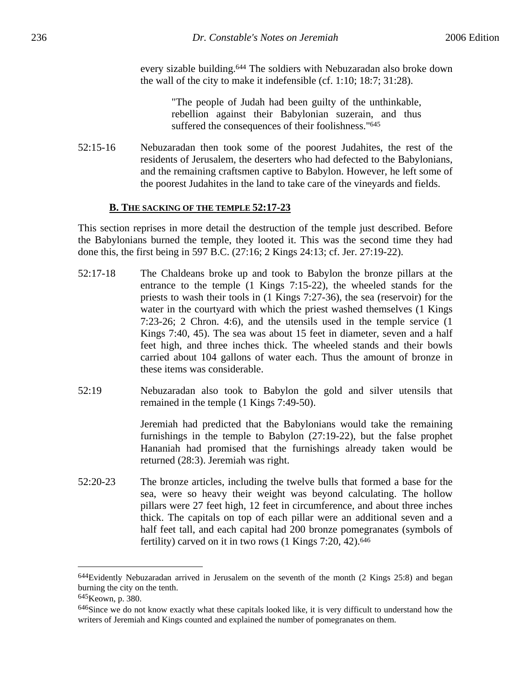every sizable building.644 The soldiers with Nebuzaradan also broke down the wall of the city to make it indefensible (cf. 1:10; 18:7; 31:28).

> "The people of Judah had been guilty of the unthinkable, rebellion against their Babylonian suzerain, and thus suffered the consequences of their foolishness."645

52:15-16 Nebuzaradan then took some of the poorest Judahites, the rest of the residents of Jerusalem, the deserters who had defected to the Babylonians, and the remaining craftsmen captive to Babylon. However, he left some of the poorest Judahites in the land to take care of the vineyards and fields.

### **B. THE SACKING OF THE TEMPLE 52:17-23**

This section reprises in more detail the destruction of the temple just described. Before the Babylonians burned the temple, they looted it. This was the second time they had done this, the first being in 597 B.C. (27:16; 2 Kings 24:13; cf. Jer. 27:19-22).

- 52:17-18 The Chaldeans broke up and took to Babylon the bronze pillars at the entrance to the temple (1 Kings 7:15-22), the wheeled stands for the priests to wash their tools in (1 Kings 7:27-36), the sea (reservoir) for the water in the courtyard with which the priest washed themselves (1 Kings 7:23-26; 2 Chron. 4:6), and the utensils used in the temple service (1 Kings 7:40, 45). The sea was about 15 feet in diameter, seven and a half feet high, and three inches thick. The wheeled stands and their bowls carried about 104 gallons of water each. Thus the amount of bronze in these items was considerable.
- 52:19 Nebuzaradan also took to Babylon the gold and silver utensils that remained in the temple (1 Kings 7:49-50).

Jeremiah had predicted that the Babylonians would take the remaining furnishings in the temple to Babylon (27:19-22), but the false prophet Hananiah had promised that the furnishings already taken would be returned (28:3). Jeremiah was right.

52:20-23 The bronze articles, including the twelve bulls that formed a base for the sea, were so heavy their weight was beyond calculating. The hollow pillars were 27 feet high, 12 feet in circumference, and about three inches thick. The capitals on top of each pillar were an additional seven and a half feet tall, and each capital had 200 bronze pomegranates (symbols of fertility) carved on it in two rows (1 Kings 7:20, 42).<sup>646</sup>

1

<sup>&</sup>lt;sup>644</sup>Evidently Nebuzaradan arrived in Jerusalem on the seventh of the month (2 Kings 25:8) and began burning the city on the tenth.

<sup>&</sup>lt;sup>645</sup>Keown, p. 380.

<sup>&</sup>lt;sup>646</sup>Since we do not know exactly what these capitals looked like, it is very difficult to understand how the writers of Jeremiah and Kings counted and explained the number of pomegranates on them.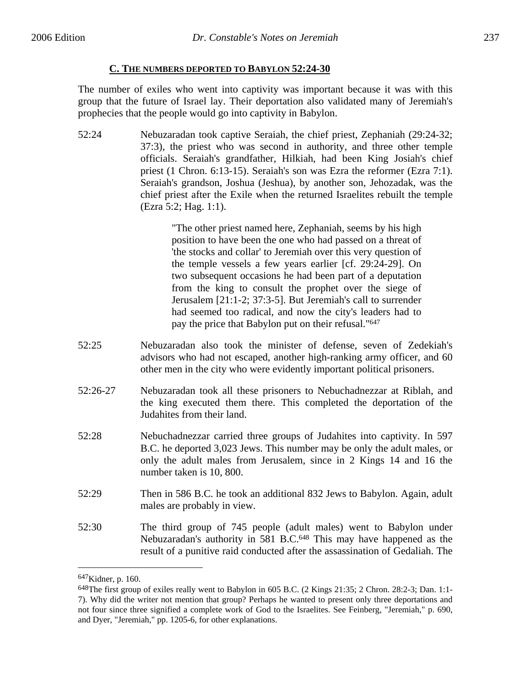## **C. THE NUMBERS DEPORTED TO BABYLON 52:24-30**

The number of exiles who went into captivity was important because it was with this group that the future of Israel lay. Their deportation also validated many of Jeremiah's prophecies that the people would go into captivity in Babylon.

52:24 Nebuzaradan took captive Seraiah, the chief priest, Zephaniah (29:24-32; 37:3), the priest who was second in authority, and three other temple officials. Seraiah's grandfather, Hilkiah, had been King Josiah's chief priest (1 Chron. 6:13-15). Seraiah's son was Ezra the reformer (Ezra 7:1). Seraiah's grandson, Joshua (Jeshua), by another son, Jehozadak, was the chief priest after the Exile when the returned Israelites rebuilt the temple (Ezra 5:2; Hag. 1:1).

> "The other priest named here, Zephaniah, seems by his high position to have been the one who had passed on a threat of 'the stocks and collar' to Jeremiah over this very question of the temple vessels a few years earlier [cf. 29:24-29]. On two subsequent occasions he had been part of a deputation from the king to consult the prophet over the siege of Jerusalem [21:1-2; 37:3-5]. But Jeremiah's call to surrender had seemed too radical, and now the city's leaders had to pay the price that Babylon put on their refusal."647

- 52:25 Nebuzaradan also took the minister of defense, seven of Zedekiah's advisors who had not escaped, another high-ranking army officer, and 60 other men in the city who were evidently important political prisoners.
- 52:26-27 Nebuzaradan took all these prisoners to Nebuchadnezzar at Riblah, and the king executed them there. This completed the deportation of the Judahites from their land.
- 52:28 Nebuchadnezzar carried three groups of Judahites into captivity. In 597 B.C. he deported 3,023 Jews. This number may be only the adult males, or only the adult males from Jerusalem, since in 2 Kings 14 and 16 the number taken is 10, 800.
- 52:29 Then in 586 B.C. he took an additional 832 Jews to Babylon. Again, adult males are probably in view.
- 52:30 The third group of 745 people (adult males) went to Babylon under Nebuzaradan's authority in 581 B.C.<sup>648</sup> This may have happened as the result of a punitive raid conducted after the assassination of Gedaliah. The

1

<sup>647</sup>Kidner, p. 160.

<sup>648</sup>The first group of exiles really went to Babylon in 605 B.C. (2 Kings 21:35; 2 Chron. 28:2-3; Dan. 1:1- 7). Why did the writer not mention that group? Perhaps he wanted to present only three deportations and not four since three signified a complete work of God to the Israelites. See Feinberg, "Jeremiah," p. 690, and Dyer, "Jeremiah," pp. 1205-6, for other explanations.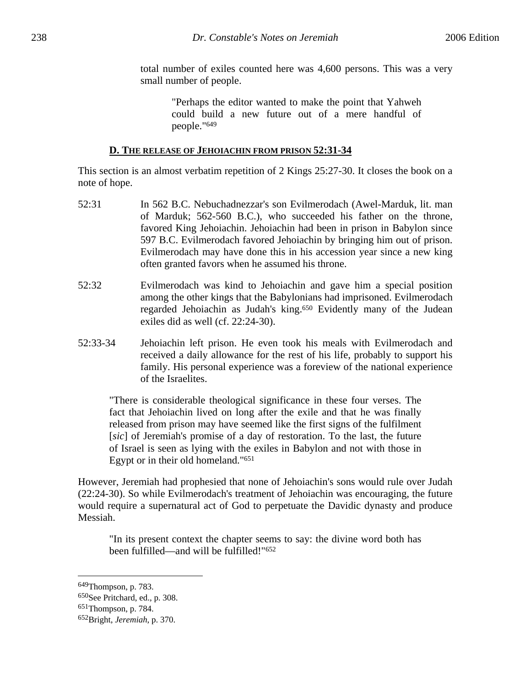total number of exiles counted here was 4,600 persons. This was a very small number of people.

> "Perhaps the editor wanted to make the point that Yahweh could build a new future out of a mere handful of people."649

### **D. THE RELEASE OF JEHOIACHIN FROM PRISON 52:31-34**

This section is an almost verbatim repetition of 2 Kings 25:27-30. It closes the book on a note of hope.

- 52:31 In 562 B.C. Nebuchadnezzar's son Evilmerodach (Awel-Marduk, lit. man of Marduk; 562-560 B.C.), who succeeded his father on the throne, favored King Jehoiachin. Jehoiachin had been in prison in Babylon since 597 B.C. Evilmerodach favored Jehoiachin by bringing him out of prison. Evilmerodach may have done this in his accession year since a new king often granted favors when he assumed his throne.
- 52:32 Evilmerodach was kind to Jehoiachin and gave him a special position among the other kings that the Babylonians had imprisoned. Evilmerodach regarded Jehoiachin as Judah's king.650 Evidently many of the Judean exiles did as well (cf. 22:24-30).
- 52:33-34 Jehoiachin left prison. He even took his meals with Evilmerodach and received a daily allowance for the rest of his life, probably to support his family. His personal experience was a foreview of the national experience of the Israelites.

"There is considerable theological significance in these four verses. The fact that Jehoiachin lived on long after the exile and that he was finally released from prison may have seemed like the first signs of the fulfilment [*sic*] of Jeremiah's promise of a day of restoration. To the last, the future of Israel is seen as lying with the exiles in Babylon and not with those in Egypt or in their old homeland."651

However, Jeremiah had prophesied that none of Jehoiachin's sons would rule over Judah (22:24-30). So while Evilmerodach's treatment of Jehoiachin was encouraging, the future would require a supernatural act of God to perpetuate the Davidic dynasty and produce Messiah.

"In its present context the chapter seems to say: the divine word both has been fulfilled—and will be fulfilled!"652

<sup>649</sup>Thompson, p. 783.

<sup>650</sup>See Pritchard, ed., p. 308.

<sup>651</sup>Thompson, p. 784.

<sup>652</sup>Bright, *Jeremiah*, p. 370.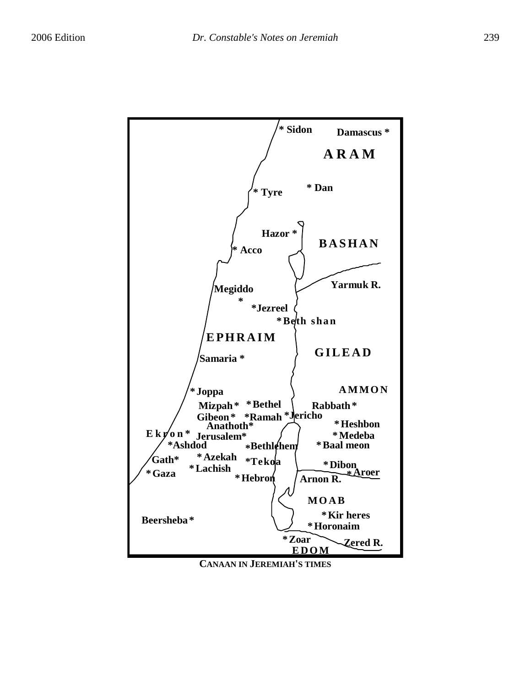

**CANAAN IN JEREMIAH'S TIMES**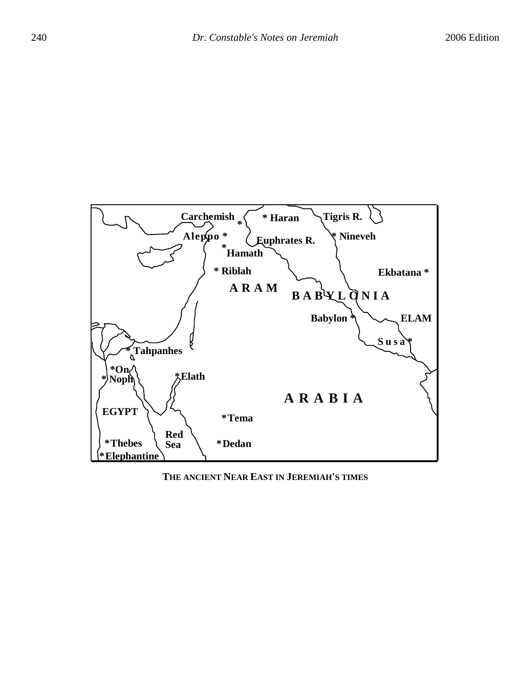

### **THE ANCIENT NEAR EAST IN JEREMIAH'S TIMES**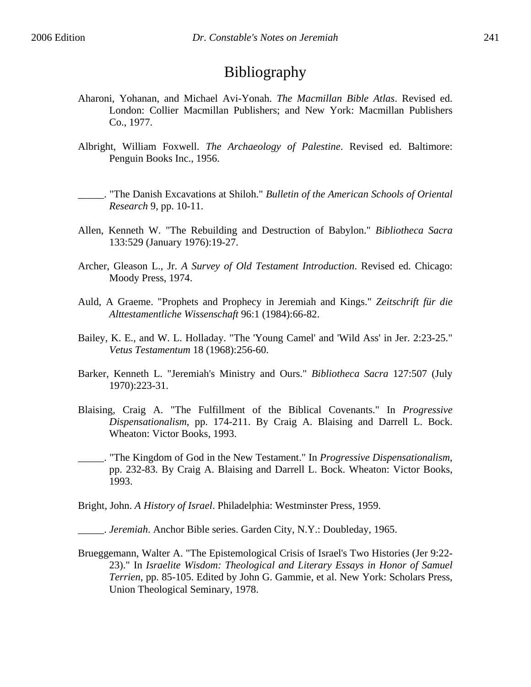# Bibliography

- Aharoni, Yohanan, and Michael Avi-Yonah. *The Macmillan Bible Atlas*. Revised ed. London: Collier Macmillan Publishers; and New York: Macmillan Publishers Co., 1977.
- Albright, William Foxwell. *The Archaeology of Palestine*. Revised ed. Baltimore: Penguin Books Inc., 1956.
- \_\_\_\_\_. "The Danish Excavations at Shiloh." *Bulletin of the American Schools of Oriental Research* 9, pp. 10-11.
- Allen, Kenneth W. "The Rebuilding and Destruction of Babylon." *Bibliotheca Sacra* 133:529 (January 1976):19-27.
- Archer, Gleason L., Jr. *A Survey of Old Testament Introduction*. Revised ed. Chicago: Moody Press, 1974.
- Auld, A Graeme. "Prophets and Prophecy in Jeremiah and Kings." *Zeitschrift für die Alttestamentliche Wissenschaft* 96:1 (1984):66-82.
- Bailey, K. E., and W. L. Holladay. "The 'Young Camel' and 'Wild Ass' in Jer. 2:23-25." *Vetus Testamentum* 18 (1968):256-60.
- Barker, Kenneth L. "Jeremiah's Ministry and Ours." *Bibliotheca Sacra* 127:507 (July 1970):223-31.
- Blaising, Craig A. "The Fulfillment of the Biblical Covenants." In *Progressive Dispensationalism*, pp. 174-211. By Craig A. Blaising and Darrell L. Bock. Wheaton: Victor Books, 1993.
- \_\_\_\_\_. "The Kingdom of God in the New Testament." In *Progressive Dispensationalism*, pp. 232-83. By Craig A. Blaising and Darrell L. Bock. Wheaton: Victor Books, 1993.

Bright, John. *A History of Israel*. Philadelphia: Westminster Press, 1959.

\_\_\_\_\_. *Jeremiah*. Anchor Bible series. Garden City, N.Y.: Doubleday, 1965.

Brueggemann, Walter A. "The Epistemological Crisis of Israel's Two Histories (Jer 9:22- 23)." In *Israelite Wisdom: Theological and Literary Essays in Honor of Samuel Terrien*, pp. 85-105. Edited by John G. Gammie, et al. New York: Scholars Press, Union Theological Seminary, 1978.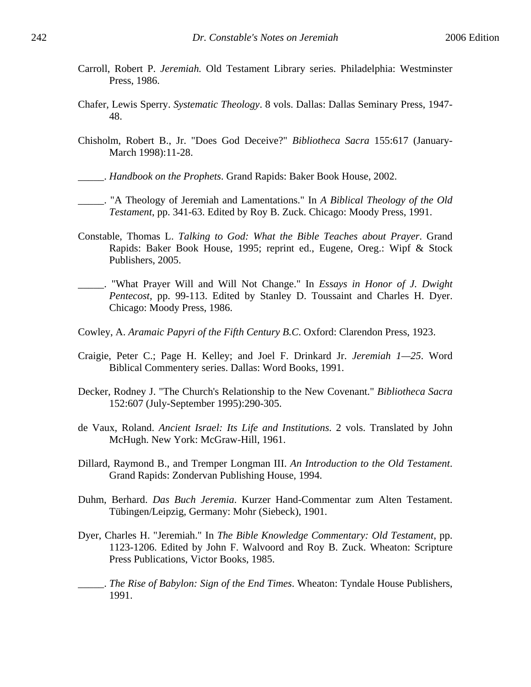- Carroll, Robert P. *Jeremiah.* Old Testament Library series. Philadelphia: Westminster Press, 1986.
- Chafer, Lewis Sperry. *Systematic Theology*. 8 vols. Dallas: Dallas Seminary Press, 1947- 48.
- Chisholm, Robert B., Jr. "Does God Deceive?" *Bibliotheca Sacra* 155:617 (January-March 1998):11-28.
- \_\_\_\_\_. *Handbook on the Prophets*. Grand Rapids: Baker Book House, 2002.
- \_\_\_\_\_. "A Theology of Jeremiah and Lamentations." In *A Biblical Theology of the Old Testament*, pp. 341-63. Edited by Roy B. Zuck. Chicago: Moody Press, 1991.
- Constable, Thomas L. *Talking to God: What the Bible Teaches about Prayer*. Grand Rapids: Baker Book House, 1995; reprint ed., Eugene, Oreg.: Wipf & Stock Publishers, 2005.
- \_\_\_\_\_. "What Prayer Will and Will Not Change." In *Essays in Honor of J. Dwight Pentecost*, pp. 99-113. Edited by Stanley D. Toussaint and Charles H. Dyer. Chicago: Moody Press, 1986.
- Cowley, A. *Aramaic Papyri of the Fifth Century B.C*. Oxford: Clarendon Press, 1923.
- Craigie, Peter C.; Page H. Kelley; and Joel F. Drinkard Jr. *Jeremiah 1—25*. Word Biblical Commentery series. Dallas: Word Books, 1991.
- Decker, Rodney J. "The Church's Relationship to the New Covenant." *Bibliotheca Sacra* 152:607 (July-September 1995):290-305.
- de Vaux, Roland. *Ancient Israel: Its Life and Institutions*. 2 vols. Translated by John McHugh. New York: McGraw-Hill, 1961.
- Dillard, Raymond B., and Tremper Longman III. *An Introduction to the Old Testament*. Grand Rapids: Zondervan Publishing House, 1994.
- Duhm, Berhard. *Das Buch Jeremia*. Kurzer Hand-Commentar zum Alten Testament. Tübingen/Leipzig, Germany: Mohr (Siebeck), 1901.
- Dyer, Charles H. "Jeremiah." In *The Bible Knowledge Commentary: Old Testament*, pp. 1123-1206. Edited by John F. Walvoord and Roy B. Zuck. Wheaton: Scripture Press Publications, Victor Books, 1985.
- \_\_\_\_\_. *The Rise of Babylon: Sign of the End Times*. Wheaton: Tyndale House Publishers, 1991.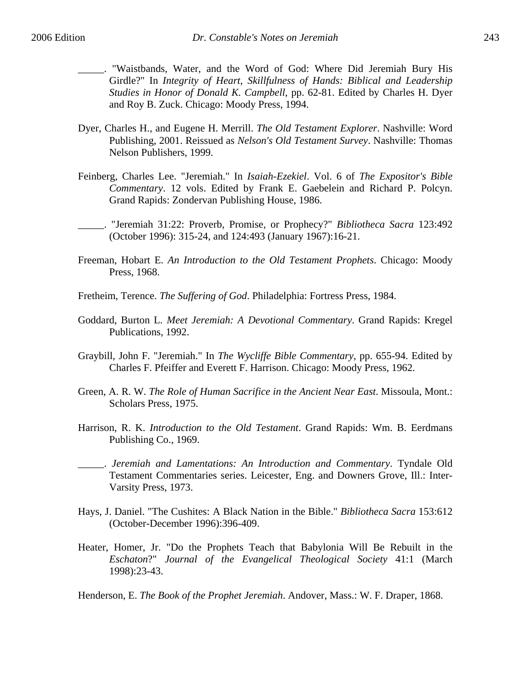- \_\_\_\_\_. "Waistbands, Water, and the Word of God: Where Did Jeremiah Bury His Girdle?" In *Integrity of Heart, Skillfulness of Hands: Biblical and Leadership Studies in Honor of Donald K. Campbell*, pp. 62-81. Edited by Charles H. Dyer and Roy B. Zuck. Chicago: Moody Press, 1994.
- Dyer, Charles H., and Eugene H. Merrill. *The Old Testament Explorer*. Nashville: Word Publishing, 2001. Reissued as *Nelson's Old Testament Survey*. Nashville: Thomas Nelson Publishers, 1999.
- Feinberg, Charles Lee. "Jeremiah." In *Isaiah-Ezekiel*. Vol. 6 of *The Expositor's Bible Commentary*. 12 vols. Edited by Frank E. Gaebelein and Richard P. Polcyn. Grand Rapids: Zondervan Publishing House, 1986.
- \_\_\_\_\_. "Jeremiah 31:22: Proverb, Promise, or Prophecy?" *Bibliotheca Sacra* 123:492 (October 1996): 315-24, and 124:493 (January 1967):16-21.
- Freeman, Hobart E. *An Introduction to the Old Testament Prophets*. Chicago: Moody Press, 1968.
- Fretheim, Terence. *The Suffering of God*. Philadelphia: Fortress Press, 1984.
- Goddard, Burton L. *Meet Jeremiah: A Devotional Commentary*. Grand Rapids: Kregel Publications, 1992.
- Graybill, John F. "Jeremiah." In *The Wycliffe Bible Commentary*, pp. 655-94. Edited by Charles F. Pfeiffer and Everett F. Harrison. Chicago: Moody Press, 1962.
- Green, A. R. W. *The Role of Human Sacrifice in the Ancient Near East*. Missoula, Mont.: Scholars Press, 1975.
- Harrison, R. K. *Introduction to the Old Testament*. Grand Rapids: Wm. B. Eerdmans Publishing Co., 1969.
- \_\_\_\_\_. *Jeremiah and Lamentations: An Introduction and Commentary*. Tyndale Old Testament Commentaries series. Leicester, Eng. and Downers Grove, Ill.: Inter-Varsity Press, 1973.
- Hays, J. Daniel. "The Cushites: A Black Nation in the Bible." *Bibliotheca Sacra* 153:612 (October-December 1996):396-409.
- Heater, Homer, Jr. "Do the Prophets Teach that Babylonia Will Be Rebuilt in the *Eschaton*?" *Journal of the Evangelical Theological Society* 41:1 (March 1998):23-43.

Henderson, E. *The Book of the Prophet Jeremiah*. Andover, Mass.: W. F. Draper, 1868.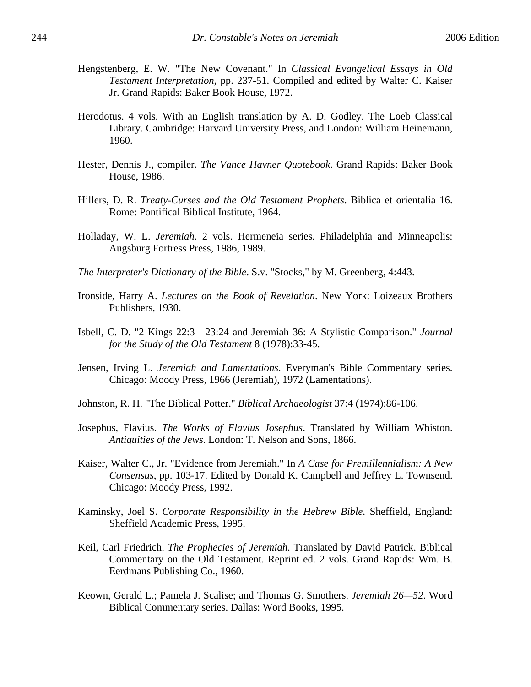- Hengstenberg, E. W. "The New Covenant." In *Classical Evangelical Essays in Old Testament Interpretation*, pp. 237-51. Compiled and edited by Walter C. Kaiser Jr. Grand Rapids: Baker Book House, 1972.
- Herodotus. 4 vols. With an English translation by A. D. Godley. The Loeb Classical Library. Cambridge: Harvard University Press, and London: William Heinemann, 1960.
- Hester, Dennis J., compiler. *The Vance Havner Quotebook*. Grand Rapids: Baker Book House, 1986.
- Hillers, D. R. *Treaty-Curses and the Old Testament Prophets*. Biblica et orientalia 16. Rome: Pontifical Biblical Institute, 1964.
- Holladay, W. L. *Jeremiah*. 2 vols. Hermeneia series. Philadelphia and Minneapolis: Augsburg Fortress Press, 1986, 1989.
- *The Interpreter's Dictionary of the Bible*. S.v. "Stocks," by M. Greenberg, 4:443.
- Ironside, Harry A. *Lectures on the Book of Revelation*. New York: Loizeaux Brothers Publishers, 1930.
- Isbell, C. D. "2 Kings 22:3—23:24 and Jeremiah 36: A Stylistic Comparison." *Journal for the Study of the Old Testament* 8 (1978):33-45.
- Jensen, Irving L. *Jeremiah and Lamentations*. Everyman's Bible Commentary series. Chicago: Moody Press, 1966 (Jeremiah), 1972 (Lamentations).
- Johnston, R. H. "The Biblical Potter." *Biblical Archaeologist* 37:4 (1974):86-106.
- Josephus, Flavius. *The Works of Flavius Josephus*. Translated by William Whiston. *Antiquities of the Jews*. London: T. Nelson and Sons, 1866.
- Kaiser, Walter C., Jr. "Evidence from Jeremiah." In *A Case for Premillennialism: A New Consensus*, pp. 103-17. Edited by Donald K. Campbell and Jeffrey L. Townsend. Chicago: Moody Press, 1992.
- Kaminsky, Joel S. *Corporate Responsibility in the Hebrew Bible*. Sheffield, England: Sheffield Academic Press, 1995.
- Keil, Carl Friedrich. *The Prophecies of Jeremiah*. Translated by David Patrick. Biblical Commentary on the Old Testament. Reprint ed. 2 vols. Grand Rapids: Wm. B. Eerdmans Publishing Co., 1960.
- Keown, Gerald L.; Pamela J. Scalise; and Thomas G. Smothers. *Jeremiah 26—52*. Word Biblical Commentary series. Dallas: Word Books, 1995.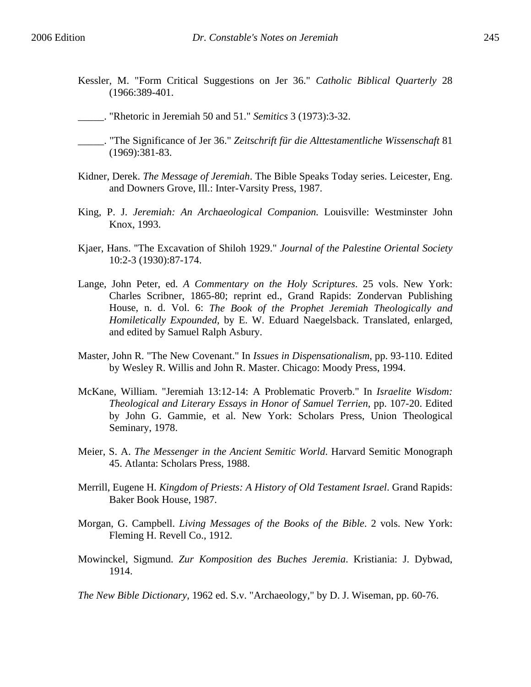- Kessler, M. "Form Critical Suggestions on Jer 36." *Catholic Biblical Quarterly* 28 (1966:389-401.
- \_\_\_\_\_. "Rhetoric in Jeremiah 50 and 51." *Semitics* 3 (1973):3-32.
- \_\_\_\_\_. "The Significance of Jer 36." *Zeitschrift für die Alttestamentliche Wissenschaft* 81 (1969):381-83.
- Kidner, Derek. *The Message of Jeremiah*. The Bible Speaks Today series. Leicester, Eng. and Downers Grove, Ill.: Inter-Varsity Press, 1987.
- King, P. J. *Jeremiah: An Archaeological Companion.* Louisville: Westminster John Knox, 1993.
- Kjaer, Hans. "The Excavation of Shiloh 1929." *Journal of the Palestine Oriental Society* 10:2-3 (1930):87-174.
- Lange, John Peter, ed. *A Commentary on the Holy Scriptures*. 25 vols. New York: Charles Scribner, 1865-80; reprint ed., Grand Rapids: Zondervan Publishing House, n. d. Vol. 6: *The Book of the Prophet Jeremiah Theologically and Homiletically Expounded*, by E. W. Eduard Naegelsback. Translated, enlarged, and edited by Samuel Ralph Asbury.
- Master, John R. "The New Covenant." In *Issues in Dispensationalism*, pp. 93-110. Edited by Wesley R. Willis and John R. Master. Chicago: Moody Press, 1994.
- McKane, William. "Jeremiah 13:12-14: A Problematic Proverb." In *Israelite Wisdom: Theological and Literary Essays in Honor of Samuel Terrien*, pp. 107-20. Edited by John G. Gammie, et al. New York: Scholars Press, Union Theological Seminary, 1978.
- Meier, S. A. *The Messenger in the Ancient Semitic World*. Harvard Semitic Monograph 45. Atlanta: Scholars Press, 1988.
- Merrill, Eugene H. *Kingdom of Priests: A History of Old Testament Israel*. Grand Rapids: Baker Book House, 1987.
- Morgan, G. Campbell. *Living Messages of the Books of the Bible*. 2 vols. New York: Fleming H. Revell Co., 1912.
- Mowinckel, Sigmund. *Zur Komposition des Buches Jeremia*. Kristiania: J. Dybwad, 1914.

*The New Bible Dictionary*, 1962 ed. S.v. "Archaeology," by D. J. Wiseman, pp. 60-76.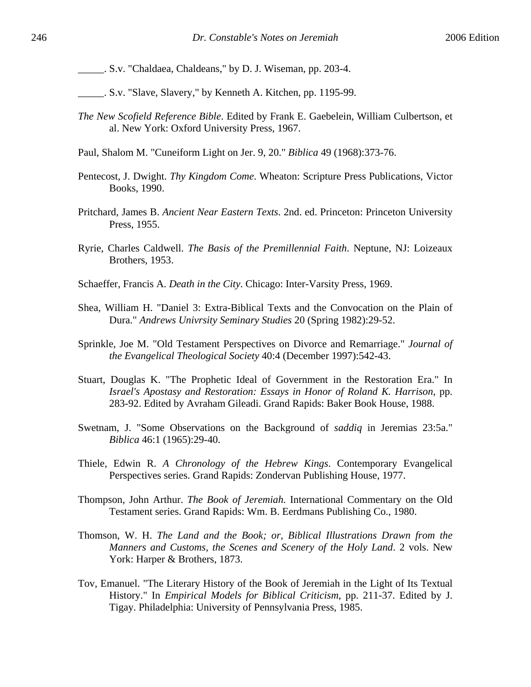\_\_\_\_\_. S.v. "Chaldaea, Chaldeans," by D. J. Wiseman, pp. 203-4.

- \_\_\_\_\_. S.v. "Slave, Slavery," by Kenneth A. Kitchen, pp. 1195-99.
- *The New Scofield Reference Bible*. Edited by Frank E. Gaebelein, William Culbertson, et al. New York: Oxford University Press, 1967.
- Paul, Shalom M. "Cuneiform Light on Jer. 9, 20." *Biblica* 49 (1968):373-76.
- Pentecost, J. Dwight. *Thy Kingdom Come*. Wheaton: Scripture Press Publications, Victor Books, 1990.
- Pritchard, James B. *Ancient Near Eastern Texts*. 2nd. ed. Princeton: Princeton University Press, 1955.
- Ryrie, Charles Caldwell. *The Basis of the Premillennial Faith*. Neptune, NJ: Loizeaux Brothers, 1953.
- Schaeffer, Francis A. *Death in the City*. Chicago: Inter-Varsity Press, 1969.
- Shea, William H. "Daniel 3: Extra-Biblical Texts and the Convocation on the Plain of Dura." *Andrews Univrsity Seminary Studies* 20 (Spring 1982):29-52.
- Sprinkle, Joe M. "Old Testament Perspectives on Divorce and Remarriage." *Journal of the Evangelical Theological Society* 40:4 (December 1997):542-43.
- Stuart, Douglas K. "The Prophetic Ideal of Government in the Restoration Era." In *Israel's Apostasy and Restoration: Essays in Honor of Roland K. Harrison*, pp. 283-92. Edited by Avraham Gileadi. Grand Rapids: Baker Book House, 1988.
- Swetnam, J. "Some Observations on the Background of *saddiq* in Jeremias 23:5a." *Biblica* 46:1 (1965):29-40.
- Thiele, Edwin R. *A Chronology of the Hebrew Kings*. Contemporary Evangelical Perspectives series. Grand Rapids: Zondervan Publishing House, 1977.
- Thompson, John Arthur. *The Book of Jeremiah*. International Commentary on the Old Testament series. Grand Rapids: Wm. B. Eerdmans Publishing Co., 1980.
- Thomson, W. H. *The Land and the Book; or, Biblical Illustrations Drawn from the Manners and Customs, the Scenes and Scenery of the Holy Land*. 2 vols. New York: Harper & Brothers, 1873.
- Tov, Emanuel. "The Literary History of the Book of Jeremiah in the Light of Its Textual History." In *Empirical Models for Biblical Criticism*, pp. 211-37. Edited by J. Tigay. Philadelphia: University of Pennsylvania Press, 1985.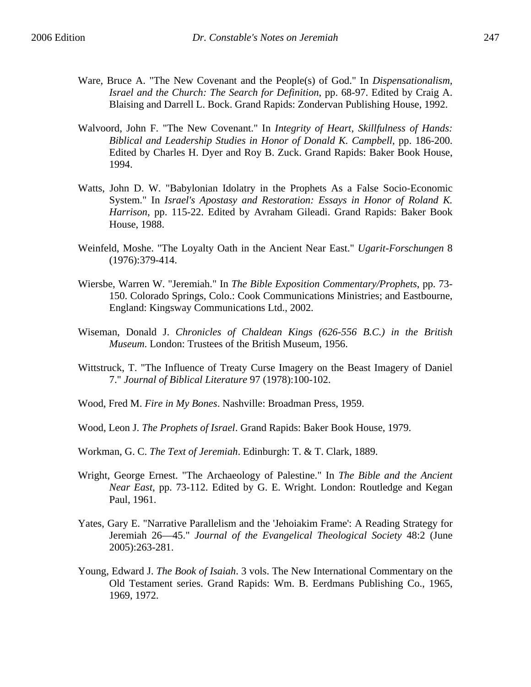- Ware, Bruce A. "The New Covenant and the People(s) of God." In *Dispensationalism, Israel and the Church: The Search for Definition*, pp. 68-97. Edited by Craig A. Blaising and Darrell L. Bock. Grand Rapids: Zondervan Publishing House, 1992.
- Walvoord, John F. "The New Covenant." In *Integrity of Heart, Skillfulness of Hands: Biblical and Leadership Studies in Honor of Donald K. Campbell*, pp. 186-200. Edited by Charles H. Dyer and Roy B. Zuck. Grand Rapids: Baker Book House, 1994.
- Watts, John D. W. "Babylonian Idolatry in the Prophets As a False Socio-Economic System." In *Israel's Apostasy and Restoration: Essays in Honor of Roland K. Harrison*, pp. 115-22. Edited by Avraham Gileadi. Grand Rapids: Baker Book House, 1988.
- Weinfeld, Moshe. "The Loyalty Oath in the Ancient Near East." *Ugarit-Forschungen* 8 (1976):379-414.
- Wiersbe, Warren W. "Jeremiah." In *The Bible Exposition Commentary/Prophets*, pp. 73- 150. Colorado Springs, Colo.: Cook Communications Ministries; and Eastbourne, England: Kingsway Communications Ltd., 2002.
- Wiseman, Donald J. *Chronicles of Chaldean Kings (626-556 B.C.) in the British Museum*. London: Trustees of the British Museum, 1956.
- Wittstruck, T. "The Influence of Treaty Curse Imagery on the Beast Imagery of Daniel 7." *Journal of Biblical Literature* 97 (1978):100-102.
- Wood, Fred M. *Fire in My Bones*. Nashville: Broadman Press, 1959.
- Wood, Leon J. *The Prophets of Israel*. Grand Rapids: Baker Book House, 1979.
- Workman, G. C. *The Text of Jeremiah*. Edinburgh: T. & T. Clark, 1889.
- Wright, George Ernest. "The Archaeology of Palestine." In *The Bible and the Ancient Near East*, pp. 73-112. Edited by G. E. Wright. London: Routledge and Kegan Paul, 1961.
- Yates, Gary E. "Narrative Parallelism and the 'Jehoiakim Frame': A Reading Strategy for Jeremiah 26—45." *Journal of the Evangelical Theological Society* 48:2 (June 2005):263-281.
- Young, Edward J. *The Book of Isaiah*. 3 vols. The New International Commentary on the Old Testament series. Grand Rapids: Wm. B. Eerdmans Publishing Co., 1965, 1969, 1972.